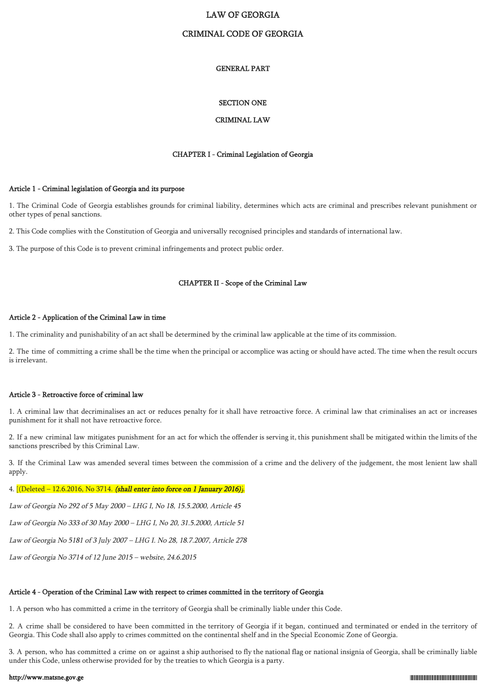## LAW OF GEORGIA

## CRIMINAL CODE OF GEORGIA

#### GENERAL PART

#### SECTION ONE

## CRIMINAL LAW

#### CHAPTER I - Criminal Legislation of Georgia

### Article 1 - Criminal legislation of Georgia and its purpose

1. The Criminal Code of Georgia establishes grounds for criminal liability, determines which acts are criminal and prescribes relevant punishment or other types of penal sanctions.

2. This Code complies with the Constitution of Georgia and universally recognised principles and standards of international law.

3. The purpose of this Code is to prevent criminal infringements and protect public order.

#### CHAPTER II - Scope of the Criminal Law

### Article 2 - Application of the Criminal Law in time

1. The criminality and punishability of an act shall be determined by the criminal law applicable at the time of its commission.

2. The time of committing a crime shall be the time when the principal or accomplice was acting or should have acted. The time when the result occurs is irrelevant.

#### Article 3 - Retroactive force of criminal law

1. A criminal law that decriminalises an act or reduces penalty for it shall have retroactive force. A criminal law that criminalises an act or increases punishment for it shall not have retroactive force.

2. If a new criminal law mitigates punishment for an act for which the offender is serving it, this punishment shall be mitigated within the limits of the sanctions prescribed by this Criminal Law.

3. If the Criminal Law was amended several times between the commission of a crime and the delivery of the judgement, the most lenient law shall apply.

#### 4.  $[$ (Deleted – 12.6.2016, No 3714. (shall enter into force on 1 January 2016).

Law of Georgia No 292 of 5 May 2000 – LHG I, No 18, 15.5.2000, Article 45

Law of Georgia No 333 of 30 May 2000 – LHG I, No 20, 31.5.2000, Article 51

Law of Georgia No 5181 of 3 July 2007 – LHG I. No 28, 18.7.2007, Article 278

Law of Georgia No 3714 of 12 June 2015 – website, 24.6.2015

#### Article 4 - Operation of the Criminal Law with respect to crimes committed in the territory of Georgia

1. A person who has committed a crime in the territory of Georgia shall be criminally liable under this Code.

2. A crime shall be considered to have been committed in the territory of Georgia if it began, continued and terminated or ended in the territory of Georgia. This Code shall also apply to crimes committed on the continental shelf and in the Special Economic Zone of Georgia.

3. A person, who has committed a crime on or against a ship authorised to fly the national flag or national insignia of Georgia, shall be criminally liable under this Code, unless otherwise provided for by the treaties to which Georgia is a party.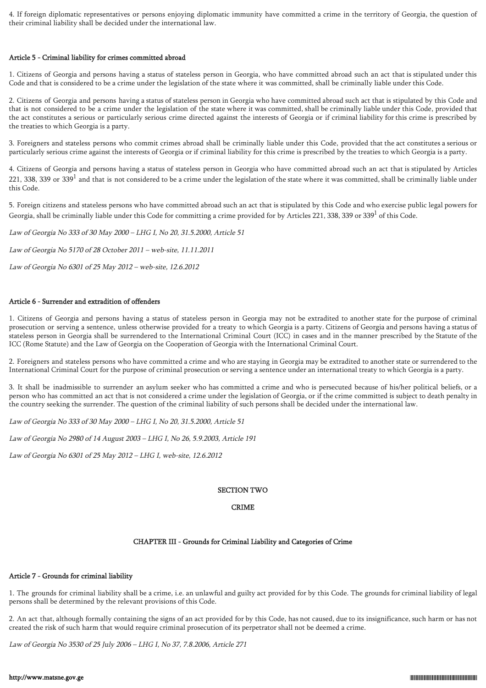4. If foreign diplomatic representatives or persons enjoying diplomatic immunity have committed a crime in the territory of Georgia, the question of their criminal liability shall be decided under the international law.

#### Article 5 - Criminal liability for crimes committed abroad

1. Citizens of Georgia and persons having a status of stateless person in Georgia, who have committed abroad such an act that is stipulated under this Code and that is considered to be a crime under the legislation of the state where it was committed, shall be criminally liable under this Code.

2. Citizens of Georgia and persons having a status of stateless person in Georgia who have committed abroad such act that is stipulated by this Code and that is not considered to be a crime under the legislation of the state where it was committed, shall be criminally liable under this Code, provided that the act constitutes a serious or particularly serious crime directed against the interests of Georgia or if criminal liability for this crime is prescribed by the treaties to which Georgia is a party.

3. Foreigners and stateless persons who commit crimes abroad shall be criminally liable under this Code, provided that the act constitutes a serious or particularly serious crime against the interests of Georgia or if criminal liability for this crime is prescribed by the treaties to which Georgia is a party.

4. Citizens of Georgia and persons having a status of stateless person in Georgia who have committed abroad such an act that is stipulated by Articles 221, 338, 339 or 339<sup>1</sup> and that is not considered to be a crime under the legislation of the state where it was committed, shall be criminally liable under this Code.

5. Foreign citizens and stateless persons who have committed abroad such an act that is stipulated by this Code and who exercise public legal powers for Georgia, shall be criminally liable under this Code for committing a crime provided for by Articles 221, 338, 339 or 339<sup>1</sup> of this Code.

Law of Georgia No 333 of 30 May 2000 – LHG I, No 20, 31.5.2000, Article 51

Law of Georgia No 5170 of 28 October 2011 – web-site, 11.11.2011

Law of Georgia No 6301 of 25 May 2012 – web-site, 12.6.2012

## Article 6 - Surrender and extradition of offenders

1. Citizens of Georgia and persons having a status of stateless person in Georgia may not be extradited to another state for the purpose of criminal prosecution or serving a sentence, unless otherwise provided for a treaty to which Georgia is a party. Citizens of Georgia and persons having a status of stateless person in Georgia shall be surrendered to the International Criminal Court (ICC) in cases and in the manner prescribed by the Statute of the ICC (Rome Statute) and the Law of Georgia on the Cooperation of Georgia with the International Criminal Court.

2. Foreigners and stateless persons who have committed a crime and who are staying in Georgia may be extradited to another state or surrendered to the International Criminal Court for the purpose of criminal prosecution or serving a sentence under an international treaty to which Georgia is a party.

3. It shall be inadmissible to surrender an asylum seeker who has committed a crime and who is persecuted because of his/her political beliefs, or a person who has committed an act that is not considered a crime under the legislation of Georgia, or if the crime committed is subject to death penalty in the country seeking the surrender. The question of the criminal liability of such persons shall be decided under the international law.

Law of Georgia No 333 of 30 May 2000 – LHG I, No 20, 31.5.2000, Article 51

Law of Georgia No 2980 of 14 August 2003 – LHG I, No 26, 5.9.2003, Article 191

Law of Georgia No 6301 of 25 May 2012 – LHG I, web-site, 12.6.2012

## SECTION TWO

## CRIME

## CHAPTER III - Grounds for Criminal Liability and Categories of Crime

## Article 7 - Grounds for criminal liability

1. The grounds for criminal liability shall be a crime, i.e. an unlawful and guilty act provided for by this Code. The grounds for criminal liability of legal persons shall be determined by the relevant provisions of this Code.

2. An act that, although formally containing the signs of an act provided for by this Code, has not caused, due to its insignificance, such harm or has not created the risk of such harm that would require criminal prosecution of its perpetrator shall not be deemed a crime.

Law of Georgia No 3530 of 25 July 2006 – LHG I, No 37, 7.8.2006, Article 271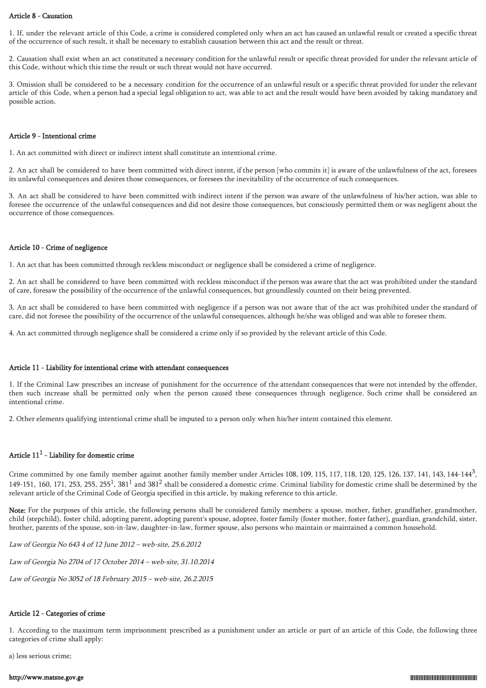#### Article 8 - Causation

1. If, under the relevant article of this Code, a crime is considered completed only when an act has caused an unlawful result or created a specific threat of the occurrence of such result, it shall be necessary to establish causation between this act and the result or threat.

2. Causation shall exist when an act constituted a necessary condition for the unlawful result or specific threat provided for under the relevant article of this Code, without which this time the result or such threat would not have occurred.

3. Omission shall be considered to be a necessary condition for the occurrence of an unlawful result or a specific threat provided for under the relevant article of this Code, when a person had a special legal obligation to act, was able to act and the result would have been avoided by taking mandatory and possible action.

#### Article 9 - Intentional crime

1. An act committed with direct or indirect intent shall constitute an intentional crime.

2. An act shall be considered to have been committed with direct intent, if the person [who commits it] is aware of the unlawfulness of the act, foresees its unlawful consequences and desires those consequences, or foresees the inevitability of the occurrence of such consequences.

3. An act shall be considered to have been committed with indirect intent if the person was aware of the unlawfulness of his/her action, was able to foresee the occurrence of the unlawful consequences and did not desire those consequences, but consciously permitted them or was negligent about the occurrence of those consequences.

### Article 10 - Crime of negligence

1. An act that has been committed through reckless misconduct or negligence shall be considered a crime of negligence.

2. An act shall be considered to have been committed with reckless misconduct if the person was aware that the act was prohibited under the standard of care, foresaw the possibility of the occurrence of the unlawful consequences, but groundlessly counted on their being prevented.

3. An act shall be considered to have been committed with negligence if a person was not aware that of the act was prohibited under the standard of care, did not foresee the possibility of the occurrence of the unlawful consequences, although he/she was obliged and was able to foresee them.

4. An act committed through negligence shall be considered a crime only if so provided by the relevant article of this Code.

#### Article 11 - Liability for intentional crime with attendant consequences

1. If the Criminal Law prescribes an increase of punishment for the occurrence of the attendant consequences that were not intended by the offender, then such increase shall be permitted only when the person caused these consequences through negligence. Such crime shall be considered an intentional crime.

2. Other elements qualifying intentional crime shall be imputed to a person only when his/her intent contained this element.

## Article  $11^1$  - Liability for domestic crime

Crime committed by one family member against another family member under Articles 108, 109, 115, 117, 118, 120, 125, 126, 137, 141, 143, 144-144<sup>3</sup>, 149-151, 160, 171, 253, 255, 255<sup>1</sup>, 381<sup>1</sup> and 381<sup>2</sup> shall be considered a domestic crime. Criminal liability for domestic crime shall be determined by the relevant article of the Criminal Code of Georgia specified in this article, by making reference to this article.

Note: For the purposes of this article, the following persons shall be considered family members: a spouse, mother, father, grandfather, grandmother, child (stepchild), foster child, adopting parent, adopting parent's spouse, adoptee, foster family (foster mother, foster father), guardian, grandchild, sister, brother, parents of the spouse, son-in-law, daughter-in-law, former spouse, also persons who maintain or maintained a common household.

Law of Georgia No 643 4 of 12 June 2012 – web-site, 25.6.2012

Law of Georgia No 2704 of 17 October 2014 – web-site, 31.10.2014

Law of Georgia No 3052 of 18 February 2015 – web-site, 26.2.2015

## Article 12 - Categories of crime

1. According to the maximum term imprisonment prescribed as a punishment under an article or part of an article of this Code, the following three categories of crime shall apply:

a) less serious crime;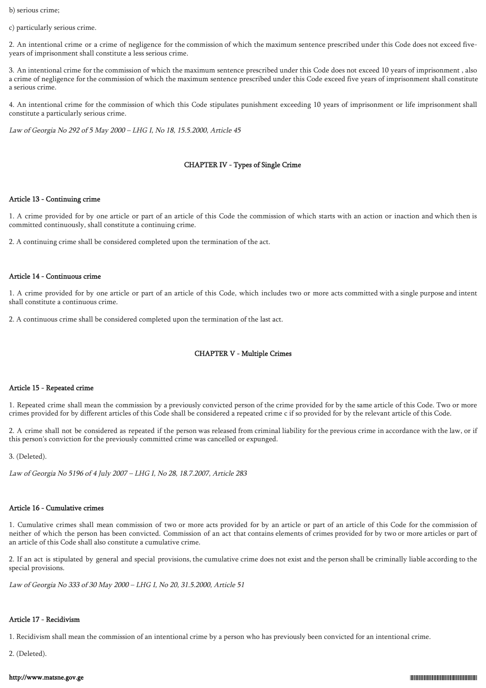b) serious crime;

c) particularly serious crime.

2. An intentional crime or a crime of negligence for the commission of which the maximum sentence prescribed under this Code does not exceed fiveyears of imprisonment shall constitute a less serious crime.

3. An intentional crime for the commission of which the maximum sentence prescribed under this Code does not exceed 10 years of imprisonment , also a crime of negligence for the commission of which the maximum sentence prescribed under this Code exceed five years of imprisonment shall constitute a serious crime.

4. An intentional crime for the commission of which this Code stipulates punishment exceeding 10 years of imprisonment or life imprisonment shall constitute a particularly serious crime.

Law of Georgia No 292 of 5 May 2000 – LHG I, No 18, 15.5.2000, Article 45

## CHAPTER IV - Types of Single Crime

#### Article 13 - Continuing crime

1. A crime provided for by one article or part of an article of this Code the commission of which starts with an action or inaction and which then is committed continuously, shall constitute a continuing crime.

2. A continuing crime shall be considered completed upon the termination of the act.

#### Article 14 - Continuous crime

1. A crime provided for by one article or part of an article of this Code, which includes two or more acts committed with a single purpose and intent shall constitute a continuous crime.

2. A continuous crime shall be considered completed upon the termination of the last act.

## CHAPTER V - Multiple Crimes

#### Article 15 - Repeated crime

1. Repeated crime shall mean the commission by a previously convicted person of the crime provided for by the same article of this Code. Two or more crimes provided for by different articles of this Code shall be considered a repeated crime c if so provided for by the relevant article of this Code.

2. A crime shall not be considered as repeated if the person was released from criminal liability for the previous crime in accordance with the law, or if this person's conviction for the previously committed crime was cancelled or expunged.

3. (Deleted).

Law of Georgia No 5196 of 4 July 2007 – LHG I, No 28, 18.7.2007, Article 283

## Article 16 - Cumulative crimes

1. Cumulative crimes shall mean commission of two or more acts provided for by an article or part of an article of this Code for the commission of neither of which the person has been convicted. Commission of an act that contains elements of crimes provided for by two or more articles or part of an article of this Code shall also constitute a cumulative crime.

2. If an act is stipulated by general and special provisions, the cumulative crime does not exist and the person shall be criminally liable according to the special provisions.

Law of Georgia No 333 of 30 May 2000 – LHG I, No 20, 31.5.2000, Article 51

## Article 17 - Recidivism

1. Recidivism shall mean the commission of an intentional crime by a person who has previously been convicted for an intentional crime.

2. (Deleted).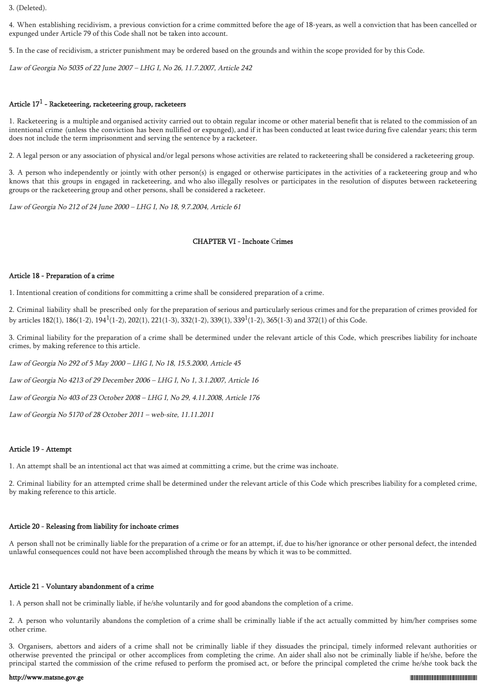3. (Deleted).

4. When establishing recidivism, a previous conviction for a crime committed before the age of 18-years, as well a conviction that has been cancelled or expunged under Article 79 of this Code shall not be taken into account.

5. In the case of recidivism, a stricter punishment may be ordered based on the grounds and within the scope provided for by this Code.

Law of Georgia No 5035 of 22 June 2007 – LHG I, No 26, 11.7.2007, Article 242

## Article 17<sup>1</sup> - Racketeering, racketeering group, racketeers

1. Racketeering is a multiple and organised activity carried out to obtain regular income or other material benefit that is related to the commission of an intentional crime (unless the conviction has been nullified or expunged), and if it has been conducted at least twice during five calendar years; this term does not include the term imprisonment and serving the sentence by a racketeer.

2. A legal person or any association of physical and/or legal persons whose activities are related to racketeering shall be considered a racketeering group.

3. A person who independently or jointly with other person(s) is engaged or otherwise participates in the activities of a racketeering group and who knows that this groups in engaged in racketeering, and who also illegally resolves or participates in the resolution of disputes between racketeering groups or the racketeering group and other persons, shall be considered a racketeer.

Law of Georgia No 212 of 24 June 2000 – LHG I, No 18, 9.7.2004, Article 61

## CHAPTER VI - Inchoate Crimes

### Article 18 - Preparation of a crime

1. Intentional creation of conditions for committing a crime shall be considered preparation of a crime.

2. Criminal liability shall be prescribed only for the preparation of serious and particularly serious crimes and for the preparation of crimes provided for by articles 182(1), 186(1-2), 194<sup>1</sup>(1-2), 202(1), 221(1-3), 332(1-2), 339(1), 339<sup>1</sup>(1-2), 365(1-3) and 372(1) of this Code.

3. Criminal liability for the preparation of a crime shall be determined under the relevant article of this Code, which prescribes liability for inchoate crimes, by making reference to this article.

Law of Georgia No 292 of 5 May 2000 – LHG I, No 18, 15.5.2000, Article 45

Law of Georgia No 4213 of 29 December 2006 – LHG I, No 1, 3.1.2007, Article 16

Law of Georgia No 403 of 23 October 2008 – LHG I, No 29, 4.11.2008, Article 176

Law of Georgia No 5170 of 28 October 2011 – web-site, 11.11.2011

## Article 19 - Attempt

1. An attempt shall be an intentional act that was aimed at committing a crime, but the crime was inchoate.

2. Criminal liability for an attempted crime shall be determined under the relevant article of this Code which prescribes liability for a completed crime, by making reference to this article.

## Article 20 - Releasing from liability for inchoate crimes

A person shall not be criminally liable for the preparation of a crime or for an attempt, if, due to his/her ignorance or other personal defect, the intended unlawful consequences could not have been accomplished through the means by which it was to be committed.

## Article 21 - Voluntary abandonment of a crime

1. A person shall not be criminally liable, if he/she voluntarily and for good abandons the completion of a crime.

2. A person who voluntarily abandons the completion of a crime shall be criminally liable if the act actually committed by him/her comprises some other crime.

3. Organisers, abettors and aiders of a crime shall not be criminally liable if they dissuades the principal, timely informed relevant authorities or otherwise prevented the principal or other accomplices from completing the crime. An aider shall also not be criminally liable if he/she, before the principal started the commission of the crime refused to perform the promised act, or before the principal completed the crime he/she took back the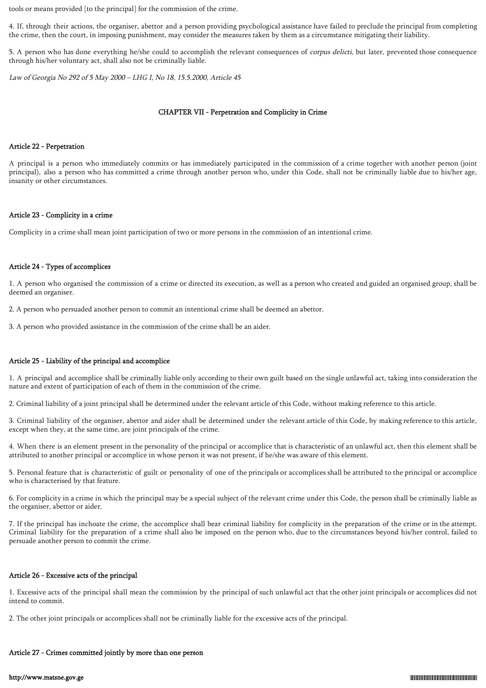tools or means provided [to the principal] for the commission of the crime.

4. If, through their actions, the organiser, abettor and a person providing psychological assistance have failed to preclude the principal from completing the crime, then the court, in imposing punishment, may consider the measures taken by them as a circumstance mitigating their liability.

5. A person who has done everything he/she could to accomplish the relevant consequences of corpus delicti, but later, prevented those consequence through his/her voluntary act, shall also not be criminally liable.

Law of Georgia No 292 of 5 May 2000 – LHG I, No 18, 15.5.2000, Article 45

#### CHAPTER VII - Perpetration and Complicity in Crime

#### Article 22 - Perpetration

A principal is a person who immediately commits or has immediately participated in the commission of a crime together with another person (joint principal), also a person who has committed a crime through another person who, under this Code, shall not be criminally liable due to his/her age, insanity or other circumstances.

## Article 23 - Complicity in a crime

Complicity in a crime shall mean joint participation of two or more persons in the commission of an intentional crime.

## Article 24 - Types of accomplices

1. A person who organised the commission of a crime or directed its execution, as well as a person who created and guided an organised group, shall be deemed an organiser.

2. A person who persuaded another person to commit an intentional crime shall be deemed an abettor.

3. A person who provided assistance in the commission of the crime shall be an aider.

## Article 25 - Liability of the principal and accomplice

1. A principal and accomplice shall be criminally liable only according to their own guilt based on the single unlawful act, taking into consideration the nature and extent of participation of each of them in the commission of the crime.

2. Criminal liability of a joint principal shall be determined under the relevant article of this Code, without making reference to this article.

3. Criminal liability of the organiser, abettor and aider shall be determined under the relevant article of this Code, by making reference to this article, except when they, at the same time, are joint principals of the crime.

4. When there is an element present in the personality of the principal or accomplice that is characteristic of an unlawful act, then this element shall be attributed to another principal or accomplice in whose person it was not present, if he/she was aware of this element.

5. Personal feature that is characteristic of guilt or personality of one of the principals or accomplices shall be attributed to the principal or accomplice who is characterised by that feature.

6. For complicity in a crime in which the principal may be a special subject of the relevant crime under this Code, the person shall be criminally liable as the organiser, abettor or aider.

7. If the principal has inchoate the crime, the accomplice shall bear criminal liability for complicity in the preparation of the crime or in the attempt. Criminal liability for the preparation of a crime shall also be imposed on the person who, due to the circumstances beyond his/her control, failed to persuade another person to commit the crime.

## Article 26 - Excessive acts of the principal

1. Excessive acts of the principal shall mean the commission by the principal of such unlawful act that the other joint principals or accomplices did not intend to commit.

2. The other joint principals or accomplices shall not be criminally liable for the excessive acts of the principal.

#### Article 27 - Crimes committed jointly by more than one person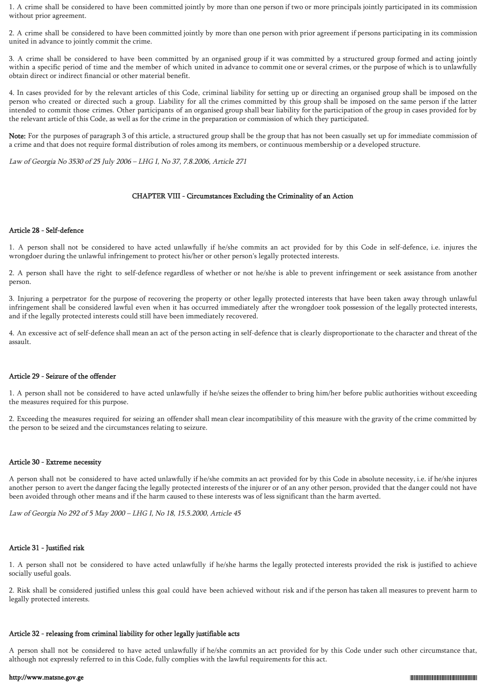1. A crime shall be considered to have been committed jointly by more than one person if two or more principals jointly participated in its commission without prior agreement.

2. A crime shall be considered to have been committed jointly by more than one person with prior agreement if persons participating in its commission united in advance to jointly commit the crime.

3. A crime shall be considered to have been committed by an organised group if it was committed by a structured group formed and acting jointly within a specific period of time and the member of which united in advance to commit one or several crimes, or the purpose of which is to unlawfully obtain direct or indirect financial or other material benefit.

4. In cases provided for by the relevant articles of this Code, criminal liability for setting up or directing an organised group shall be imposed on the person who created or directed such a group. Liability for all the crimes committed by this group shall be imposed on the same person if the latter intended to commit those crimes. Other participants of an organised group shall bear liability for the participation of the group in cases provided for by the relevant article of this Code, as well as for the crime in the preparation or commission of which they participated.

Note: For the purposes of paragraph 3 of this article, a structured group shall be the group that has not been casually set up for immediate commission of a crime and that does not require formal distribution of roles among its members, or continuous membership or a developed structure.

Law of Georgia No 3530 of 25 July 2006 – LHG I, No 37, 7.8.2006, Article 271

## CHAPTER VIII - Circumstances Excluding the Criminality of an Action

## Article 28 - Self-defence

1. A person shall not be considered to have acted unlawfully if he/she commits an act provided for by this Code in self-defence, i.e. injures the wrongdoer during the unlawful infringement to protect his/her or other person's legally protected interests.

2. A person shall have the right to self-defence regardless of whether or not he/she is able to prevent infringement or seek assistance from another person.

3. Injuring a perpetrator for the purpose of recovering the property or other legally protected interests that have been taken away through unlawful infringement shall be considered lawful even when it has occurred immediately after the wrongdoer took possession of the legally protected interests, and if the legally protected interests could still have been immediately recovered.

4. An excessive act of self-defence shall mean an act of the person acting in self-defence that is clearly disproportionate to the character and threat of the assault.

## Article 29 - Seizure of the offender

1. A person shall not be considered to have acted unlawfully if he/she seizes the offender to bring him/her before public authorities without exceeding the measures required for this purpose.

2. Exceeding the measures required for seizing an offender shall mean clear incompatibility of this measure with the gravity of the crime committed by the person to be seized and the circumstances relating to seizure.

## Article 30 - Extreme necessity

A person shall not be considered to have acted unlawfully if he/she commits an act provided for by this Code in absolute necessity, i.e. if he/she injures another person to avert the danger facing the legally protected interests of the injurer or of an any other person, provided that the danger could not have been avoided through other means and if the harm caused to these interests was of less significant than the harm averted.

Law of Georgia No 292 of 5 May 2000 – LHG I, No 18, 15.5.2000, Article 45

#### Article 31 - Justified risk

1. A person shall not be considered to have acted unlawfully if he/she harms the legally protected interests provided the risk is justified to achieve socially useful goals.

2. Risk shall be considered justified unless this goal could have been achieved without risk and if the person has taken all measures to prevent harm to legally protected interests.

## Article 32 - releasing from criminal liability for other legally justifiable acts

A person shall not be considered to have acted unlawfully if he/she commits an act provided for by this Code under such other circumstance that, although not expressly referred to in this Code, fully complies with the lawful requirements for this act.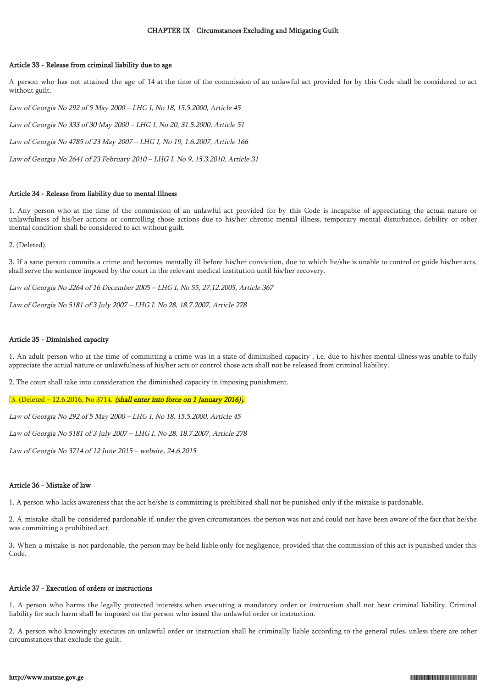#### Article 33 - Release from criminal liability due to age

A person who has not attained the age of 14 at the time of the commission of an unlawful act provided for by this Code shall be considered to act without guilt.

Law of Georgia No 292 of 5 May 2000 – LHG I, No 18, 15.5.2000, Article 45

Law of Georgia No 333 of 30 May 2000 – LHG I, No 20, 31.5.2000, Article 51

Law of Georgia No 4785 of 23 May 2007 – LHG I, No 19, 1.6.2007, Article 166

Law of Georgia No 2641 of 23 February 2010 – LHG I, No 9, 15.3.2010, Article 31

#### Article 34 - Release from liability due to mental Illness

1. Any person who at the time of the commission of an unlawful act provided for by this Code is incapable of appreciating the actual nature or unlawfulness of his/her actions or controlling those actions due to his/her chronic mental illness, temporary mental disturbance, debility or other mental condition shall be considered to act without guilt.

2. (Deleted).

3. If a sane person commits a crime and becomes mentally ill before his/her conviction, due to which he/she is unable to control or guide his/her acts, shall serve the sentence imposed by the court in the relevant medical institution until his/her recovery.

Law of Georgia No 2264 of 16 December 2005 – LHG I, No 55, 27.12.2005, Article 367

Law of Georgia No 5181 of 3 July 2007 – LHG I. No 28, 18.7.2007, Article 278

## Article 35 - Diminished capacity

1. An adult person who at the time of committing a crime was in a state of diminished capacity , i.e. due to his/her mental illness was unable to fully appreciate the actual nature or unlawfulness of his/her acts or control those acts shall not be released from criminal liability.

2. The court shall take into consideration the diminished capacity in imposing punishment.

 $[3.$  (Deleted – 12.6.2016, No 3714. (shall enter into force on 1 January 2016).

Law of Georgia No 292 of 5 May 2000 – LHG I, No 18, 15.5.2000, Article 45

Law of Georgia No 5181 of 3 July 2007 – LHG I. No 28, 18.7.2007, Article 278

Law of Georgia No 3714 of 12 June 2015 – website, 24.6.2015

## Article 36 - Mistake of law

1. A person who lacks awareness that the act he/she is committing is prohibited shall not be punished only if the mistake is pardonable.

2. A mistake shall be considered pardonable if, under the given circumstances, the person was not and could not have been aware of the fact that he/she was committing a prohibited act.

3. When a mistake is not pardonable, the person may be held liable only for negligence, provided that the commission of this act is punished under this Code.

#### Article 37 - Execution of orders or instructions

1. A person who harms the legally protected interests when executing a mandatory order or instruction shall not bear criminal liability. Criminal liability for such harm shall be imposed on the person who issued the unlawful order or instruction.

2. A person who knowingly executes an unlawful order or instruction shall be criminally liable according to the general rules, unless there are other circumstances that exclude the guilt.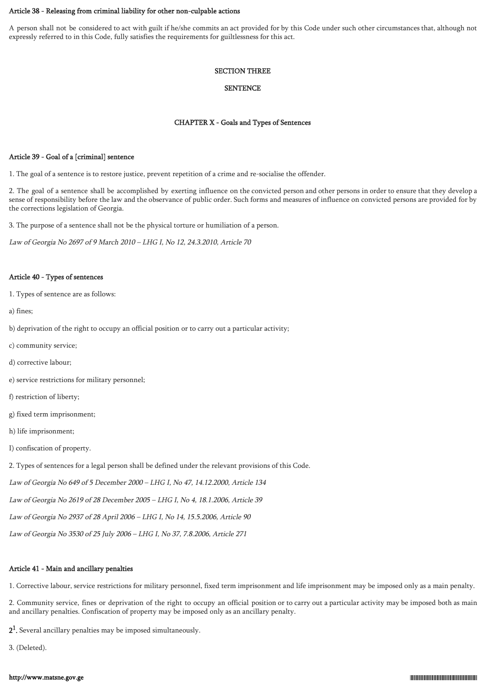#### Article 38 - Releasing from criminal liability for other non-culpable actions

A person shall not be considered to act with guilt if he/she commits an act provided for by this Code under such other circumstances that, although not expressly referred to in this Code, fully satisfies the requirements for guiltlessness for this act.

#### SECTION THREE

#### **SENTENCE**

### CHAPTER X - Goals and Types of Sentences

### Article 39 - Goal of a [criminal] sentence

1. The goal of a sentence is to restore justice, prevent repetition of a crime and re-socialise the offender.

2. The goal of a sentence shall be accomplished by exerting influence on the convicted person and other persons in order to ensure that they develop a sense of responsibility before the law and the observance of public order. Such forms and measures of influence on convicted persons are provided for by the corrections legislation of Georgia.

3. The purpose of a sentence shall not be the physical torture or humiliation of a person.

Law of Georgia No 2697 of 9 March 2010 – LHG I, No 12, 24.3.2010, Article 70

#### Article 40 - Types of sentences

1. Types of sentence are as follows:

a) fines;

- b) deprivation of the right to occupy an official position or to carry out a particular activity;
- c) community service;
- d) corrective labour;
- e) service restrictions for military personnel;
- f) restriction of liberty;
- g) fixed term imprisonment;
- h) life imprisonment;
- I) confiscation of property.
- 2. Types of sentences for a legal person shall be defined under the relevant provisions of this Code.

Law of Georgia No 649 of 5 December 2000 – LHG I, No 47, 14.12.2000, Article 134

Law of Georgia No 2619 of 28 December 2005 – LHG I, No 4, 18.1.2006, Article 39

Law of Georgia No 2937 of 28 April 2006 – LHG I, No 14, 15.5.2006, Article 90

Law of Georgia No 3530 of 25 July 2006 – LHG I, No 37, 7.8.2006, Article 271

## Article 41 - Main and ancillary penalties

1. Corrective labour, service restrictions for military personnel, fixed term imprisonment and life imprisonment may be imposed only as a main penalty.

2. Community service, fines or deprivation of the right to occupy an official position or to carry out a particular activity may be imposed both as main and ancillary penalties. Confiscation of property may be imposed only as an ancillary penalty.

 $2<sup>1</sup>$ . Several ancillary penalties may be imposed simultaneously.

3. (Deleted).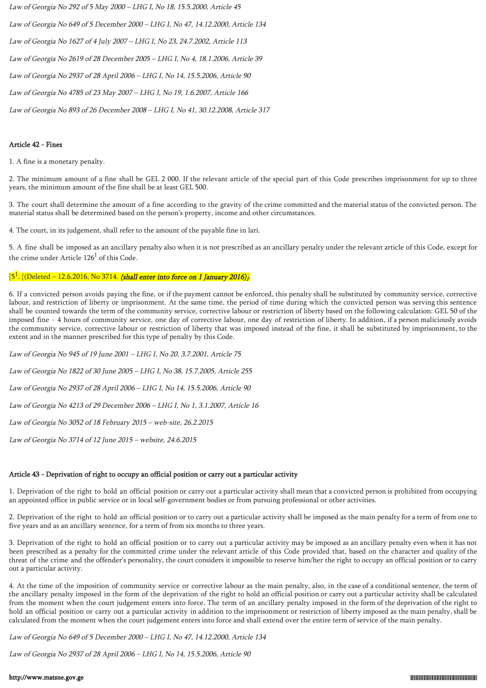Law of Georgia No 292 of 5 May 2000 – LHG I, No 18, 15.5.2000, Article 45

Law of Georgia No 649 of 5 December 2000 – LHG I, No 47, 14.12.2000, Article 134

Law of Georgia No 1627 of 4 July 2007 – LHG I, No 23, 24.7.2002, Article 113

Law of Georgia No 2619 of 28 December 2005 – LHG I, No 4, 18.1.2006, Article 39

Law of Georgia No 2937 of 28 April 2006 – LHG I, No 14, 15.5.2006, Article 90

Law of Georgia No 4785 of 23 May 2007 – LHG I, No 19, 1.6.2007, Article 166

Law of Georgia No 893 of 26 December 2008 – LHG I, No 41, 30.12.2008, Article 317

## Article 42 - Fines

1. A fine is a monetary penalty.

2. The minimum amount of a fine shall be GEL 2 000. If the relevant article of the special part of this Code prescribes imprisonment for up to three years, the minimum amount of the fine shall be at least GEL 500.

3. The court shall determine the amount of a fine according to the gravity of the crime committed and the material status of the convicted person. The material status shall be determined based on the person's property, income and other circumstances.

4. The court, in its judgement, shall refer to the amount of the payable fine in lari.

5. A fine shall be imposed as an ancillary penalty also when it is not prescribed as an ancillary penalty under the relevant article of this Code, except for the crime under Article  $126^1$  of this Code.

#### $[5^1]$ [(Deleted – 12.6.2016, No 3714. (shall enter into force on 1 January 2016)].

6. If a convicted person avoids paying the fine, or if the payment cannot be enforced, this penalty shall be substituted by community service, corrective labour, and restriction of liberty or imprisonment. At the same time, the period of time during which the convicted person was serving this sentence shall be counted towards the term of the community service, corrective labour or restriction of liberty based on the following calculation: GEL 50 of the imposed fine - 4 hours of community service, one day of corrective labour, one day of restriction of liberty. In addition, if a person maliciously avoids the community service, corrective labour or restriction of liberty that was imposed instead of the fine, it shall be substituted by imprisonment, to the extent and in the manner prescribed for this type of penalty by this Code.

Law of Georgia No 945 of 19 June 2001 – LHG I, No 20, 3.7.2001, Article 75

Law of Georgia No 1822 of 30 June 2005 – LHG I, No 38, 15.7.2005, Article 255

Law of Georgia No 2937 of 28 April 2006 – LHG I, No 14, 15.5.2006, Article 90

Law of Georgia No 4213 of 29 December 2006 – LHG I, No 1, 3.1.2007, Article 16

Law of Georgia No 3052 of 18 February 2015 – web-site, 26.2.2015

Law of Georgia No 3714 of 12 June 2015 – website, 24.6.2015

## Article 43 - Deprivation of right to occupy an official position or carry out a particular activity

1. Deprivation of the right to hold an official position or carry out a particular activity shall mean that a convicted person is prohibited from occupying an appointed office in public service or in local self-government bodies or from pursuing professional or other activities.

2. Deprivation of the right to hold an official position or to carry out a particular activity shall be imposed as the main penalty for a term of from one to five years and as an ancillary sentence, for a term of from six months to three years.

3. Deprivation of the right to hold an official position or to carry out a particular activity may be imposed as an ancillary penalty even when it has not been prescribed as a penalty for the committed crime under the relevant article of this Code provided that, based on the character and quality of the threat of the crime and the offender's personality, the court considers it impossible to reserve him/her the right to occupy an official position or to carry out a particular activity.

4. At the time of the imposition of community service or corrective labour as the main penalty, also, in the case of a conditional sentence, the term of the ancillary penalty imposed in the form of the deprivation of the right to hold an official position or carry out a particular activity shall be calculated from the moment when the court judgement enters into force. The term of an ancillary penalty imposed in the form of the deprivation of the right to hold an official position or carry out a particular activity in addition to the imprisonment or restriction of liberty imposed as the main penalty, shall be calculated from the moment when the court judgement enters into force and shall extend over the entire term of service of the main penalty.

Law of Georgia No 649 of 5 December 2000 – LHG I, No 47, 14.12.2000, Article 134

Law of Georgia No 2937 of 28 April 2006 – LHG I, No 14, 15.5.2006, Article 90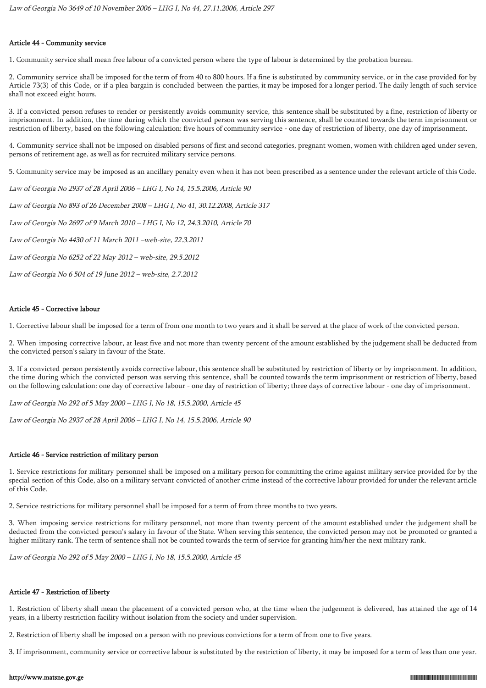### Article 44 - Community service

1. Community service shall mean free labour of a convicted person where the type of labour is determined by the probation bureau.

2. Community service shall be imposed for the term of from 40 to 800 hours. If a fine is substituted by community service, or in the case provided for by Article 73(3) of this Code, or if a plea bargain is concluded between the parties, it may be imposed for a longer period. The daily length of such service shall not exceed eight hours.

3. If a convicted person refuses to render or persistently avoids community service, this sentence shall be substituted by a fine, restriction of liberty or imprisonment. In addition, the time during which the convicted person was serving this sentence, shall be counted towards the term imprisonment or restriction of liberty, based on the following calculation: five hours of community service - one day of restriction of liberty, one day of imprisonment.

4. Community service shall not be imposed on disabled persons of first and second categories, pregnant women, women with children aged under seven, persons of retirement age, as well as for recruited military service persons.

5. Community service may be imposed as an ancillary penalty even when it has not been prescribed as a sentence under the relevant article of this Code.

Law of Georgia No 2937 of 28 April 2006 – LHG I, No 14, 15.5.2006, Article 90

Law of Georgia No 893 of 26 December 2008 – LHG I, No 41, 30.12.2008, Article 317

Law of Georgia No 2697 of 9 March 2010 – LHG I, No 12, 24.3.2010, Article 70

Law of Georgia No 4430 of 11 March 2011 –web-site, 22.3.2011

Law of Georgia No 6252 of 22 May 2012 – web-site, 29.5.2012

Law of Georgia No 6 504 of 19 June 2012 – web-site, 2.7.2012

## Article 45 - Corrective labour

1. Corrective labour shall be imposed for a term of from one month to two years and it shall be served at the place of work of the convicted person.

2. When imposing corrective labour, at least five and not more than twenty percent of the amount established by the judgement shall be deducted from the convicted person's salary in favour of the State.

3. If a convicted person persistently avoids corrective labour, this sentence shall be substituted by restriction of liberty or by imprisonment. In addition, the time during which the convicted person was serving this sentence, shall be counted towards the term imprisonment or restriction of liberty, based on the following calculation: one day of corrective labour - one day of restriction of liberty; three days of corrective labour - one day of imprisonment.

Law of Georgia No 292 of 5 May 2000 – LHG I, No 18, 15.5.2000, Article 45

Law of Georgia No 2937 of 28 April 2006 – LHG I, No 14, 15.5.2006, Article 90

## Article 46 - Service restriction of military person

1. Service restrictions for military personnel shall be imposed on a military person for committing the crime against military service provided for by the special section of this Code, also on a military servant convicted of another crime instead of the corrective labour provided for under the relevant article of this Code.

2. Service restrictions for military personnel shall be imposed for a term of from three months to two years.

3. When imposing service restrictions for military personnel, not more than twenty percent of the amount established under the judgement shall be deducted from the convicted person's salary in favour of the State. When serving this sentence, the convicted person may not be promoted or granted a higher military rank. The term of sentence shall not be counted towards the term of service for granting him/her the next military rank.

Law of Georgia No 292 of 5 May 2000 – LHG I, No 18, 15.5.2000, Article 45

## Article 47 - Restriction of liberty

1. Restriction of liberty shall mean the placement of a convicted person who, at the time when the judgement is delivered, has attained the age of 14 years, in a liberty restriction facility without isolation from the society and under supervision.

2. Restriction of liberty shall be imposed on a person with no previous convictions for a term of from one to five years.

3. If imprisonment, community service or corrective labour is substituted by the restriction of liberty, it may be imposed for a term of less than one year.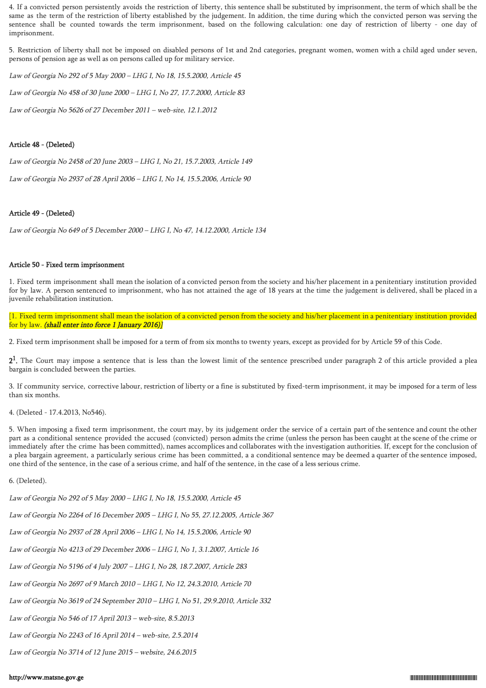4. If a convicted person persistently avoids the restriction of liberty, this sentence shall be substituted by imprisonment, the term of which shall be the same as the term of the restriction of liberty established by the judgement. In addition, the time during which the convicted person was serving the sentence shall be counted towards the term imprisonment, based on the following calculation: one day of restriction of liberty - one day of imprisonment.

5. Restriction of liberty shall not be imposed on disabled persons of 1st and 2nd categories, pregnant women, women with a child aged under seven, persons of pension age as well as on persons called up for military service.

Law of Georgia No 292 of 5 May 2000 – LHG I, No 18, 15.5.2000, Article 45

Law of Georgia No 458 of 30 June 2000 – LHG I, No 27, 17.7.2000, Article 83

Law of Georgia No 5626 of 27 December 2011 – web-site, 12.1.2012

### Article 48 - (Deleted)

Law of Georgia No 2458 of 20 June 2003 – LHG I, No 21, 15.7.2003, Article 149

Law of Georgia No 2937 of 28 April 2006 – LHG I, No 14, 15.5.2006, Article 90

#### Article 49 - (Deleted)

Law of Georgia No 649 of 5 December 2000 – LHG I, No 47, 14.12.2000, Article 134

#### Article 50 - Fixed term imprisonment

1. Fixed term imprisonment shall mean the isolation of a convicted person from the society and his/her placement in a penitentiary institution provided for by law. A person sentenced to imprisonment, who has not attained the age of 18 years at the time the judgement is delivered, shall be placed in a juvenile rehabilitation institution.

[1. Fixed term imprisonment shall mean the isolation of a convicted person from the society and his/her placement in a penitentiary institution provided for by law. (shall enter into force 1 January 2016)]

2. Fixed term imprisonment shall be imposed for a term of from six months to twenty years, except as provided for by Article 59 of this Code.

 $2<sup>1</sup>$ . The Court may impose a sentence that is less than the lowest limit of the sentence prescribed under paragraph 2 of this article provided a plea bargain is concluded between the parties.

3. If community service, corrective labour, restriction of liberty or a fine is substituted by fixed-term imprisonment, it may be imposed for a term of less than six months.

4. (Deleted - 17.4.2013, No546).

5. When imposing a fixed term imprisonment, the court may, by its judgement order the service of a certain part of the sentence and count the other part as a conditional sentence provided the accused (convicted) person admits the crime (unless the person has been caught at the scene of the crime or immediately after the crime has been committed), names accomplices and collaborates with the investigation authorities. If, except for the conclusion of a plea bargain agreement, a particularly serious crime has been committed, a a conditional sentence may be deemed a quarter of the sentence imposed, one third of the sentence, in the case of a serious crime, and half of the sentence, in the case of a less serious crime.

6. (Deleted).

Law of Georgia No 292 of 5 May 2000 – LHG I, No 18, 15.5.2000, Article 45

Law of Georgia No 2264 of 16 December 2005 – LHG I, No 55, 27.12.2005, Article 367

Law of Georgia No 2937 of 28 April 2006 – LHG I, No 14, 15.5.2006, Article 90

Law of Georgia No 4213 of 29 December 2006 – LHG I, No 1, 3.1.2007, Article 16

Law of Georgia No 5196 of 4 July 2007 – LHG I, No 28, 18.7.2007, Article 283

Law of Georgia No 2697 of 9 March 2010 – LHG I, No 12, 24.3.2010, Article 70

Law of Georgia No 3619 of 24 September 2010 – LHG I, No 51, 29.9.2010, Article 332

Law of Georgia No 546 of 17 April 2013 – web-site, 8.5.2013

Law of Georgia No 2243 of 16 April 2014 – web-site, 2.5.2014

Law of Georgia No 3714 of 12 June 2015 – website, 24.6.2015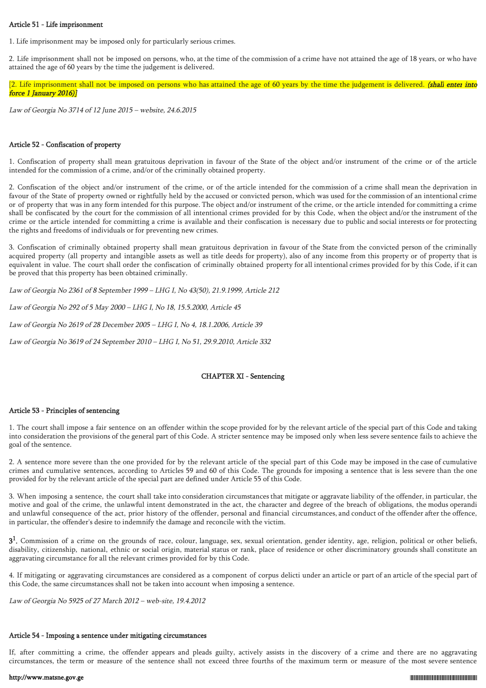#### Article 51 - Life imprisonment

1. Life imprisonment may be imposed only for particularly serious crimes.

2. Life imprisonment shall not be imposed on persons, who, at the time of the commission of a crime have not attained the age of 18 years, or who have attained the age of 60 years by the time the judgement is delivered.

[2. Life imprisonment shall not be imposed on persons who has attained the age of 60 years by the time the judgement is delivered. (shall enter into force 1 January 2016)]

Law of Georgia No 3714 of 12 June 2015 – website, 24.6.2015

## Article 52 - Confiscation of property

1. Confiscation of property shall mean gratuitous deprivation in favour of the State of the object and/or instrument of the crime or of the article intended for the commission of a crime, and/or of the criminally obtained property.

2. Confiscation of the object and/or instrument of the crime, or of the article intended for the commission of a crime shall mean the deprivation in favour of the State of property owned or rightfully held by the accused or convicted person, which was used for the commission of an intentional crime or of property that was in any form intended for this purpose. The object and/or instrument of the crime, or the article intended for committing a crime shall be confiscated by the court for the commission of all intentional crimes provided for by this Code, when the object and/or the instrument of the crime or the article intended for committing a crime is available and their confiscation is necessary due to public and social interests or for protecting the rights and freedoms of individuals or for preventing new crimes.

3. Confiscation of criminally obtained property shall mean gratuitous deprivation in favour of the State from the convicted person of the criminally acquired property (all property and intangible assets as well as title deeds for property), also of any income from this property or of property that is equivalent in value. The court shall order the confiscation of criminally obtained property for all intentional crimes provided for by this Code, if it can be proved that this property has been obtained criminally.

Law of Georgia No 2361 of 8 September 1999 – LHG I, No 43(50), 21.9.1999, Article 212

Law of Georgia No 292 of 5 May 2000 – LHG I, No 18, 15.5.2000, Article 45

Law of Georgia No 2619 of 28 December 2005 – LHG I, No 4, 18.1.2006, Article 39

Law of Georgia No 3619 of 24 September 2010 – LHG I, No 51, 29.9.2010, Article 332

## CHAPTER XI - Sentencing

## Article 53 - Principles of sentencing

1. The court shall impose a fair sentence on an offender within the scope provided for by the relevant article of the special part of this Code and taking into consideration the provisions of the general part of this Code. A stricter sentence may be imposed only when less severe sentence fails to achieve the goal of the sentence.

2. A sentence more severe than the one provided for by the relevant article of the special part of this Code may be imposed in the case of cumulative crimes and cumulative sentences, according to Articles 59 and 60 of this Code. The grounds for imposing a sentence that is less severe than the one provided for by the relevant article of the special part are defined under Article 55 of this Code.

3. When imposing a sentence, the court shall take into consideration circumstances that mitigate or aggravate liability of the offender, in particular, the motive and goal of the crime, the unlawful intent demonstrated in the act, the character and degree of the breach of obligations, the modus operandi and unlawful consequence of the act, prior history of the offender, personal and financial circumstances, and conduct of the offender after the offence, in particular, the offender's desire to indemnify the damage and reconcile with the victim.

 $3<sup>1</sup>$ . Commission of a crime on the grounds of race, colour, language, sex, sexual orientation, gender identity, age, religion, political or other beliefs, disability, citizenship, national, ethnic or social origin, material status or rank, place of residence or other discriminatory grounds shall constitute an aggravating circumstance for all the relevant crimes provided for by this Code.

4. If mitigating or aggravating circumstances are considered as a component of corpus delicti under an article or part of an article of the special part of this Code, the same circumstances shall not be taken into account when imposing a sentence.

Law of Georgia No 5925 of 27 March 2012 – web-site, 19.4.2012

## Article 54 - Imposing a sentence under mitigating circumstances

If, after committing a crime, the offender appears and pleads guilty, actively assists in the discovery of a crime and there are no aggravating circumstances, the term or measure of the sentence shall not exceed three fourths of the maximum term or measure of the most severe sentence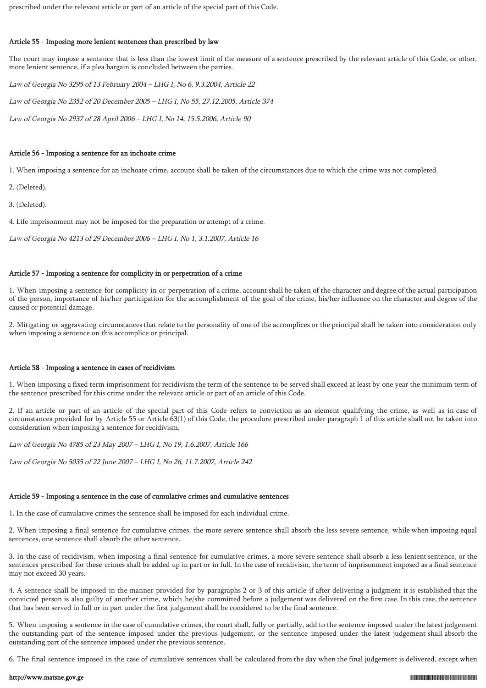prescribed under the relevant article or part of an article of the special part of this Code.

#### Article 55 - Imposing more lenient sentences than prescribed by law

The court may impose a sentence that is less than the lowest limit of the measure of a sentence prescribed by the relevant article of this Code, or other, more lenient sentence, if a plea bargain is concluded between the parties.

Law of Georgia No 3295 of 13 February 2004 – LHG I, No 6, 9.3.2004, Article 22 Law of Georgia No 2352 of 20 December 2005 – LHG I, No 55, 27.12.2005, Article 374 Law of Georgia No 2937 of 28 April 2006 – LHG I, No 14, 15.5.2006, Article 90

#### Article 56 - Imposing a sentence for an inchoate crime

1. When imposing a sentence for an inchoate crime, account shall be taken of the circumstances due to which the crime was not completed.

- 2. (Deleted).
- 3. (Deleted).

4. Life imprisonment may not be imposed for the preparation or attempt of a crime.

Law of Georgia No 4213 of 29 December 2006 – LHG I, No 1, 3.1.2007, Article 16

### Article 57 - Imposing a sentence for complicity in or perpetration of a crime

1. When imposing a sentence for complicity in or perpetration of a crime, account shall be taken of the character and degree of the actual participation of the person, importance of his/her participation for the accomplishment of the goal of the crime, his/her influence on the character and degree of the caused or potential damage.

2. Mitigating or aggravating circumstances that relate to the personality of one of the accomplices or the principal shall be taken into consideration only when imposing a sentence on this accomplice or principal.

#### Article 58 - Imposing a sentence in cases of recidivism

1. When imposing a fixed term imprisonment for recidivism the term of the sentence to be served shall exceed at least by one year the minimum term of the sentence prescribed for this crime under the relevant article or part of an article of this Code.

2. If an article or part of an article of the special part of this Code refers to conviction as an element qualifying the crime, as well as in case of circumstances provided for by Article 55 or Article 63(1) of this Code, the procedure prescribed under paragraph 1 of this article shall not be taken into consideration when imposing a sentence for recidivism.

Law of Georgia No 4785 of 23 May 2007 – LHG I, No 19, 1.6.2007, Article 166

Law of Georgia No 5035 of 22 June 2007 – LHG I, No 26, 11.7.2007, Article 242

#### Article 59 - Imposing a sentence in the case of cumulative crimes and cumulative sentences

1. In the case of cumulative crimes the sentence shall be imposed for each individual crime.

2. When imposing a final sentence for cumulative crimes, the more severe sentence shall absorb the less severe sentence, while when imposing equal sentences, one sentence shall absorb the other sentence.

3. In the case of recidivism, when imposing a final sentence for cumulative crimes, a more severe sentence shall absorb a less lenient sentence, or the sentences prescribed for these crimes shall be added up in part or in full. In the case of recidivism, the term of imprisonment imposed as a final sentence may not exceed 30 years.

4. A sentence shall be imposed in the manner provided for by paragraphs 2 or 3 of this article if after delivering a judgment it is established that the convicted person is also guilty of another crime, which he/she committed before a judgement was delivered on the first case. In this case, the sentence that has been served in full or in part under the first judgement shall be considered to be the final sentence.

5. When imposing a sentence in the case of cumulative crimes, the court shall, fully or partially, add to the sentence imposed under the latest judgement the outstanding part of the sentence imposed under the previous judgement, or the sentence imposed under the latest judgement shall absorb the outstanding part of the sentence imposed under the previous sentence.

6. The final sentence imposed in the case of cumulative sentences shall be calculated from the day when the final judgement is delivered, except when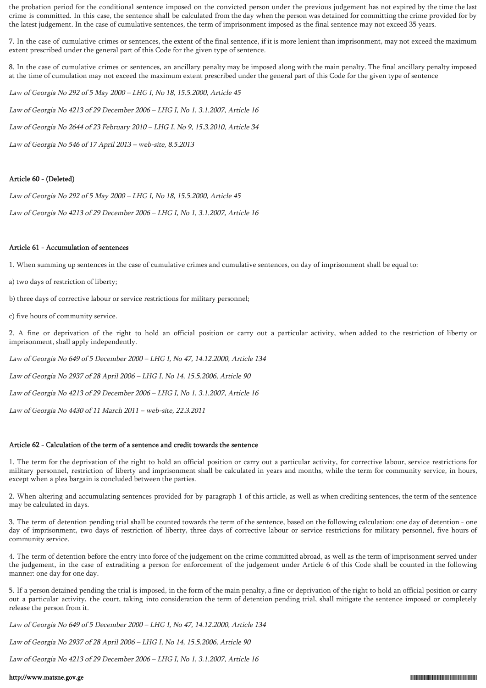the probation period for the conditional sentence imposed on the convicted person under the previous judgement has not expired by the time the last crime is committed. In this case, the sentence shall be calculated from the day when the person was detained for committing the crime provided for by the latest judgement. In the case of cumulative sentences, the term of imprisonment imposed as the final sentence may not exceed 35 years.

7. In the case of cumulative crimes or sentences, the extent of the final sentence, if it is more lenient than imprisonment, may not exceed the maximum extent prescribed under the general part of this Code for the given type of sentence.

8. In the case of cumulative crimes or sentences, an ancillary penalty may be imposed along with the main penalty. The final ancillary penalty imposed at the time of cumulation may not exceed the maximum extent prescribed under the general part of this Code for the given type of sentence

Law of Georgia No 292 of 5 May 2000 – LHG I, No 18, 15.5.2000, Article 45 Law of Georgia No 4213 of 29 December 2006 – LHG I, No 1, 3.1.2007, Article 16 Law of Georgia No 2644 of 23 February 2010 – LHG I, No 9, 15.3.2010, Article 34 Law of Georgia No 546 of 17 April 2013 – web-site, 8.5.2013

## Article 60 - (Deleted)

Law of Georgia No 292 of 5 May 2000 – LHG I, No 18, 15.5.2000, Article 45

Law of Georgia No 4213 of 29 December 2006 – LHG I, No 1, 3.1.2007, Article 16

## Article 61 - Accumulation of sentences

1. When summing up sentences in the case of cumulative crimes and cumulative sentences, on day of imprisonment shall be equal to:

a) two days of restriction of liberty;

b) three days of corrective labour or service restrictions for military personnel;

c) five hours of community service.

2. A fine or deprivation of the right to hold an official position or carry out a particular activity, when added to the restriction of liberty or imprisonment, shall apply independently.

Law of Georgia No 649 of 5 December 2000 – LHG I, No 47, 14.12.2000, Article 134

Law of Georgia No 2937 of 28 April 2006 – LHG I, No 14, 15.5.2006, Article 90

Law of Georgia No 4213 of 29 December 2006 – LHG I, No 1, 3.1.2007, Article 16

Law of Georgia No 4430 of 11 March 2011 – web-site, 22.3.2011

## Article 62 - Calculation of the term of a sentence and credit towards the sentence

1. The term for the deprivation of the right to hold an official position or carry out a particular activity, for corrective labour, service restrictions for military personnel, restriction of liberty and imprisonment shall be calculated in years and months, while the term for community service, in hours, except when a plea bargain is concluded between the parties.

2. When altering and accumulating sentences provided for by paragraph 1 of this article, as well as when crediting sentences, the term of the sentence may be calculated in days.

3. The term of detention pending trial shall be counted towards the term of the sentence, based on the following calculation: one day of detention - one day of imprisonment, two days of restriction of liberty, three days of corrective labour or service restrictions for military personnel, five hours of community service.

4. The term of detention before the entry into force of the judgement on the crime committed abroad, as well as the term of imprisonment served under the judgement, in the case of extraditing a person for enforcement of the judgement under Article 6 of this Code shall be counted in the following manner: one day for one day.

5. If a person detained pending the trial is imposed, in the form of the main penalty, a fine or deprivation of the right to hold an official position or carry out a particular activity, the court, taking into consideration the term of detention pending trial, shall mitigate the sentence imposed or completely release the person from it.

Law of Georgia No 649 of 5 December 2000 – LHG I, No 47, 14.12.2000, Article 134

Law of Georgia No 2937 of 28 April 2006 – LHG I, No 14, 15.5.2006, Article 90

Law of Georgia No 4213 of 29 December 2006 – LHG I, No 1, 3.1.2007, Article 16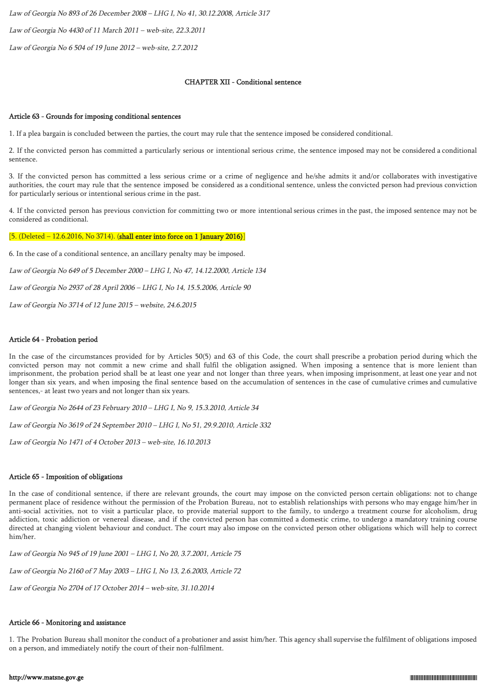Law of Georgia No 893 of 26 December 2008 – LHG I, No 41, 30.12.2008, Article 317

Law of Georgia No 4430 of 11 March 2011 – web-site, 22.3.2011

Law of Georgia No 6 504 of 19 June 2012 – web-site, 2.7.2012

#### CHAPTER XII - Conditional sentence

#### Article 63 - Grounds for imposing conditional sentences

1. If a plea bargain is concluded between the parties, the court may rule that the sentence imposed be considered conditional.

2. If the convicted person has committed a particularly serious or intentional serious crime, the sentence imposed may not be considered a conditional sentence.

3. If the convicted person has committed a less serious crime or a crime of negligence and he/she admits it and/or collaborates with investigative authorities, the court may rule that the sentence imposed be considered as a conditional sentence, unless the convicted person had previous conviction for particularly serious or intentional serious crime in the past.

4. If the convicted person has previous conviction for committing two or more intentional serious crimes in the past, the imposed sentence may not be considered as conditional.

[5. (Deleted – 12.6.2016, No 3714). (shall enter into force on 1 January 2016)]

6. In the case of a conditional sentence, an ancillary penalty may be imposed.

Law of Georgia No 649 of 5 December 2000 – LHG I, No 47, 14.12.2000, Article 134

Law of Georgia No 2937 of 28 April 2006 – LHG I, No 14, 15.5.2006, Article 90

Law of Georgia No 3714 of 12 June 2015 – website, 24.6.2015

#### Article 64 - Probation period

In the case of the circumstances provided for by Articles 50(5) and 63 of this Code, the court shall prescribe a probation period during which the convicted person may not commit a new crime and shall fulfil the obligation assigned. When imposing a sentence that is more lenient than imprisonment, the probation period shall be at least one year and not longer than three years, when imposing imprisonment, at least one year and not longer than six years, and when imposing the final sentence based on the accumulation of sentences in the case of cumulative crimes and cumulative sentences,- at least two years and not longer than six years.

Law of Georgia No 2644 of 23 February 2010 – LHG I, No 9, 15.3.2010, Article 34

Law of Georgia No 3619 of 24 September 2010 – LHG I, No 51, 29.9.2010, Article 332

Law of Georgia No 1471 of 4 October 2013 – web-site, 16.10.2013

#### Article 65 - Imposition of obligations

In the case of conditional sentence, if there are relevant grounds, the court may impose on the convicted person certain obligations: not to change permanent place of residence without the permission of the Probation Bureau, not to establish relationships with persons who may engage him/her in anti-social activities, not to visit a particular place, to provide material support to the family, to undergo a treatment course for alcoholism, drug addiction, toxic addiction or venereal disease, and if the convicted person has committed a domestic crime, to undergo a mandatory training course directed at changing violent behaviour and conduct. The court may also impose on the convicted person other obligations which will help to correct him/her.

Law of Georgia No 945 of 19 June 2001 – LHG I, No 20, 3.7.2001, Article 75

Law of Georgia No 2160 of 7 May 2003 – LHG I, No 13, 2.6.2003, Article 72

Law of Georgia No 2704 of 17 October 2014 – web-site, 31.10.2014

#### Article 66 - Monitoring and assistance

1. The Probation Bureau shall monitor the conduct of a probationer and assist him/her. This agency shall supervise the fulfilment of obligations imposed on a person, and immediately notify the court of their non-fulfilment.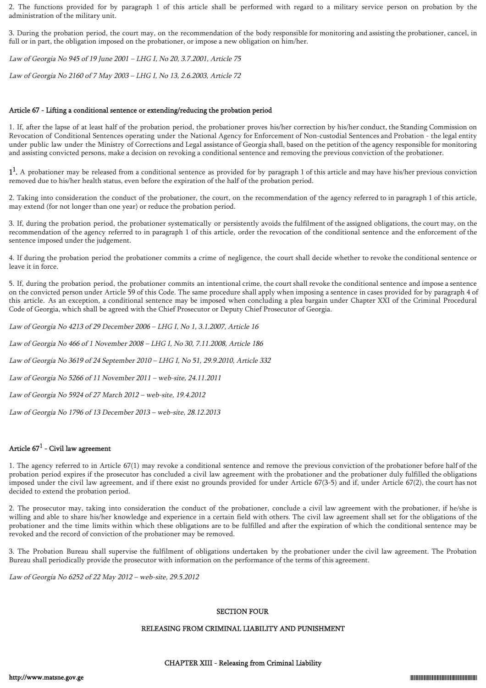2. The functions provided for by paragraph 1 of this article shall be performed with regard to a military service person on probation by the administration of the military unit.

3. During the probation period, the court may, on the recommendation of the body responsible for monitoring and assisting the probationer, cancel, in full or in part, the obligation imposed on the probationer, or impose a new obligation on him/her.

Law of Georgia No 945 of 19 June 2001 – LHG I, No 20, 3.7.2001, Article 75

Law of Georgia No 2160 of 7 May 2003 – LHG I, No 13, 2.6.2003, Article 72

### Article 67 - Lifting a conditional sentence or extending/reducing the probation period

1. If, after the lapse of at least half of the probation period, the probationer proves his/her correction by his/her conduct, the Standing Commission on Revocation of Conditional Sentences operating under the National Agency for Enforcement of Non-custodial Sentences and Probation - the legal entity under public law under the Ministry of Corrections and Legal assistance of Georgia shall, based on the petition of the agency responsible for monitoring and assisting convicted persons, make a decision on revoking a conditional sentence and removing the previous conviction of the probationer.

 $1<sup>1</sup>$ . A probationer may be released from a conditional sentence as provided for by paragraph 1 of this article and may have his/her previous conviction removed due to his/her health status, even before the expiration of the half of the probation period.

2. Taking into consideration the conduct of the probationer, the court, on the recommendation of the agency referred to in paragraph 1 of this article, may extend (for not longer than one year) or reduce the probation period.

3. If, during the probation period, the probationer systematically or persistently avoids the fulfilment of the assigned obligations, the court may, on the recommendation of the agency referred to in paragraph 1 of this article, order the revocation of the conditional sentence and the enforcement of the sentence imposed under the judgement.

4. If during the probation period the probationer commits a crime of negligence, the court shall decide whether to revoke the conditional sentence or leave it in force.

5. If, during the probation period, the probationer commits an intentional crime, the court shall revoke the conditional sentence and impose a sentence on the convicted person under Article 59 of this Code. The same procedure shall apply when imposing a sentence in cases provided for by paragraph 4 of this article. As an exception, a conditional sentence may be imposed when concluding a plea bargain under Chapter XXI of the Criminal Procedural Code of Georgia, which shall be agreed with the Chief Prosecutor or Deputy Chief Prosecutor of Georgia.

Law of Georgia No 4213 of 29 December 2006 – LHG I, No 1, 3.1.2007, Article 16

Law of Georgia No 466 of 1 November 2008 – LHG I, No 30, 7.11.2008, Article 186

Law of Georgia No 3619 of 24 September 2010 – LHG I, No 51, 29.9.2010, Article 332

Law of Georgia No 5266 of 11 November 2011 – web-site, 24.11.2011

Law of Georgia No 5924 of 27 March 2012 – web-site, 19.4.2012

Law of Georgia No 1796 of 13 December 2013 – web-site, 28.12.2013

## Article 67 $^{\rm 1}$  - Civil law agreement

1. The agency referred to in Article 67(1) may revoke a conditional sentence and remove the previous conviction of the probationer before half of the probation period expires if the prosecutor has concluded a civil law agreement with the probationer and the probationer duly fulfilled the obligations imposed under the civil law agreement, and if there exist no grounds provided for under Article 67(3-5) and if, under Article 67(2), the court has not decided to extend the probation period.

2. The prosecutor may, taking into consideration the conduct of the probationer, conclude a civil law agreement with the probationer, if he/she is willing and able to share his/her knowledge and experience in a certain field with others. The civil law agreement shall set for the obligations of the probationer and the time limits within which these obligations are to be fulfilled and after the expiration of which the conditional sentence may be revoked and the record of conviction of the probationer may be removed.

3. The Probation Bureau shall supervise the fulfilment of obligations undertaken by the probationer under the civil law agreement. The Probation Bureau shall periodically provide the prosecutor with information on the performance of the terms of this agreement.

Law of Georgia No 6252 of 22 May 2012 – web-site, 29.5.2012

## SECTION FOUR

## RELEASING FROM CRIMINAL LIABILITY AND PUNISHMENT

#### CHAPTER XIII - Releasing from Criminal Liability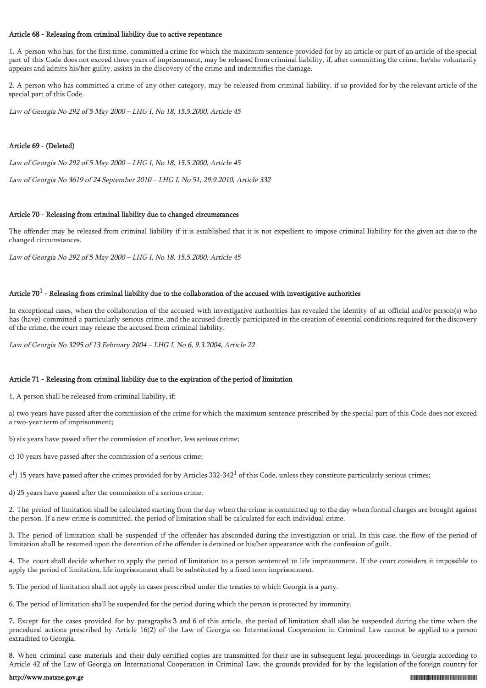#### Article 68 - Releasing from criminal liability due to active repentance

1. A person who has, for the first time, committed a crime for which the maximum sentence provided for by an article or part of an article of the special part of this Code does not exceed three years of imprisonment, may be released from criminal liability, if, after committing the crime, he/she voluntarily appears and admits his/her guilty, assists in the discovery of the crime and indemnifies the damage.

2. A person who has committed a crime of any other category, may be released from criminal liability, if so provided for by the relevant article of the special part of this Code.

Law of Georgia No 292 of 5 May 2000 – LHG I, No 18, 15.5.2000, Article 45

## Article 69 - (Deleted)

Law of Georgia No 292 of 5 May 2000 – LHG I, No 18, 15.5.2000, Article 45

Law of Georgia No 3619 of 24 September 2010 – LHG I, No 51, 29.9.2010, Article 332

#### Article 70 - Releasing from criminal liability due to changed circumstances

The offender may be released from criminal liability if it is established that it is not expedient to impose criminal liability for the given act due to the changed circumstances.

Law of Georgia No 292 of 5 May 2000 – LHG I, No 18, 15.5.2000, Article 45

## Article 70 $^1$  - Releasing from criminal liability due to the collaboration of the accused with investigative authorities

In exceptional cases, when the collaboration of the accused with investigative authorities has revealed the identity of an official and/or person(s) who has (have) committed a particularly serious crime, and the accused directly participated in the creation of essential conditions required for the discovery of the crime, the court may release the accused from criminal liability.

Law of Georgia No 3295 of 13 February 2004 – LHG I, No 6, 9.3.2004, Article 22

## Article 71 - Releasing from criminal liability due to the expiration of the period of limitation

1. A person shall be released from criminal liability, if:

a) two years have passed after the commission of the crime for which the maximum sentence prescribed by the special part of this Code does not exceed a two-year term of imprisonment;

b) six years have passed after the commission of another, less serious crime;

c) 10 years have passed after the commission of a serious crime;

 $\rm c^1$ ) 15 years have passed after the crimes provided for by Articles 332-342<sup>1</sup> of this Code, unless they constitute particularly serious crimes;

d) 25 years have passed after the commission of a serious crime.

2. The period of limitation shall be calculated starting from the day when the crime is committed up to the day when formal charges are brought against the person. If a new crime is committed, the period of limitation shall be calculated for each individual crime.

3. The period of limitation shall be suspended if the offender has absconded during the investigation or trial. In this case, the flow of the period of limitation shall be resumed upon the detention of the offender is detained or his/her appearance with the confession of guilt.

4. The court shall decide whether to apply the period of limitation to a person sentenced to life imprisonment. If the court considers it impossible to apply the period of limitation, life imprisonment shall be substituted by a fixed term imprisonment.

5. The period of limitation shall not apply in cases prescribed under the treaties to which Georgia is a party.

6. The period of limitation shall be suspended for the period during which the person is protected by immunity.

7. Except for the cases provided for by paragraphs 3 and 6 of this article, the period of limitation shall also be suspended during the time when the procedural actions prescribed by Article 16(2) of the Law of Georgia on International Cooperation in Criminal Law cannot be applied to a person extradited to Georgia.

8. When criminal case materials and their duly certified copies are transmitted for their use in subsequent legal proceedings in Georgia according to Article 42 of the Law of Georgia on International Cooperation in Criminal Law, the grounds provided for by the legislation of the foreign country for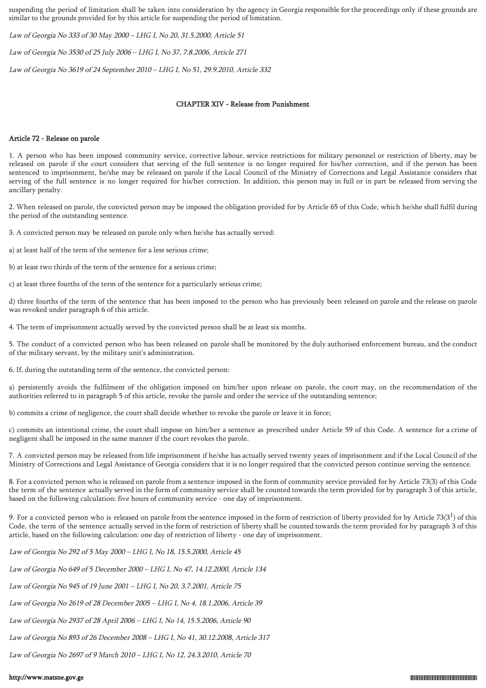suspending the period of limitation shall be taken into consideration by the agency in Georgia responsible for the proceedings only if these grounds are similar to the grounds provided for by this article for suspending the period of limitation.

Law of Georgia No 333 of 30 May 2000 – LHG I, No 20, 31.5.2000, Article 51

Law of Georgia No 3530 of 25 July 2006 – LHG I, No 37, 7.8.2006, Article 271

Law of Georgia No 3619 of 24 September 2010 – LHG I, No 51, 29.9.2010, Article 332

## CHAPTER XIV - Release from Punishment

## Article 72 - Release on parole

1. A person who has been imposed community service, corrective labour, service restrictions for military personnel or restriction of liberty, may be released on parole if the court considers that serving of the full sentence is no longer required for his/her correction, and if the person has been sentenced to imprisonment, he/she may be released on parole if the Local Council of the Ministry of Corrections and Legal Assistance considers that serving of the full sentence is no longer required for his/her correction. In addition, this person may in full or in part be released from serving the ancillary penalty.

2. When released on parole, the convicted person may be imposed the obligation provided for by Article 65 of this Code, which he/she shall fulfil during the period of the outstanding sentence.

3. A convicted person may be released on parole only when he/she has actually served:

a) at least half of the term of the sentence for a less serious crime;

b) at least two thirds of the term of the sentence for a serious crime;

c) at least three fourths of the term of the sentence for a particularly serious crime;

d) three fourths of the term of the sentence that has been imposed to the person who has previously been released on parole and the release on parole was revoked under paragraph 6 of this article.

4. The term of imprisonment actually served by the convicted person shall be at least six months.

5. The conduct of a convicted person who has been released on parole shall be monitored by the duly authorised enforcement bureau, and the conduct of the military servant, by the military unit's administration.

6. If, during the outstanding term of the sentence, the convicted person:

a) persistently avoids the fulfilment of the obligation imposed on him/her upon release on parole, the court may, on the recommendation of the authorities referred to in paragraph 5 of this article, revoke the parole and order the service of the outstanding sentence;

b) commits a crime of negligence, the court shall decide whether to revoke the parole or leave it in force;

c) commits an intentional crime, the court shall impose on him/her a sentence as prescribed under Article 59 of this Code. A sentence for a crime of negligent shall be imposed in the same manner if the court revokes the parole.

7. A convicted person may be released from life imprisonment if he/she has actually served twenty years of imprisonment and if the Local Council of the Ministry of Corrections and Legal Assistance of Georgia considers that it is no longer required that the convicted person continue serving the sentence.

8. For a convicted person who is released on parole from a sentence imposed in the form of community service provided for by Article 73(3) of this Code the term of the sentence actually served in the form of community service shall be counted towards the term provided for by paragraph 3 of this article, based on the following calculation: five hours of community service - one day of imprisonment.

9. For a convicted person who is released on parole from the sentence imposed in the form of restriction of liberty provided for by Article 73(3 $^{\rm l}$ ) of this Code, the term of the sentence actually served in the form of restriction of liberty shall be counted towards the term provided for by paragraph 3 of this article, based on the following calculation: one day of restriction of liberty - one day of imprisonment.

Law of Georgia No 292 of 5 May 2000 – LHG I, No 18, 15.5.2000, Article 45

Law of Georgia No 649 of 5 December 2000 – LHG I, No 47, 14.12.2000, Article 134

Law of Georgia No 945 of 19 June 2001 – LHG I, No 20, 3.7.2001, Article 75

Law of Georgia No 2619 of 28 December 2005 – LHG I, No 4, 18.1.2006, Article 39

Law of Georgia No 2937 of 28 April 2006 – LHG I, No 14, 15.5.2006, Article 90

Law of Georgia No 893 of 26 December 2008 – LHG I, No 41, 30.12.2008, Article 317

Law of Georgia No 2697 of 9 March 2010 – LHG I, No 12, 24.3.2010, Article 70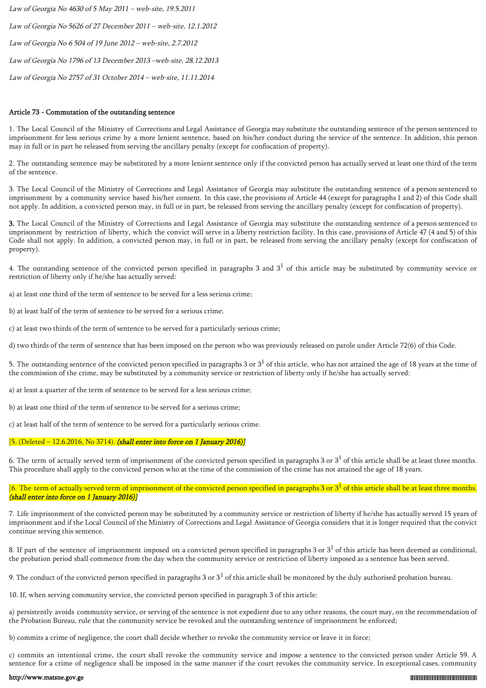Law of Georgia No 4630 of 5 May 2011 – web-site, 19.5.2011 Law of Georgia No 5626 of 27 December 2011 – web-site, 12.1.2012 Law of Georgia No 6 504 of 19 June 2012 – web-site, 2.7.2012 Law of Georgia No 1796 of 13 December 2013 –web-site, 28.12.2013 Law of Georgia No 2757 of 31 October 2014 – web-site, 11.11.2014

#### Article 73 - Commutation of the outstanding sentence

1. The Local Council of the Ministry of Corrections and Legal Assistance of Georgia may substitute the outstanding sentence of the person sentenced to imprisonment for less serious crime by a more lenient sentence, based on his/her conduct during the service of the sentence. In addition, this person may in full or in part be released from serving the ancillary penalty (except for confiscation of property).

2. The outstanding sentence may be substituted by a more lenient sentence only if the convicted person has actually served at least one third of the term of the sentence.

3. The Local Council of the Ministry of Corrections and Legal Assistance of Georgia may substitute the outstanding sentence of a person sentenced to imprisonment by a community service based his/her consent. In this case, the provisions of Article 44 (except for paragraphs 1 and 2) of this Code shall not apply. In addition, a convicted person may, in full or in part, be released from serving the ancillary penalty (except for confiscation of property).

3. The Local Council of the Ministry of Corrections and Legal Assistance of Georgia may substitute the outstanding sentence of a person sentenced to imprisonment by restriction of liberty, which the convict will serve in a liberty restriction facility. In this case, provisions of Article 47 (4 and 5) of this Code shall not apply. In addition, a convicted person may, in full or in part, be released from serving the ancillary penalty (except for confiscation of property).

4. The outstanding sentence of the convicted person specified in paragraphs 3 and  $3^1$  of this article may be substituted by community service or restriction of liberty only if he/she has actually served:

a) at least one third of the term of sentence to be served for a less serious crime;

b) at least half of the term of sentence to be served for a serious crime;

c) at least two thirds of the term of sentence to be served for a particularly serious crime;

d) two thirds of the term of sentence that has been imposed on the person who was previously released on parole under Article 72(6) of this Code.

5. The outstanding sentence of the convicted person specified in paragraphs 3 or  $3^1$  of this article, who has not attained the age of 18 years at the time of the commission of the crime, may be substituted by a community service or restriction of liberty only if he/she has actually served:

a) at least a quarter of the term of sentence to be served for a less serious crime;

b) at least one third of the term of sentence to be served for a serious crime;

c) at least half of the term of sentence to be served for a particularly serious crime.

## [5. (Deleted - 12.6.2016, No 3714). (shall enter into force on 1 January 2016)]

6. The term of actually served term of imprisonment of the convicted person specified in paragraphs 3 or  $3^1$  of this article shall be at least three months. This procedure shall apply to the convicted person who at the time of the commission of the crime has not attained the age of 18 years.

[6. The term of actually served term of imprisonment of the convicted person specified in paragraphs 3 or  $3^1$  of this article shall be at least three months. (shall enter into force on 1 January 2016)]

7. Life imprisonment of the convicted person may be substituted by a community service or restriction of liberty if he/she has actually served 15 years of imprisonment and if the Local Council of the Ministry of Corrections and Legal Assistance of Georgia considers that it is longer required that the convict continue serving this sentence.

8. If part of the sentence of imprisonment imposed on a convicted person specified in paragraphs 3 or  $3^1$  of this article has been deemed as conditional, the probation period shall commence from the day when the community service or restriction of liberty imposed as a sentence has been served.

9. The conduct of the convicted person specified in paragraphs 3 or  $3^1$  of this article shall be monitored by the duly authorised probation bureau.

10. If, when serving community service, the convicted person specified in paragraph 3 of this article:

a) persistently avoids community service, or serving of the sentence is not expedient due to any other reasons, the court may, on the recommendation of the Probation Bureau, rule that the community service be revoked and the outstanding sentence of imprisonment be enforced;

b) commits a crime of negligence, the court shall decide whether to revoke the community service or leave it in force;

c) commits an intentional crime, the court shall revoke the community service and impose a sentence to the convicted person under Article 59. A sentence for a crime of negligence shall be imposed in the same manner if the court revokes the community service. In exceptional cases, community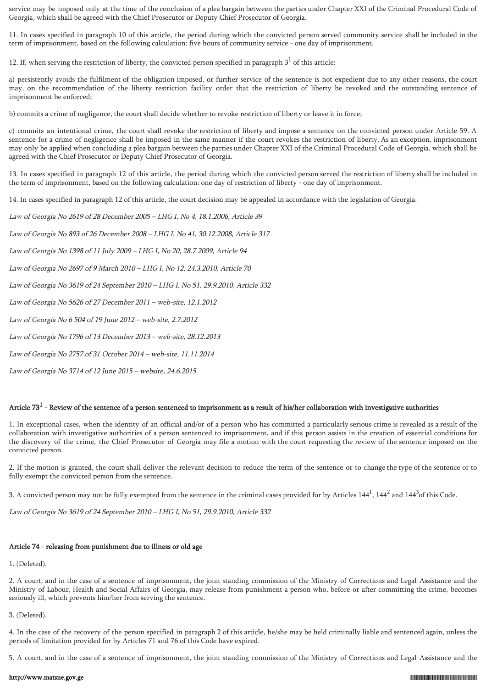service may be imposed only at the time of the conclusion of a plea bargain between the parties under Chapter XXI of the Criminal Procedural Code of Georgia, which shall be agreed with the Chief Prosecutor or Deputy Chief Prosecutor of Georgia.

11. In cases specified in paragraph 10 of this article, the period during which the convicted person served community service shall be included in the term of imprisonment, based on the following calculation: five hours of community service - one day of imprisonment.

12. If, when serving the restriction of liberty, the convicted person specified in paragraph  $3<sup>1</sup>$  of this article:

a) persistently avoids the fulfilment of the obligation imposed, or further service of the sentence is not expedient due to any other reasons, the court may, on the recommendation of the liberty restriction facility order that the restriction of liberty be revoked and the outstanding sentence of imprisonment be enforced;

b) commits a crime of negligence, the court shall decide whether to revoke restriction of liberty or leave it in force;

c) commits an intentional crime, the court shall revoke the restriction of liberty and impose a sentence on the convicted person under Article 59. A sentence for a crime of negligence shall be imposed in the same manner if the court revokes the restriction of liberty. As an exception, imprisonment may only be applied when concluding a plea bargain between the parties under Chapter XXI of the Criminal Procedural Code of Georgia, which shall be agreed with the Chief Prosecutor or Deputy Chief Prosecutor of Georgia.

13. In cases specified in paragraph 12 of this article, the period during which the convicted person served the restriction of liberty shall be included in the term of imprisonment, based on the following calculation: one day of restriction of liberty - one day of imprisonment.

14. In cases specified in paragraph 12 of this article, the court decision may be appealed in accordance with the legislation of Georgia.

Law of Georgia No 2619 of 28 December 2005 – LHG I, No 4, 18.1.2006, Article 39

Law of Georgia No 893 of 26 December 2008 – LHG I, No 41, 30.12.2008, Article 317

Law of Georgia No 1398 of 11 July 2009 – LHG I, No 20, 28.7.2009, Article 94

Law of Georgia No 2697 of 9 March 2010 – LHG I, No 12, 24.3.2010, Article 70

Law of Georgia No 3619 of 24 September 2010 – LHG I, No 51, 29.9.2010, Article 332

Law of Georgia No 5626 of 27 December 2011 – web-site, 12.1.2012

Law of Georgia No 6 504 of 19 June 2012 – web-site, 2.7.2012

Law of Georgia No 1796 of 13 December 2013 – web-site, 28.12.2013

Law of Georgia No 2757 of 31 October 2014 – web-site, 11.11.2014

Law of Georgia No 3714 of 12 June 2015 – website, 24.6.2015

## Article 73 $^1$  - Review of the sentence of a person sentenced to imprisonment as a result of his/her collaboration with investigative authorities

1. In exceptional cases, when the identity of an official and/or of a person who has committed a particularly serious crime is revealed as a result of the collaboration with investigative authorities of a person sentenced to imprisonment, and if this person assists in the creation of essential conditions for the discovery of the crime, the Chief Prosecutor of Georgia may file a motion with the court requesting the review of the sentence imposed on the convicted person.

2. If the motion is granted, the court shall deliver the relevant decision to reduce the term of the sentence or to change the type of the sentence or to fully exempt the convicted person from the sentence.

3. A convicted person may not be fully exempted from the sentence in the criminal cases provided for by Articles  $144^1$ ,  $144^2$  and  $144^3$ of this Code.

Law of Georgia No 3619 of 24 September 2010 – LHG I, No 51, 29.9.2010, Article 332

## Article 74 - releasing from punishment due to illness or old age

1. (Deleted).

2. A court, and in the case of a sentence of imprisonment, the joint standing commission of the Ministry of Corrections and Legal Assistance and the Ministry of Labour, Health and Social Affairs of Georgia, may release from punishment a person who, before or after committing the crime, becomes seriously ill, which prevents him/her from serving the sentence.

3. (Deleted).

4. In the case of the recovery of the person specified in paragraph 2 of this article, he/she may be held criminally liable and sentenced again, unless the periods of limitation provided for by Articles 71 and 76 of this Code have expired.

5. A court, and in the case of a sentence of imprisonment, the joint standing commission of the Ministry of Corrections and Legal Assistance and the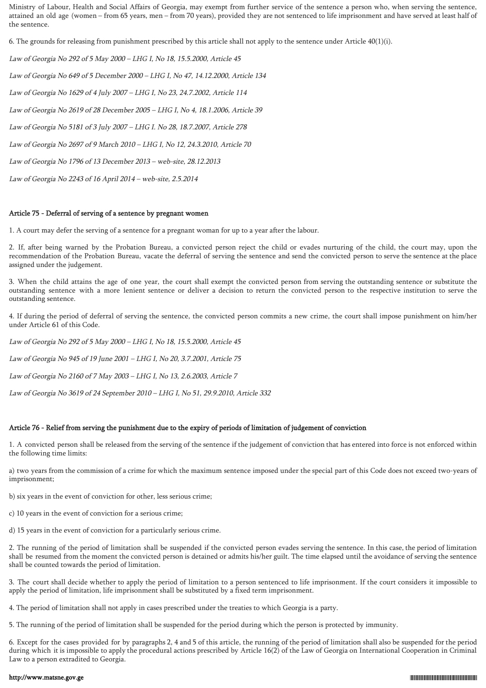Ministry of Labour, Health and Social Affairs of Georgia, may exempt from further service of the sentence a person who, when serving the sentence, attained an old age (women – from 65 years, men – from 70 years), provided they are not sentenced to life imprisonment and have served at least half of the sentence.

6. The grounds for releasing from punishment prescribed by this article shall not apply to the sentence under Article 40(1)(i).

Law of Georgia No 292 of 5 May 2000 – LHG I, No 18, 15.5.2000, Article 45 Law of Georgia No 649 of 5 December 2000 – LHG I, No 47, 14.12.2000, Article 134 Law of Georgia No 1629 of 4 July 2007 – LHG I, No 23, 24.7.2002, Article 114 Law of Georgia No 2619 of 28 December 2005 – LHG I, No 4, 18.1.2006, Article 39 Law of Georgia No 5181 of 3 July 2007 – LHG I. No 28, 18.7.2007, Article 278 Law of Georgia No 2697 of 9 March 2010 – LHG I, No 12, 24.3.2010, Article 70 Law of Georgia No 1796 of 13 December 2013 – web-site, 28.12.2013

Law of Georgia No 2243 of 16 April 2014 – web-site, 2.5.2014

#### Article 75 - Deferral of serving of a sentence by pregnant women

1. A court may defer the serving of a sentence for a pregnant woman for up to a year after the labour.

2. If, after being warned by the Probation Bureau, a convicted person reject the child or evades nurturing of the child, the court may, upon the recommendation of the Probation Bureau, vacate the deferral of serving the sentence and send the convicted person to serve the sentence at the place assigned under the judgement.

3. When the child attains the age of one year, the court shall exempt the convicted person from serving the outstanding sentence or substitute the outstanding sentence with a more lenient sentence or deliver a decision to return the convicted person to the respective institution to serve the outstanding sentence.

4. If during the period of deferral of serving the sentence, the convicted person commits a new crime, the court shall impose punishment on him/her under Article 61 of this Code.

Law of Georgia No 292 of 5 May 2000 – LHG I, No 18, 15.5.2000, Article 45 Law of Georgia No 945 of 19 June 2001 – LHG I, No 20, 3.7.2001, Article 75 Law of Georgia No 2160 of 7 May 2003 – LHG I, No 13, 2.6.2003, Article 7 Law of Georgia No 3619 of 24 September 2010 – LHG I, No 51, 29.9.2010, Article 332

#### Article 76 - Relief from serving the punishment due to the expiry of periods of limitation of judgement of conviction

1. A convicted person shall be released from the serving of the sentence if the judgement of conviction that has entered into force is not enforced within the following time limits:

a) two years from the commission of a crime for which the maximum sentence imposed under the special part of this Code does not exceed two-years of imprisonment;

b) six years in the event of conviction for other, less serious crime;

c) 10 years in the event of conviction for a serious crime;

d) 15 years in the event of conviction for a particularly serious crime.

2. The running of the period of limitation shall be suspended if the convicted person evades serving the sentence. In this case, the period of limitation shall be resumed from the moment the convicted person is detained or admits his/her guilt. The time elapsed until the avoidance of serving the sentence shall be counted towards the period of limitation.

3. The court shall decide whether to apply the period of limitation to a person sentenced to life imprisonment. If the court considers it impossible to apply the period of limitation, life imprisonment shall be substituted by a fixed term imprisonment.

4. The period of limitation shall not apply in cases prescribed under the treaties to which Georgia is a party.

5. The running of the period of limitation shall be suspended for the period during which the person is protected by immunity.

6. Except for the cases provided for by paragraphs 2, 4 and 5 of this article, the running of the period of limitation shall also be suspended for the period during which it is impossible to apply the procedural actions prescribed by Article 16(2) of the Law of Georgia on International Cooperation in Criminal Law to a person extradited to Georgia.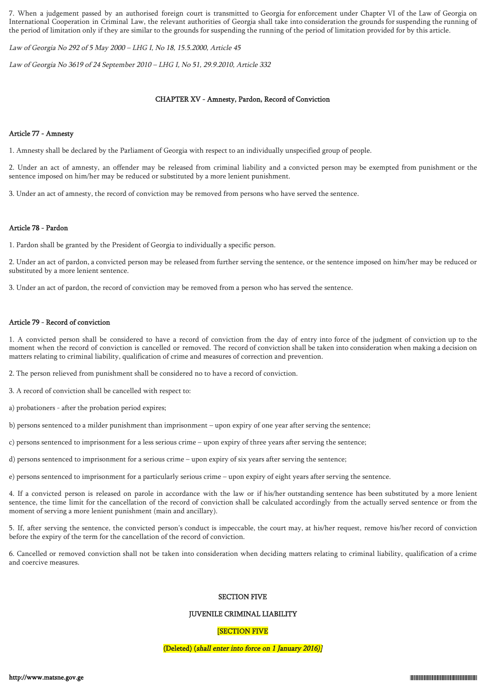7. When a judgement passed by an authorised foreign court is transmitted to Georgia for enforcement under Chapter VI of the Law of Georgia on International Cooperation in Criminal Law, the relevant authorities of Georgia shall take into consideration the grounds for suspending the running of the period of limitation only if they are similar to the grounds for suspending the running of the period of limitation provided for by this article.

Law of Georgia No 292 of 5 May 2000 – LHG I, No 18, 15.5.2000, Article 45

Law of Georgia No 3619 of 24 September 2010 – LHG I, No 51, 29.9.2010, Article 332

## CHAPTER XV - Amnesty, Pardon, Record of Conviction

## Article 77 - Amnesty

1. Amnesty shall be declared by the Parliament of Georgia with respect to an individually unspecified group of people.

2. Under an act of amnesty, an offender may be released from criminal liability and a convicted person may be exempted from punishment or the sentence imposed on him/her may be reduced or substituted by a more lenient punishment.

3. Under an act of amnesty, the record of conviction may be removed from persons who have served the sentence.

## Article 78 - Pardon

1. Pardon shall be granted by the President of Georgia to individually a specific person.

2. Under an act of pardon, a convicted person may be released from further serving the sentence, or the sentence imposed on him/her may be reduced or substituted by a more lenient sentence.

3. Under an act of pardon, the record of conviction may be removed from a person who has served the sentence.

## Article 79 - Record of conviction

1. A convicted person shall be considered to have a record of conviction from the day of entry into force of the judgment of conviction up to the moment when the record of conviction is cancelled or removed. The record of conviction shall be taken into consideration when making a decision on matters relating to criminal liability, qualification of crime and measures of correction and prevention.

2. The person relieved from punishment shall be considered no to have a record of conviction.

3. A record of conviction shall be cancelled with respect to:

a) probationers - after the probation period expires;

b) persons sentenced to a milder punishment than imprisonment – upon expiry of one year after serving the sentence;

c) persons sentenced to imprisonment for a less serious crime – upon expiry of three years after serving the sentence;

d) persons sentenced to imprisonment for a serious crime – upon expiry of six years after serving the sentence;

e) persons sentenced to imprisonment for a particularly serious crime – upon expiry of eight years after serving the sentence.

4. If a convicted person is released on parole in accordance with the law or if his/her outstanding sentence has been substituted by a more lenient sentence, the time limit for the cancellation of the record of conviction shall be calculated accordingly from the actually served sentence or from the moment of serving a more lenient punishment (main and ancillary).

5. If, after serving the sentence, the convicted person's conduct is impeccable, the court may, at his/her request, remove his/her record of conviction before the expiry of the term for the cancellation of the record of conviction.

6. Cancelled or removed conviction shall not be taken into consideration when deciding matters relating to criminal liability, qualification of a crime and coercive measures.

## SECTION FIVE

JUVENILE CRIMINAL LIABILITY

## [SECTION FIVE

### (Deleted) (shall enter into force on 1 January 2016)]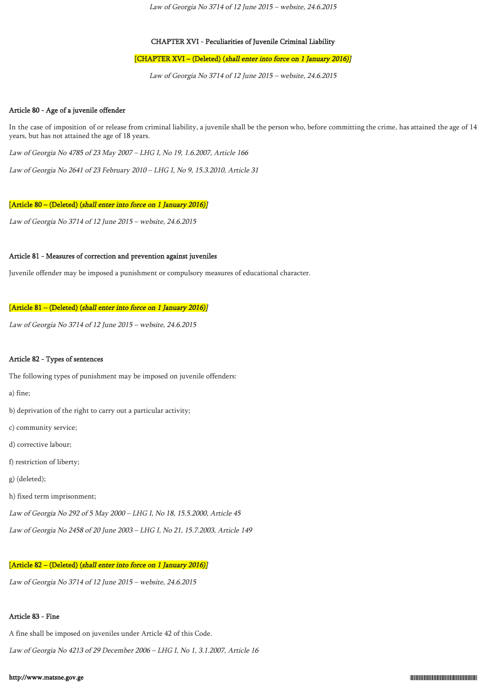Law of Georgia No 3714 of 12 June 2015 – website, 24.6.2015

### CHAPTER XVI - Peculiarities of Juvenile Criminal Liability

#### [CHAPTER XVI – (Deleted) (shall enter into force on 1 January 2016)]

Law of Georgia No 3714 of 12 June 2015 – website, 24.6.2015

#### Article 80 - Age of a juvenile offender

In the case of imposition of or release from criminal liability, a juvenile shall be the person who, before committing the crime, has attained the age of 14 years, but has not attained the age of 18 years.

Law of Georgia No 4785 of 23 May 2007 – LHG I, No 19, 1.6.2007, Article 166

Law of Georgia No 2641 of 23 February 2010 – LHG I, No 9, 15.3.2010, Article 31

#### [Article 80 – (Deleted) (shall enter into force on 1 January 2016)]

Law of Georgia No 3714 of 12 June 2015 – website, 24.6.2015

#### Article 81 - Measures of correction and prevention against juveniles

Juvenile offender may be imposed a punishment or compulsory measures of educational character.

## [Article 81 – (Deleted) (shall enter into force on 1 January 2016)]

Law of Georgia No 3714 of 12 June 2015 – website, 24.6.2015

#### Article 82 - Types of sentences

The following types of punishment may be imposed on juvenile offenders:

a) fine;

- b) deprivation of the right to carry out a particular activity;
- c) community service;
- d) corrective labour;
- f) restriction of liberty;
- g) (deleted);
- h) fixed term imprisonment;
- Law of Georgia No 292 of 5 May 2000 LHG I, No 18, 15.5.2000, Article 45
- Law of Georgia No 2458 of 20 June 2003 LHG I, No 21, 15.7.2003, Article 149

### [Article 82 – (Deleted) (shall enter into force on 1 January 2016)]

Law of Georgia No 3714 of 12 June 2015 – website, 24.6.2015

#### Article 83 - Fine

A fine shall be imposed on juveniles under Article 42 of this Code.

Law of Georgia No 4213 of 29 December 2006 – LHG I, No 1, 3.1.2007, Article 16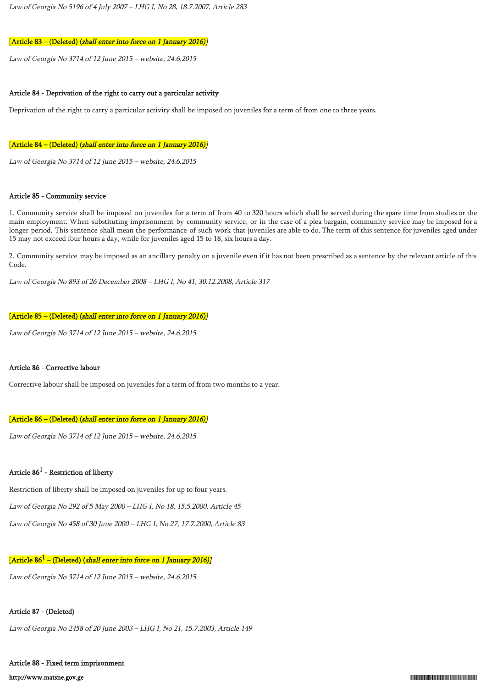### [Article 83 – (Deleted) (shall enter into force on 1 January 2016)]

Law of Georgia No 3714 of 12 June 2015 – website, 24.6.2015

### Article 84 - Deprivation of the right to carry out a particular activity

Deprivation of the right to carry a particular activity shall be imposed on juveniles for a term of from one to three years.

#### [Article 84 – (Deleted) (shall enter into force on 1 January 2016)]

Law of Georgia No 3714 of 12 June 2015 – website, 24.6.2015

#### Article 85 - Community service

1. Community service shall be imposed on juveniles for a term of from 40 to 320 hours which shall be served during the spare time from studies or the main employment. When substituting imprisonment by community service, or in the case of a plea bargain, community service may be imposed for a longer period. This sentence shall mean the performance of such work that juveniles are able to do. The term of this sentence for juveniles aged under 15 may not exceed four hours a day, while for juveniles aged 15 to 18, six hours a day.

2. Community service may be imposed as an ancillary penalty on a juvenile even if it has not been prescribed as a sentence by the relevant article of this Code.

Law of Georgia No 893 of 26 December 2008 – LHG I, No 41, 30.12.2008, Article 317

#### [Article 85 – (Deleted) (shall enter into force on 1 January 2016)]

Law of Georgia No 3714 of 12 June 2015 – website, 24.6.2015

#### Article 86 - Corrective labour

Corrective labour shall be imposed on juveniles for a term of from two months to a year.

### [Article 86 – (Deleted) (shall enter into force on 1 January 2016)]

Law of Georgia No 3714 of 12 June 2015 – website, 24.6.2015

## Article  $86^1$  - Restriction of liberty

Restriction of liberty shall be imposed on juveniles for up to four years. Law of Georgia No 292 of 5 May 2000 – LHG I, No 18, 15.5.2000, Article 45 Law of Georgia No 458 of 30 June 2000 – LHG I, No 27, 17.7.2000, Article 83

## [Article 86 $^{\rm 1}$  – (Deleted) (*shall enter into force on 1 January 2016)]*

Law of Georgia No 3714 of 12 June 2015 – website, 24.6.2015

### Article 87 - (Deleted)

Law of Georgia No 2458 of 20 June 2003 – LHG I, No 21, 15.7.2003, Article 149

# Article 88 - Fixed term imprisonment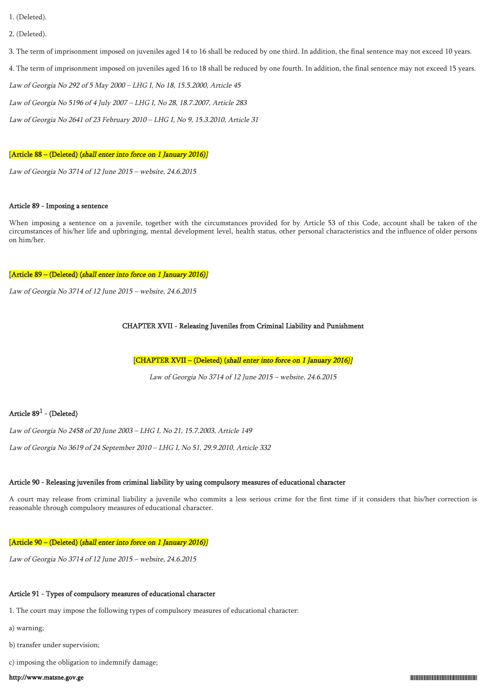- 1. (Deleted).
- 2. (Deleted).

3. The term of imprisonment imposed on juveniles aged 14 to 16 shall be reduced by one third. In addition, the final sentence may not exceed 10 years.

4. The term of imprisonment imposed on juveniles aged 16 to 18 shall be reduced by one fourth. In addition, the final sentence may not exceed 15 years.

Law of Georgia No 292 of 5 May 2000 – LHG I, No 18, 15.5.2000, Article 45

Law of Georgia No 5196 of 4 July 2007 – LHG I, No 28, 18.7.2007, Article 283

Law of Georgia No 2641 of 23 February 2010 – LHG I, No 9, 15.3.2010, Article 31

### [Article 88 – (Deleted) (shall enter into force on 1 January 2016)]

Law of Georgia No 3714 of 12 June 2015 – website, 24.6.2015

#### Article 89 - Imposing a sentence

When imposing a sentence on a juvenile, together with the circumstances provided for by Article 53 of this Code, account shall be taken of the circumstances of his/her life and upbringing, mental development level, health status, other personal characteristics and the influence of older persons on him/her.

#### [Article 89 – (Deleted) (shall enter into force on 1 January 2016)]

Law of Georgia No 3714 of 12 June 2015 – website, 24.6.2015

## CHAPTER XVII - Releasing Juveniles from Criminal Liability and Punishment

[CHAPTER XVII – (Deleted) (shall enter into force on 1 January 2016)]

Law of Georgia No 3714 of 12 June 2015 – website, 24.6.2015

## Article 89 $^1$  - (Deleted)

Law of Georgia No 2458 of 20 June 2003 – LHG I, No 21, 15.7.2003, Article 149

Law of Georgia No 3619 of 24 September 2010 – LHG I, No 51, 29.9.2010, Article 332

## Article 90 - Releasing juveniles from criminal liability by using compulsory measures of educational character

A court may release from criminal liability a juvenile who commits a less serious crime for the first time if it considers that his/her correction is reasonable through compulsory measures of educational character.

## [Article 90 – (Deleted) (shall enter into force on 1 January 2016)]

Law of Georgia No 3714 of 12 June 2015 – website, 24.6.2015

## Article 91 - Types of compulsory measures of educational character

1. The court may impose the following types of compulsory measures of educational character:

- a) warning;
- b) transfer under supervision;

c) imposing the obligation to indemnify damage;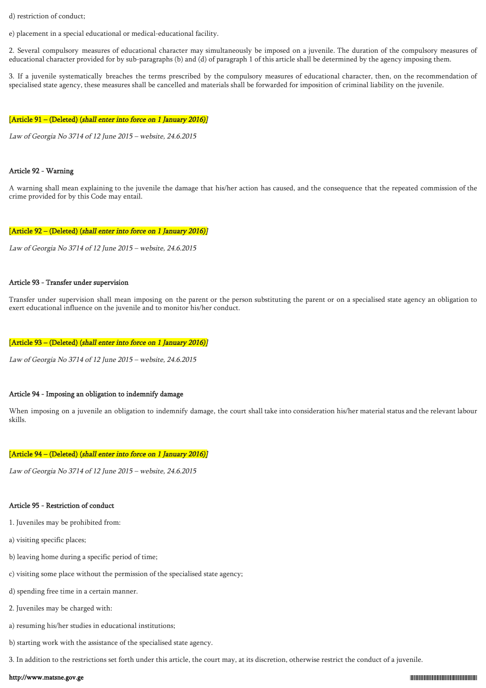d) restriction of conduct;

e) placement in a special educational or medical-educational facility.

2. Several compulsory measures of educational character may simultaneously be imposed on a juvenile. The duration of the compulsory measures of educational character provided for by sub-paragraphs (b) and (d) of paragraph 1 of this article shall be determined by the agency imposing them.

3. If a juvenile systematically breaches the terms prescribed by the compulsory measures of educational character, then, on the recommendation of specialised state agency, these measures shall be cancelled and materials shall be forwarded for imposition of criminal liability on the juvenile.

#### [Article 91 – (Deleted) (shall enter into force on 1 January 2016)]

Law of Georgia No 3714 of 12 June 2015 – website, 24.6.2015

#### Article 92 - Warning

A warning shall mean explaining to the juvenile the damage that his/her action has caused, and the consequence that the repeated commission of the crime provided for by this Code may entail.

#### [Article 92 – (Deleted) (shall enter into force on 1 January 2016)]

Law of Georgia No 3714 of 12 June 2015 – website, 24.6.2015

### Article 93 - Transfer under supervision

Transfer under supervision shall mean imposing on the parent or the person substituting the parent or on a specialised state agency an obligation to exert educational influence on the juvenile and to monitor his/her conduct.

#### [Article 93 – (Deleted) (shall enter into force on 1 January 2016)]

Law of Georgia No 3714 of 12 June 2015 – website, 24.6.2015

#### Article 94 - Imposing an obligation to indemnify damage

When imposing on a juvenile an obligation to indemnify damage, the court shall take into consideration his/her material status and the relevant labour skills.

#### [Article 94 – (Deleted) (shall enter into force on 1 January 2016)]

Law of Georgia No 3714 of 12 June 2015 – website, 24.6.2015

#### Article 95 - Restriction of conduct

- 1. Juveniles may be prohibited from:
- a) visiting specific places;
- b) leaving home during a specific period of time;
- c) visiting some place without the permission of the specialised state agency;
- d) spending free time in a certain manner.
- 2. Juveniles may be charged with:
- a) resuming his/her studies in educational institutions;
- b) starting work with the assistance of the specialised state agency.

3. In addition to the restrictions set forth under this article, the court may, at its discretion, otherwise restrict the conduct of a juvenile.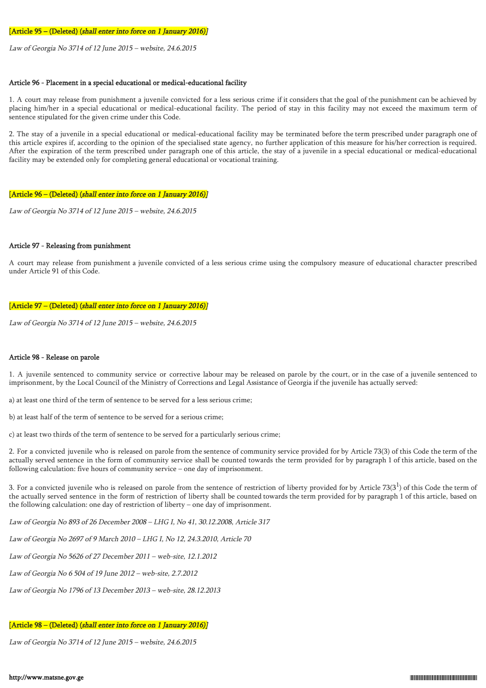#### [Article 95 – (Deleted) (shall enter into force on 1 January 2016)]

Law of Georgia No 3714 of 12 June 2015 – website, 24.6.2015

#### Article 96 - Placement in a special educational or medical-educational facility

1. A court may release from punishment a juvenile convicted for a less serious crime if it considers that the goal of the punishment can be achieved by placing him/her in a special educational or medical-educational facility. The period of stay in this facility may not exceed the maximum term of sentence stipulated for the given crime under this Code.

2. The stay of a juvenile in a special educational or medical-educational facility may be terminated before the term prescribed under paragraph one of this article expires if, according to the opinion of the specialised state agency, no further application of this measure for his/her correction is required. After the expiration of the term prescribed under paragraph one of this article, the stay of a juvenile in a special educational or medical-educational facility may be extended only for completing general educational or vocational training.

#### [Article 96 – (Deleted) (shall enter into force on 1 January 2016)]

Law of Georgia No 3714 of 12 June 2015 – website, 24.6.2015

### Article 97 - Releasing from punishment

A court may release from punishment a juvenile convicted of a less serious crime using the compulsory measure of educational character prescribed under Article 91 of this Code.

#### [Article 97 – (Deleted) (shall enter into force on 1 January 2016)]

Law of Georgia No 3714 of 12 June 2015 – website, 24.6.2015

## Article 98 - Release on parole

1. A juvenile sentenced to community service or corrective labour may be released on parole by the court, or in the case of a juvenile sentenced to imprisonment, by the Local Council of the Ministry of Corrections and Legal Assistance of Georgia if the juvenile has actually served:

a) at least one third of the term of sentence to be served for a less serious crime;

b) at least half of the term of sentence to be served for a serious crime;

c) at least two thirds of the term of sentence to be served for a particularly serious crime;

2. For a convicted juvenile who is released on parole from the sentence of community service provided for by Article 73(3) of this Code the term of the actually served sentence in the form of community service shall be counted towards the term provided for by paragraph 1 of this article, based on the following calculation: five hours of community service – one day of imprisonment.

3. For a convicted juvenile who is released on parole from the sentence of restriction of liberty provided for by Article 73(3 $^1$ ) of this Code the term of the actually served sentence in the form of restriction of liberty shall be counted towards the term provided for by paragraph 1 of this article, based on the following calculation: one day of restriction of liberty – one day of imprisonment.

Law of Georgia No 893 of 26 December 2008 – LHG I, No 41, 30.12.2008, Article 317

Law of Georgia No 2697 of 9 March 2010 – LHG I, No 12, 24.3.2010, Article 70

Law of Georgia No 5626 of 27 December 2011 – web-site, 12.1.2012

Law of Georgia No 6 504 of 19 June 2012 – web-site, 2.7.2012

Law of Georgia No 1796 of 13 December 2013 – web-site, 28.12.2013

## [Article 98 – (Deleted) (shall enter into force on 1 January 2016)]

Law of Georgia No 3714 of 12 June 2015 – website, 24.6.2015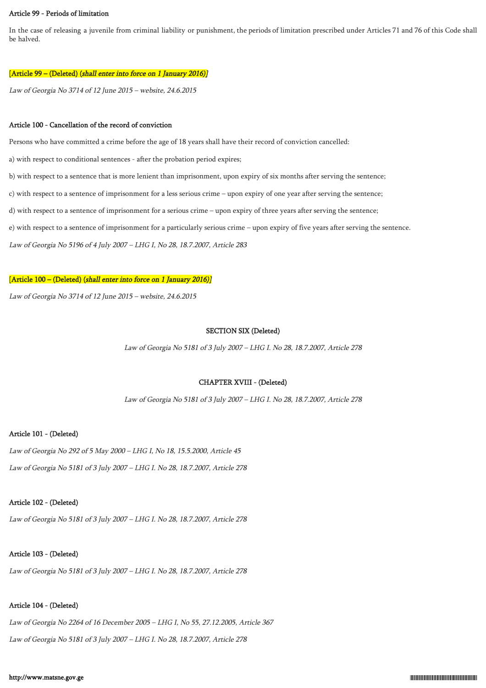### Article 99 - Periods of limitation

In the case of releasing a juvenile from criminal liability or punishment, the periods of limitation prescribed under Articles 71 and 76 of this Code shall be halved.

#### [Article 99 – (Deleted) (shall enter into force on 1 January 2016)]

Law of Georgia No 3714 of 12 June 2015 – website, 24.6.2015

#### Article 100 - Cancellation of the record of conviction

Persons who have committed a crime before the age of 18 years shall have their record of conviction cancelled:

a) with respect to conditional sentences - after the probation period expires;

b) with respect to a sentence that is more lenient than imprisonment, upon expiry of six months after serving the sentence;

c) with respect to a sentence of imprisonment for a less serious crime – upon expiry of one year after serving the sentence;

d) with respect to a sentence of imprisonment for a serious crime – upon expiry of three years after serving the sentence;

e) with respect to a sentence of imprisonment for a particularly serious crime – upon expiry of five years after serving the sentence.

Law of Georgia No 5196 of 4 July 2007 – LHG I, No 28, 18.7.2007, Article 283

#### [Article 100 – (Deleted) (shall enter into force on 1 January 2016)]

Law of Georgia No 3714 of 12 June 2015 – website, 24.6.2015

#### SECTION SIX (Deleted)

Law of Georgia No 5181 of 3 July 2007 – LHG I. No 28, 18.7.2007, Article 278

## CHAPTER XVIII - (Deleted)

Law of Georgia No 5181 of 3 July 2007 – LHG I. No 28, 18.7.2007, Article 278

#### Article 101 - (Deleted)

Law of Georgia No 292 of 5 May 2000 – LHG I, No 18, 15.5.2000, Article 45 Law of Georgia No 5181 of 3 July 2007 – LHG I. No 28, 18.7.2007, Article 278

#### Article 102 - (Deleted)

Law of Georgia No 5181 of 3 July 2007 – LHG I. No 28, 18.7.2007, Article 278

## Article 103 - (Deleted)

Law of Georgia No 5181 of 3 July 2007 – LHG I. No 28, 18.7.2007, Article 278

## Article 104 - (Deleted)

Law of Georgia No 2264 of 16 December 2005 – LHG I, No 55, 27.12.2005, Article 367 Law of Georgia No 5181 of 3 July 2007 – LHG I. No 28, 18.7.2007, Article 278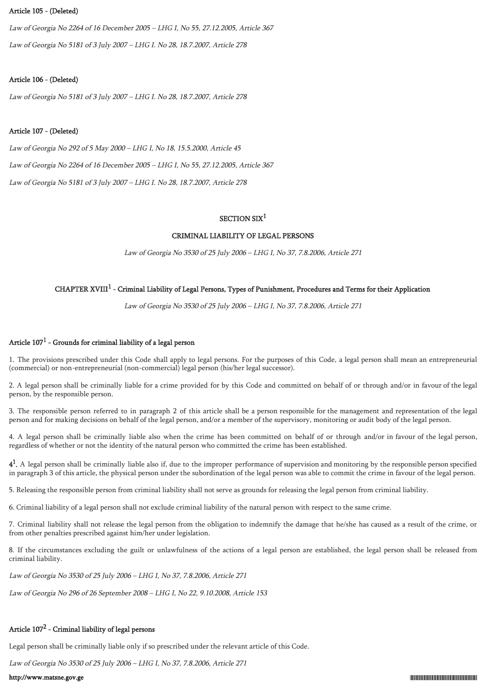### Article 105 - (Deleted)

Law of Georgia No 2264 of 16 December 2005 – LHG I, No 55, 27.12.2005, Article 367 Law of Georgia No 5181 of 3 July 2007 – LHG I. No 28, 18.7.2007, Article 278

## Article 106 - (Deleted)

Law of Georgia No 5181 of 3 July 2007 – LHG I. No 28, 18.7.2007, Article 278

## Article 107 - (Deleted)

Law of Georgia No 292 of 5 May 2000 – LHG I, No 18, 15.5.2000, Article 45 Law of Georgia No 2264 of 16 December 2005 – LHG I, No 55, 27.12.2005, Article 367 Law of Georgia No 5181 of 3 July 2007 – LHG I. No 28, 18.7.2007, Article 278

## SECTION  $SIX<sup>1</sup>$

## CRIMINAL LIABILITY OF LEGAL PERSONS

Law of Georgia No 3530 of 25 July 2006 – LHG I, No 37, 7.8.2006, Article 271

## CHAPTER XVIII $^1$  - Criminal Liability of Legal Persons, Types of Punishment, Procedures and Terms for their Application

Law of Georgia No 3530 of 25 July 2006 – LHG I, No 37, 7.8.2006, Article 271

## Article  $107^1$  - Grounds for criminal liability of a legal person

1. The provisions prescribed under this Code shall apply to legal persons. For the purposes of this Code, a legal person shall mean an entrepreneurial (commercial) or non-entrepreneurial (non-commercial) legal person (his/her legal successor).

2. A legal person shall be criminally liable for a crime provided for by this Code and committed on behalf of or through and/or in favour of the legal person, by the responsible person.

3. The responsible person referred to in paragraph 2 of this article shall be a person responsible for the management and representation of the legal person and for making decisions on behalf of the legal person, and/or a member of the supervisory, monitoring or audit body of the legal person.

4. A legal person shall be criminally liable also when the crime has been committed on behalf of or through and/or in favour of the legal person, regardless of whether or not the identity of the natural person who committed the crime has been established.

 $4<sup>1</sup>$ . A legal person shall be criminally liable also if, due to the improper performance of supervision and monitoring by the responsible person specified in paragraph 3 of this article, the physical person under the subordination of the legal person was able to commit the crime in favour of the legal person.

5. Releasing the responsible person from criminal liability shall not serve as grounds for releasing the legal person from criminal liability.

6. Criminal liability of a legal person shall not exclude criminal liability of the natural person with respect to the same crime.

7. Criminal liability shall not release the legal person from the obligation to indemnify the damage that he/she has caused as a result of the crime, or from other penalties prescribed against him/her under legislation.

8. If the circumstances excluding the guilt or unlawfulness of the actions of a legal person are established, the legal person shall be released from criminal liability.

Law of Georgia No 3530 of 25 July 2006 – LHG I, No 37, 7.8.2006, Article 271

Law of Georgia No 296 of 26 September 2008 – LHG I, No 22, 9.10.2008, Article 153

## Article  $107^2$  - Criminal liability of legal persons

Legal person shall be criminally liable only if so prescribed under the relevant article of this Code.

Law of Georgia No 3530 of 25 July 2006 – LHG I, No 37, 7.8.2006, Article 271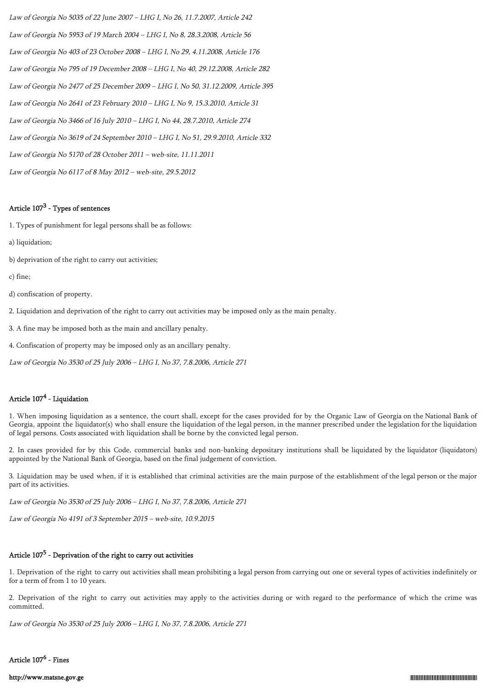Law of Georgia No 5035 of 22 June 2007 – LHG I, No 26, 11.7.2007, Article 242 Law of Georgia No 5953 of 19 March 2004 – LHG I, No 8, 28.3.2008, Article 56 Law of Georgia No 403 of 23 October 2008 – LHG I, No 29, 4.11.2008, Article 176 Law of Georgia No 795 of 19 December 2008 – LHG I, No 40, 29.12.2008, Article 282 Law of Georgia No 2477 of 25 December 2009 – LHG I, No 50, 31.12.2009, Article 395 Law of Georgia No 2641 of 23 February 2010 – LHG I, No 9, 15.3.2010, Article 31 Law of Georgia No 3466 of 16 July 2010 – LHG I, No 44, 28.7.2010, Article 274 Law of Georgia No 3619 of 24 September 2010 – LHG I, No 51, 29.9.2010, Article 332 Law of Georgia No 5170 of 28 October 2011 – web-site, 11.11.2011 Law of Georgia No 6117 of 8 May 2012 – web-site, 29.5.2012

## Article  $107^3$  - Types of sentences

1. Types of punishment for legal persons shall be as follows:

- a) liquidation;
- b) deprivation of the right to carry out activities;
- c) fine;
- d) confiscation of property.
- 2. Liquidation and deprivation of the right to carry out activities may be imposed only as the main penalty.
- 3. A fine may be imposed both as the main and ancillary penalty.
- 4. Confiscation of property may be imposed only as an ancillary penalty.
- Law of Georgia No 3530 of 25 July 2006 LHG I, No 37, 7.8.2006, Article 271

## Article 107<sup>4</sup> - Liquidation

1. When imposing liquidation as a sentence, the court shall, except for the cases provided for by the Organic Law of Georgia on the National Bank of Georgia, appoint the liquidator(s) who shall ensure the liquidation of the legal person, in the manner prescribed under the legislation for the liquidation of legal persons. Costs associated with liquidation shall be borne by the convicted legal person.

2. In cases provided for by this Code, commercial banks and non-banking depositary institutions shall be liquidated by the liquidator (liquidators) appointed by the National Bank of Georgia, based on the final judgement of conviction.

3. Liquidation may be used when, if it is established that criminal activities are the main purpose of the establishment of the legal person or the major part of its activities.

Law of Georgia No 3530 of 25 July 2006 – LHG I, No 37, 7.8.2006, Article 271

Law of Georgia No 4191 of 3 September 2015 – web-site, 10.9.2015

## Article 107<sup>5</sup> - Deprivation of the right to carry out activities

1. Deprivation of the right to carry out activities shall mean prohibiting a legal person from carrying out one or several types of activities indefinitely or for a term of from 1 to 10 years.

2. Deprivation of the right to carry out activities may apply to the activities during or with regard to the performance of which the crime was committed.

Law of Georgia No 3530 of 25 July 2006 – LHG I, No 37, 7.8.2006, Article 271

## Article 107<sup>6</sup> - Fines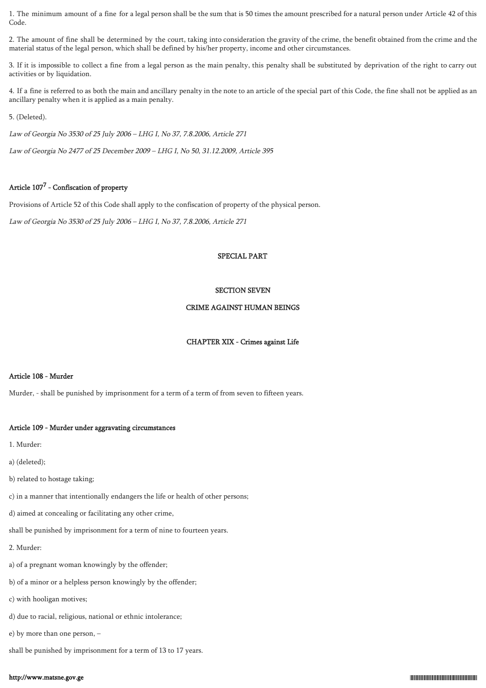1. The minimum amount of a fine for a legal person shall be the sum that is 50 times the amount prescribed for a natural person under Article 42 of this Code.

2. The amount of fine shall be determined by the court, taking into consideration the gravity of the crime, the benefit obtained from the crime and the material status of the legal person, which shall be defined by his/her property, income and other circumstances.

3. If it is impossible to collect a fine from a legal person as the main penalty, this penalty shall be substituted by deprivation of the right to carry out activities or by liquidation.

4. If a fine is referred to as both the main and ancillary penalty in the note to an article of the special part of this Code, the fine shall not be applied as an ancillary penalty when it is applied as a main penalty.

5. (Deleted).

Law of Georgia No 3530 of 25 July 2006 – LHG I, No 37, 7.8.2006, Article 271

Law of Georgia No 2477 of 25 December 2009 – LHG I, No 50, 31.12.2009, Article 395

## Article 107<sup>7</sup> - Confiscation of property

Provisions of Article 52 of this Code shall apply to the confiscation of property of the physical person.

Law of Georgia No 3530 of 25 July 2006 – LHG I, No 37, 7.8.2006, Article 271

## SPECIAL PART

## SECTION SEVEN

## CRIME AGAINST HUMAN BEINGS

## CHAPTER XIX - Crimes against Life

## Article 108 - Murder

Murder, - shall be punished by imprisonment for a term of a term of from seven to fifteen years.

## Article 109 - Murder under aggravating circumstances

1. Murder:

a) (deleted);

b) related to hostage taking;

c) in a manner that intentionally endangers the life or health of other persons;

d) aimed at concealing or facilitating any other crime,

shall be punished by imprisonment for a term of nine to fourteen years.

2. Murder:

- a) of a pregnant woman knowingly by the offender;
- b) of a minor or a helpless person knowingly by the offender;
- c) with hooligan motives;
- d) due to racial, religious, national or ethnic intolerance;
- e) by more than one person, –

shall be punished by imprisonment for a term of 13 to 17 years.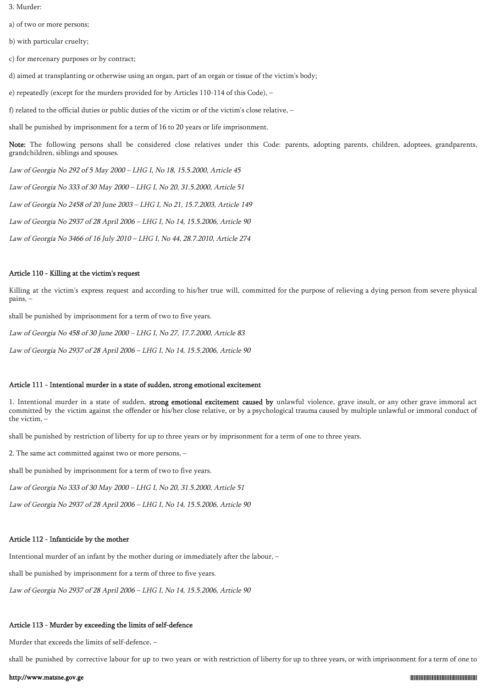3. Murder:

a) of two or more persons;

b) with particular cruelty;

c) for mercenary purposes or by contract;

d) aimed at transplanting or otherwise using an organ, part of an organ or tissue of the victim's body;

e) repeatedly (except for the murders provided for by Articles 110-114 of this Code), –

f) related to the official duties or public duties of the victim or of the victim's close relative, –

shall be punished by imprisonment for a term of 16 to 20 years or life imprisonment.

Note: The following persons shall be considered close relatives under this Code: parents, adopting parents, children, adoptees, grandparents, grandchildren, siblings and spouses.

Law of Georgia No 292 of 5 May 2000 – LHG I, No 18, 15.5.2000, Article 45

Law of Georgia No 333 of 30 May 2000 – LHG I, No 20, 31.5.2000, Article 51

Law of Georgia No 2458 of 20 June 2003 – LHG I, No 21, 15.7.2003, Article 149

Law of Georgia No 2937 of 28 April 2006 – LHG I, No 14, 15.5.2006, Article 90

Law of Georgia No 3466 of 16 July 2010 – LHG I, No 44, 28.7.2010, Article 274

## Article 110 - Killing at the victim's request

Killing at the victim's express request and according to his/her true will, committed for the purpose of relieving a dying person from severe physical pains, –

shall be punished by imprisonment for a term of two to five years.

Law of Georgia No 458 of 30 June 2000 – LHG I, No 27, 17.7.2000, Article 83

Law of Georgia No 2937 of 28 April 2006 – LHG I, No 14, 15.5.2006, Article 90

## Article 111 - Intentional murder in a state of sudden, strong emotional excitement

1. Intentional murder in a state of sudden, strong emotional excitement caused by unlawful violence, grave insult, or any other grave immoral act committed by the victim against the offender or his/her close relative, or by a psychological trauma caused by multiple unlawful or immoral conduct of the victim, –

shall be punished by restriction of liberty for up to three years or by imprisonment for a term of one to three years.

2. The same act committed against two or more persons, –

shall be punished by imprisonment for a term of two to five years.

Law of Georgia No 333 of 30 May 2000 – LHG I, No 20, 31.5.2000, Article 51

Law of Georgia No 2937 of 28 April 2006 – LHG I, No 14, 15.5.2006, Article 90

## Article 112 - Infanticide by the mother

Intentional murder of an infant by the mother during or immediately after the labour, –

shall be punished by imprisonment for a term of three to five years.

Law of Georgia No 2937 of 28 April 2006 – LHG I, No 14, 15.5.2006, Article 90

# Article 113 - Murder by exceeding the limits of self-defence

Murder that exceeds the limits of self-defence, –

shall be punished by corrective labour for up to two years or with restriction of liberty for up to three years, or with imprisonment for a term of one to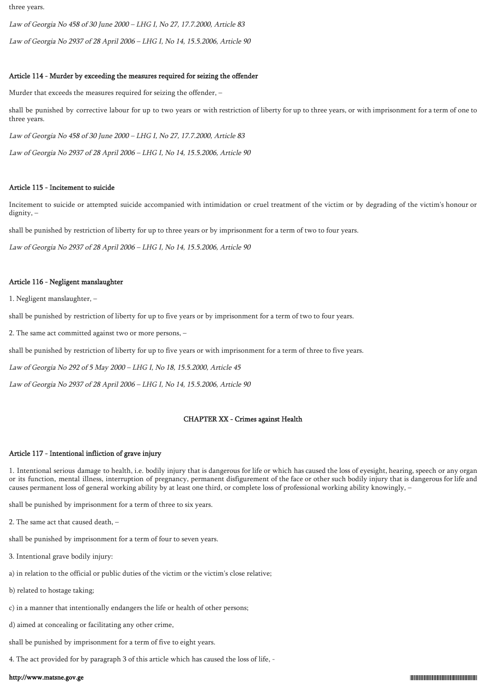three years.

Law of Georgia No 458 of 30 June 2000 – LHG I, No 27, 17.7.2000, Article 83

Law of Georgia No 2937 of 28 April 2006 – LHG I, No 14, 15.5.2006, Article 90

#### Article 114 - Murder by exceeding the measures required for seizing the offender

Murder that exceeds the measures required for seizing the offender, –

shall be punished by corrective labour for up to two years or with restriction of liberty for up to three years, or with imprisonment for a term of one to three years.

Law of Georgia No 458 of 30 June 2000 – LHG I, No 27, 17.7.2000, Article 83

Law of Georgia No 2937 of 28 April 2006 – LHG I, No 14, 15.5.2006, Article 90

#### Article 115 - Incitement to suicide

Incitement to suicide or attempted suicide accompanied with intimidation or cruel treatment of the victim or by degrading of the victim's honour or dignity, –

shall be punished by restriction of liberty for up to three years or by imprisonment for a term of two to four years.

Law of Georgia No 2937 of 28 April 2006 – LHG I, No 14, 15.5.2006, Article 90

#### Article 116 - Negligent manslaughter

1. Negligent manslaughter, –

shall be punished by restriction of liberty for up to five years or by imprisonment for a term of two to four years.

2. The same act committed against two or more persons, –

shall be punished by restriction of liberty for up to five years or with imprisonment for a term of three to five years.

Law of Georgia No 292 of 5 May 2000 – LHG I, No 18, 15.5.2000, Article 45

Law of Georgia No 2937 of 28 April 2006 – LHG I, No 14, 15.5.2006, Article 90

## CHAPTER XX - Crimes against Health

#### Article 117 - Intentional infliction of grave injury

1. Intentional serious damage to health, i.e. bodily injury that is dangerous for life or which has caused the loss of eyesight, hearing, speech or any organ or its function, mental illness, interruption of pregnancy, permanent disfigurement of the face or other such bodily injury that is dangerous for life and causes permanent loss of general working ability by at least one third, or complete loss of professional working ability knowingly, –

shall be punished by imprisonment for a term of three to six years.

2. The same act that caused death, –

shall be punished by imprisonment for a term of four to seven years.

3. Intentional grave bodily injury:

a) in relation to the official or public duties of the victim or the victim's close relative;

b) related to hostage taking;

c) in a manner that intentionally endangers the life or health of other persons;

d) aimed at concealing or facilitating any other crime,

shall be punished by imprisonment for a term of five to eight years.

4. The act provided for by paragraph 3 of this article which has caused the loss of life, -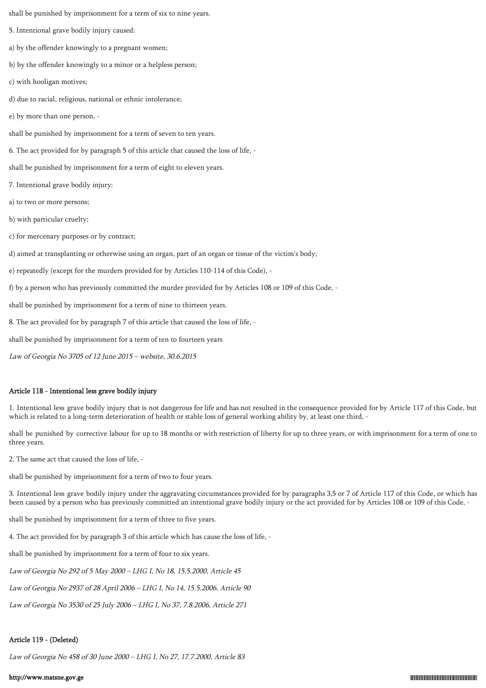shall be punished by imprisonment for a term of six to nine years.

5. Intentional grave bodily injury caused:

a) by the offender knowingly to a pregnant women;

b) by the offender knowingly to a minor or a helpless person;

- c) with hooligan motives;
- d) due to racial, religious, national or ethnic intolerance;
- e) by more than one person, -

shall be punished by imprisonment for a term of seven to ten years.

6. The act provided for by paragraph 5 of this article that caused the loss of life, -

shall be punished by imprisonment for a term of eight to eleven years.

7. Intentional grave bodily injury:

- a) to two or more persons;
- b) with particular cruelty;
- c) for mercenary purposes or by contract;

d) aimed at transplanting or otherwise using an organ, part of an organ or tissue of the victim's body;

e) repeatedly (except for the murders provided for by Articles 110-114 of this Code), -

f) by a person who has previously committed the murder provided for by Articles 108 or 109 of this Code, -

shall be punished by imprisonment for a term of nine to thirteen years.

8. The act provided for by paragraph 7 of this article that caused the loss of life, -

shall be punished by imprisonment for a term of ten to fourteen years

Law of Georgia No 3705 of 12 June 2015 – website, 30.6.2015

## Article 118 - Intentional less grave bodily injury

1. Intentional less grave bodily injury that is not dangerous for life and has not resulted in the consequence provided for by Article 117 of this Code, but which is related to a long-term deterioration of health or stable loss of general working ability by, at least one third, -

shall be punished by corrective labour for up to 18 months or with restriction of liberty for up to three years, or with imprisonment for a term of one to three years.

2. The same act that caused the loss of life, -

shall be punished by imprisonment for a term of two to four years.

3. Intentional less grave bodily injury under the aggravating circumstances provided for by paragraphs 3,5 or 7 of Article 117 of this Code, or which has been caused by a person who has previously committed an intentional grave bodily injury or the act provided for by Articles 108 or 109 of this Code, -

shall be punished by imprisonment for a term of three to five years.

4. The act provided for by paragraph 3 of this article which has cause the loss of life, -

shall be punished by imprisonment for a term of four to six years.

Law of Georgia No 292 of 5 May 2000 – LHG I, No 18, 15.5.2000, Article 45

Law of Georgia No 2937 of 28 April 2006 – LHG I, No 14, 15.5.2006, Article 90

Law of Georgia No 3530 of 25 July 2006 – LHG I, No 37, 7.8.2006, Article 271

## Article 119 - (Deleted)

Law of Georgia No 458 of 30 June 2000 – LHG I, No 27, 17.7.2000, Article 83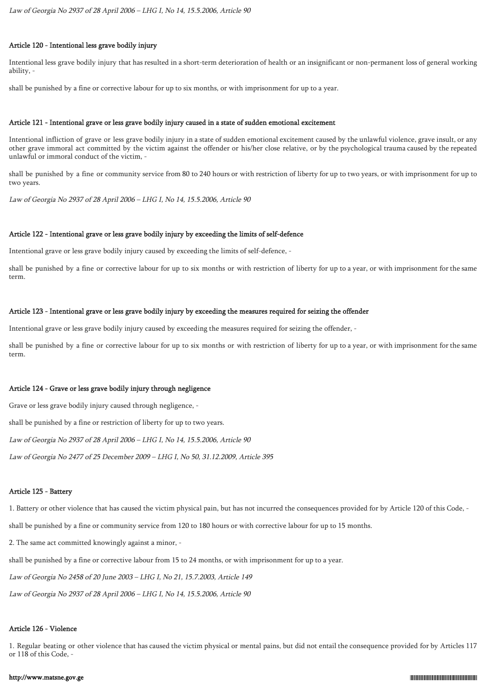### Article 120 - Intentional less grave bodily injury

Intentional less grave bodily injury that has resulted in a short-term deterioration of health or an insignificant or non-permanent loss of general working ability, -

shall be punished by a fine or corrective labour for up to six months, or with imprisonment for up to a year.

#### Article 121 - Intentional grave or less grave bodily injury caused in a state of sudden emotional excitement

Intentional infliction of grave or less grave bodily injury in a state of sudden emotional excitement caused by the unlawful violence, grave insult, or any other grave immoral act committed by the victim against the offender or his/her close relative, or by the psychological trauma caused by the repeated unlawful or immoral conduct of the victim, -

shall be punished by a fine or community service from 80 to 240 hours or with restriction of liberty for up to two years, or with imprisonment for up to two years.

Law of Georgia No 2937 of 28 April 2006 – LHG I, No 14, 15.5.2006, Article 90

#### Article 122 - Intentional grave or less grave bodily injury by exceeding the limits of self-defence

Intentional grave or less grave bodily injury caused by exceeding the limits of self-defence, -

shall be punished by a fine or corrective labour for up to six months or with restriction of liberty for up to a year, or with imprisonment for the same term.

#### Article 123 - Intentional grave or less grave bodily injury by exceeding the measures required for seizing the offender

Intentional grave or less grave bodily injury caused by exceeding the measures required for seizing the offender, -

shall be punished by a fine or corrective labour for up to six months or with restriction of liberty for up to a year, or with imprisonment for the same term.

### Article 124 - Grave or less grave bodily injury through negligence

Grave or less grave bodily injury caused through negligence, -

shall be punished by a fine or restriction of liberty for up to two years.

Law of Georgia No 2937 of 28 April 2006 – LHG I, No 14, 15.5.2006, Article 90

Law of Georgia No 2477 of 25 December 2009 – LHG I, No 50, 31.12.2009, Article 395

#### Article 125 - Battery

1. Battery or other violence that has caused the victim physical pain, but has not incurred the consequences provided for by Article 120 of this Code, -

shall be punished by a fine or community service from 120 to 180 hours or with corrective labour for up to 15 months.

2. The same act committed knowingly against a minor, -

shall be punished by a fine or corrective labour from 15 to 24 months, or with imprisonment for up to a year.

Law of Georgia No 2458 of 20 June 2003 – LHG I, No 21, 15.7.2003, Article 149

Law of Georgia No 2937 of 28 April 2006 – LHG I, No 14, 15.5.2006, Article 90

#### Article 126 - Violence

1. Regular beating or other violence that has caused the victim physical or mental pains, but did not entail the consequence provided for by Articles 117 or 118 of this Code, -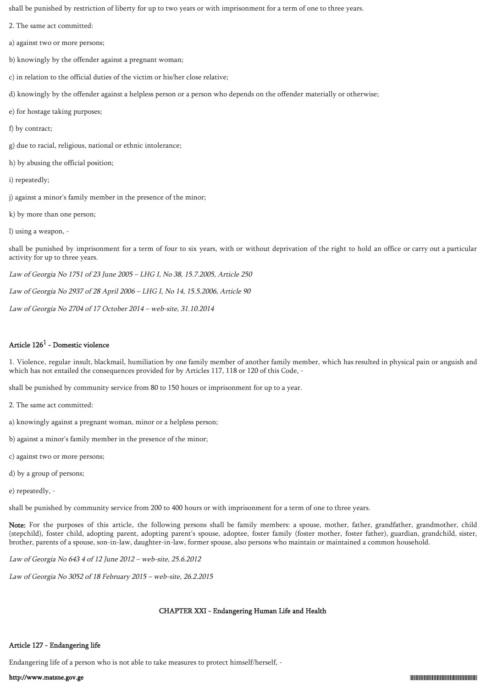shall be punished by restriction of liberty for up to two years or with imprisonment for a term of one to three years.

- 2. The same act committed:
- a) against two or more persons;
- b) knowingly by the offender against a pregnant woman;
- c) in relation to the official duties of the victim or his/her close relative;
- d) knowingly by the offender against a helpless person or a person who depends on the offender materially or otherwise;
- e) for hostage taking purposes;
- f) by contract;
- g) due to racial, religious, national or ethnic intolerance;
- h) by abusing the official position;
- i) repeatedly;
- j) against a minor's family member in the presence of the minor;
- k) by more than one person;
- l) using a weapon, -

shall be punished by imprisonment for a term of four to six years, with or without deprivation of the right to hold an office or carry out a particular activity for up to three years.

Law of Georgia No 1751 of 23 June 2005 – LHG I, No 38, 15.7.2005, Article 250

Law of Georgia No 2937 of 28 April 2006 – LHG I, No 14, 15.5.2006, Article 90

Law of Georgia No 2704 of 17 October 2014 – web-site, 31.10.2014

## Article  $126^1$  - Domestic violence

1. Violence, regular insult, blackmail, humiliation by one family member of another family member, which has resulted in physical pain or anguish and which has not entailed the consequences provided for by Articles 117, 118 or 120 of this Code, -

shall be punished by community service from 80 to 150 hours or imprisonment for up to a year.

- 2. The same act committed:
- a) knowingly against a pregnant woman, minor or a helpless person;
- b) against a minor's family member in the presence of the minor;
- c) against two or more persons;
- d) by a group of persons;
- e) repeatedly, -

shall be punished by community service from 200 to 400 hours or with imprisonment for a term of one to three years.

Note: For the purposes of this article, the following persons shall be family members: a spouse, mother, father, grandfather, grandmother, child (stepchild), foster child, adopting parent, adopting parent's spouse, adoptee, foster family (foster mother, foster father), guardian, grandchild, sister, brother, parents of a spouse, son-in-law, daughter-in-law, former spouse, also persons who maintain or maintained a common household.

Law of Georgia No 643 4 of 12 June 2012 – web-site, 25.6.2012

Law of Georgia No 3052 of 18 February 2015 – web-site, 26.2.2015

# CHAPTER XXI - Endangering Human Life and Health

# Article 127 - Endangering life

Endangering life of a person who is not able to take measures to protect himself/herself, -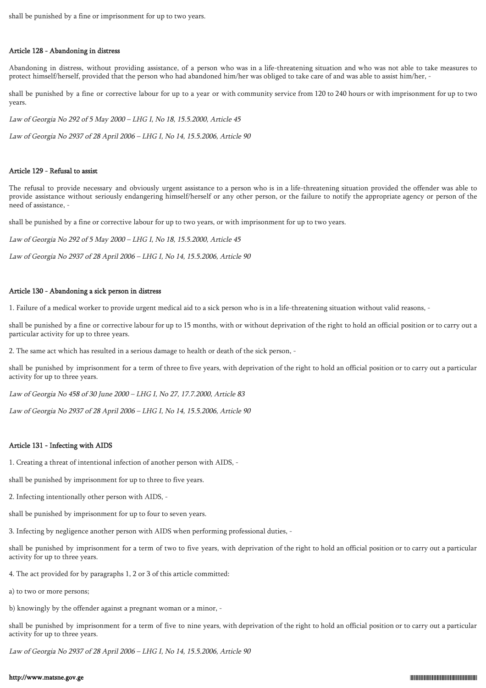shall be punished by a fine or imprisonment for up to two years.

#### Article 128 - Abandoning in distress

Abandoning in distress, without providing assistance, of a person who was in a life-threatening situation and who was not able to take measures to protect himself/herself, provided that the person who had abandoned him/her was obliged to take care of and was able to assist him/her, -

shall be punished by a fine or corrective labour for up to a year or with community service from 120 to 240 hours or with imprisonment for up to two years.

Law of Georgia No 292 of 5 May 2000 – LHG I, No 18, 15.5.2000, Article 45

Law of Georgia No 2937 of 28 April 2006 – LHG I, No 14, 15.5.2006, Article 90

#### Article 129 - Refusal to assist

The refusal to provide necessary and obviously urgent assistance to a person who is in a life-threatening situation provided the offender was able to provide assistance without seriously endangering himself/herself or any other person, or the failure to notify the appropriate agency or person of the need of assistance, -

shall be punished by a fine or corrective labour for up to two years, or with imprisonment for up to two years.

Law of Georgia No 292 of 5 May 2000 – LHG I, No 18, 15.5.2000, Article 45

Law of Georgia No 2937 of 28 April 2006 – LHG I, No 14, 15.5.2006, Article 90

#### Article 130 - Abandoning a sick person in distress

1. Failure of a medical worker to provide urgent medical aid to a sick person who is in a life-threatening situation without valid reasons, -

shall be punished by a fine or corrective labour for up to 15 months, with or without deprivation of the right to hold an official position or to carry out a particular activity for up to three years.

2. The same act which has resulted in a serious damage to health or death of the sick person, -

shall be punished by imprisonment for a term of three to five years, with deprivation of the right to hold an official position or to carry out a particular activity for up to three years.

Law of Georgia No 458 of 30 June 2000 – LHG I, No 27, 17.7.2000, Article 83

Law of Georgia No 2937 of 28 April 2006 – LHG I, No 14, 15.5.2006, Article 90

### Article 131 - Infecting with AIDS

1. Creating a threat of intentional infection of another person with AIDS, -

shall be punished by imprisonment for up to three to five years.

2. Infecting intentionally other person with AIDS, -

shall be punished by imprisonment for up to four to seven years.

3. Infecting by negligence another person with AIDS when performing professional duties, -

shall be punished by imprisonment for a term of two to five years, with deprivation of the right to hold an official position or to carry out a particular activity for up to three years.

4. The act provided for by paragraphs 1, 2 or 3 of this article committed:

a) to two or more persons;

b) knowingly by the offender against a pregnant woman or a minor, -

shall be punished by imprisonment for a term of five to nine years, with deprivation of the right to hold an official position or to carry out a particular activity for up to three years.

Law of Georgia No 2937 of 28 April 2006 – LHG I, No 14, 15.5.2006, Article 90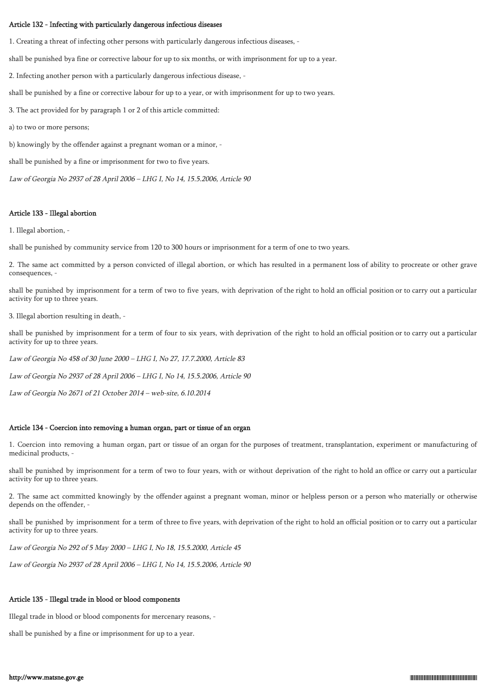#### Article 132 - Infecting with particularly dangerous infectious diseases

1. Creating a threat of infecting other persons with particularly dangerous infectious diseases, -

shall be punished bya fine or corrective labour for up to six months, or with imprisonment for up to a year.

2. Infecting another person with a particularly dangerous infectious disease, -

shall be punished by a fine or corrective labour for up to a year, or with imprisonment for up to two years.

3. The act provided for by paragraph 1 or 2 of this article committed:

a) to two or more persons;

b) knowingly by the offender against a pregnant woman or a minor, -

shall be punished by a fine or imprisonment for two to five years.

Law of Georgia No 2937 of 28 April 2006 – LHG I, No 14, 15.5.2006, Article 90

#### Article 133 - Illegal abortion

1. Illegal abortion, -

shall be punished by community service from 120 to 300 hours or imprisonment for a term of one to two years.

2. The same act committed by a person convicted of illegal abortion, or which has resulted in a permanent loss of ability to procreate or other grave consequences, -

shall be punished by imprisonment for a term of two to five years, with deprivation of the right to hold an official position or to carry out a particular activity for up to three years.

3. Illegal abortion resulting in death, -

shall be punished by imprisonment for a term of four to six years, with deprivation of the right to hold an official position or to carry out a particular activity for up to three years.

Law of Georgia No 458 of 30 June 2000 – LHG I, No 27, 17.7.2000, Article 83

Law of Georgia No 2937 of 28 April 2006 – LHG I, No 14, 15.5.2006, Article 90

Law of Georgia No 2671 of 21 October 2014 – web-site, 6.10.2014

## Article 134 - Coercion into removing a human organ, part or tissue of an organ

1. Coercion into removing a human organ, part or tissue of an organ for the purposes of treatment, transplantation, experiment or manufacturing of medicinal products, -

shall be punished by imprisonment for a term of two to four years, with or without deprivation of the right to hold an office or carry out a particular activity for up to three years.

2. The same act committed knowingly by the offender against a pregnant woman, minor or helpless person or a person who materially or otherwise depends on the offender, -

shall be punished by imprisonment for a term of three to five years, with deprivation of the right to hold an official position or to carry out a particular activity for up to three years.

Law of Georgia No 292 of 5 May 2000 – LHG I, No 18, 15.5.2000, Article 45

Law of Georgia No 2937 of 28 April 2006 – LHG I, No 14, 15.5.2006, Article 90

#### Article 135 - Illegal trade in blood or blood components

Illegal trade in blood or blood components for mercenary reasons, -

shall be punished by a fine or imprisonment for up to a year.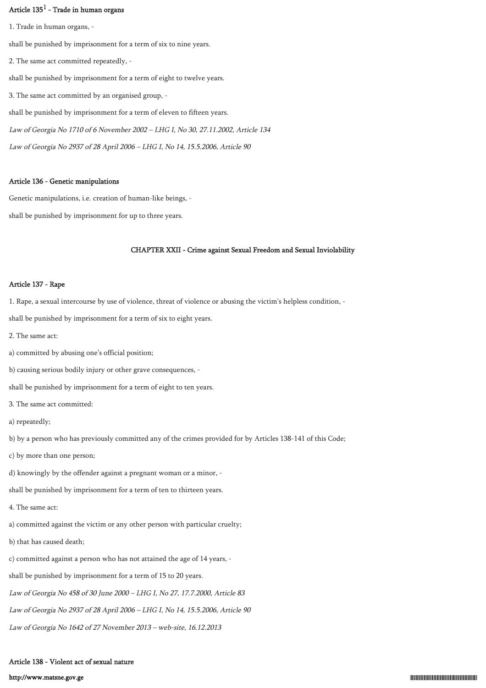## Article  $135^1$  - Trade in human organs

1. Trade in human organs, shall be punished by imprisonment for a term of six to nine years. 2. The same act committed repeatedly, shall be punished by imprisonment for a term of eight to twelve years. 3. The same act committed by an organised group, shall be punished by imprisonment for a term of eleven to fifteen years. Law of Georgia No 1710 of 6 November 2002 – LHG I, No 30, 27.11.2002, Article 134 Law of Georgia No 2937 of 28 April 2006 – LHG I, No 14, 15.5.2006, Article 90

#### Article 136 - Genetic manipulations

Genetic manipulations, i.e. creation of human-like beings, shall be punished by imprisonment for up to three years.

## CHAPTER XXII - Crime against Sexual Freedom and Sexual Inviolability

## Article 137 - Rape

1. Rape, a sexual intercourse by use of violence, threat of violence or abusing the victim's helpless condition, -

shall be punished by imprisonment for a term of six to eight years.

- 2. The same act:
- a) committed by abusing one's official position;
- b) causing serious bodily injury or other grave consequences, -

shall be punished by imprisonment for a term of eight to ten years.

- 3. The same act committed:
- a) repeatedly;

b) by a person who has previously committed any of the crimes provided for by Articles 138-141 of this Code;

- c) by more than one person;
- d) knowingly by the offender against a pregnant woman or a minor, -

shall be punished by imprisonment for a term of ten to thirteen years.

- 4. The same act:
- a) committed against the victim or any other person with particular cruelty;
- b) that has caused death;
- c) committed against a person who has not attained the age of 14 years, -
- shall be punished by imprisonment for a term of 15 to 20 years.
- Law of Georgia No 458 of 30 June 2000 LHG I, No 27, 17.7.2000, Article 83
- Law of Georgia No 2937 of 28 April 2006 LHG I, No 14, 15.5.2006, Article 90
- Law of Georgia No 1642 of 27 November 2013 web-site, 16.12.2013

# Article 138 - Violent act of sexual nature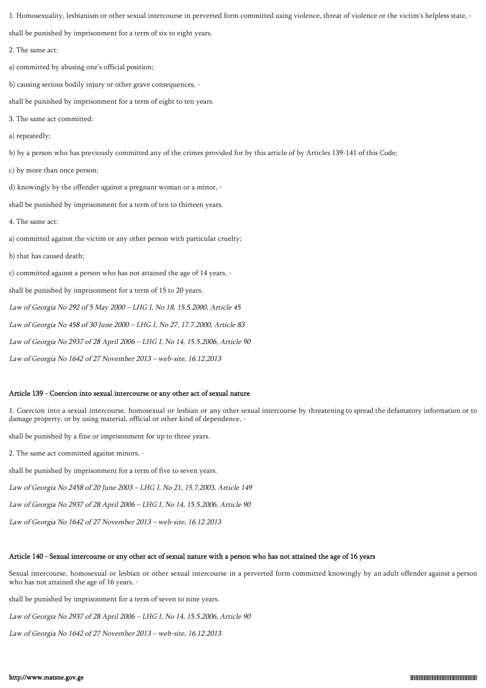1. Homosexuality, lesbianism or other sexual intercourse in perverted form committed using violence, threat of violence or the victim's helpless state, -

shall be punished by imprisonment for a term of six to eight years.

2. The same act:

a) committed by abusing one's official position;

b) causing serious bodily injury or other grave consequences, -

shall be punished by imprisonment for a term of eight to ten years.

3. The same act committed:

a) repeatedly;

b) by a person who has previously committed any of the crimes provided for by this article of by Articles 139-141 of this Code;

c) by more than once person;

d) knowingly by the offender against a pregnant woman or a minor, -

shall be punished by imprisonment for a term of ten to thirteen years.

4. The same act:

a) committed against the victim or any other person with particular cruelty;

b) that has caused death;

c) committed against a person who has not attained the age of 14 years, -

shall be punished by imprisonment for a term of 15 to 20 years.

Law of Georgia No 292 of 5 May 2000 – LHG I, No 18, 15.5.2000, Article 45

Law of Georgia No 458 of 30 June 2000 – LHG I, No 27, 17.7.2000, Article 83

Law of Georgia No 2937 of 28 April 2006 – LHG I, No 14, 15.5.2006, Article 90

Law of Georgia No 1642 of 27 November 2013 – web-site, 16.12.2013

## Article 139 - Coercion into sexual intercourse or any other act of sexual nature

1. Coercion into a sexual intercourse, homosexual or lesbian or any other sexual intercourse by threatening to spread the defamatory information or to damage property, or by using material, official or other kind of dependence, -

shall be punished by a fine or imprisonment for up to three years.

2. The same act committed against minors, -

shall be punished by imprisonment for a term of five to seven years.

Law of Georgia No 2458 of 20 June 2003 – LHG I, No 21, 15.7.2003, Article 149

Law of Georgia No 2937 of 28 April 2006 – LHG I, No 14, 15.5.2006, Article 90

Law of Georgia No 1642 of 27 November 2013 – web-site, 16.12.2013

## Article 140 - Sexual intercourse or any other act of sexual nature with a person who has not attained the age of 16 years

Sexual intercourse, homosexual or lesbian or other sexual intercourse in a perverted form committed knowingly by an adult offender against a person who has not attained the age of 16 years, -

shall be punished by imprisonment for a term of seven to nine years.

Law of Georgia No 2937 of 28 April 2006 – LHG I, No 14, 15.5.2006, Article 90

Law of Georgia No 1642 of 27 November 2013 – web-site, 16.12.2013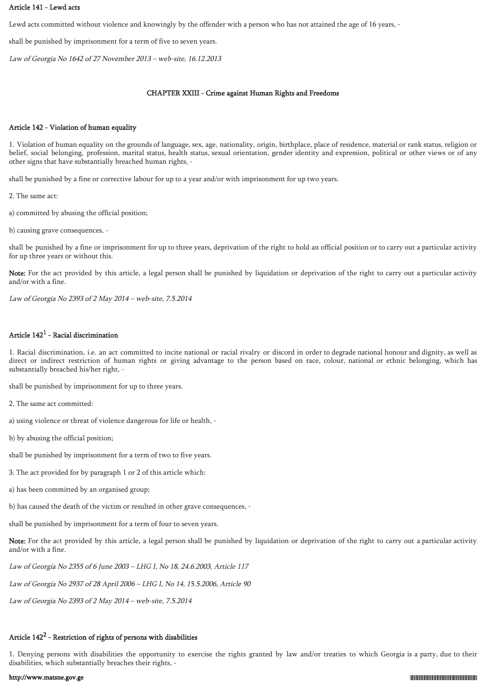## Article 141 - Lewd acts

Lewd acts committed without violence and knowingly by the offender with a person who has not attained the age of 16 years, -

shall be punished by imprisonment for a term of five to seven years.

Law of Georgia No 1642 of 27 November 2013 – web-site, 16.12.2013

### CHAPTER XXIII - Crime against Human Rights and Freedoms

#### Article 142 - Violation of human equality

1. Violation of human equality on the grounds of language, sex, age, nationality, origin, birthplace, place of residence, material or rank status, religion or belief, social belonging, profession, marital status, health status, sexual orientation, gender identity and expression, political or other views or of any other signs that have substantially breached human rights, -

shall be punished by a fine or corrective labour for up to a year and/or with imprisonment for up two years.

2. The same act:

a) committed by abusing the official position;

b) causing grave consequences, -

shall be punished by a fine or imprisonment for up to three years, deprivation of the right to hold an official position or to carry out a particular activity for up three years or without this.

Note: For the act provided by this article, a legal person shall be punished by liquidation or deprivation of the right to carry out a particular activity and/or with a fine.

Law of Georgia No 2393 of 2 May 2014 – web-site, 7.5.2014

## Article  $142^1$  - Racial discrimination

1. Racial discrimination, i.e. an act committed to incite national or racial rivalry or discord in order to degrade national honour and dignity, as well as direct or indirect restriction of human rights or giving advantage to the person based on race, colour, national or ethnic belonging, which has substantially breached his/her right, -

shall be punished by imprisonment for up to three years.

2. The same act committed:

a) using violence or threat of violence dangerous for life or health, -

b) by abusing the official position;

shall be punished by imprisonment for a term of two to five years.

- 3. The act provided for by paragraph 1 or 2 of this article which:
- a) has been committed by an organised group;

b) has caused the death of the victim or resulted in other grave consequences, -

shall be punished by imprisonment for a term of four to seven years.

Note: For the act provided by this article, a legal person shall be punished by liquidation or deprivation of the right to carry out a particular activity and/or with a fine.

Law of Georgia No 2355 of 6 June 2003 – LHG I, No 18, 24.6.2003, Article 117

Law of Georgia No 2937 of 28 April 2006 – LHG I, No 14, 15.5.2006, Article 90

Law of Georgia No 2393 of 2 May 2014 – web-site, 7.5.2014

# Article  $142^2$  - Restriction of rights of persons with disabilities

1. Denying persons with disabilities the opportunity to exercise the rights granted by law and/or treaties to which Georgia is a party, due to their disabilities, which substantially breaches their rights, -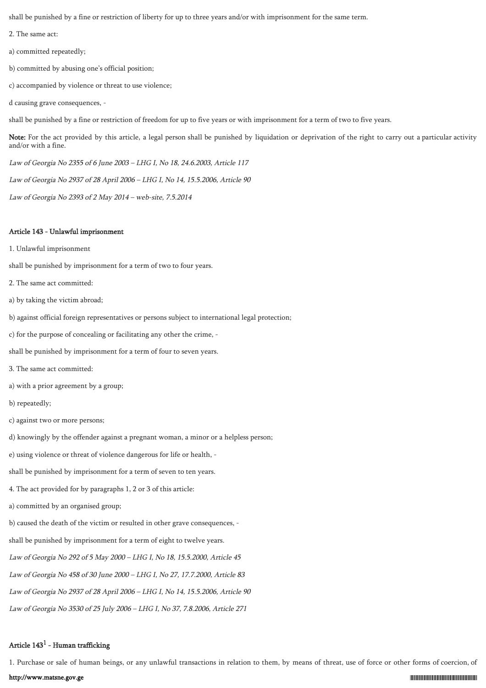shall be punished by a fine or restriction of liberty for up to three years and/or with imprisonment for the same term.

2. The same act:

a) committed repeatedly;

- b) committed by abusing one's official position;
- c) accompanied by violence or threat to use violence;
- d causing grave consequences, -

shall be punished by a fine or restriction of freedom for up to five years or with imprisonment for a term of two to five years.

Note: For the act provided by this article, a legal person shall be punished by liquidation or deprivation of the right to carry out a particular activity and/or with a fine.

Law of Georgia No 2355 of 6 June 2003 – LHG I, No 18, 24.6.2003, Article 117

Law of Georgia No 2937 of 28 April 2006 – LHG I, No 14, 15.5.2006, Article 90

Law of Georgia No 2393 of 2 May 2014 – web-site, 7.5.2014

#### Article 143 - Unlawful imprisonment

1. Unlawful imprisonment

shall be punished by imprisonment for a term of two to four years.

- 2. The same act committed:
- a) by taking the victim abroad;
- b) against official foreign representatives or persons subject to international legal protection;

c) for the purpose of concealing or facilitating any other the crime, -

shall be punished by imprisonment for a term of four to seven years.

- 3. The same act committed:
- a) with a prior agreement by a group;
- b) repeatedly;
- c) against two or more persons;
- d) knowingly by the offender against a pregnant woman, a minor or a helpless person;

e) using violence or threat of violence dangerous for life or health, -

shall be punished by imprisonment for a term of seven to ten years.

4. The act provided for by paragraphs 1, 2 or 3 of this article:

a) committed by an organised group;

b) caused the death of the victim or resulted in other grave consequences, -

shall be punished by imprisonment for a term of eight to twelve years.

Law of Georgia No 292 of 5 May 2000 – LHG I, No 18, 15.5.2000, Article 45

Law of Georgia No 458 of 30 June 2000 – LHG I, No 27, 17.7.2000, Article 83

Law of Georgia No 2937 of 28 April 2006 – LHG I, No 14, 15.5.2006, Article 90

Law of Georgia No 3530 of 25 July 2006 – LHG I, No 37, 7.8.2006, Article 271

## Article  $143^1$  - Human trafficking

1. Purchase or sale of human beings, or any unlawful transactions in relation to them, by means of threat, use of force or other forms of coercion, of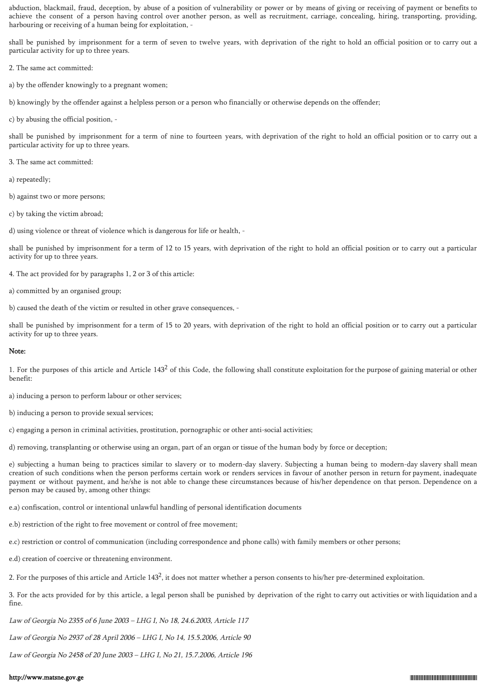abduction, blackmail, fraud, deception, by abuse of a position of vulnerability or power or by means of giving or receiving of payment or benefits to achieve the consent of a person having control over another person, as well as recruitment, carriage, concealing, hiring, transporting, providing, harbouring or receiving of a human being for exploitation, -

shall be punished by imprisonment for a term of seven to twelve years, with deprivation of the right to hold an official position or to carry out a particular activity for up to three years.

2. The same act committed:

a) by the offender knowingly to a pregnant women;

b) knowingly by the offender against a helpless person or a person who financially or otherwise depends on the offender;

c) by abusing the official position, -

shall be punished by imprisonment for a term of nine to fourteen years, with deprivation of the right to hold an official position or to carry out a particular activity for up to three years.

3. The same act committed:

a) repeatedly;

b) against two or more persons;

c) by taking the victim abroad;

d) using violence or threat of violence which is dangerous for life or health, -

shall be punished by imprisonment for a term of 12 to 15 years, with deprivation of the right to hold an official position or to carry out a particular activity for up to three years.

4. The act provided for by paragraphs 1, 2 or 3 of this article:

a) committed by an organised group;

b) caused the death of the victim or resulted in other grave consequences, -

shall be punished by imprisonment for a term of 15 to 20 years, with deprivation of the right to hold an official position or to carry out a particular activity for up to three years.

## Note:

1. For the purposes of this article and Article  $143<sup>2</sup>$  of this Code, the following shall constitute exploitation for the purpose of gaining material or other benefit:

a) inducing a person to perform labour or other services;

b) inducing a person to provide sexual services;

c) engaging a person in criminal activities, prostitution, pornographic or other anti-social activities;

d) removing, transplanting or otherwise using an organ, part of an organ or tissue of the human body by force or deception;

e) subjecting a human being to practices similar to slavery or to modern-day slavery. Subjecting a human being to modern-day slavery shall mean creation of such conditions when the person performs certain work or renders services in favour of another person in return for payment, inadequate payment or without payment, and he/she is not able to change these circumstances because of his/her dependence on that person. Dependence on a person may be caused by, among other things:

e.a) confiscation, control or intentional unlawful handling of personal identification documents

e.b) restriction of the right to free movement or control of free movement;

e.c) restriction or control of communication (including correspondence and phone calls) with family members or other persons;

e.d) creation of coercive or threatening environment.

2. For the purposes of this article and Article 143<sup>2</sup>, it does not matter whether a person consents to his/her pre-determined exploitation.

3. For the acts provided for by this article, a legal person shall be punished by deprivation of the right to carry out activities or with liquidation and a fine.

Law of Georgia No 2355 of 6 June 2003 – LHG I, No 18, 24.6.2003, Article 117

Law of Georgia No 2937 of 28 April 2006 – LHG I, No 14, 15.5.2006, Article 90

Law of Georgia No 2458 of 20 June 2003 – LHG I, No 21, 15.7.2006, Article 196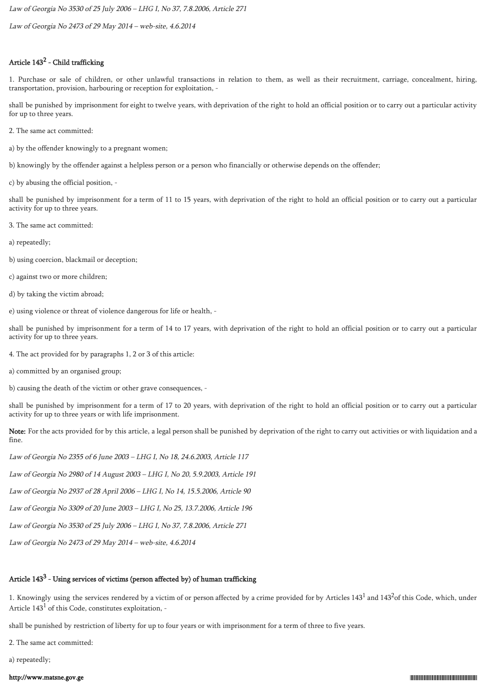Law of Georgia No 3530 of 25 July 2006 – LHG I, No 37, 7.8.2006, Article 271

Law of Georgia No 2473 of 29 May 2014 – web-site, 4.6.2014

## Article  $143^2$  - Child trafficking

1. Purchase or sale of children, or other unlawful transactions in relation to them, as well as their recruitment, carriage, concealment, hiring, transportation, provision, harbouring or reception for exploitation, -

shall be punished by imprisonment for eight to twelve years, with deprivation of the right to hold an official position or to carry out a particular activity for up to three years.

- 2. The same act committed:
- a) by the offender knowingly to a pregnant women;
- b) knowingly by the offender against a helpless person or a person who financially or otherwise depends on the offender;
- c) by abusing the official position, -

shall be punished by imprisonment for a term of 11 to 15 years, with deprivation of the right to hold an official position or to carry out a particular activity for up to three years.

- 3. The same act committed:
- a) repeatedly;
- b) using coercion, blackmail or deception;
- c) against two or more children;
- d) by taking the victim abroad;
- e) using violence or threat of violence dangerous for life or health, -

shall be punished by imprisonment for a term of 14 to 17 years, with deprivation of the right to hold an official position or to carry out a particular activity for up to three years.

- 4. The act provided for by paragraphs 1, 2 or 3 of this article:
- a) committed by an organised group;
- b) causing the death of the victim or other grave consequences, -

shall be punished by imprisonment for a term of 17 to 20 years, with deprivation of the right to hold an official position or to carry out a particular activity for up to three years or with life imprisonment.

Note: For the acts provided for by this article, a legal person shall be punished by deprivation of the right to carry out activities or with liquidation and a fine.

Law of Georgia No 2355 of 6 June 2003 – LHG I, No 18, 24.6.2003, Article 117

Law of Georgia No 2980 of 14 August 2003 – LHG I, No 20, 5.9.2003, Article 191

Law of Georgia No 2937 of 28 April 2006 – LHG I, No 14, 15.5.2006, Article 90

Law of Georgia No 3309 of 20 June 2003 – LHG I, No 25, 13.7.2006, Article 196

Law of Georgia No 3530 of 25 July 2006 – LHG I, No 37, 7.8.2006, Article 271

Law of Georgia No 2473 of 29 May 2014 – web-site, 4.6.2014

# Article  $143^3$  - Using services of victims (person affected by) of human trafficking

1. Knowingly using the services rendered by a victim of or person affected by a crime provided for by Articles  $143<sup>1</sup>$  and  $143<sup>2</sup>$ of this Code, which, under Article  $143^1$  of this Code, constitutes exploitation, -

shall be punished by restriction of liberty for up to four years or with imprisonment for a term of three to five years.

2. The same act committed:

a) repeatedly;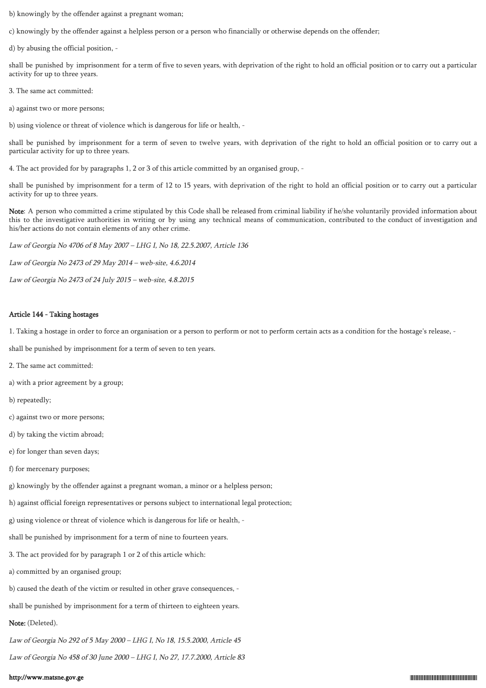b) knowingly by the offender against a pregnant woman;

c) knowingly by the offender against a helpless person or a person who financially or otherwise depends on the offender;

d) by abusing the official position, -

shall be punished by imprisonment for a term of five to seven years, with deprivation of the right to hold an official position or to carry out a particular activity for up to three years.

3. The same act committed:

a) against two or more persons;

b) using violence or threat of violence which is dangerous for life or health, -

shall be punished by imprisonment for a term of seven to twelve years, with deprivation of the right to hold an official position or to carry out a particular activity for up to three years.

4. The act provided for by paragraphs 1, 2 or 3 of this article committed by an organised group, -

shall be punished by imprisonment for a term of 12 to 15 years, with deprivation of the right to hold an official position or to carry out a particular activity for up to three years.

Note: A person who committed a crime stipulated by this Code shall be released from criminal liability if he/she voluntarily provided information about this to the investigative authorities in writing or by using any technical means of communication, contributed to the conduct of investigation and his/her actions do not contain elements of any other crime.

Law of Georgia No 4706 of 8 May 2007 – LHG I, No 18, 22.5.2007, Article 136

Law of Georgia No 2473 of 29 May 2014 – web-site, 4.6.2014

Law of Georgia No 2473 of 24 July 2015 – web-site, 4.8.2015

#### Article 144 - Taking hostages

1. Taking a hostage in order to force an organisation or a person to perform or not to perform certain acts as a condition for the hostage's release, -

shall be punished by imprisonment for a term of seven to ten years.

- 2. The same act committed:
- a) with a prior agreement by a group;

b) repeatedly;

- c) against two or more persons;
- d) by taking the victim abroad;
- e) for longer than seven days;
- f) for mercenary purposes;

g) knowingly by the offender against a pregnant woman, a minor or a helpless person;

h) against official foreign representatives or persons subject to international legal protection;

g) using violence or threat of violence which is dangerous for life or health, -

shall be punished by imprisonment for a term of nine to fourteen years.

- 3. The act provided for by paragraph 1 or 2 of this article which:
- a) committed by an organised group;
- b) caused the death of the victim or resulted in other grave consequences, -

shall be punished by imprisonment for a term of thirteen to eighteen years.

## Note: (Deleted).

Law of Georgia No 292 of 5 May 2000 – LHG I, No 18, 15.5.2000, Article 45

Law of Georgia No 458 of 30 June 2000 – LHG I, No 27, 17.7.2000, Article 83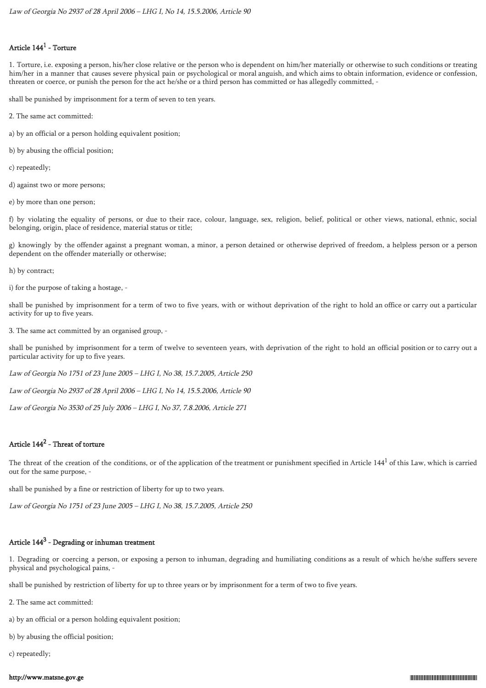## Article  $144^1$  - Torture

1. Torture, i.e. exposing a person, his/her close relative or the person who is dependent on him/her materially or otherwise to such conditions or treating him/her in a manner that causes severe physical pain or psychological or moral anguish, and which aims to obtain information, evidence or confession, threaten or coerce, or punish the person for the act he/she or a third person has committed or has allegedly committed, -

shall be punished by imprisonment for a term of seven to ten years.

- 2. The same act committed:
- a) by an official or a person holding equivalent position;
- b) by abusing the official position;

c) repeatedly;

- d) against two or more persons;
- e) by more than one person;

f) by violating the equality of persons, or due to their race, colour, language, sex, religion, belief, political or other views, national, ethnic, social belonging, origin, place of residence, material status or title;

g) knowingly by the offender against a pregnant woman, a minor, a person detained or otherwise deprived of freedom, a helpless person or a person dependent on the offender materially or otherwise;

h) by contract;

i) for the purpose of taking a hostage, -

shall be punished by imprisonment for a term of two to five years, with or without deprivation of the right to hold an office or carry out a particular activity for up to five years.

3. The same act committed by an organised group, -

shall be punished by imprisonment for a term of twelve to seventeen years, with deprivation of the right to hold an official position or to carry out a particular activity for up to five years.

Law of Georgia No 1751 of 23 June 2005 – LHG I, No 38, 15.7.2005, Article 250

Law of Georgia No 2937 of 28 April 2006 – LHG I, No 14, 15.5.2006, Article 90

Law of Georgia No 3530 of 25 July 2006 – LHG I, No 37, 7.8.2006, Article 271

## Article  $144^2$  - Threat of torture

The threat of the creation of the conditions, or of the application of the treatment or punishment specified in Article  $144<sup>1</sup>$  of this Law, which is carried out for the same purpose, -

shall be punished by a fine or restriction of liberty for up to two years.

Law of Georgia No 1751 of 23 June 2005 – LHG I, No 38, 15.7.2005, Article 250

# Article 144 $^3$  - Degrading or inhuman treatment

1. Degrading or coercing a person, or exposing a person to inhuman, degrading and humiliating conditions as a result of which he/she suffers severe physical and psychological pains, -

shall be punished by restriction of liberty for up to three years or by imprisonment for a term of two to five years.

2. The same act committed:

a) by an official or a person holding equivalent position;

b) by abusing the official position;

c) repeatedly;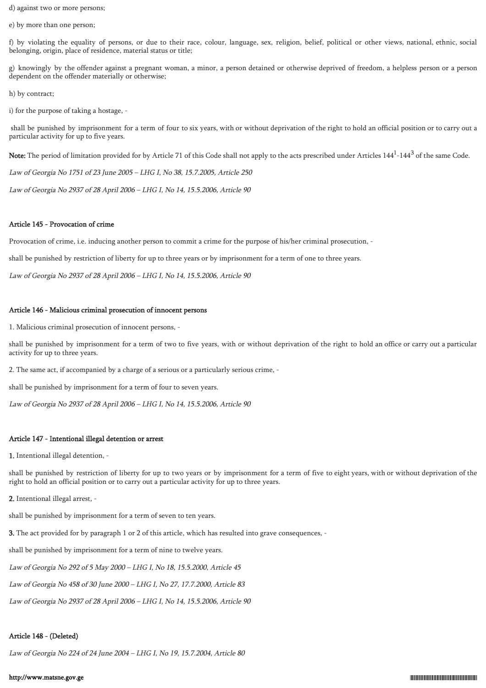d) against two or more persons;

e) by more than one person;

f) by violating the equality of persons, or due to their race, colour, language, sex, religion, belief, political or other views, national, ethnic, social belonging, origin, place of residence, material status or title;

g) knowingly by the offender against a pregnant woman, a minor, a person detained or otherwise deprived of freedom, a helpless person or a person dependent on the offender materially or otherwise;

h) by contract;

i) for the purpose of taking a hostage, -

 shall be punished by imprisonment for a term of four to six years, with or without deprivation of the right to hold an official position or to carry out a particular activity for up to five years.

**Note:** The period of limitation provided for by Article 71 of this Code shall not apply to the acts prescribed under Articles 144 $^{\rm l}$ -144 $^{\rm 3}$  of the same Code.

Law of Georgia No 1751 of 23 June 2005 – LHG I, No 38, 15.7.2005, Article 250

Law of Georgia No 2937 of 28 April 2006 – LHG I, No 14, 15.5.2006, Article 90

#### Article 145 - Provocation of crime

Provocation of crime, i.e. inducing another person to commit a crime for the purpose of his/her criminal prosecution, -

shall be punished by restriction of liberty for up to three years or by imprisonment for a term of one to three years.

Law of Georgia No 2937 of 28 April 2006 – LHG I, No 14, 15.5.2006, Article 90

### Article 146 - Malicious criminal prosecution of innocent persons

1. Malicious criminal prosecution of innocent persons, -

shall be punished by imprisonment for a term of two to five years, with or without deprivation of the right to hold an office or carry out a particular activity for up to three years.

2. The same act, if accompanied by a charge of a serious or a particularly serious crime, -

shall be punished by imprisonment for a term of four to seven years.

Law of Georgia No 2937 of 28 April 2006 – LHG I, No 14, 15.5.2006, Article 90

#### Article 147 - Intentional illegal detention or arrest

1. Intentional illegal detention, -

shall be punished by restriction of liberty for up to two years or by imprisonment for a term of five to eight years, with or without deprivation of the right to hold an official position or to carry out a particular activity for up to three years.

2. Intentional illegal arrest, -

shall be punished by imprisonment for a term of seven to ten years.

3. The act provided for by paragraph 1 or 2 of this article, which has resulted into grave consequences, -

shall be punished by imprisonment for a term of nine to twelve years.

Law of Georgia No 292 of 5 May 2000 – LHG I, No 18, 15.5.2000, Article 45

Law of Georgia No 458 of 30 June 2000 – LHG I, No 27, 17.7.2000, Article 83

Law of Georgia No 2937 of 28 April 2006 – LHG I, No 14, 15.5.2006, Article 90

#### Article 148 - (Deleted)

Law of Georgia No 224 of 24 June 2004 – LHG I, No 19, 15.7.2004, Article 80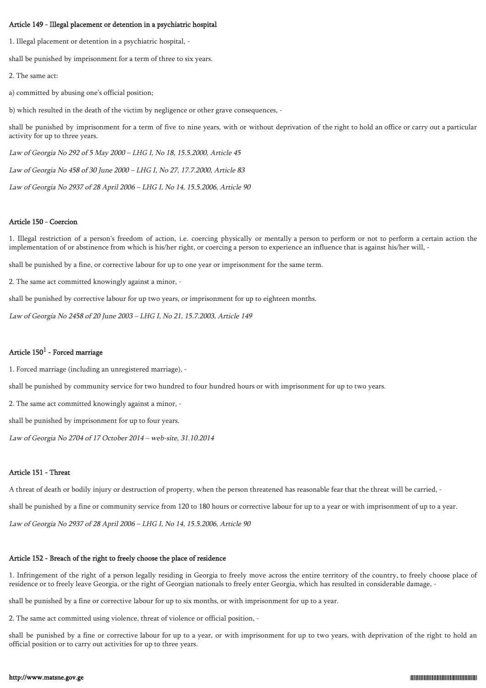#### Article 149 - Illegal placement or detention in a psychiatric hospital

1. Illegal placement or detention in a psychiatric hospital, -

shall be punished by imprisonment for a term of three to six years.

2. The same act:

a) committed by abusing one's official position;

b) which resulted in the death of the victim by negligence or other grave consequences, -

shall be punished by imprisonment for a term of five to nine years, with or without deprivation of the right to hold an office or carry out a particular activity for up to three years.

Law of Georgia No 292 of 5 May 2000 – LHG I, No 18, 15.5.2000, Article 45

Law of Georgia No 458 of 30 June 2000 – LHG I, No 27, 17.7.2000, Article 83

Law of Georgia No 2937 of 28 April 2006 – LHG I, No 14, 15.5.2006, Article 90

#### Article 150 - Coercion

1. Illegal restriction of a person's freedom of action, i.e. coercing physically or mentally a person to perform or not to perform a certain action the implementation of or abstinence from which is his/her right, or coercing a person to experience an influence that is against his/her will, -

shall be punished by a fine, or corrective labour for up to one year or imprisonment for the same term.

2. The same act committed knowingly against a minor, -

shall be punished by corrective labour for up two years, or imprisonment for up to eighteen months.

Law of Georgia No 2458 of 20 June 2003 – LHG I, No 21, 15.7.2003, Article 149

## Article  $150^1$  - Forced marriage

1. Forced marriage (including an unregistered marriage), -

shall be punished by community service for two hundred to four hundred hours or with imprisonment for up to two years.

2. The same act committed knowingly against a minor, -

shall be punished by imprisonment for up to four years.

Law of Georgia No 2704 of 17 October 2014 – web-site, 31.10.2014

#### Article 151 - Threat

A threat of death or bodily injury or destruction of property, when the person threatened has reasonable fear that the threat will be carried, -

shall be punished by a fine or community service from 120 to 180 hours or corrective labour for up to a year or with imprisonment of up to a year.

Law of Georgia No 2937 of 28 April 2006 – LHG I, No 14, 15.5.2006, Article 90

### Article 152 - Breach of the right to freely choose the place of residence

1. Infringement of the right of a person legally residing in Georgia to freely move across the entire territory of the country, to freely choose place of residence or to freely leave Georgia, or the right of Georgian nationals to freely enter Georgia, which has resulted in considerable damage, -

shall be punished by a fine or corrective labour for up to six months, or with imprisonment for up to a year.

2. The same act committed using violence, threat of violence or official position, -

shall be punished by a fine or corrective labour for up to a year, or with imprisonment for up to two years, with deprivation of the right to hold an official position or to carry out activities for up to three years.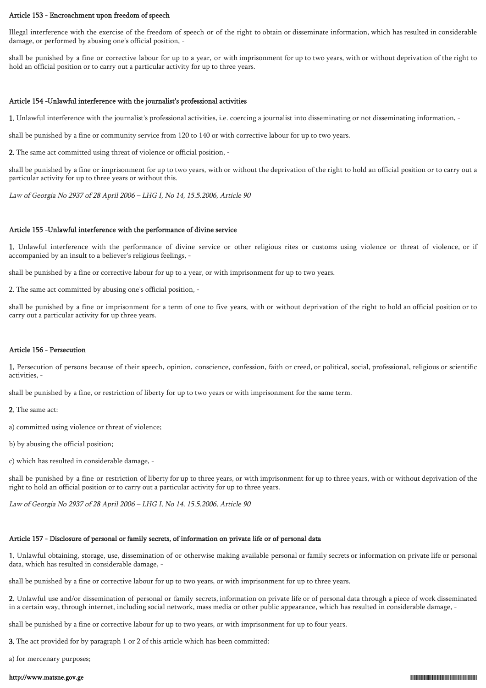#### Article 153 - Encroachment upon freedom of speech

Illegal interference with the exercise of the freedom of speech or of the right to obtain or disseminate information, which has resulted in considerable damage, or performed by abusing one's official position, -

shall be punished by a fine or corrective labour for up to a year, or with imprisonment for up to two years, with or without deprivation of the right to hold an official position or to carry out a particular activity for up to three years.

### Article 154 -Unlawful interference with the journalist's professional activities

1. Unlawful interference with the journalist's professional activities, i.e. coercing a journalist into disseminating or not disseminating information, -

shall be punished by a fine or community service from 120 to 140 or with corrective labour for up to two years.

2. The same act committed using threat of violence or official position, -

shall be punished by a fine or imprisonment for up to two years, with or without the deprivation of the right to hold an official position or to carry out a particular activity for up to three years or without this.

Law of Georgia No 2937 of 28 April 2006 – LHG I, No 14, 15.5.2006, Article 90

### Article 155 -Unlawful interference with the performance of divine service

1. Unlawful interference with the performance of divine service or other religious rites or customs using violence or threat of violence, or if accompanied by an insult to a believer's religious feelings, -

shall be punished by a fine or corrective labour for up to a year, or with imprisonment for up to two years.

2. The same act committed by abusing one's official position, -

shall be punished by a fine or imprisonment for a term of one to five years, with or without deprivation of the right to hold an official position or to carry out a particular activity for up three years.

## Article 156 - Persecution

1. Persecution of persons because of their speech, opinion, conscience, confession, faith or creed, or political, social, professional, religious or scientific activities, -

shall be punished by a fine, or restriction of liberty for up to two years or with imprisonment for the same term.

2. The same act:

- a) committed using violence or threat of violence;
- b) by abusing the official position;
- c) which has resulted in considerable damage, -

shall be punished by a fine or restriction of liberty for up to three years, or with imprisonment for up to three years, with or without deprivation of the right to hold an official position or to carry out a particular activity for up to three years.

Law of Georgia No 2937 of 28 April 2006 – LHG I, No 14, 15.5.2006, Article 90

## Article 157 - Disclosure of personal or family secrets, of information on private life or of personal data

1. Unlawful obtaining, storage, use, dissemination of or otherwise making available personal or family secrets or information on private life or personal data, which has resulted in considerable damage, -

shall be punished by a fine or corrective labour for up to two years, or with imprisonment for up to three years.

2. Unlawful use and/or dissemination of personal or family secrets, information on private life or of personal data through a piece of work disseminated in a certain way, through internet, including social network, mass media or other public appearance, which has resulted in considerable damage, -

shall be punished by a fine or corrective labour for up to two years, or with imprisonment for up to four years.

3. The act provided for by paragraph 1 or 2 of this article which has been committed:

a) for mercenary purposes;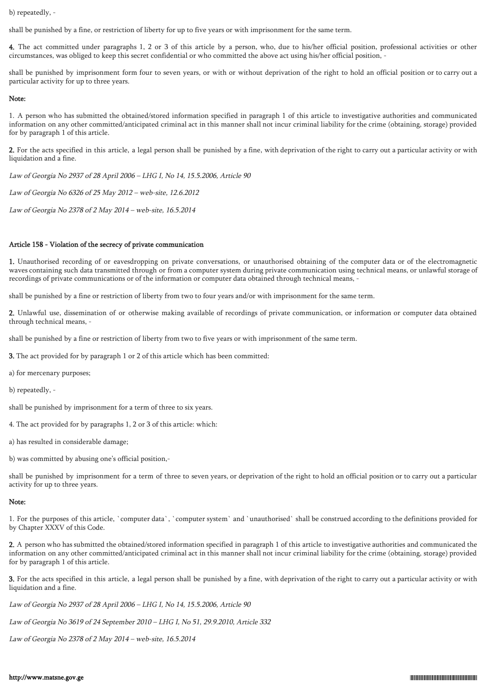b) repeatedly, -

shall be punished by a fine, or restriction of liberty for up to five years or with imprisonment for the same term.

4. The act committed under paragraphs 1, 2 or 3 of this article by a person, who, due to his/her official position, professional activities or other circumstances, was obliged to keep this secret confidential or who committed the above act using his/her official position, -

shall be punished by imprisonment form four to seven years, or with or without deprivation of the right to hold an official position or to carry out a particular activity for up to three years.

#### Note:

1. A person who has submitted the obtained/stored information specified in paragraph 1 of this article to investigative authorities and communicated information on any other committed/anticipated criminal act in this manner shall not incur criminal liability for the crime (obtaining, storage) provided for by paragraph 1 of this article.

2. For the acts specified in this article, a legal person shall be punished by a fine, with deprivation of the right to carry out a particular activity or with liquidation and a fine.

Law of Georgia No 2937 of 28 April 2006 – LHG I, No 14, 15.5.2006, Article 90

Law of Georgia No 6326 of 25 May 2012 – web-site, 12.6.2012

Law of Georgia No 2378 of 2 May 2014 – web-site, 16.5.2014

## Article 158 - Violation of the secrecy of private communication

1. Unauthorised recording of or eavesdropping on private conversations, or unauthorised obtaining of the computer data or of the electromagnetic waves containing such data transmitted through or from a computer system during private communication using technical means, or unlawful storage of recordings of private communications or of the information or computer data obtained through technical means, -

shall be punished by a fine or restriction of liberty from two to four years and/or with imprisonment for the same term.

2. Unlawful use, dissemination of or otherwise making available of recordings of private communication, or information or computer data obtained through technical means, -

shall be punished by a fine or restriction of liberty from two to five years or with imprisonment of the same term.

3. The act provided for by paragraph 1 or 2 of this article which has been committed:

a) for mercenary purposes;

b) repeatedly, -

shall be punished by imprisonment for a term of three to six years.

4. The act provided for by paragraphs 1, 2 or 3 of this article: which:

a) has resulted in considerable damage;

b) was committed by abusing one's official position,-

shall be punished by imprisonment for a term of three to seven years, or deprivation of the right to hold an official position or to carry out a particular activity for up to three years.

## Note:

1. For the purposes of this article, `computer data`, `computer system` and `unauthorised` shall be construed according to the definitions provided for by Chapter XXXV of this Code.

2. A person who has submitted the obtained/stored information specified in paragraph 1 of this article to investigative authorities and communicated the information on any other committed/anticipated criminal act in this manner shall not incur criminal liability for the crime (obtaining, storage) provided for by paragraph 1 of this article.

3. For the acts specified in this article, a legal person shall be punished by a fine, with deprivation of the right to carry out a particular activity or with liquidation and a fine.

Law of Georgia No 2937 of 28 April 2006 – LHG I, No 14, 15.5.2006, Article 90

Law of Georgia No 3619 of 24 September 2010 – LHG I, No 51, 29.9.2010, Article 332

Law of Georgia No 2378 of 2 May 2014 – web-site, 16.5.2014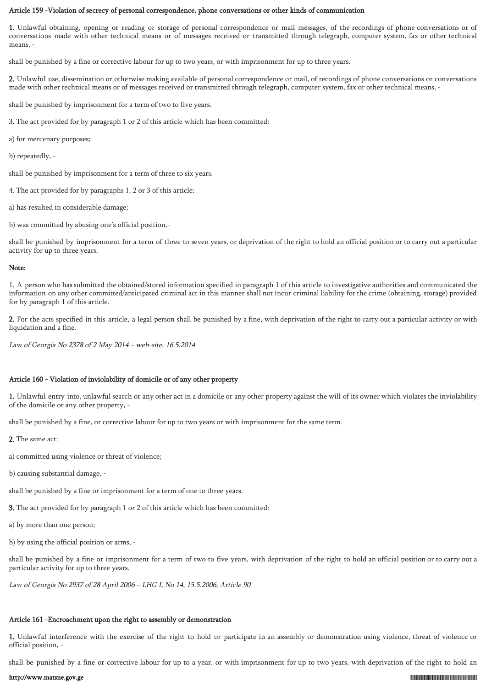#### Article 159 -Violation of secrecy of personal correspondence, phone conversations or other kinds of communication

1. Unlawful obtaining, opening or reading or storage of personal correspondence or mail messages, of the recordings of phone conversations or of conversations made with other technical means or of messages received or transmitted through telegraph, computer system, fax or other technical means.

shall be punished by a fine or corrective labour for up to two years, or with imprisonment for up to three years.

2. Unlawful use, dissemination or otherwise making available of personal correspondence or mail, of recordings of phone conversations or conversations made with other technical means or of messages received or transmitted through telegraph, computer system, fax or other technical means, -

shall be punished by imprisonment for a term of two to five years.

3. The act provided for by paragraph 1 or 2 of this article which has been committed:

- a) for mercenary purposes;
- b) repeatedly, -

shall be punished by imprisonment for a term of three to six years.

4. The act provided for by paragraphs 1, 2 or 3 of this article:

a) has resulted in considerable damage;

b) was committed by abusing one's official position,-

shall be punished by imprisonment for a term of three to seven years, or deprivation of the right to hold an official position or to carry out a particular activity for up to three years.

#### Note:

1. A person who has submitted the obtained/stored information specified in paragraph 1 of this article to investigative authorities and communicated the information on any other committed/anticipated criminal act in this manner shall not incur criminal liability for the crime (obtaining, storage) provided for by paragraph 1 of this article.

2. For the acts specified in this article, a legal person shall be punished by a fine, with deprivation of the right to carry out a particular activity or with liquidation and a fine.

Law of Georgia No 2378 of 2 May 2014 – web-site, 16.5.2014

## Article 160 - Violation of inviolability of domicile or of any other property

1. Unlawful entry into, unlawful search or any other act in a domicile or any other property against the will of its owner which violates the inviolability of the domicile or any other property, -

shall be punished by a fine, or corrective labour for up to two years or with imprisonment for the same term.

- 2. The same act:
- a) committed using violence or threat of violence;
- b) causing substantial damage, -

shall be punished by a fine or imprisonment for a term of one to three years.

3. The act provided for by paragraph 1 or 2 of this article which has been committed:

- a) by more than one person;
- b) by using the official position or arms, -

shall be punished by a fine or imprisonment for a term of two to five years, with deprivation of the right to hold an official position or to carry out a particular activity for up to three years.

Law of Georgia No 2937 of 28 April 2006 – LHG I, No 14, 15.5.2006, Article 90

### Article 161 -Encroachment upon the right to assembly or demonstration

1. Unlawful interference with the exercise of the right to hold or participate in an assembly or demonstration using violence, threat of violence or official position, -

shall be punished by a fine or corrective labour for up to a year, or with imprisonment for up to two years, with deprivation of the right to hold an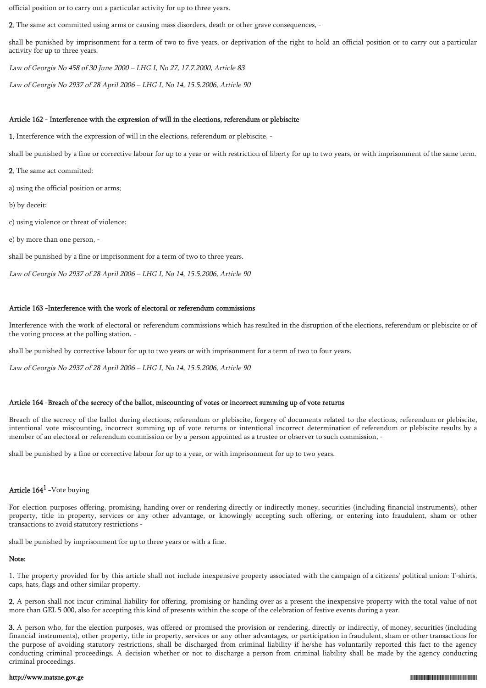official position or to carry out a particular activity for up to three years.

2. The same act committed using arms or causing mass disorders, death or other grave consequences, -

shall be punished by imprisonment for a term of two to five years, or deprivation of the right to hold an official position or to carry out a particular activity for up to three years.

Law of Georgia No 458 of 30 June 2000 – LHG I, No 27, 17.7.2000, Article 83

Law of Georgia No 2937 of 28 April 2006 – LHG I, No 14, 15.5.2006, Article 90

# Article 162 - Interference with the expression of will in the elections, referendum or plebiscite

1. Interference with the expression of will in the elections, referendum or plebiscite, -

shall be punished by a fine or corrective labour for up to a year or with restriction of liberty for up to two years, or with imprisonment of the same term.

2. The same act committed:

a) using the official position or arms;

b) by deceit;

c) using violence or threat of violence;

e) by more than one person, -

shall be punished by a fine or imprisonment for a term of two to three years.

Law of Georgia No 2937 of 28 April 2006 – LHG I, No 14, 15.5.2006, Article 90

# Article 163 -Interference with the work of electoral or referendum commissions

Interference with the work of electoral or referendum commissions which has resulted in the disruption of the elections, referendum or plebiscite or of the voting process at the polling station, -

shall be punished by corrective labour for up to two years or with imprisonment for a term of two to four years.

Law of Georgia No 2937 of 28 April 2006 – LHG I, No 14, 15.5.2006, Article 90

# Article 164 -Breach of the secrecy of the ballot, miscounting of votes or incorrect summing up of vote returns

Breach of the secrecy of the ballot during elections, referendum or plebiscite, forgery of documents related to the elections, referendum or plebiscite, intentional vote miscounting, incorrect summing up of vote returns or intentional incorrect determination of referendum or plebiscite results by a member of an electoral or referendum commission or by a person appointed as a trustee or observer to such commission, -

shall be punished by a fine or corrective labour for up to a year, or with imprisonment for up to two years.

# Article  $164<sup>1</sup>$  -Vote buying

For election purposes offering, promising, handing over or rendering directly or indirectly money, securities (including financial instruments), other property, title in property, services or any other advantage, or knowingly accepting such offering, or entering into fraudulent, sham or other transactions to avoid statutory restrictions -

shall be punished by imprisonment for up to three years or with a fine.

# Note:

1. The property provided for by this article shall not include inexpensive property associated with the campaign of a citizens' political union: T-shirts, caps, hats, flags and other similar property.

2. A person shall not incur criminal liability for offering, promising or handing over as a present the inexpensive property with the total value of not more than GEL 5 000, also for accepting this kind of presents within the scope of the celebration of festive events during a year.

3. A person who, for the election purposes, was offered or promised the provision or rendering, directly or indirectly, of money, securities (including financial instruments), other property, title in property, services or any other advantages, or participation in fraudulent, sham or other transactions for the purpose of avoiding statutory restrictions, shall be discharged from criminal liability if he/she has voluntarily reported this fact to the agency conducting criminal proceedings. A decision whether or not to discharge a person from criminal liability shall be made by the agency conducting criminal proceedings.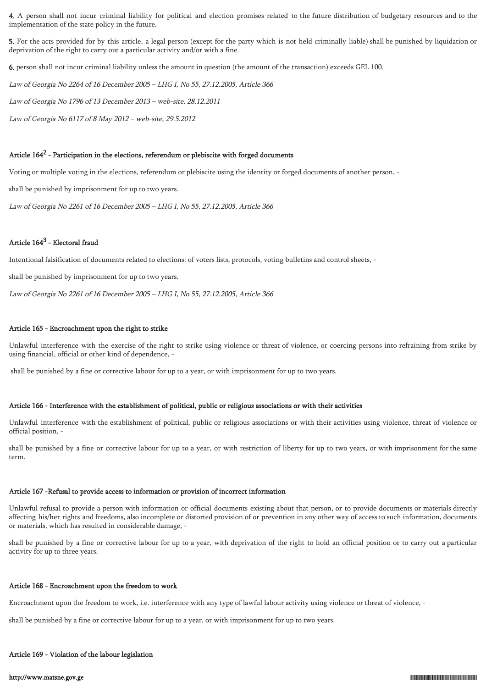4. A person shall not incur criminal liability for political and election promises related to the future distribution of budgetary resources and to the implementation of the state policy in the future.

5. For the acts provided for by this article, a legal person (except for the party which is not held criminally liable) shall be punished by liquidation or deprivation of the right to carry out a particular activity and/or with a fine.

6. person shall not incur criminal liability unless the amount in question (the amount of the transaction) exceeds GEL 100.

Law of Georgia No 2264 of 16 December 2005 – LHG I, No 55, 27.12.2005, Article 366

Law of Georgia No 1796 of 13 December 2013 – web-site, 28.12.2011

Law of Georgia No 6117 of 8 May 2012 – web-site, 29.5.2012

## Article 164<sup>2</sup> - Participation in the elections, referendum or plebiscite with forged documents

Voting or multiple voting in the elections, referendum or plebiscite using the identity or forged documents of another person, -

shall be punished by imprisonment for up to two years.

Law of Georgia No 2261 of 16 December 2005 – LHG I, No 55, 27.12.2005, Article 366

## Article  $164^3$  - Electoral fraud

Intentional falsification of documents related to elections: of voters lists, protocols, voting bulletins and control sheets, -

shall be punished by imprisonment for up to two years.

Law of Georgia No 2261 of 16 December 2005 – LHG I, No 55, 27.12.2005, Article 366

### Article 165 - Encroachment upon the right to strike

Unlawful interference with the exercise of the right to strike using violence or threat of violence, or coercing persons into refraining from strike by using financial, official or other kind of dependence, -

shall be punished by a fine or corrective labour for up to a year, or with imprisonment for up to two years.

#### Article 166 - Interference with the establishment of political, public or religious associations or with their activities

Unlawful interference with the establishment of political, public or religious associations or with their activities using violence, threat of violence or official position, -

shall be punished by a fine or corrective labour for up to a year, or with restriction of liberty for up to two years, or with imprisonment for the same term.

#### Article 167 -Refusal to provide access to information or provision of incorrect information

Unlawful refusal to provide a person with information or official documents existing about that person, or to provide documents or materials directly affecting his/her rights and freedoms, also incomplete or distorted provision of or prevention in any other way of access to such information, documents or materials, which has resulted in considerable damage, -

shall be punished by a fine or corrective labour for up to a year, with deprivation of the right to hold an official position or to carry out a particular activity for up to three years.

#### Article 168 - Encroachment upon the freedom to work

Encroachment upon the freedom to work, i.e. interference with any type of lawful labour activity using violence or threat of violence, -

shall be punished by a fine or corrective labour for up to a year, or with imprisonment for up to two years.

#### Article 169 - Violation of the labour legislation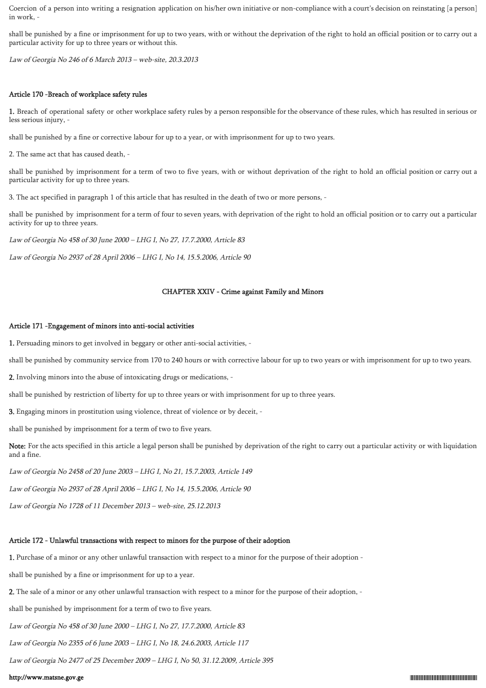Coercion of a person into writing a resignation application on his/her own initiative or non-compliance with a court's decision on reinstating [a person] in work, -

shall be punished by a fine or imprisonment for up to two years, with or without the deprivation of the right to hold an official position or to carry out a particular activity for up to three years or without this.

Law of Georgia No 246 of 6 March 2013 – web-site, 20.3.2013

### Article 170 -Breach of workplace safety rules

1. Breach of operational safety or other workplace safety rules by a person responsible for the observance of these rules, which has resulted in serious or less serious injury, -

shall be punished by a fine or corrective labour for up to a year, or with imprisonment for up to two years.

2. The same act that has caused death, -

shall be punished by imprisonment for a term of two to five years, with or without deprivation of the right to hold an official position or carry out a particular activity for up to three years.

3. The act specified in paragraph 1 of this article that has resulted in the death of two or more persons, -

shall be punished by imprisonment for a term of four to seven years, with deprivation of the right to hold an official position or to carry out a particular activity for up to three years.

Law of Georgia No 458 of 30 June 2000 – LHG I, No 27, 17.7.2000, Article 83

Law of Georgia No 2937 of 28 April 2006 – LHG I, No 14, 15.5.2006, Article 90

## CHAPTER XXIV - Crime against Family and Minors

### Article 171 -Engagement of minors into anti-social activities

1. Persuading minors to get involved in beggary or other anti-social activities, -

shall be punished by community service from 170 to 240 hours or with corrective labour for up to two years or with imprisonment for up to two years.

2. Involving minors into the abuse of intoxicating drugs or medications, -

shall be punished by restriction of liberty for up to three years or with imprisonment for up to three years.

3. Engaging minors in prostitution using violence, threat of violence or by deceit, -

shall be punished by imprisonment for a term of two to five years.

Note: For the acts specified in this article a legal person shall be punished by deprivation of the right to carry out a particular activity or with liquidation and a fine.

Law of Georgia No 2458 of 20 June 2003 – LHG I, No 21, 15.7.2003, Article 149

Law of Georgia No 2937 of 28 April 2006 – LHG I, No 14, 15.5.2006, Article 90

Law of Georgia No 1728 of 11 December 2013 – web-site, 25.12.2013

# Article 172 - Unlawful transactions with respect to minors for the purpose of their adoption

1. Purchase of a minor or any other unlawful transaction with respect to a minor for the purpose of their adoption -

shall be punished by a fine or imprisonment for up to a year.

2. The sale of a minor or any other unlawful transaction with respect to a minor for the purpose of their adoption, -

shall be punished by imprisonment for a term of two to five years.

Law of Georgia No 458 of 30 June 2000 – LHG I, No 27, 17.7.2000, Article 83

Law of Georgia No 2355 of 6 June 2003 – LHG I, No 18, 24.6.2003, Article 117

Law of Georgia No 2477 of 25 December 2009 – LHG I, No 50, 31.12.2009, Article 395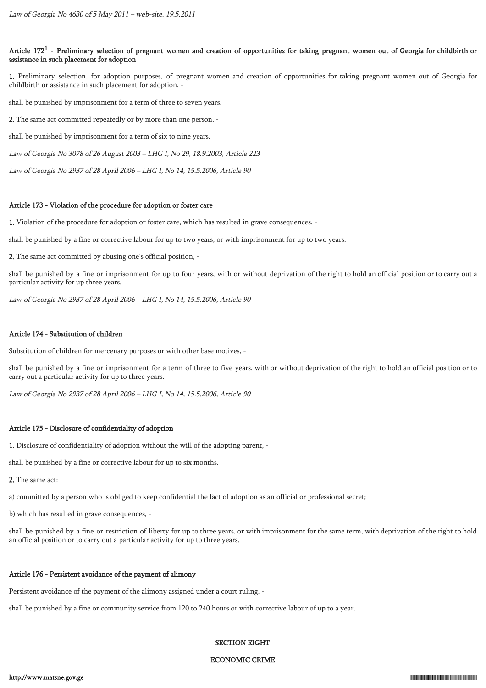## Article 172<sup>1</sup> - Preliminary selection of pregnant women and creation of opportunities for taking pregnant women out of Georgia for childbirth or assistance in such placement for adoption

1. Preliminary selection, for adoption purposes, of pregnant women and creation of opportunities for taking pregnant women out of Georgia for childbirth or assistance in such placement for adoption, -

shall be punished by imprisonment for a term of three to seven years.

2. The same act committed repeatedly or by more than one person, -

shall be punished by imprisonment for a term of six to nine years.

Law of Georgia No 3078 of 26 August 2003 – LHG I, No 29, 18.9.2003, Article 223

Law of Georgia No 2937 of 28 April 2006 – LHG I, No 14, 15.5.2006, Article 90

### Article 173 - Violation of the procedure for adoption or foster care

1. Violation of the procedure for adoption or foster care, which has resulted in grave consequences, -

shall be punished by a fine or corrective labour for up to two years, or with imprisonment for up to two years.

2. The same act committed by abusing one's official position, -

shall be punished by a fine or imprisonment for up to four years, with or without deprivation of the right to hold an official position or to carry out a particular activity for up three years.

Law of Georgia No 2937 of 28 April 2006 – LHG I, No 14, 15.5.2006, Article 90

## Article 174 - Substitution of children

Substitution of children for mercenary purposes or with other base motives, -

shall be punished by a fine or imprisonment for a term of three to five years, with or without deprivation of the right to hold an official position or to carry out a particular activity for up to three years.

Law of Georgia No 2937 of 28 April 2006 – LHG I, No 14, 15.5.2006, Article 90

## Article 175 - Disclosure of confidentiality of adoption

1. Disclosure of confidentiality of adoption without the will of the adopting parent, -

shall be punished by a fine or corrective labour for up to six months.

2. The same act:

a) committed by a person who is obliged to keep confidential the fact of adoption as an official or professional secret;

b) which has resulted in grave consequences, -

shall be punished by a fine or restriction of liberty for up to three years, or with imprisonment for the same term, with deprivation of the right to hold an official position or to carry out a particular activity for up to three years.

# Article 176 - Persistent avoidance of the payment of alimony

Persistent avoidance of the payment of the alimony assigned under a court ruling, -

shall be punished by a fine or community service from 120 to 240 hours or with corrective labour of up to a year.

## SECTION EIGHT

## ECONOMIC CRIME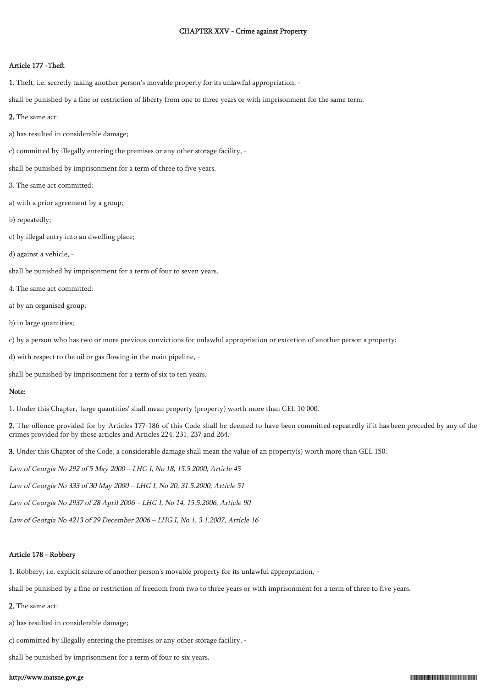#### CHAPTER XXV - Crime against Property

#### Article 177 -Theft

1. Theft, i.e. secretly taking another person's movable property for its unlawful appropriation, -

shall be punished by a fine or restriction of liberty from one to three years or with imprisonment for the same term.

- 2. The same act:
- a) has resulted in considerable damage;
- c) committed by illegally entering the premises or any other storage facility, -

shall be punished by imprisonment for a term of three to five years.

- 3. The same act committed:
- a) with a prior agreement by a group;
- b) repeatedly;
- c) by illegal entry into an dwelling place;
- d) against a vehicle, -

shall be punished by imprisonment for a term of four to seven years.

- 4. The same act committed:
- a) by an organised group;
- b) in large quantities;

c) by a person who has two or more previous convictions for unlawful appropriation or extortion of another person's property;

d) with respect to the oil or gas flowing in the main pipeline, -

shall be punished by imprisonment for a term of six to ten years.

## Note:

1. Under this Chapter, 'large quantities' shall mean property (property) worth more than GEL 10 000.

2. The offence provided for by Articles 177-186 of this Code shall be deemed to have been committed repeatedly if it has been preceded by any of the crimes provided for by those articles and Articles 224, 231, 237 and 264.

3. Under this Chapter of the Code, a considerable damage shall mean the value of an property(s) worth more than GEL 150.

Law of Georgia No 292 of 5 May 2000 – LHG I, No 18, 15.5.2000, Article 45

Law of Georgia No 333 of 30 May 2000 – LHG I, No 20, 31.5.2000, Article 51

Law of Georgia No 2937 of 28 April 2006 – LHG I, No 14, 15.5.2006, Article 90

Law of Georgia No 4213 of 29 December 2006 – LHG I, No 1, 3.1.2007, Article 16

#### Article 178 - Robbery

1. Robbery, i.e. explicit seizure of another person's movable property for its unlawful appropriation, -

shall be punished by a fine or restriction of freedom from two to three years or with imprisonment for a term of three to five years.

2. The same act:

a) has resulted in considerable damage;

c) committed by illegally entering the premises or any other storage facility, -

shall be punished by imprisonment for a term of four to six years.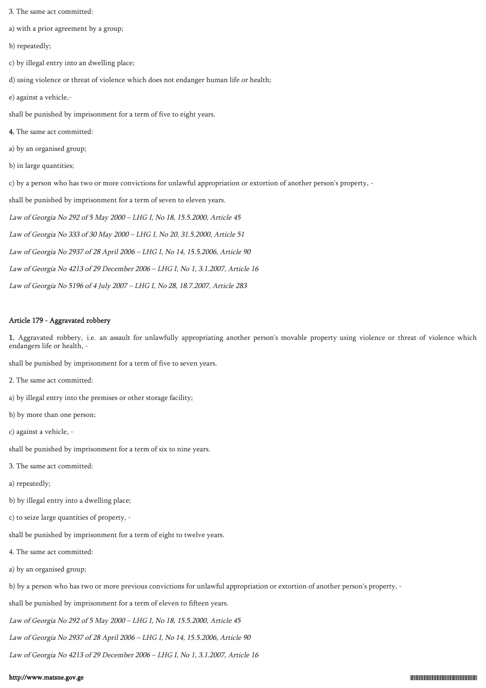- 3. The same act committed:
- a) with a prior agreement by a group;
- b) repeatedly;
- c) by illegal entry into an dwelling place;
- d) using violence or threat of violence which does not endanger human life or health;
- e) against a vehicle,-
- shall be punished by imprisonment for a term of five to eight years.
- 4. The same act committed:
- a) by an organised group;
- b) in large quantities;
- c) by a person who has two or more convictions for unlawful appropriation or extortion of another person's property, -
- shall be punished by imprisonment for a term of seven to eleven years.
- Law of Georgia No 292 of 5 May 2000 LHG I, No 18, 15.5.2000, Article 45
- Law of Georgia No 333 of 30 May 2000 LHG I, No 20, 31.5.2000, Article 51
- Law of Georgia No 2937 of 28 April 2006 LHG I, No 14, 15.5.2006, Article 90
- Law of Georgia No 4213 of 29 December 2006 LHG I, No 1, 3.1.2007, Article 16
- Law of Georgia No 5196 of 4 July 2007 LHG I, No 28, 18.7.2007, Article 283

## Article 179 - Aggravated robbery

1. Aggravated robbery, i.e. an assault for unlawfully appropriating another person's movable property using violence or threat of violence which endangers life or health, -

shall be punished by imprisonment for a term of five to seven years.

- 2. The same act committed:
- a) by illegal entry into the premises or other storage facility;
- b) by more than one person;
- c) against a vehicle, -
- shall be punished by imprisonment for a term of six to nine years.
- 3. The same act committed:
- a) repeatedly;
- b) by illegal entry into a dwelling place;
- c) to seize large quantities of property, -
- shall be punished by imprisonment for a term of eight to twelve years.
- 4. The same act committed:
- a) by an organised group;
- b) by a person who has two or more previous convictions for unlawful appropriation or extortion of another person's property, -
- shall be punished by imprisonment for a term of eleven to fifteen years.
- Law of Georgia No 292 of 5 May 2000 LHG I, No 18, 15.5.2000, Article 45
- Law of Georgia No 2937 of 28 April 2006 LHG I, No 14, 15.5.2006, Article 90
- Law of Georgia No 4213 of 29 December 2006 LHG I, No 1, 3.1.2007, Article 16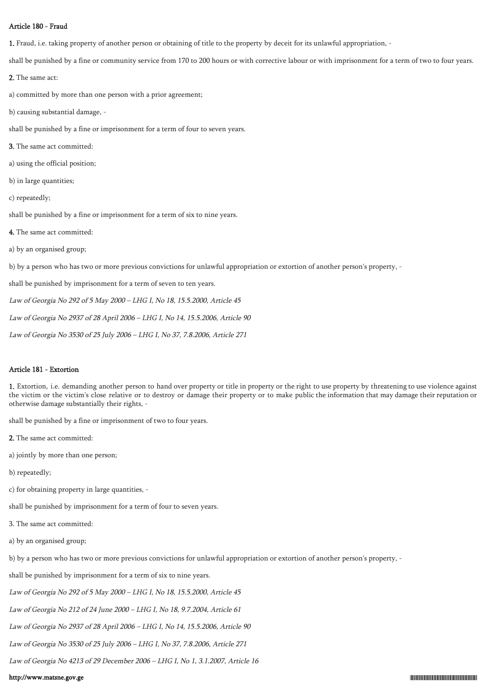## Article 180 - Fraud

1. Fraud, i.e. taking property of another person or obtaining of title to the property by deceit for its unlawful appropriation, -

shall be punished by a fine or community service from 170 to 200 hours or with corrective labour or with imprisonment for a term of two to four years.

2. The same act:

a) committed by more than one person with a prior agreement;

b) causing substantial damage, -

shall be punished by a fine or imprisonment for a term of four to seven years.

- 3. The same act committed:
- a) using the official position;
- b) in large quantities;
- c) repeatedly;

shall be punished by a fine or imprisonment for a term of six to nine years.

- 4. The same act committed:
- a) by an organised group;

b) by a person who has two or more previous convictions for unlawful appropriation or extortion of another person's property, -

shall be punished by imprisonment for a term of seven to ten years.

Law of Georgia No 292 of 5 May 2000 – LHG I, No 18, 15.5.2000, Article 45

Law of Georgia No 2937 of 28 April 2006 – LHG I, No 14, 15.5.2006, Article 90

Law of Georgia No 3530 of 25 July 2006 – LHG I, No 37, 7.8.2006, Article 271

### Article 181 - Extortion

1. Extortion, i.e. demanding another person to hand over property or title in property or the right to use property by threatening to use violence against the victim or the victim's close relative or to destroy or damage their property or to make public the information that may damage their reputation or otherwise damage substantially their rights, -

shall be punished by a fine or imprisonment of two to four years.

- 2. The same act committed:
- a) jointly by more than one person;
- b) repeatedly;
- c) for obtaining property in large quantities, -

shall be punished by imprisonment for a term of four to seven years.

- 3. The same act committed:
- a) by an organised group;

b) by a person who has two or more previous convictions for unlawful appropriation or extortion of another person's property, -

shall be punished by imprisonment for a term of six to nine years.

Law of Georgia No 292 of 5 May 2000 – LHG I, No 18, 15.5.2000, Article 45

Law of Georgia No 212 of 24 June 2000 – LHG I, No 18, 9.7.2004, Article 61

Law of Georgia No 2937 of 28 April 2006 – LHG I, No 14, 15.5.2006, Article 90

Law of Georgia No 3530 of 25 July 2006 – LHG I, No 37, 7.8.2006, Article 271

Law of Georgia No 4213 of 29 December 2006 – LHG I, No 1, 3.1.2007, Article 16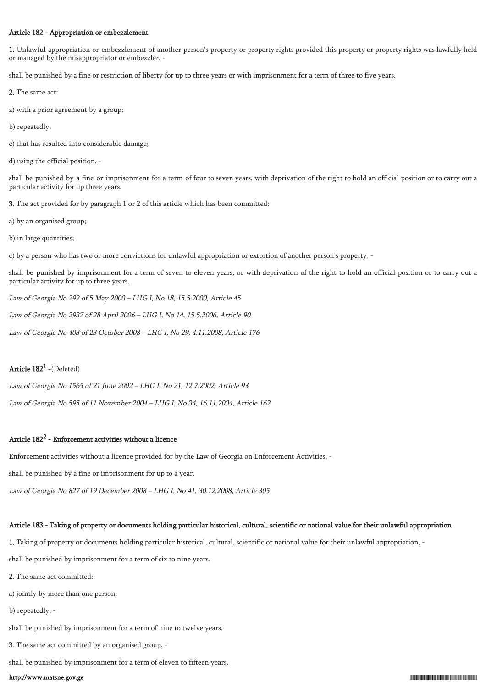### Article 182 - Appropriation or embezzlement

1. Unlawful appropriation or embezzlement of another person's property or property rights provided this property or property rights was lawfully held or managed by the misappropriator or embezzler, -

shall be punished by a fine or restriction of liberty for up to three years or with imprisonment for a term of three to five years.

- 2. The same act:
- a) with a prior agreement by a group;
- b) repeatedly;
- c) that has resulted into considerable damage;
- d) using the official position, -

shall be punished by a fine or imprisonment for a term of four to seven years, with deprivation of the right to hold an official position or to carry out a particular activity for up three years.

3. The act provided for by paragraph 1 or 2 of this article which has been committed:

- a) by an organised group;
- b) in large quantities;

c) by a person who has two or more convictions for unlawful appropriation or extortion of another person's property, -

shall be punished by imprisonment for a term of seven to eleven years, or with deprivation of the right to hold an official position or to carry out a particular activity for up to three years.

Law of Georgia No 292 of 5 May 2000 – LHG I, No 18, 15.5.2000, Article 45

Law of Georgia No 2937 of 28 April 2006 – LHG I, No 14, 15.5.2006, Article 90

Law of Georgia No 403 of 23 October 2008 – LHG I, No 29, 4.11.2008, Article 176

# Article  $182^1$  -(Deleted)

Law of Georgia No 1565 of 21 June 2002 – LHG I, No 21, 12.7.2002, Article 93

Law of Georgia No 595 of 11 November 2004 – LHG I, No 34, 16.11.2004, Article 162

# Article  $182^2$  - Enforcement activities without a licence

Enforcement activities without a licence provided for by the Law of Georgia on Enforcement Activities, -

shall be punished by a fine or imprisonment for up to a year.

Law of Georgia No 827 of 19 December 2008 – LHG I, No 41, 30.12.2008, Article 305

# Article 183 - Taking of property or documents holding particular historical, cultural, scientific or national value for their unlawful appropriation

1. Taking of property or documents holding particular historical, cultural, scientific or national value for their unlawful appropriation, -

shall be punished by imprisonment for a term of six to nine years.

- 2. The same act committed:
- a) jointly by more than one person;
- b) repeatedly, -

shall be punished by imprisonment for a term of nine to twelve years.

3. The same act committed by an organised group, -

shall be punished by imprisonment for a term of eleven to fifteen years.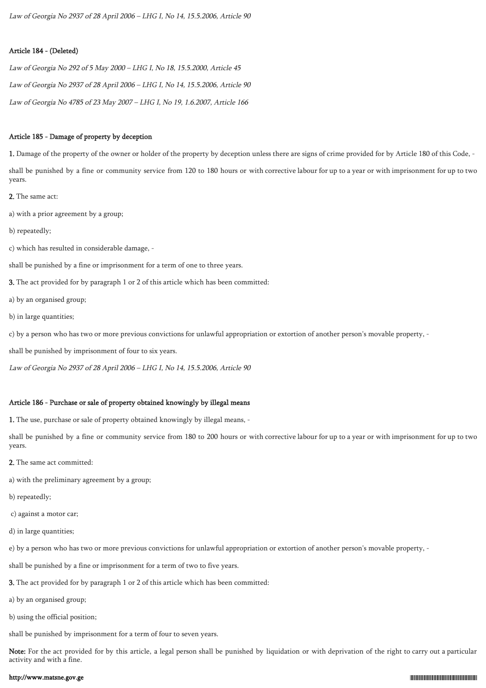Law of Georgia No 2937 of 28 April 2006 – LHG I, No 14, 15.5.2006, Article 90

### Article 184 - (Deleted)

Law of Georgia No 292 of 5 May 2000 – LHG I, No 18, 15.5.2000, Article 45 Law of Georgia No 2937 of 28 April 2006 – LHG I, No 14, 15.5.2006, Article 90 Law of Georgia No 4785 of 23 May 2007 – LHG I, No 19, 1.6.2007, Article 166

#### Article 185 - Damage of property by deception

1. Damage of the property of the owner or holder of the property by deception unless there are signs of crime provided for by Article 180 of this Code, shall be punished by a fine or community service from 120 to 180 hours or with corrective labour for up to a year or with imprisonment for up to two years.

2. The same act:

a) with a prior agreement by a group;

b) repeatedly;

c) which has resulted in considerable damage, -

shall be punished by a fine or imprisonment for a term of one to three years.

3. The act provided for by paragraph 1 or 2 of this article which has been committed:

a) by an organised group;

b) in large quantities;

c) by a person who has two or more previous convictions for unlawful appropriation or extortion of another person's movable property, -

shall be punished by imprisonment of four to six years.

Law of Georgia No 2937 of 28 April 2006 – LHG I, No 14, 15.5.2006, Article 90

### Article 186 - Purchase or sale of property obtained knowingly by illegal means

1. The use, purchase or sale of property obtained knowingly by illegal means, -

shall be punished by a fine or community service from 180 to 200 hours or with corrective labour for up to a year or with imprisonment for up to two years.

2. The same act committed:

a) with the preliminary agreement by a group;

b) repeatedly;

c) against a motor car;

d) in large quantities;

e) by a person who has two or more previous convictions for unlawful appropriation or extortion of another person's movable property, -

shall be punished by a fine or imprisonment for a term of two to five years.

3. The act provided for by paragraph 1 or 2 of this article which has been committed:

a) by an organised group;

b) using the official position;

shall be punished by imprisonment for a term of four to seven years.

Note: For the act provided for by this article, a legal person shall be punished by liquidation or with deprivation of the right to carry out a particular activity and with a fine.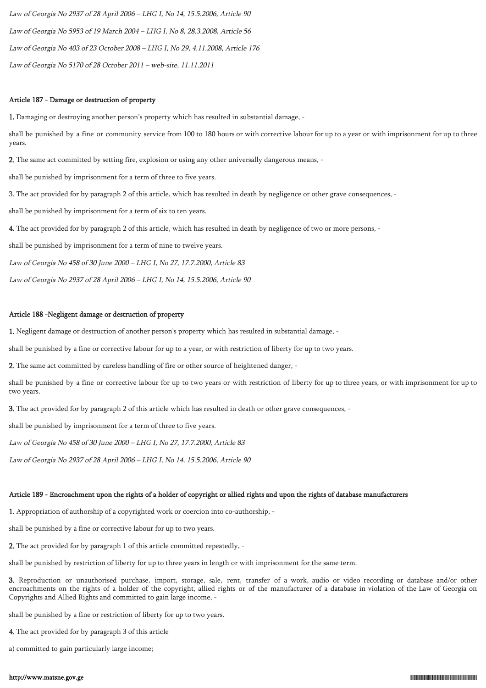Law of Georgia No 2937 of 28 April 2006 – LHG I, No 14, 15.5.2006, Article 90 Law of Georgia No 5953 of 19 March 2004 – LHG I, No 8, 28.3.2008, Article 56 Law of Georgia No 403 of 23 October 2008 – LHG I, No 29, 4.11.2008, Article 176 Law of Georgia No 5170 of 28 October 2011 – web-site, 11.11.2011

### Article 187 - Damage or destruction of property

1. Damaging or destroying another person's property which has resulted in substantial damage, -

shall be punished by a fine or community service from 100 to 180 hours or with corrective labour for up to a year or with imprisonment for up to three years.

2. The same act committed by setting fire, explosion or using any other universally dangerous means, -

shall be punished by imprisonment for a term of three to five years.

3. The act provided for by paragraph 2 of this article, which has resulted in death by negligence or other grave consequences, -

shall be punished by imprisonment for a term of six to ten years.

4. The act provided for by paragraph 2 of this article, which has resulted in death by negligence of two or more persons, -

shall be punished by imprisonment for a term of nine to twelve years.

Law of Georgia No 458 of 30 June 2000 – LHG I, No 27, 17.7.2000, Article 83

Law of Georgia No 2937 of 28 April 2006 – LHG I, No 14, 15.5.2006, Article 90

### Article 188 -Negligent damage or destruction of property

1. Negligent damage or destruction of another person's property which has resulted in substantial damage, -

shall be punished by a fine or corrective labour for up to a year, or with restriction of liberty for up to two years.

2. The same act committed by careless handling of fire or other source of heightened danger, -

shall be punished by a fine or corrective labour for up to two years or with restriction of liberty for up to three years, or with imprisonment for up to two years.

3. The act provided for by paragraph 2 of this article which has resulted in death or other grave consequences, -

shall be punished by imprisonment for a term of three to five years.

Law of Georgia No 458 of 30 June 2000 – LHG I, No 27, 17.7.2000, Article 83

Law of Georgia No 2937 of 28 April 2006 – LHG I, No 14, 15.5.2006, Article 90

## Article 189 - Encroachment upon the rights of a holder of copyright or allied rights and upon the rights of database manufacturers

1. Appropriation of authorship of a copyrighted work or coercion into co-authorship, -

shall be punished by a fine or corrective labour for up to two years.

2. The act provided for by paragraph 1 of this article committed repeatedly, -

shall be punished by restriction of liberty for up to three years in length or with imprisonment for the same term.

3. Reproduction or unauthorised purchase, import, storage, sale, rent, transfer of a work, audio or video recording or database and/or other encroachments on the rights of a holder of the copyright, allied rights or of the manufacturer of a database in violation of the Law of Georgia on Copyrights and Allied Rights and committed to gain large income, -

shall be punished by a fine or restriction of liberty for up to two years.

4. The act provided for by paragraph 3 of this article

a) committed to gain particularly large income;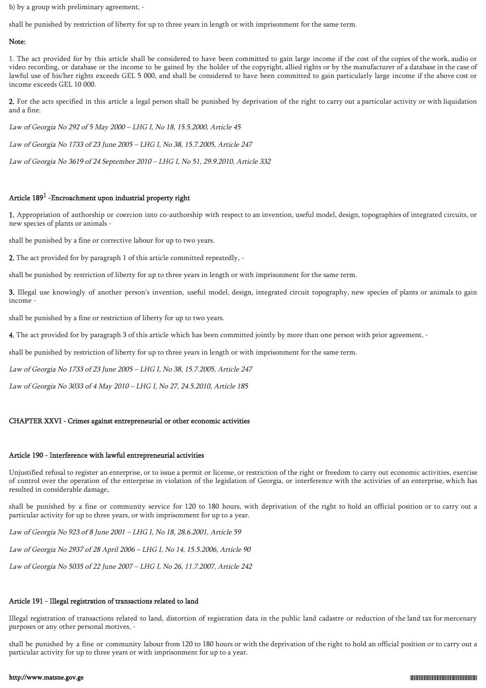b) by a group with preliminary agreement, -

shall be punished by restriction of liberty for up to three years in length or with imprisonment for the same term.

### Note:

1. The act provided for by this article shall be considered to have been committed to gain large income if the cost of the copies of the work, audio or video recording, or database or the income to be gained by the holder of the copyright, allied rights or by the manufacturer of a database in the case of lawful use of his/her rights exceeds GEL 5 000, and shall be considered to have been committed to gain particularly large income if the above cost or income exceeds GEL 10 000.

2. For the acts specified in this article a legal person shall be punished by deprivation of the right to carry out a particular activity or with liquidation and a fine.

Law of Georgia No 292 of 5 May 2000 – LHG I, No 18, 15.5.2000, Article 45

Law of Georgia No 1733 of 23 June 2005 – LHG I, No 38, 15.7.2005, Article 247

Law of Georgia No 3619 of 24 September 2010 – LHG I, No 51, 29.9.2010, Article 332

# Article 189<sup>1</sup> -Encroachment upon industrial property right

1. Appropriation of authorship or coercion into co-authorship with respect to an invention, useful model, design, topographies of integrated circuits, or new species of plants or animals -

shall be punished by a fine or corrective labour for up to two years.

2. The act provided for by paragraph 1 of this article committed repeatedly, -

shall be punished by restriction of liberty for up to three years in length or with imprisonment for the same term.

3. Illegal use knowingly of another person's invention, useful model, design, integrated circuit topography, new species of plants or animals to gain income -

shall be punished by a fine or restriction of liberty for up to two years.

4. The act provided for by paragraph 3 of this article which has been committed jointly by more than one person with prior agreement, -

shall be punished by restriction of liberty for up to three years in length or with imprisonment for the same term.

Law of Georgia No 1733 of 23 June 2005 – LHG I, No 38, 15.7.2005, Article 247

Law of Georgia No 3033 of 4 May 2010 – LHG I, No 27, 24.5.2010, Article 185

## CHAPTER XXVI - Crimes against entrepreneurial or other economic activities

## Article 190 - Interference with lawful entrepreneurial activities

Unjustified refusal to register an enterprise, or to issue a permit or license, or restriction of the right or freedom to carry out economic activities, exercise of control over the operation of the enterprise in violation of the legislation of Georgia, or interference with the activities of an enterprise, which has resulted in considerable damage,

shall be punished by a fine or community service for 120 to 180 hours, with deprivation of the right to hold an official position or to carry out a particular activity for up to three years, or with imprisonment for up to a year.

Law of Georgia No 923 of 8 June 2001 – LHG I, No 18, 28.6.2001, Article 59

Law of Georgia No 2937 of 28 April 2006 – LHG I, No 14, 15.5.2006, Article 90

Law of Georgia No 5035 of 22 June 2007 – LHG I, No 26, 11.7.2007, Article 242

## Article 191 - Illegal registration of transactions related to land

Illegal registration of transactions related to land, distortion of registration data in the public land cadastre or reduction of the land tax for mercenary purposes or any other personal motives, -

shall be punished by a fine or community labour from 120 to 180 hours or with the deprivation of the right to hold an official position or to carry out a particular activity for up to three years or with imprisonment for up to a year.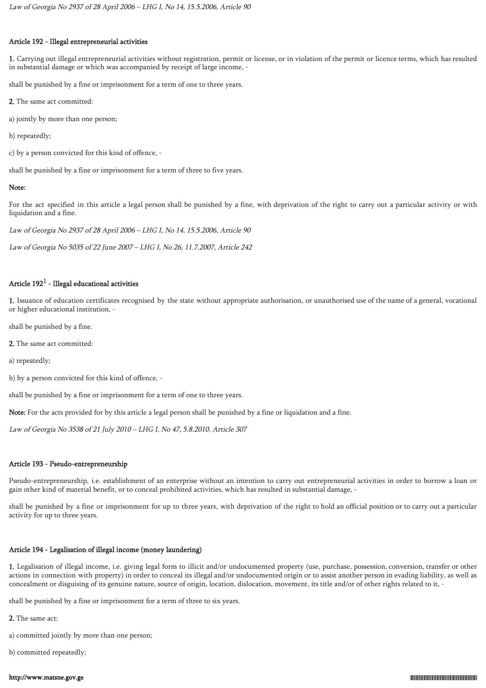## Article 192 - Illegal entrepreneurial activities

1. Carrying out illegal entrepreneurial activities without registration, permit or license, or in violation of the permit or licence terms, which has resulted in substantial damage or which was accompanied by receipt of large income, -

shall be punished by a fine or imprisonment for a term of one to three years.

2. The same act committed:

a) jointly by more than one person;

b) repeatedly;

c) by a person convicted for this kind of offence, -

shall be punished by a fine or imprisonment for a term of three to five years.

## Note:

For the act specified in this article a legal person shall be punished by a fine, with deprivation of the right to carry out a particular activity or with liquidation and a fine.

Law of Georgia No 2937 of 28 April 2006 – LHG I, No 14, 15.5.2006, Article 90

Law of Georgia No 5035 of 22 June 2007 – LHG I, No 26, 11.7.2007, Article 242

## Article  $192^1$  - Illegal educational activities

1. Issuance of education certificates recognised by the state without appropriate authorisation, or unauthorised use of the name of a general, vocational or higher educational institution, -

shall be punished by a fine.

2. The same act committed:

a) repeatedly;

b) by a person convicted for this kind of offence, -

shall be punished by a fine or imprisonment for a term of one to three years.

Note: For the acts provided for by this article a legal person shall be punished by a fine or liquidation and a fine.

Law of Georgia No 3538 of 21 July 2010 – LHG I, No 47, 5.8.2010, Article 307

## Article 193 - Pseudo-entrepreneurship

Pseudo-entrepreneurship, i.e. establishment of an enterprise without an intention to carry out entrepreneurial activities in order to borrow a loan or gain other kind of material benefit, or to conceal prohibited activities, which has resulted in substantial damage, -

shall be punished by a fine or imprisonment for up to three years, with deprivation of the right to hold an official position or to carry out a particular activity for up to three years.

## Article 194 - Legalisation of illegal income (money laundering)

1. Legalisation of illegal income, i.e. giving legal form to illicit and/or undocumented property (use, purchase, possession, conversion, transfer or other actions in connection with property) in order to conceal its illegal and/or undocumented origin or to assist another person in evading liability, as well as concealment or disguising of its genuine nature, source of origin, location, dislocation, movement, its title and/or of other rights related to it, -

shall be punished by a fine or imprisonment for a term of three to six years.

2. The same act:

a) committed jointly by more than one person;

b) committed repeatedly;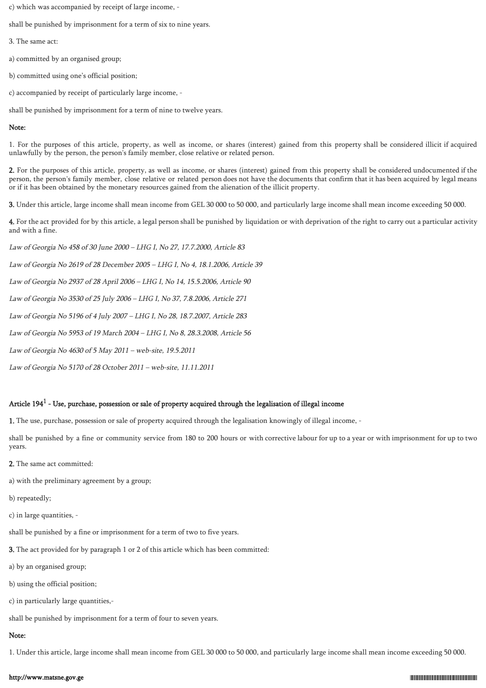c) which was accompanied by receipt of large income, -

shall be punished by imprisonment for a term of six to nine years.

- 3. The same act:
- a) committed by an organised group;
- b) committed using one's official position;
- c) accompanied by receipt of particularly large income, -

shall be punished by imprisonment for a term of nine to twelve years.

#### Note:

1. For the purposes of this article, property, as well as income, or shares (interest) gained from this property shall be considered illicit if acquired unlawfully by the person, the person's family member, close relative or related person.

2. For the purposes of this article, property, as well as income, or shares (interest) gained from this property shall be considered undocumented if the person, the person's family member, close relative or related person does not have the documents that confirm that it has been acquired by legal means or if it has been obtained by the monetary resources gained from the alienation of the illicit property.

3. Under this article, large income shall mean income from GEL 30 000 to 50 000, and particularly large income shall mean income exceeding 50 000.

4. For the act provided for by this article, a legal person shall be punished by liquidation or with deprivation of the right to carry out a particular activity and with a fine.

Law of Georgia No 458 of 30 June 2000 – LHG I, No 27, 17.7.2000, Article 83

Law of Georgia No 2619 of 28 December 2005 – LHG I, No 4, 18.1.2006, Article 39

Law of Georgia No 2937 of 28 April 2006 – LHG I, No 14, 15.5.2006, Article 90

Law of Georgia No 3530 of 25 July 2006 – LHG I, No 37, 7.8.2006, Article 271

Law of Georgia No 5196 of 4 July 2007 – LHG I, No 28, 18.7.2007, Article 283

Law of Georgia No 5953 of 19 March 2004 – LHG I, No 8, 28.3.2008, Article 56

Law of Georgia No 4630 of 5 May 2011 – web-site, 19.5.2011

Law of Georgia No 5170 of 28 October 2011 – web-site, 11.11.2011

# Article 194 $^{\rm 1}$  - Use, purchase, possession or sale of property acquired through the legalisation of illegal income

1. The use, purchase, possession or sale of property acquired through the legalisation knowingly of illegal income, -

shall be punished by a fine or community service from 180 to 200 hours or with corrective labour for up to a year or with imprisonment for up to two years.

- 2. The same act committed:
- a) with the preliminary agreement by a group;
- b) repeatedly;
- c) in large quantities, -

shall be punished by a fine or imprisonment for a term of two to five years.

- 3. The act provided for by paragraph 1 or 2 of this article which has been committed:
- a) by an organised group;
- b) using the official position;
- c) in particularly large quantities,-

shall be punished by imprisonment for a term of four to seven years.

# Note:

1. Under this article, large income shall mean income from GEL 30 000 to 50 000, and particularly large income shall mean income exceeding 50 000.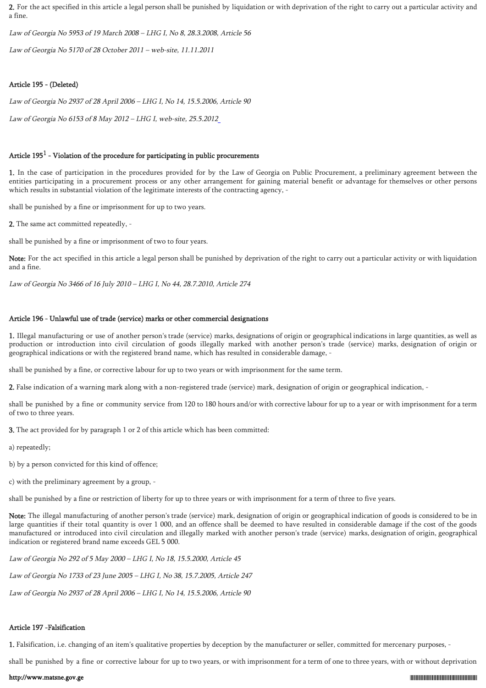2. For the act specified in this article a legal person shall be punished by liquidation or with deprivation of the right to carry out a particular activity and a fine.

Law of Georgia No 5953 of 19 March 2008 – LHG I, No 8, 28.3.2008, Article 56

Law of Georgia No 5170 of 28 October 2011 – web-site, 11.11.2011

### Article 195 - (Deleted)

Law of Georgia No 2937 of 28 April 2006 – LHG I, No 14, 15.5.2006, Article 90

Law of Georgia No 6153 of 8 May 2012 – LHG I, web-site, 25.5.201[2](https://matsne.gov.ge/ka/document/view/1661476)

## Article 195 $<sup>1</sup>$  - Violation of the procedure for participating in public procurements</sup>

1. In the case of participation in the procedures provided for by the Law of Georgia on Public Procurement, a preliminary agreement between the entities participating in a procurement process or any other arrangement for gaining material benefit or advantage for themselves or other persons which results in substantial violation of the legitimate interests of the contracting agency, -

shall be punished by a fine or imprisonment for up to two years.

2. The same act committed repeatedly, -

shall be punished by a fine or imprisonment of two to four years.

Note: For the act specified in this article a legal person shall be punished by deprivation of the right to carry out a particular activity or with liquidation and a fine.

Law of Georgia No 3466 of 16 July 2010 – LHG I, No 44, 28.7.2010, Article 274

## Article 196 - Unlawful use of trade (service) marks or other commercial designations

1. Illegal manufacturing or use of another person's trade (service) marks, designations of origin or geographical indications in large quantities, as well as production or introduction into civil circulation of goods illegally marked with another person's trade (service) marks, designation of origin or geographical indications or with the registered brand name, which has resulted in considerable damage, -

shall be punished by a fine, or corrective labour for up to two years or with imprisonment for the same term.

2. False indication of a warning mark along with a non-registered trade (service) mark, designation of origin or geographical indication, -

shall be punished by a fine or community service from 120 to 180 hours and/or with corrective labour for up to a year or with imprisonment for a term of two to three years.

3. The act provided for by paragraph 1 or 2 of this article which has been committed:

a) repeatedly;

b) by a person convicted for this kind of offence;

c) with the preliminary agreement by a group, -

shall be punished by a fine or restriction of liberty for up to three years or with imprisonment for a term of three to five years.

Note: The illegal manufacturing of another person's trade (service) mark, designation of origin or geographical indication of goods is considered to be in large quantities if their total quantity is over 1 000, and an offence shall be deemed to have resulted in considerable damage if the cost of the goods manufactured or introduced into civil circulation and illegally marked with another person's trade (service) marks, designation of origin, geographical indication or registered brand name exceeds GEL 5 000.

Law of Georgia No 292 of 5 May 2000 – LHG I, No 18, 15.5.2000, Article 45

Law of Georgia No 1733 of 23 June 2005 – LHG I, No 38, 15.7.2005, Article 247

Law of Georgia No 2937 of 28 April 2006 – LHG I, No 14, 15.5.2006, Article 90

## Article 197 -Falsification

1. Falsification, i.e. changing of an item's qualitative properties by deception by the manufacturer or seller, committed for mercenary purposes, -

shall be punished by a fine or corrective labour for up to two years, or with imprisonment for a term of one to three years, with or without deprivation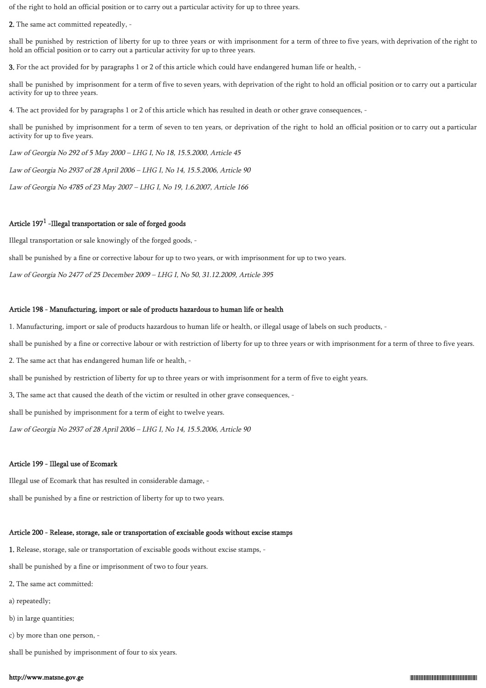of the right to hold an official position or to carry out a particular activity for up to three years.

2. The same act committed repeatedly, -

shall be punished by restriction of liberty for up to three years or with imprisonment for a term of three to five years, with deprivation of the right to hold an official position or to carry out a particular activity for up to three years.

3. For the act provided for by paragraphs 1 or 2 of this article which could have endangered human life or health, -

shall be punished by imprisonment for a term of five to seven years, with deprivation of the right to hold an official position or to carry out a particular activity for up to three years.

4. The act provided for by paragraphs 1 or 2 of this article which has resulted in death or other grave consequences, -

shall be punished by imprisonment for a term of seven to ten years, or deprivation of the right to hold an official position or to carry out a particular activity for up to five years.

Law of Georgia No 292 of 5 May 2000 – LHG I, No 18, 15.5.2000, Article 45

Law of Georgia No 2937 of 28 April 2006 – LHG I, No 14, 15.5.2006, Article 90

Law of Georgia No 4785 of 23 May 2007 – LHG I, No 19, 1.6.2007, Article 166

## Article 197<sup>1</sup> -Illegal transportation or sale of forged goods

Illegal transportation or sale knowingly of the forged goods, -

shall be punished by a fine or corrective labour for up to two years, or with imprisonment for up to two years.

Law of Georgia No 2477 of 25 December 2009 – LHG I, No 50, 31.12.2009, Article 395

### Article 198 - Manufacturing, import or sale of products hazardous to human life or health

1. Manufacturing, import or sale of products hazardous to human life or health, or illegal usage of labels on such products, -

shall be punished by a fine or corrective labour or with restriction of liberty for up to three years or with imprisonment for a term of three to five years.

2. The same act that has endangered human life or health, -

shall be punished by restriction of liberty for up to three years or with imprisonment for a term of five to eight years.

3. The same act that caused the death of the victim or resulted in other grave consequences, -

shall be punished by imprisonment for a term of eight to twelve years.

Law of Georgia No 2937 of 28 April 2006 – LHG I, No 14, 15.5.2006, Article 90

#### Article 199 - Illegal use of Ecomark

Illegal use of Ecomark that has resulted in considerable damage, -

shall be punished by a fine or restriction of liberty for up to two years.

## Article 200 - Release, storage, sale or transportation of excisable goods without excise stamps

1. Release, storage, sale or transportation of excisable goods without excise stamps, -

shall be punished by a fine or imprisonment of two to four years.

- 2. The same act committed:
- a) repeatedly;
- b) in large quantities;
- c) by more than one person, -

shall be punished by imprisonment of four to six years.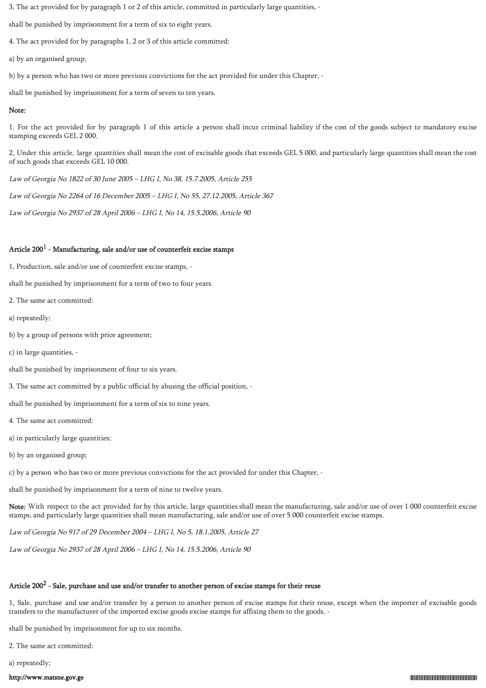3. The act provided for by paragraph 1 or 2 of this article, committed in particularly large quantities, -

shall be punished by imprisonment for a term of six to eight years.

4. The act provided for by paragraphs 1, 2 or 3 of this article committed:

a) by an organised group;

b) by a person who has two or more previous convictions for the act provided for under this Chapter, -

shall be punished by imprisonment for a term of seven to ten years.

## Note:

1. For the act provided for by paragraph 1 of this article a person shall incur criminal liability if the cost of the goods subject to mandatory excise stamping exceeds GEL 2 000.

2. Under this article, large quantities shall mean the cost of excisable goods that exceeds GEL 5 000, and particularly large quantities shall mean the cost of such goods that exceeds GEL 10 000.

Law of Georgia No 1822 of 30 June 2005 – LHG I, No 38, 15.7.2005, Article 255

Law of Georgia No 2264 of 16 December 2005 – LHG I, No 55, 27.12.2005, Article 367

Law of Georgia No 2937 of 28 April 2006 – LHG I, No 14, 15.5.2006, Article 90

## Article 200 $^{\rm 1}$  - Manufacturing, sale and/or use of counterfeit excise stamps

1. Production, sale and/or use of counterfeit excise stamps, -

shall be punished by imprisonment for a term of two to four years.

2. The same act committed:

a) repeatedly;

b) by a group of persons with prior agreement;

c) in large quantities, -

shall be punished by imprisonment of four to six years.

3. The same act committed by a public official by abusing the official position, -

shall be punished by imprisonment for a term of six to nine years.

4. The same act committed:

a) in particularly large quantities;

b) by an organised group;

c) by a person who has two or more previous convictions for the act provided for under this Chapter, -

shall be punished by imprisonment for a term of nine to twelve years.

Note: With respect to the act provided for by this article, large quantities shall mean the manufacturing, sale and/or use of over 1 000 counterfeit excise stamps, and particularly large quantities shall mean manufacturing, sale and/or use of over 5 000 counterfeit excise stamps.

Law of Georgia No 917 of 29 December 2004 – LHG I, No 5, 18.1.2005, Article 27

Law of Georgia No 2937 of 28 April 2006 – LHG I, No 14, 15.5.2006, Article 90

# Article 200 $^2$  - Sale, purchase and use and/or transfer to another person of excise stamps for their reuse

1. Sale, purchase and use and/or transfer by a person to another person of excise stamps for their reuse, except when the importer of excisable goods transfers to the manufacturer of the imported excise goods excise stamps for affixing them to the goods, -

shall be punished by imprisonment for up to six months.

2. The same act committed:

a) repeatedly;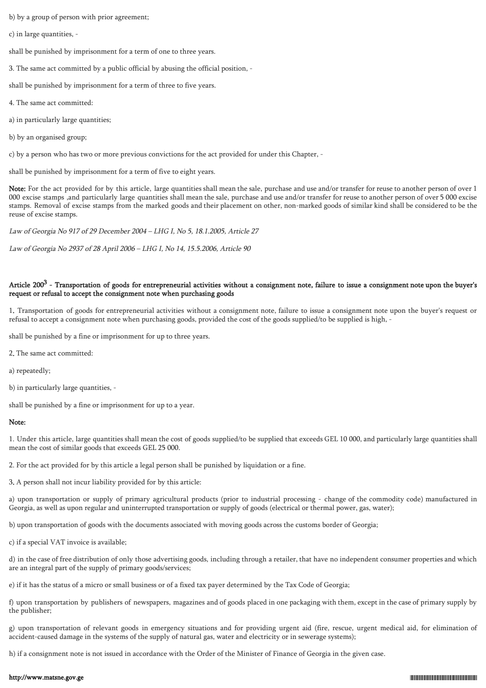b) by a group of person with prior agreement;

c) in large quantities, -

shall be punished by imprisonment for a term of one to three years.

3. The same act committed by a public official by abusing the official position, -

shall be punished by imprisonment for a term of three to five years.

4. The same act committed:

a) in particularly large quantities;

b) by an organised group;

c) by a person who has two or more previous convictions for the act provided for under this Chapter, -

shall be punished by imprisonment for a term of five to eight years.

Note: For the act provided for by this article, large quantities shall mean the sale, purchase and use and/or transfer for reuse to another person of over 1 000 excise stamps ,and particularly large quantities shall mean the sale, purchase and use and/or transfer for reuse to another person of over 5 000 excise stamps. Removal of excise stamps from the marked goods and their placement on other, non-marked goods of similar kind shall be considered to be the reuse of excise stamps.

Law of Georgia No 917 of 29 December 2004 – LHG I, No 5, 18.1.2005, Article 27

Law of Georgia No 2937 of 28 April 2006 – LHG I, No 14, 15.5.2006, Article 90

## Article 200<sup>3</sup> - Transportation of goods for entrepreneurial activities without a consignment note, failure to issue a consignment note upon the buyer's request or refusal to accept the consignment note when purchasing goods

1. Transportation of goods for entrepreneurial activities without a consignment note, failure to issue a consignment note upon the buyer's request or refusal to accept a consignment note when purchasing goods, provided the cost of the goods supplied/to be supplied is high, -

shall be punished by a fine or imprisonment for up to three years.

2. The same act committed:

a) repeatedly;

b) in particularly large quantities, -

shall be punished by a fine or imprisonment for up to a year.

#### Note:

1. Under this article, large quantities shall mean the cost of goods supplied/to be supplied that exceeds GEL 10 000, and particularly large quantities shall mean the cost of similar goods that exceeds GEL 25 000.

2. For the act provided for by this article a legal person shall be punished by liquidation or a fine.

3. A person shall not incur liability provided for by this article:

a) upon transportation or supply of primary agricultural products (prior to industrial processing - change of the commodity code) manufactured in Georgia, as well as upon regular and uninterrupted transportation or supply of goods (electrical or thermal power, gas, water);

b) upon transportation of goods with the documents associated with moving goods across the customs border of Georgia;

c) if a special VAT invoice is available;

d) in the case of free distribution of only those advertising goods, including through a retailer, that have no independent consumer properties and which are an integral part of the supply of primary goods/services;

e) if it has the status of a micro or small business or of a fixed tax payer determined by the Tax Code of Georgia;

f) upon transportation by publishers of newspapers, magazines and of goods placed in one packaging with them, except in the case of primary supply by the publisher;

g) upon transportation of relevant goods in emergency situations and for providing urgent aid (fire, rescue, urgent medical aid, for elimination of accident-caused damage in the systems of the supply of natural gas, water and electricity or in sewerage systems);

h) if a consignment note is not issued in accordance with the Order of the Minister of Finance of Georgia in the given case.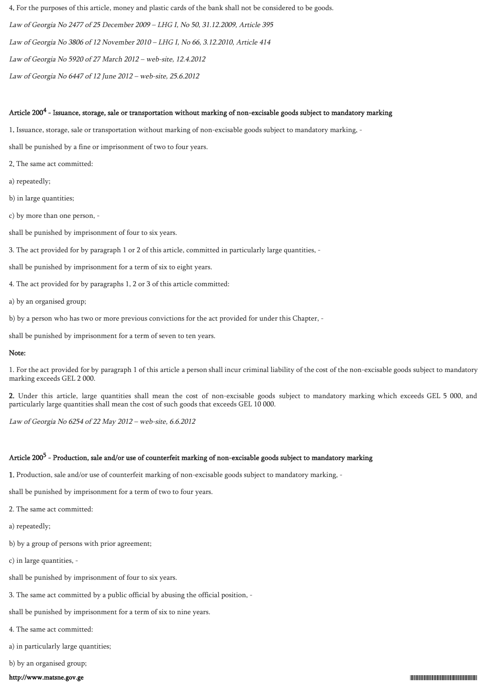4. For the purposes of this article, money and plastic cards of the bank shall not be considered to be goods.

Law of Georgia No 2477 of 25 December 2009 – LHG I, No 50, 31.12.2009, Article 395

Law of Georgia No 3806 of 12 November 2010 – LHG I, No 66, 3.12.2010, Article 414

Law of Georgia No 5920 of 27 March 2012 – web-site, 12.4.2012

Law of Georgia No 6447 of 12 June 2012 – web-site, 25.6.2012

## Article 200 $^4$  - Issuance, storage, sale or transportation without marking of non-excisable goods subject to mandatory marking

1. Issuance, storage, sale or transportation without marking of non-excisable goods subject to mandatory marking, -

shall be punished by a fine or imprisonment of two to four years.

2. The same act committed:

a) repeatedly;

b) in large quantities;

c) by more than one person, -

shall be punished by imprisonment of four to six years.

3. The act provided for by paragraph 1 or 2 of this article, committed in particularly large quantities, -

shall be punished by imprisonment for a term of six to eight years.

4. The act provided for by paragraphs 1, 2 or 3 of this article committed:

a) by an organised group;

b) by a person who has two or more previous convictions for the act provided for under this Chapter, -

shall be punished by imprisonment for a term of seven to ten years.

## Note:

1. For the act provided for by paragraph 1 of this article a person shall incur criminal liability of the cost of the non-excisable goods subject to mandatory marking exceeds GEL 2 000.

2. Under this article, large quantities shall mean the cost of non-excisable goods subject to mandatory marking which exceeds GEL 5 000, and particularly large quantities shall mean the cost of such goods that exceeds GEL 10 000.

Law of Georgia No 6254 of 22 May 2012 – web-site, 6.6.2012

# Article 200<sup>5</sup> - Production, sale and/or use of counterfeit marking of non-excisable goods subject to mandatory marking

1. Production, sale and/or use of counterfeit marking of non-excisable goods subject to mandatory marking, -

shall be punished by imprisonment for a term of two to four years.

2. The same act committed:

a) repeatedly;

b) by a group of persons with prior agreement;

c) in large quantities, -

shall be punished by imprisonment of four to six years.

3. The same act committed by a public official by abusing the official position, -

shall be punished by imprisonment for a term of six to nine years.

4. The same act committed:

a) in particularly large quantities;

b) by an organised group;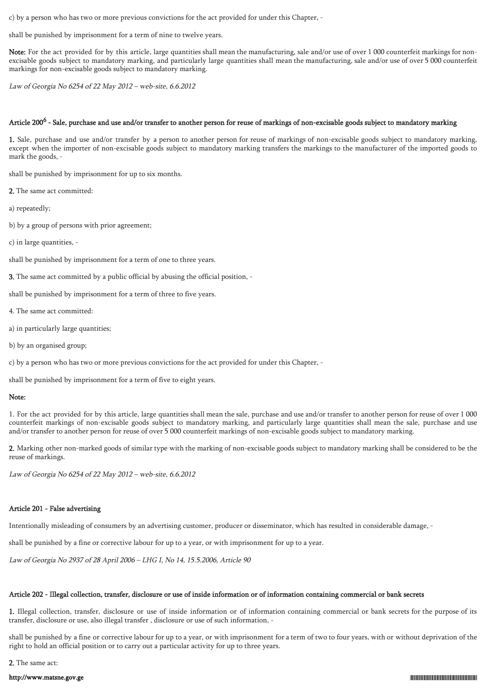c) by a person who has two or more previous convictions for the act provided for under this Chapter, -

shall be punished by imprisonment for a term of nine to twelve years.

Note: For the act provided for by this article, large quantities shall mean the manufacturing, sale and/or use of over 1 000 counterfeit markings for nonexcisable goods subject to mandatory marking, and particularly large quantities shall mean the manufacturing, sale and/or use of over 5 000 counterfeit markings for non-excisable goods subject to mandatory marking.

Law of Georgia No 6254 of 22 May 2012 – web-site, 6.6.2012

## Article 200<sup>6</sup> - Sale, purchase and use and/or transfer to another person for reuse of markings of non-excisable goods subject to mandatory marking

1. Sale, purchase and use and/or transfer by a person to another person for reuse of markings of non-excisable goods subject to mandatory marking, except when the importer of non-excisable goods subject to mandatory marking transfers the markings to the manufacturer of the imported goods to mark the goods, -

shall be punished by imprisonment for up to six months.

2. The same act committed:

a) repeatedly;

- b) by a group of persons with prior agreement;
- c) in large quantities, -

shall be punished by imprisonment for a term of one to three years.

3. The same act committed by a public official by abusing the official position, -

shall be punished by imprisonment for a term of three to five years.

- 4. The same act committed:
- a) in particularly large quantities;
- b) by an organised group;

c) by a person who has two or more previous convictions for the act provided for under this Chapter, -

shall be punished by imprisonment for a term of five to eight years.

### Note:

1. For the act provided for by this article, large quantities shall mean the sale, purchase and use and/or transfer to another person for reuse of over 1 000 counterfeit markings of non-excisable goods subject to mandatory marking, and particularly large quantities shall mean the sale, purchase and use and/or transfer to another person for reuse of over 5 000 counterfeit markings of non-excisable goods subject to mandatory marking.

2. Marking other non-marked goods of similar type with the marking of non-excisable goods subject to mandatory marking shall be considered to be the reuse of markings.

Law of Georgia No 6254 of 22 May 2012 – web-site, 6.6.2012

#### Article 201 - False advertising

Intentionally misleading of consumers by an advertising customer, producer or disseminator, which has resulted in considerable damage, -

shall be punished by a fine or corrective labour for up to a year, or with imprisonment for up to a year.

Law of Georgia No 2937 of 28 April 2006 – LHG I, No 14, 15.5.2006, Article 90

#### Article 202 - Illegal collection, transfer, disclosure or use of inside information or of information containing commercial or bank secrets

1. Illegal collection, transfer, disclosure or use of inside information or of information containing commercial or bank secrets for the purpose of its transfer, disclosure or use, also illegal transfer , disclosure or use of such information, -

shall be punished by a fine or corrective labour for up to a year, or with imprisonment for a term of two to four years, with or without deprivation of the right to hold an official position or to carry out a particular activity for up to three years.

2. The same act: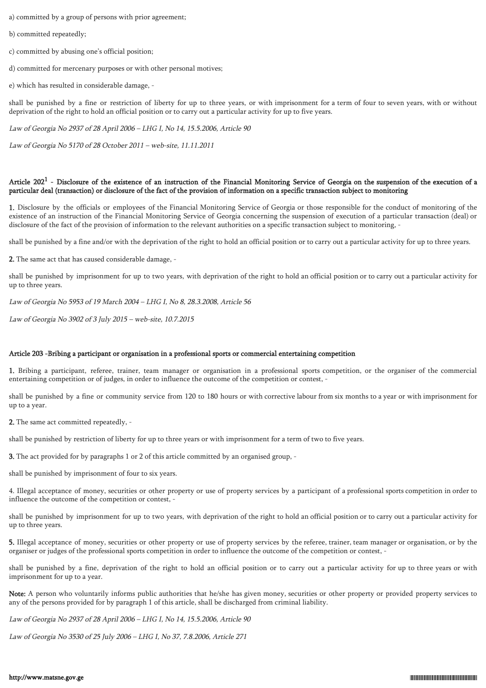a) committed by a group of persons with prior agreement;

b) committed repeatedly;

c) committed by abusing one's official position;

d) committed for mercenary purposes or with other personal motives;

e) which has resulted in considerable damage, -

shall be punished by a fine or restriction of liberty for up to three years, or with imprisonment for a term of four to seven years, with or without deprivation of the right to hold an official position or to carry out a particular activity for up to five years.

Law of Georgia No 2937 of 28 April 2006 – LHG I, No 14, 15.5.2006, Article 90

Law of Georgia No 5170 of 28 October 2011 – web-site, 11.11.2011

## Article  $202^1$  - Disclosure of the existence of an instruction of the Financial Monitoring Service of Georgia on the suspension of the execution of a particular deal (transaction) or disclosure of the fact of the provision of information on a specific transaction subject to monitoring

1. Disclosure by the officials or employees of the Financial Monitoring Service of Georgia or those responsible for the conduct of monitoring of the existence of an instruction of the Financial Monitoring Service of Georgia concerning the suspension of execution of a particular transaction (deal) or disclosure of the fact of the provision of information to the relevant authorities on a specific transaction subject to monitoring, -

shall be punished by a fine and/or with the deprivation of the right to hold an official position or to carry out a particular activity for up to three years.

2. The same act that has caused considerable damage, -

shall be punished by imprisonment for up to two years, with deprivation of the right to hold an official position or to carry out a particular activity for up to three years.

Law of Georgia No 5953 of 19 March 2004 – LHG I, No 8, 28.3.2008, Article 56

Law of Georgia No 3902 of 3 July 2015 – web-site, 10.7.2015

#### Article 203 -Bribing a participant or organisation in a professional sports or commercial entertaining competition

1. Bribing a participant, referee, trainer, team manager or organisation in a professional sports competition, or the organiser of the commercial entertaining competition or of judges, in order to influence the outcome of the competition or contest, -

shall be punished by a fine or community service from 120 to 180 hours or with corrective labour from six months to a year or with imprisonment for up to a year.

2. The same act committed repeatedly, -

shall be punished by restriction of liberty for up to three years or with imprisonment for a term of two to five years.

3. The act provided for by paragraphs 1 or 2 of this article committed by an organised group, -

shall be punished by imprisonment of four to six years.

4. Illegal acceptance of money, securities or other property or use of property services by a participant of a professional sports competition in order to influence the outcome of the competition or contest, -

shall be punished by imprisonment for up to two years, with deprivation of the right to hold an official position or to carry out a particular activity for up to three years.

5. Illegal acceptance of money, securities or other property or use of property services by the referee, trainer, team manager or organisation, or by the organiser or judges of the professional sports competition in order to influence the outcome of the competition or contest, -

shall be punished by a fine, deprivation of the right to hold an official position or to carry out a particular activity for up to three years or with imprisonment for up to a year.

Note: A person who voluntarily informs public authorities that he/she has given money, securities or other property or provided property services to any of the persons provided for by paragraph 1 of this article, shall be discharged from criminal liability.

Law of Georgia No 2937 of 28 April 2006 – LHG I, No 14, 15.5.2006, Article 90

Law of Georgia No 3530 of 25 July 2006 – LHG I, No 37, 7.8.2006, Article 271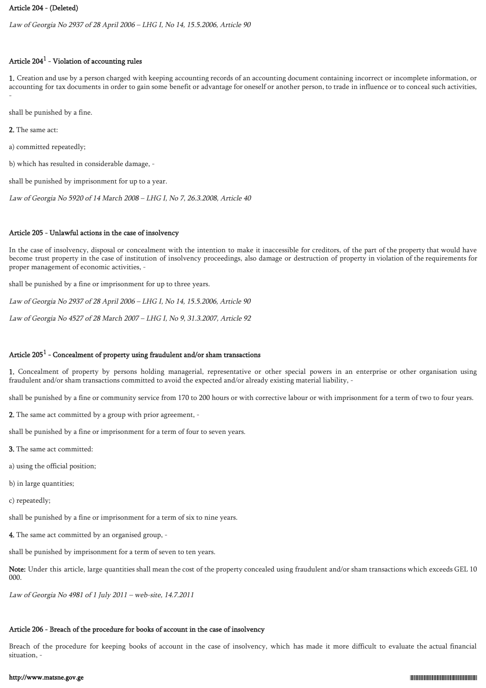### Article 204 - (Deleted)

Law of Georgia No 2937 of 28 April 2006 – LHG I, No 14, 15.5.2006, Article 90

# Article 204 $^{\rm 1}$  - Violation of accounting rules

1. Creation and use by a person charged with keeping accounting records of an accounting document containing incorrect or incomplete information, or accounting for tax documents in order to gain some benefit or advantage for oneself or another person, to trade in influence or to conceal such activities, -

shall be punished by a fine.

2. The same act:

a) committed repeatedly;

b) which has resulted in considerable damage, -

shall be punished by imprisonment for up to a year.

Law of Georgia No 5920 of 14 March 2008 – LHG I, No 7, 26.3.2008, Article 40

### Article 205 - Unlawful actions in the case of insolvency

In the case of insolvency, disposal or concealment with the intention to make it inaccessible for creditors, of the part of the property that would have become trust property in the case of institution of insolvency proceedings, also damage or destruction of property in violation of the requirements for proper management of economic activities, -

shall be punished by a fine or imprisonment for up to three years.

Law of Georgia No 2937 of 28 April 2006 – LHG I, No 14, 15.5.2006, Article 90

Law of Georgia No 4527 of 28 March 2007 – LHG I, No 9, 31.3.2007, Article 92

### Article 205 $^1$  - Concealment of property using fraudulent and/or sham transactions

1. Concealment of property by persons holding managerial, representative or other special powers in an enterprise or other organisation using fraudulent and/or sham transactions committed to avoid the expected and/or already existing material liability, -

shall be punished by a fine or community service from 170 to 200 hours or with corrective labour or with imprisonment for a term of two to four years.

2. The same act committed by a group with prior agreement, -

shall be punished by a fine or imprisonment for a term of four to seven years.

3. The same act committed:

a) using the official position;

b) in large quantities;

c) repeatedly;

shall be punished by a fine or imprisonment for a term of six to nine years.

4. The same act committed by an organised group, -

shall be punished by imprisonment for a term of seven to ten years.

Note: Under this article, large quantities shall mean the cost of the property concealed using fraudulent and/or sham transactions which exceeds GEL 10 000.

Law of Georgia No 4981 of 1 July 2011 – web-site, 14.7.2011

# Article 206 - Breach of the procedure for books of account in the case of insolvency

Breach of the procedure for keeping books of account in the case of insolvency, which has made it more difficult to evaluate the actual financial situation, -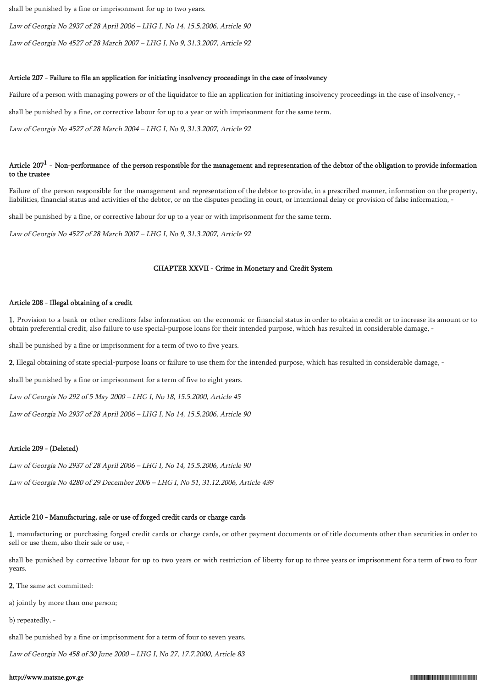shall be punished by a fine or imprisonment for up to two years.

Law of Georgia No 2937 of 28 April 2006 – LHG I, No 14, 15.5.2006, Article 90

Law of Georgia No 4527 of 28 March 2007 – LHG I, No 9, 31.3.2007, Article 92

# Article 207 - Failure to file an application for initiating insolvency proceedings in the case of insolvency

Failure of a person with managing powers or of the liquidator to file an application for initiating insolvency proceedings in the case of insolvency, -

shall be punished by a fine, or corrective labour for up to a year or with imprisonment for the same term.

Law of Georgia No 4527 of 28 March 2004 – LHG I, No 9, 31.3.2007, Article 92

# Article 207<sup>1</sup> - Non-performance of the person responsible for the management and representation of the debtor of the obligation to provide information to the trustee

Failure of the person responsible for the management and representation of the debtor to provide, in a prescribed manner, information on the property, liabilities, financial status and activities of the debtor, or on the disputes pending in court, or intentional delay or provision of false information, -

shall be punished by a fine, or corrective labour for up to a year or with imprisonment for the same term.

Law of Georgia No 4527 of 28 March 2007 – LHG I, No 9, 31.3.2007, Article 92

# CHAPTER XXVII - Crime in Monetary and Credit System

# Article 208 - Illegal obtaining of a credit

1. Provision to a bank or other creditors false information on the economic or financial status in order to obtain a credit or to increase its amount or to obtain preferential credit, also failure to use special-purpose loans for their intended purpose, which has resulted in considerable damage, -

shall be punished by a fine or imprisonment for a term of two to five years.

2. Illegal obtaining of state special-purpose loans or failure to use them for the intended purpose, which has resulted in considerable damage, -

shall be punished by a fine or imprisonment for a term of five to eight years.

Law of Georgia No 292 of 5 May 2000 – LHG I, No 18, 15.5.2000, Article 45

Law of Georgia No 2937 of 28 April 2006 – LHG I, No 14, 15.5.2006, Article 90

# Article 209 - (Deleted)

Law of Georgia No 2937 of 28 April 2006 – LHG I, No 14, 15.5.2006, Article 90

Law of Georgia No 4280 of 29 December 2006 – LHG I, No 51, 31.12.2006, Article 439

# Article 210 - Manufacturing, sale or use of forged credit cards or charge cards

1. manufacturing or purchasing forged credit cards or charge cards, or other payment documents or of title documents other than securities in order to sell or use them, also their sale or use, -

shall be punished by corrective labour for up to two years or with restriction of liberty for up to three years or imprisonment for a term of two to four years.

2. The same act committed:

a) jointly by more than one person;

b) repeatedly, -

shall be punished by a fine or imprisonment for a term of four to seven years.

Law of Georgia No 458 of 30 June 2000 – LHG I, No 27, 17.7.2000, Article 83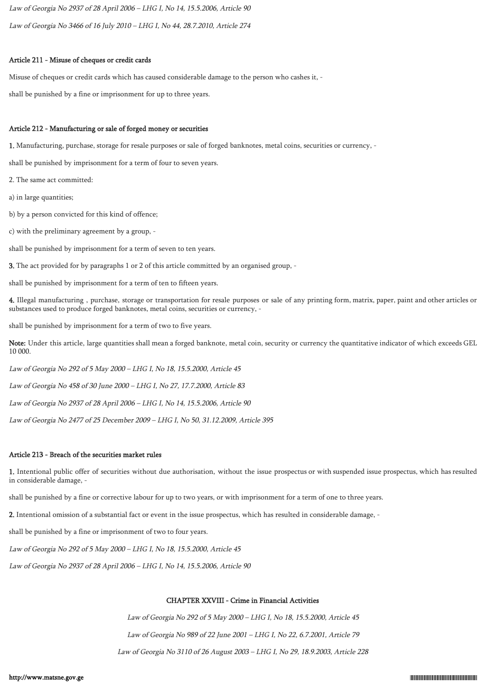Law of Georgia No 2937 of 28 April 2006 – LHG I, No 14, 15.5.2006, Article 90 Law of Georgia No 3466 of 16 July 2010 – LHG I, No 44, 28.7.2010, Article 274

### Article 211 - Misuse of cheques or credit cards

Misuse of cheques or credit cards which has caused considerable damage to the person who cashes it, -

shall be punished by a fine or imprisonment for up to three years.

### Article 212 - Manufacturing or sale of forged money or securities

1. Manufacturing, purchase, storage for resale purposes or sale of forged banknotes, metal coins, securities or currency, -

shall be punished by imprisonment for a term of four to seven years.

2. The same act committed:

a) in large quantities;

b) by a person convicted for this kind of offence;

c) with the preliminary agreement by a group, -

shall be punished by imprisonment for a term of seven to ten years.

3. The act provided for by paragraphs 1 or 2 of this article committed by an organised group, -

shall be punished by imprisonment for a term of ten to fifteen years.

4. Illegal manufacturing , purchase, storage or transportation for resale purposes or sale of any printing form, matrix, paper, paint and other articles or substances used to produce forged banknotes, metal coins, securities or currency, -

shall be punished by imprisonment for a term of two to five years.

Note: Under this article, large quantities shall mean a forged banknote, metal coin, security or currency the quantitative indicator of which exceeds GEL 10 000.

Law of Georgia No 292 of 5 May 2000 – LHG I, No 18, 15.5.2000, Article 45

Law of Georgia No 458 of 30 June 2000 – LHG I, No 27, 17.7.2000, Article 83

Law of Georgia No 2937 of 28 April 2006 – LHG I, No 14, 15.5.2006, Article 90

Law of Georgia No 2477 of 25 December 2009 – LHG I, No 50, 31.12.2009, Article 395

### Article 213 - Breach of the securities market rules

1. Intentional public offer of securities without due authorisation, without the issue prospectus or with suspended issue prospectus, which has resulted in considerable damage, -

shall be punished by a fine or corrective labour for up to two years, or with imprisonment for a term of one to three years.

2. Intentional omission of a substantial fact or event in the issue prospectus, which has resulted in considerable damage, -

shall be punished by a fine or imprisonment of two to four years.

Law of Georgia No 292 of 5 May 2000 – LHG I, No 18, 15.5.2000, Article 45

Law of Georgia No 2937 of 28 April 2006 – LHG I, No 14, 15.5.2006, Article 90

# CHAPTER XXVIII - Crime in Financial Activities

Law of Georgia No 292 of 5 May 2000 – LHG I, No 18, 15.5.2000, Article 45 Law of Georgia No 989 of 22 June 2001 – LHG I, No 22, 6.7.2001, Article 79

Law of Georgia No 3110 of 26 August 2003 – LHG I, No 29, 18.9.2003, Article 228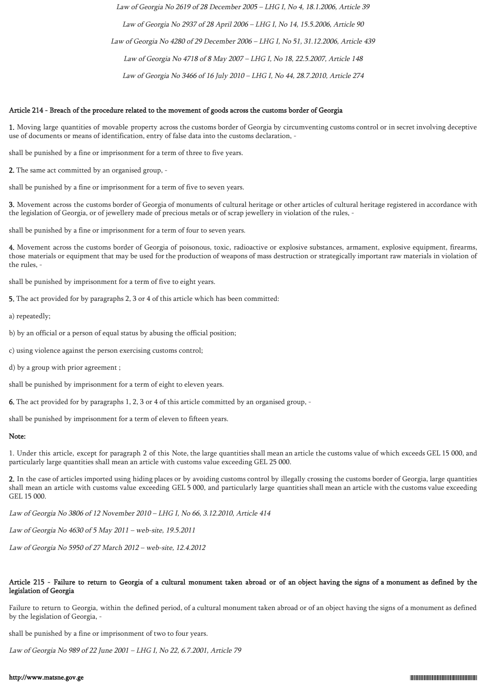Law of Georgia No 2619 of 28 December 2005 – LHG I, No 4, 18.1.2006, Article 39 Law of Georgia No 2937 of 28 April 2006 – LHG I, No 14, 15.5.2006, Article 90 Law of Georgia No 4280 of 29 December 2006 – LHG I, No 51, 31.12.2006, Article 439 Law of Georgia No 4718 of 8 May 2007 – LHG I, No 18, 22.5.2007, Article 148 Law of Georgia No 3466 of 16 July 2010 – LHG I, No 44, 28.7.2010, Article 274

#### Article 214 - Breach of the procedure related to the movement of goods across the customs border of Georgia

1. Moving large quantities of movable property across the customs border of Georgia by circumventing customs control or in secret involving deceptive use of documents or means of identification, entry of false data into the customs declaration, -

shall be punished by a fine or imprisonment for a term of three to five years.

2. The same act committed by an organised group, -

shall be punished by a fine or imprisonment for a term of five to seven years.

3. Movement across the customs border of Georgia of monuments of cultural heritage or other articles of cultural heritage registered in accordance with the legislation of Georgia, or of jewellery made of precious metals or of scrap jewellery in violation of the rules, -

shall be punished by a fine or imprisonment for a term of four to seven years.

4. Movement across the customs border of Georgia of poisonous, toxic, radioactive or explosive substances, armament, explosive equipment, firearms, those materials or equipment that may be used for the production of weapons of mass destruction or strategically important raw materials in violation of the rules, -

shall be punished by imprisonment for a term of five to eight years.

5. The act provided for by paragraphs 2, 3 or 4 of this article which has been committed:

a) repeatedly;

- b) by an official or a person of equal status by abusing the official position;
- c) using violence against the person exercising customs control;
- d) by a group with prior agreement ;

shall be punished by imprisonment for a term of eight to eleven years.

6. The act provided for by paragraphs 1, 2, 3 or 4 of this article committed by an organised group, -

shall be punished by imprisonment for a term of eleven to fifteen years.

### Note:

1. Under this article, except for paragraph 2 of this Note, the large quantities shall mean an article the customs value of which exceeds GEL 15 000, and particularly large quantities shall mean an article with customs value exceeding GEL 25 000.

2. In the case of articles imported using hiding places or by avoiding customs control by illegally crossing the customs border of Georgia, large quantities shall mean an article with customs value exceeding GEL 5 000, and particularly large quantities shall mean an article with the customs value exceeding GEL 15 000.

Law of Georgia No 3806 of 12 November 2010 – LHG I, No 66, 3.12.2010, Article 414

Law of Georgia No 4630 of 5 May 2011 – web-site, 19.5.2011

Law of Georgia No 5950 of 27 March 2012 – web-site, 12.4.2012

### Article 215 - Failure to return to Georgia of a cultural monument taken abroad or of an object having the signs of a monument as defined by the legislation of Georgia

Failure to return to Georgia, within the defined period, of a cultural monument taken abroad or of an object having the signs of a monument as defined by the legislation of Georgia, -

shall be punished by a fine or imprisonment of two to four years.

Law of Georgia No 989 of 22 June 2001 – LHG I, No 22, 6.7.2001, Article 79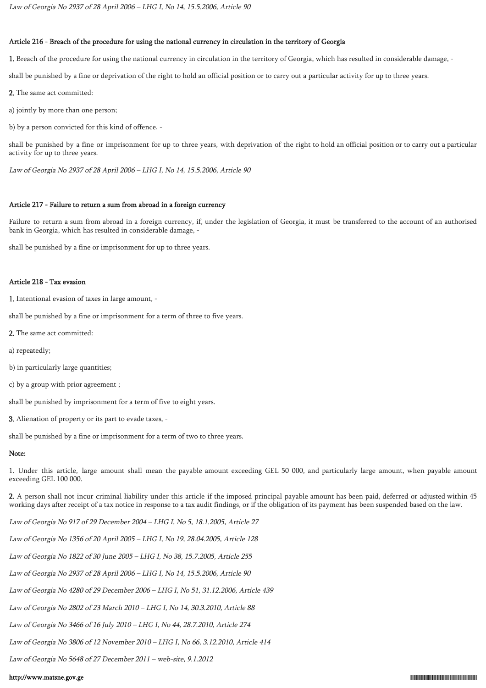### Article 216 - Breach of the procedure for using the national currency in circulation in the territory of Georgia

1. Breach of the procedure for using the national currency in circulation in the territory of Georgia, which has resulted in considerable damage, -

shall be punished by a fine or deprivation of the right to hold an official position or to carry out a particular activity for up to three years.

2. The same act committed:

a) jointly by more than one person;

b) by a person convicted for this kind of offence, -

shall be punished by a fine or imprisonment for up to three years, with deprivation of the right to hold an official position or to carry out a particular activity for up to three years.

Law of Georgia No 2937 of 28 April 2006 – LHG I, No 14, 15.5.2006, Article 90

### Article 217 - Failure to return a sum from abroad in a foreign currency

Failure to return a sum from abroad in a foreign currency, if, under the legislation of Georgia, it must be transferred to the account of an authorised bank in Georgia, which has resulted in considerable damage, -

shall be punished by a fine or imprisonment for up to three years.

### Article 218 - Tax evasion

1. Intentional evasion of taxes in large amount, -

shall be punished by a fine or imprisonment for a term of three to five years.

- 2. The same act committed:
- a) repeatedly;
- b) in particularly large quantities;
- c) by a group with prior agreement ;

shall be punished by imprisonment for a term of five to eight years.

3. Alienation of property or its part to evade taxes, -

shall be punished by a fine or imprisonment for a term of two to three years.

### Note:

1. Under this article, large amount shall mean the payable amount exceeding GEL 50 000, and particularly large amount, when payable amount exceeding GEL 100 000.

2. A person shall not incur criminal liability under this article if the imposed principal payable amount has been paid, deferred or adjusted within 45 working days after receipt of a tax notice in response to a tax audit findings, or if the obligation of its payment has been suspended based on the law.

Law of Georgia No 917 of 29 December 2004 – LHG I, No 5, 18.1.2005, Article 27

Law of Georgia No 1356 of 20 April 2005 – LHG I, No 19, 28.04.2005, Article 128

Law of Georgia No 1822 of 30 June 2005 – LHG I, No 38, 15.7.2005, Article 255

Law of Georgia No 2937 of 28 April 2006 – LHG I, No 14, 15.5.2006, Article 90

Law of Georgia No 4280 of 29 December 2006 – LHG I, No 51, 31.12.2006, Article 439

Law of Georgia No 2802 of 23 March 2010 – LHG I, No 14, 30.3.2010, Article 88

Law of Georgia No 3466 of 16 July 2010 – LHG I, No 44, 28.7.2010, Article 274

Law of Georgia No 3806 of 12 November 2010 – LHG I, No 66, 3.12.2010, Article 414

Law of Georgia No 5648 of 27 December 2011 – web-site, 9.1.2012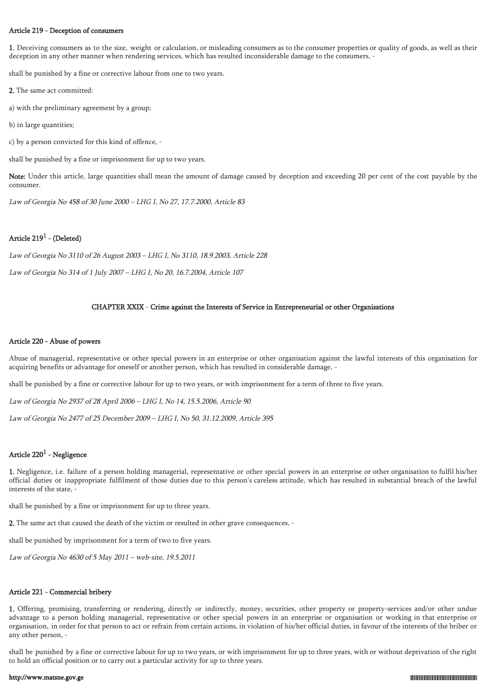### Article 219 - Deception of consumers

1. Deceiving consumers as to the size, weight or calculation, or misleading consumers as to the consumer properties or quality of goods, as well as their deception in any other manner when rendering services, which has resulted inconsiderable damage to the consumers, -

shall be punished by a fine or corrective labour from one to two years.

2. The same act committed:

a) with the preliminary agreement by a group;

b) in large quantities;

c) by a person convicted for this kind of offence, -

shall be punished by a fine or imprisonment for up to two years.

Note: Under this article, large quantities shall mean the amount of damage caused by deception and exceeding 20 per cent of the cost payable by the consumer.

Law of Georgia No 458 of 30 June 2000 – LHG I, No 27, 17.7.2000, Article 83

# Article 219 $^1$  - (Deleted)

Law of Georgia No 3110 of 26 August 2003 – LHG I, No 3110, 18.9.2003, Article 228

Law of Georgia No 314 of 1 July 2007 – LHG I, No 20, 16.7.2004, Article 107

### CHAPTER XXIX - Crime against the Interests of Service in Entrepreneurial or other Organisations

### Article 220 - Abuse of powers

Abuse of managerial, representative or other special powers in an enterprise or other organisation against the lawful interests of this organisation for acquiring benefits or advantage for oneself or another person, which has resulted in considerable damage, -

shall be punished by a fine or corrective labour for up to two years, or with imprisonment for a term of three to five years.

Law of Georgia No 2937 of 28 April 2006 – LHG I, No 14, 15.5.2006, Article 90

Law of Georgia No 2477 of 25 December 2009 – LHG I, No 50, 31.12.2009, Article 395

### Article 220 $^{\rm 1}$  - Negligence

1. Negligence, i.e. failure of a person holding managerial, representative or other special powers in an enterprise or other organisation to fulfil his/her official duties or inappropriate fulfilment of those duties due to this person's careless attitude, which has resulted in substantial breach of the lawful interests of the state, -

shall be punished by a fine or imprisonment for up to three years.

2. The same act that caused the death of the victim or resulted in other grave consequences, -

shall be punished by imprisonment for a term of two to five years.

Law of Georgia No 4630 of 5 May 2011 – web-site, 19.5.2011

### Article 221 - Commercial bribery

1. Offering, promising, transferring or rendering, directly or indirectly, money, securities, other property or property-services and/or other undue advantage to a person holding managerial, representative or other special powers in an enterprise or organisation or working in that enterprise or organisation, in order for that person to act or refrain from certain actions, in violation of his/her official duties, in favour of the interests of the briber or any other person, -

shall be punished by a fine or corrective labour for up to two years, or with imprisonment for up to three years, with or without deprivation of the right to hold an official position or to carry out a particular activity for up to three years.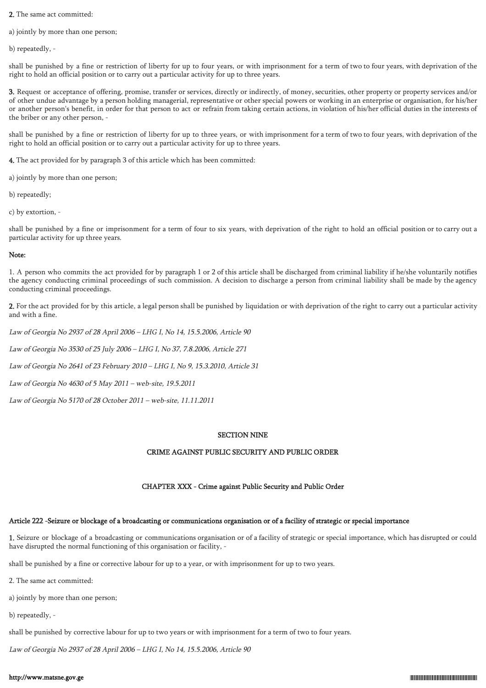2. The same act committed:

a) jointly by more than one person;

b) repeatedly, -

shall be punished by a fine or restriction of liberty for up to four years, or with imprisonment for a term of two to four years, with deprivation of the right to hold an official position or to carry out a particular activity for up to three years.

3. Request or acceptance of offering, promise, transfer or services, directly or indirectly, of money, securities, other property or property services and/or of other undue advantage by a person holding managerial, representative or other special powers or working in an enterprise or organisation, for his/her or another person's benefit, in order for that person to act or refrain from taking certain actions, in violation of his/her official duties in the interests of the briber or any other person, -

shall be punished by a fine or restriction of liberty for up to three years, or with imprisonment for a term of two to four years, with deprivation of the right to hold an official position or to carry out a particular activity for up to three years.

4. The act provided for by paragraph 3 of this article which has been committed:

a) jointly by more than one person;

b) repeatedly;

c) by extortion, -

shall be punished by a fine or imprisonment for a term of four to six years, with deprivation of the right to hold an official position or to carry out a particular activity for up three years.

### Note:

1. A person who commits the act provided for by paragraph 1 or 2 of this article shall be discharged from criminal liability if he/she voluntarily notifies the agency conducting criminal proceedings of such commission. A decision to discharge a person from criminal liability shall be made by the agency conducting criminal proceedings.

2. For the act provided for by this article, a legal person shall be punished by liquidation or with deprivation of the right to carry out a particular activity and with a fine.

Law of Georgia No 2937 of 28 April 2006 – LHG I, No 14, 15.5.2006, Article 90

Law of Georgia No 3530 of 25 July 2006 – LHG I, No 37, 7.8.2006, Article 271

Law of Georgia No 2641 of 23 February 2010 – LHG I, No 9, 15.3.2010, Article 31

Law of Georgia No 4630 of 5 May 2011 – web-site, 19.5.2011

Law of Georgia No 5170 of 28 October 2011 – web-site, 11.11.2011

### SECTION NINE

### CRIME AGAINST PUBLIC SECURITY AND PUBLIC ORDER

### CHAPTER XXX - Crime against Public Security and Public Order

### Article 222 -Seizure or blockage of a broadcasting or communications organisation or of a facility of strategic or special importance

1. Seizure or blockage of a broadcasting or communications organisation or of a facility of strategic or special importance, which has disrupted or could have disrupted the normal functioning of this organisation or facility, -

shall be punished by a fine or corrective labour for up to a year, or with imprisonment for up to two years.

2. The same act committed:

a) jointly by more than one person;

b) repeatedly, -

shall be punished by corrective labour for up to two years or with imprisonment for a term of two to four years.

Law of Georgia No 2937 of 28 April 2006 – LHG I, No 14, 15.5.2006, Article 90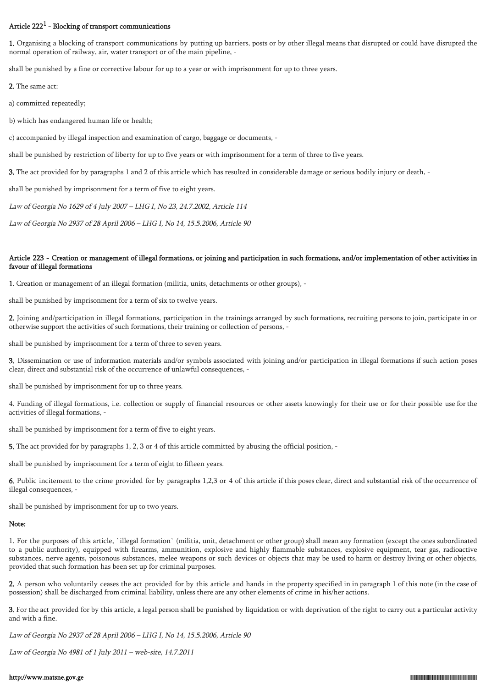# Article 222 $<sup>1</sup>$  - Blocking of transport communications</sup>

1. Organising a blocking of transport communications by putting up barriers, posts or by other illegal means that disrupted or could have disrupted the normal operation of railway, air, water transport or of the main pipeline, -

shall be punished by a fine or corrective labour for up to a year or with imprisonment for up to three years.

2. The same act:

a) committed repeatedly;

b) which has endangered human life or health;

c) accompanied by illegal inspection and examination of cargo, baggage or documents, -

shall be punished by restriction of liberty for up to five years or with imprisonment for a term of three to five years.

3. The act provided for by paragraphs 1 and 2 of this article which has resulted in considerable damage or serious bodily injury or death, -

shall be punished by imprisonment for a term of five to eight years.

Law of Georgia No 1629 of 4 July 2007 – LHG I, No 23, 24.7.2002, Article 114

Law of Georgia No 2937 of 28 April 2006 – LHG I, No 14, 15.5.2006, Article 90

### Article 223 - Creation or management of illegal formations, or joining and participation in such formations, and/or implementation of other activities in favour of illegal formations

1. Creation or management of an illegal formation (militia, units, detachments or other groups), -

shall be punished by imprisonment for a term of six to twelve years.

2. Joining and/participation in illegal formations, participation in the trainings arranged by such formations, recruiting persons to join, participate in or otherwise support the activities of such formations, their training or collection of persons, -

shall be punished by imprisonment for a term of three to seven years.

3. Dissemination or use of information materials and/or symbols associated with joining and/or participation in illegal formations if such action poses clear, direct and substantial risk of the occurrence of unlawful consequences, -

shall be punished by imprisonment for up to three years.

4. Funding of illegal formations, i.e. collection or supply of financial resources or other assets knowingly for their use or for their possible use for the activities of illegal formations, -

shall be punished by imprisonment for a term of five to eight years.

5. The act provided for by paragraphs 1, 2, 3 or 4 of this article committed by abusing the official position, -

shall be punished by imprisonment for a term of eight to fifteen years.

6. Public incitement to the crime provided for by paragraphs 1,2,3 or 4 of this article if this poses clear, direct and substantial risk of the occurrence of illegal consequences, -

shall be punished by imprisonment for up to two years.

# Note:

1. For the purposes of this article, `illegal formation` (militia, unit, detachment or other group) shall mean any formation (except the ones subordinated to a public authority), equipped with firearms, ammunition, explosive and highly flammable substances, explosive equipment, tear gas, radioactive substances, nerve agents, poisonous substances, melee weapons or such devices or objects that may be used to harm or destroy living or other objects, provided that such formation has been set up for criminal purposes.

2. A person who voluntarily ceases the act provided for by this article and hands in the property specified in in paragraph 1 of this note (in the case of possession) shall be discharged from criminal liability, unless there are any other elements of crime in his/her actions.

3. For the act provided for by this article, a legal person shall be punished by liquidation or with deprivation of the right to carry out a particular activity and with a fine.

Law of Georgia No 2937 of 28 April 2006 – LHG I, No 14, 15.5.2006, Article 90

Law of Georgia No 4981 of 1 July 2011 – web-site, 14.7.2011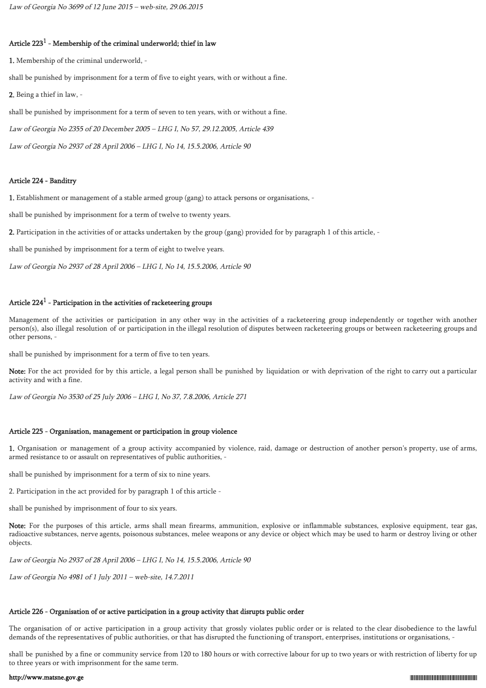# Article 223 $^{\rm 1}$  - Membership of the criminal underworld; thief in law

1. Membership of the criminal underworld, -

shall be punished by imprisonment for a term of five to eight years, with or without a fine.

2. Being a thief in law, -

shall be punished by imprisonment for a term of seven to ten years, with or without a fine.

Law of Georgia No 2355 of 20 December 2005 – LHG I, No 57, 29.12.2005, Article 439

Law of Georgia No 2937 of 28 April 2006 – LHG I, No 14, 15.5.2006, Article 90

### Article 224 - Banditry

1. Establishment or management of a stable armed group (gang) to attack persons or organisations, -

shall be punished by imprisonment for a term of twelve to twenty years.

2. Participation in the activities of or attacks undertaken by the group (gang) provided for by paragraph 1 of this article, -

shall be punished by imprisonment for a term of eight to twelve years.

Law of Georgia No 2937 of 28 April 2006 – LHG I, No 14, 15.5.2006, Article 90

# Article 224 $^{\rm 1}$  - Participation in the activities of racketeering groups

Management of the activities or participation in any other way in the activities of a racketeering group independently or together with another person(s), also illegal resolution of or participation in the illegal resolution of disputes between racketeering groups or between racketeering groups and other persons, -

shall be punished by imprisonment for a term of five to ten years.

Note: For the act provided for by this article, a legal person shall be punished by liquidation or with deprivation of the right to carry out a particular activity and with a fine.

Law of Georgia No 3530 of 25 July 2006 – LHG I, No 37, 7.8.2006, Article 271

### Article 225 - Organisation, management or participation in group violence

1. Organisation or management of a group activity accompanied by violence, raid, damage or destruction of another person's property, use of arms, armed resistance to or assault on representatives of public authorities, -

shall be punished by imprisonment for a term of six to nine years.

2. Participation in the act provided for by paragraph 1 of this article -

shall be punished by imprisonment of four to six years.

Note: For the purposes of this article, arms shall mean firearms, ammunition, explosive or inflammable substances, explosive equipment, tear gas, radioactive substances, nerve agents, poisonous substances, melee weapons or any device or object which may be used to harm or destroy living or other objects.

Law of Georgia No 2937 of 28 April 2006 – LHG I, No 14, 15.5.2006, Article 90

Law of Georgia No 4981 of 1 July 2011 – web-site, 14.7.2011

### Article 226 - Organisation of or active participation in a group activity that disrupts public order

The organisation of or active participation in a group activity that grossly violates public order or is related to the clear disobedience to the lawful demands of the representatives of public authorities, or that has disrupted the functioning of transport, enterprises, institutions or organisations, -

shall be punished by a fine or community service from 120 to 180 hours or with corrective labour for up to two years or with restriction of liberty for up to three years or with imprisonment for the same term.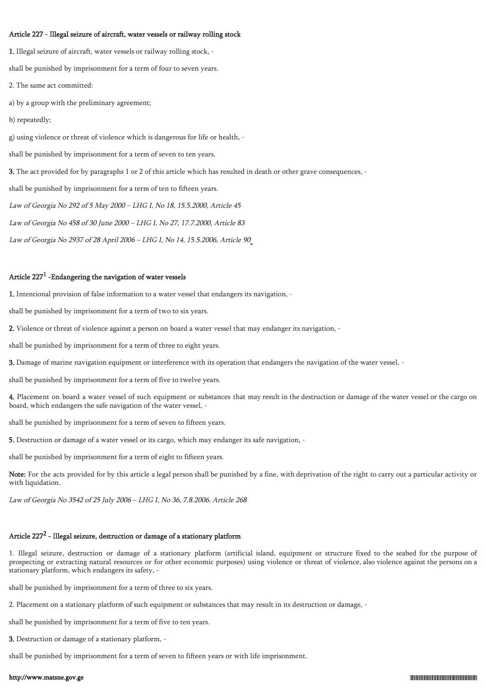#### Article 227 - Illegal seizure of aircraft, water vessels or railway rolling stock

1. Illegal seizure of aircraft, water vessels or railway rolling stock, shall be punished by imprisonment for a term of four to seven years. 2. The same act committed: a) by a group with the preliminary agreement; b) repeatedly; g) using violence or threat of violence which is dangerous for life or health, shall be punished by imprisonment for a term of seven to ten years. 3. The act provided for by paragraphs 1 or 2 of this article which has resulted in death or other grave consequences, shall be punished by imprisonment for a term of ten to fifteen years. Law of Georgia No 292 of 5 May 2000 – LHG I, No 18, 15.5.2000, Article 45 Law of Georgia No 458 of 30 June 2000 – LHG I, No 27, 17.7.2000, Article 83

Law of Georgia No 2937 of 28 April 2006 – LHG I, No 14, 15.5.2006, Article 9[0](https://matsne.gov.ge/ka/document/view/952)

### Article 227 $^1$  -Endangering the navigation of water vessels

1. Intentional provision of false information to a water vessel that endangers its navigation, -

shall be punished by imprisonment for a term of two to six years.

2. Violence or threat of violence against a person on board a water vessel that may endanger its navigation, -

shall be punished by imprisonment for a term of three to eight years.

3. Damage of marine navigation equipment or interference with its operation that endangers the navigation of the water vessel, -

shall be punished by imprisonment for a term of five to twelve years.

4. Placement on board a water vessel of such equipment or substances that may result in the destruction or damage of the water vessel or the cargo on board, which endangers the safe navigation of the water vessel, -

shall be punished by imprisonment for a term of seven to fifteen years.

5. Destruction or damage of a water vessel or its cargo, which may endanger its safe navigation, -

shall be punished by imprisonment for a term of eight to fifteen years.

Note: For the acts provided for by this article a legal person shall be punished by a fine, with deprivation of the right to carry out a particular activity or with liquidation.

Law of Georgia No 3542 of 25 July 2006 – LHG I, No 36, 7.8.2006, Article 268

## Article 227<sup>2</sup> - Illegal seizure, destruction or damage of a stationary platform

1. Illegal seizure, destruction or damage of a stationary platform (artificial island, equipment or structure fixed to the seabed for the purpose of prospecting or extracting natural resources or for other economic purposes) using violence or threat of violence, also violence against the persons on a stationary platform, which endangers its safety, -

shall be punished by imprisonment for a term of three to six years.

2. Placement on a stationary platform of such equipment or substances that may result in its destruction or damage, -

shall be punished by imprisonment for a term of five to ten years.

3. Destruction or damage of a stationary platform, -

shall be punished by imprisonment for a term of seven to fifteen years or with life imprisonment.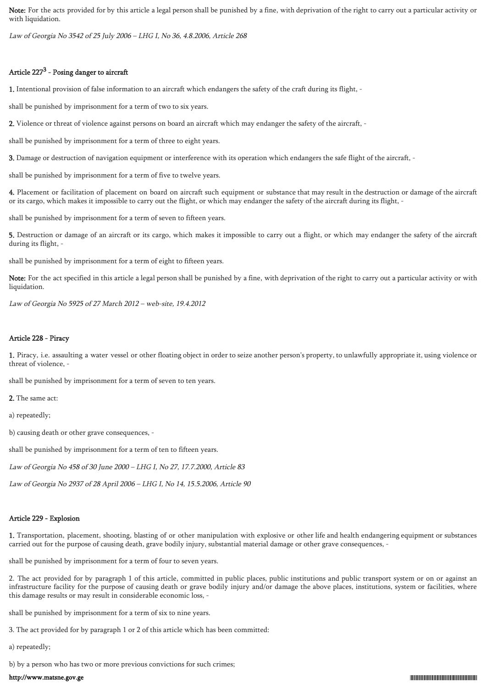Note: For the acts provided for by this article a legal person shall be punished by a fine, with deprivation of the right to carry out a particular activity or with liquidation.

Law of Georgia No 3542 of 25 July 2006 – LHG I, No 36, 4.8.2006, Article 268

# Article 227<sup>3</sup> - Posing danger to aircraft

1. Intentional provision of false information to an aircraft which endangers the safety of the craft during its flight, -

shall be punished by imprisonment for a term of two to six years.

2. Violence or threat of violence against persons on board an aircraft which may endanger the safety of the aircraft, -

shall be punished by imprisonment for a term of three to eight years.

3. Damage or destruction of navigation equipment or interference with its operation which endangers the safe flight of the aircraft, -

shall be punished by imprisonment for a term of five to twelve years.

4. Placement or facilitation of placement on board on aircraft such equipment or substance that may result in the destruction or damage of the aircraft or its cargo, which makes it impossible to carry out the flight, or which may endanger the safety of the aircraft during its flight, -

shall be punished by imprisonment for a term of seven to fifteen years.

5. Destruction or damage of an aircraft or its cargo, which makes it impossible to carry out a flight, or which may endanger the safety of the aircraft during its flight, -

shall be punished by imprisonment for a term of eight to fifteen years.

Note: For the act specified in this article a legal person shall be punished by a fine, with deprivation of the right to carry out a particular activity or with liquidation.

Law of Georgia No 5925 of 27 March 2012 – web-site, 19.4.2012

# Article 228 - Piracy

1. Piracy, i.e. assaulting a water vessel or other floating object in order to seize another person's property, to unlawfully appropriate it, using violence or threat of violence, -

shall be punished by imprisonment for a term of seven to ten years.

2. The same act:

a) repeatedly;

b) causing death or other grave consequences, -

shall be punished by imprisonment for a term of ten to fifteen years.

Law of Georgia No 458 of 30 June 2000 – LHG I, No 27, 17.7.2000, Article 83

Law of Georgia No 2937 of 28 April 2006 – LHG I, No 14, 15.5.2006, Article 90

# Article 229 - Explosion

1. Transportation, placement, shooting, blasting of or other manipulation with explosive or other life and health endangering equipment or substances carried out for the purpose of causing death, grave bodily injury, substantial material damage or other grave consequences, -

shall be punished by imprisonment for a term of four to seven years.

2. The act provided for by paragraph 1 of this article, committed in public places, public institutions and public transport system or on or against an infrastructure facility for the purpose of causing death or grave bodily injury and/or damage the above places, institutions, system or facilities, where this damage results or may result in considerable economic loss, -

shall be punished by imprisonment for a term of six to nine years.

3. The act provided for by paragraph 1 or 2 of this article which has been committed:

a) repeatedly;

b) by a person who has two or more previous convictions for such crimes;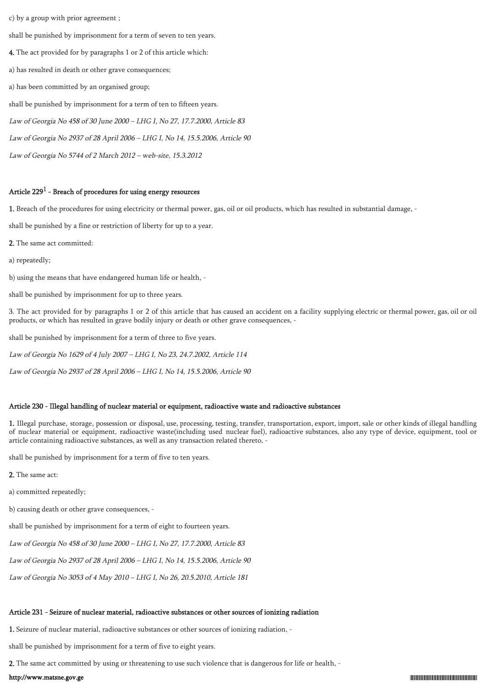c) by a group with prior agreement ;

shall be punished by imprisonment for a term of seven to ten years.

4. The act provided for by paragraphs 1 or 2 of this article which:

a) has resulted in death or other grave consequences;

a) has been committed by an organised group;

shall be punished by imprisonment for a term of ten to fifteen years.

Law of Georgia No 458 of 30 June 2000 – LHG I, No 27, 17.7.2000, Article 83

Law of Georgia No 2937 of 28 April 2006 – LHG I, No 14, 15.5.2006, Article 90

Law of Georgia No 5744 of 2 March 2012 – web-site, 15.3.2012

### Article 229 $^1$  - Breach of procedures for using energy resources

1. Breach of the procedures for using electricity or thermal power, gas, oil or oil products, which has resulted in substantial damage, -

shall be punished by a fine or restriction of liberty for up to a year.

2. The same act committed:

a) repeatedly;

b) using the means that have endangered human life or health, -

shall be punished by imprisonment for up to three years.

3. The act provided for by paragraphs 1 or 2 of this article that has caused an accident on a facility supplying electric or thermal power, gas, oil or oil products, or which has resulted in grave bodily injury or death or other grave consequences, -

shall be punished by imprisonment for a term of three to five years.

Law of Georgia No 1629 of 4 July 2007 – LHG I, No 23, 24.7.2002, Article 114

Law of Georgia No 2937 of 28 April 2006 – LHG I, No 14, 15.5.2006, Article 90

#### Article 230 - Illegal handling of nuclear material or equipment, radioactive waste and radioactive substances

1. Illegal purchase, storage, possession or disposal, use, processing, testing, transfer, transportation, export, import, sale or other kinds of illegal handling of nuclear material or equipment, radioactive waste(including used nuclear fuel), radioactive substances, also any type of device, equipment, tool or article containing radioactive substances, as well as any transaction related thereto, -

shall be punished by imprisonment for a term of five to ten years.

2. The same act:

a) committed repeatedly;

b) causing death or other grave consequences, -

shall be punished by imprisonment for a term of eight to fourteen years.

Law of Georgia No 458 of 30 June 2000 – LHG I, No 27, 17.7.2000, Article 83

Law of Georgia No 2937 of 28 April 2006 – LHG I, No 14, 15.5.2006, Article 90

Law of Georgia No 3053 of 4 May 2010 – LHG I, No 26, 20.5.2010, Article 181

# Article 231 - Seizure of nuclear material, radioactive substances or other sources of ionizing radiation

1. Seizure of nuclear material, radioactive substances or other sources of ionizing radiation, -

shall be punished by imprisonment for a term of five to eight years.

2. The same act committed by using or threatening to use such violence that is dangerous for life or health, -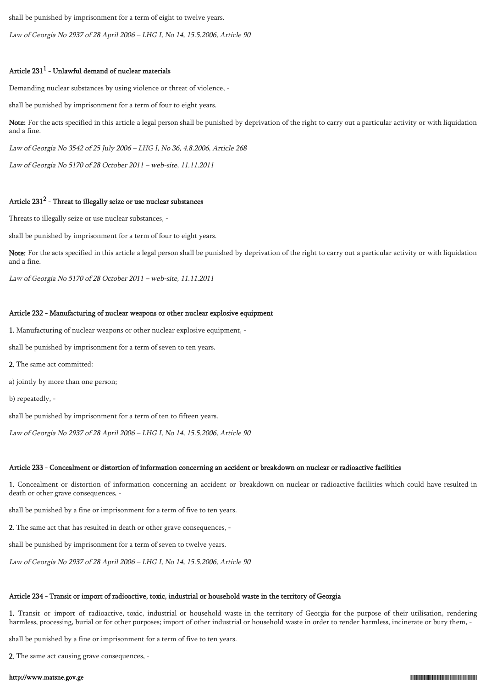shall be punished by imprisonment for a term of eight to twelve years.

Law of Georgia No 2937 of 28 April 2006 – LHG I, No 14, 15.5.2006, Article 90

# Article 231 $^1$  - Unlawful demand of nuclear materials

Demanding nuclear substances by using violence or threat of violence, -

shall be punished by imprisonment for a term of four to eight years.

Note: For the acts specified in this article a legal person shall be punished by deprivation of the right to carry out a particular activity or with liquidation and a fine.

Law of Georgia No 3542 of 25 July 2006 – LHG I, No 36, 4.8.2006, Article 268

Law of Georgia No 5170 of 28 October 2011 – web-site, 11.11.2011

# Article 231 $^2$  - Threat to illegally seize or use nuclear substances

Threats to illegally seize or use nuclear substances, -

shall be punished by imprisonment for a term of four to eight years.

Note: For the acts specified in this article a legal person shall be punished by deprivation of the right to carry out a particular activity or with liquidation and a fine.

Law of Georgia No 5170 of 28 October 2011 – web-site, 11.11.2011

# Article 232 - Manufacturing of nuclear weapons or other nuclear explosive equipment

1. Manufacturing of nuclear weapons or other nuclear explosive equipment, -

shall be punished by imprisonment for a term of seven to ten years.

2. The same act committed:

a) jointly by more than one person;

b) repeatedly, -

shall be punished by imprisonment for a term of ten to fifteen years.

Law of Georgia No 2937 of 28 April 2006 – LHG I, No 14, 15.5.2006, Article 90

# Article 233 - Concealment or distortion of information concerning an accident or breakdown on nuclear or radioactive facilities

1. Concealment or distortion of information concerning an accident or breakdown on nuclear or radioactive facilities which could have resulted in death or other grave consequences, -

shall be punished by a fine or imprisonment for a term of five to ten years.

2. The same act that has resulted in death or other grave consequences, -

shall be punished by imprisonment for a term of seven to twelve years.

Law of Georgia No 2937 of 28 April 2006 – LHG I, No 14, 15.5.2006, Article 90

# Article 234 - Transit or import of radioactive, toxic, industrial or household waste in the territory of Georgia

1. Transit or import of radioactive, toxic, industrial or household waste in the territory of Georgia for the purpose of their utilisation, rendering harmless, processing, burial or for other purposes; import of other industrial or household waste in order to render harmless, incinerate or bury them, -

shall be punished by a fine or imprisonment for a term of five to ten years.

2. The same act causing grave consequences, -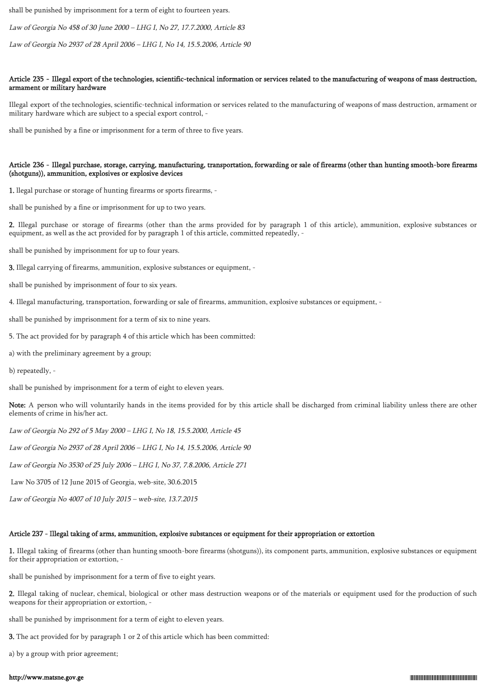shall be punished by imprisonment for a term of eight to fourteen years.

Law of Georgia No 458 of 30 June 2000 – LHG I, No 27, 17.7.2000, Article 83

Law of Georgia No 2937 of 28 April 2006 – LHG I, No 14, 15.5.2006, Article 90

### Article 235 - Illegal export of the technologies, scientific-technical information or services related to the manufacturing of weapons of mass destruction, armament or military hardware

Illegal export of the technologies, scientific-technical information or services related to the manufacturing of weapons of mass destruction, armament or military hardware which are subject to a special export control, -

shall be punished by a fine or imprisonment for a term of three to five years.

### Article 236 - Illegal purchase, storage, carrying, manufacturing, transportation, forwarding or sale of firearms (other than hunting smooth-bore firearms (shotguns)), ammunition, explosives or explosive devices

1. llegal purchase or storage of hunting firearms or sports firearms, -

shall be punished by a fine or imprisonment for up to two years.

2. Illegal purchase or storage of firearms (other than the arms provided for by paragraph 1 of this article), ammunition, explosive substances or equipment, as well as the act provided for by paragraph 1 of this article, committed repeatedly, -

shall be punished by imprisonment for up to four years.

3. Illegal carrying of firearms, ammunition, explosive substances or equipment, -

shall be punished by imprisonment of four to six years.

4. Illegal manufacturing, transportation, forwarding or sale of firearms, ammunition, explosive substances or equipment, -

shall be punished by imprisonment for a term of six to nine years.

5. The act provided for by paragraph 4 of this article which has been committed:

a) with the preliminary agreement by a group;

b) repeatedly, -

shall be punished by imprisonment for a term of eight to eleven years.

Note: A person who will voluntarily hands in the items provided for by this article shall be discharged from criminal liability unless there are other elements of crime in his/her act.

Law of Georgia No 292 of 5 May 2000 – LHG I, No 18, 15.5.2000, Article 45

Law of Georgia No 2937 of 28 April 2006 – LHG I, No 14, 15.5.2006, Article 90

Law of Georgia No 3530 of 25 July 2006 – LHG I, No 37, 7.8.2006, Article 271

Law No 3705 of 12 June 2015 of Georgia, web-site, 30.6.2015

Law of Georgia No 4007 of 10 July 2015 – web-site, 13.7.2015

### Article 237 - Illegal taking of arms, ammunition, explosive substances or equipment for their appropriation or extortion

1. Illegal taking of firearms (other than hunting smooth-bore firearms (shotguns)), its component parts, ammunition, explosive substances or equipment for their appropriation or extortion, -

shall be punished by imprisonment for a term of five to eight years.

2. Illegal taking of nuclear, chemical, biological or other mass destruction weapons or of the materials or equipment used for the production of such weapons for their appropriation or extortion, -

shall be punished by imprisonment for a term of eight to eleven years.

3. The act provided for by paragraph 1 or 2 of this article which has been committed:

a) by a group with prior agreement;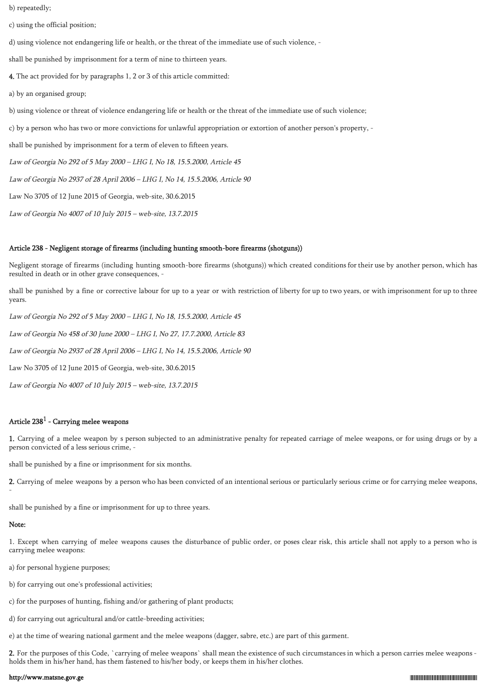b) repeatedly;

c) using the official position;

d) using violence not endangering life or health, or the threat of the immediate use of such violence, -

shall be punished by imprisonment for a term of nine to thirteen years.

4. The act provided for by paragraphs 1, 2 or 3 of this article committed:

a) by an organised group;

b) using violence or threat of violence endangering life or health or the threat of the immediate use of such violence;

c) by a person who has two or more convictions for unlawful appropriation or extortion of another person's property, -

shall be punished by imprisonment for a term of eleven to fifteen years.

Law of Georgia No 292 of 5 May 2000 – LHG I, No 18, 15.5.2000, Article 45

Law of Georgia No 2937 of 28 April 2006 – LHG I, No 14, 15.5.2006, Article 90

Law No 3705 of 12 June 2015 of Georgia, web-site, 30.6.2015

Law of Georgia No 4007 of 10 July 2015 – web-site, 13.7.2015

#### Article 238 - Negligent storage of firearms (including hunting smooth-bore firearms (shotguns))

Negligent storage of firearms (including hunting smooth-bore firearms (shotguns)) which created conditions for their use by another person, which has resulted in death or in other grave consequences,

shall be punished by a fine or corrective labour for up to a year or with restriction of liberty for up to two years, or with imprisonment for up to three years.

Law of Georgia No 292 of 5 May 2000 – LHG I, No 18, 15.5.2000, Article 45 Law of Georgia No 458 of 30 June 2000 – LHG I, No 27, 17.7.2000, Article 83 Law of Georgia No 2937 of 28 April 2006 – LHG I, No 14, 15.5.2006, Article 90 Law No 3705 of 12 June 2015 of Georgia, web-site, 30.6.2015

Law of Georgia No 4007 of 10 July 2015 – web-site, 13.7.2015

# Article 238 $^{\rm 1}$  - Carrying melee weapons

1. Carrying of a melee weapon by s person subjected to an administrative penalty for repeated carriage of melee weapons, or for using drugs or by a person convicted of a less serious crime, -

shall be punished by a fine or imprisonment for six months.

2. Carrying of melee weapons by a person who has been convicted of an intentional serious or particularly serious crime or for carrying melee weapons, -

shall be punished by a fine or imprisonment for up to three years.

#### Note:

1. Except when carrying of melee weapons causes the disturbance of public order, or poses clear risk, this article shall not apply to a person who is carrying melee weapons:

a) for personal hygiene purposes;

- b) for carrying out one's professional activities;
- c) for the purposes of hunting, fishing and/or gathering of plant products;
- d) for carrying out agricultural and/or cattle-breeding activities;

e) at the time of wearing national garment and the melee weapons (dagger, sabre, etc.) are part of this garment.

2. For the purposes of this Code, `carrying of melee weapons` shall mean the existence of such circumstances in which a person carries melee weapons holds them in his/her hand, has them fastened to his/her body, or keeps them in his/her clothes.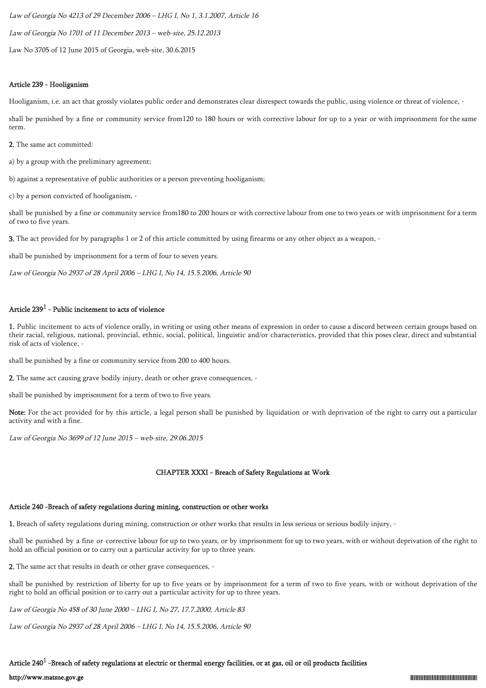Law of Georgia No 4213 of 29 December 2006 – LHG I, No 1, 3.1.2007, Article 16 Law of Georgia No 1701 of 11 December 2013 – web-site, 25.12.2013 Law No 3705 of 12 June 2015 of Georgia, web-site, 30.6.2015

#### Article 239 - Hooliganism

Hooliganism, i.e. an act that grossly violates public order and demonstrates clear disrespect towards the public, using violence or threat of violence, -

shall be punished by a fine or community service from120 to 180 hours or with corrective labour for up to a year or with imprisonment for the same term.

2. The same act committed:

a) by a group with the preliminary agreement;

b) against a representative of public authorities or a person preventing hooliganism;

c) by a person convicted of hooliganism, -

shall be punished by a fine or community service from180 to 200 hours or with corrective labour from one to two years or with imprisonment for a term of two to five years.

3. The act provided for by paragraphs 1 or 2 of this article committed by using firearms or any other object as a weapon, -

shall be punished by imprisonment for a term of four to seven years.

Law of Georgia No 2937 of 28 April 2006 – LHG I, No 14, 15.5.2006, Article 90

# Article 239 $^1$  - Public incitement to acts of violence

1. Public incitement to acts of violence orally, in writing or using other means of expression in order to cause a discord between certain groups based on their racial, religious, national, provincial, ethnic, social, political, linguistic and/or characteristics, provided that this poses clear, direct and substantial risk of acts of violence, -

shall be punished by a fine or community service from 200 to 400 hours.

2. The same act causing grave bodily injury, death or other grave consequences, -

shall be punished by imprisonment for a term of two to five years.

Note: For the act provided for by this article, a legal person shall be punished by liquidation or with deprivation of the right to carry out a particular activity and with a fine.

Law of Georgia No 3699 of 12 June 2015 – web-site, 29.06.2015

### CHAPTER XXXI - Breach of Safety Regulations at Work

# Article 240 -Breach of safety regulations during mining, construction or other works

1. Breach of safety regulations during mining, construction or other works that results in less serious or serious bodily injury, -

shall be punished by a fine or corrective labour for up to two years, or by imprisonment for up to two years, with or without deprivation of the right to hold an official position or to carry out a particular activity for up to three years.

2. The same act that results in death or other grave consequences, -

shall be punished by restriction of liberty for up to five years or by imprisonment for a term of two to five years, with or without deprivation of the right to hold an official position or to carry out a particular activity for up to three years.

Law of Georgia No 458 of 30 June 2000 – LHG I, No 27, 17.7.2000, Article 83

Law of Georgia No 2937 of 28 April 2006 – LHG I, No 14, 15.5.2006, Article 90

# Article 240 $^{\rm 1}$  -Breach of safety regulations at electric or thermal energy facilities, or at gas, oil or oil products facilities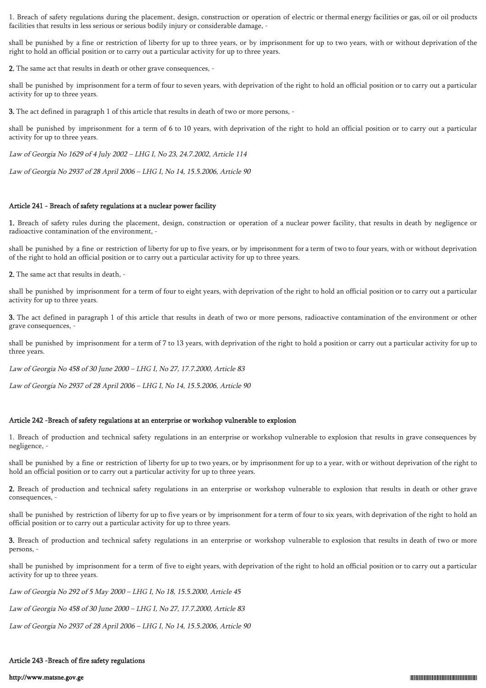1. Breach of safety regulations during the placement, design, construction or operation of electric or thermal energy facilities or gas, oil or oil products facilities that results in less serious or serious bodily injury or considerable damage, -

shall be punished by a fine or restriction of liberty for up to three years, or by imprisonment for up to two years, with or without deprivation of the right to hold an official position or to carry out a particular activity for up to three years.

2. The same act that results in death or other grave consequences, -

shall be punished by imprisonment for a term of four to seven years, with deprivation of the right to hold an official position or to carry out a particular activity for up to three years.

3. The act defined in paragraph 1 of this article that results in death of two or more persons, -

shall be punished by imprisonment for a term of 6 to 10 years, with deprivation of the right to hold an official position or to carry out a particular activity for up to three years.

Law of Georgia No 1629 of 4 July 2002 – LHG I, No 23, 24.7.2002, Article 114

Law of Georgia No 2937 of 28 April 2006 – LHG I, No 14, 15.5.2006, Article 90

#### Article 241 - Breach of safety regulations at a nuclear power facility

1. Breach of safety rules during the placement, design, construction or operation of a nuclear power facility, that results in death by negligence or radioactive contamination of the environment, -

shall be punished by a fine or restriction of liberty for up to five years, or by imprisonment for a term of two to four years, with or without deprivation of the right to hold an official position or to carry out a particular activity for up to three years.

2. The same act that results in death, -

shall be punished by imprisonment for a term of four to eight years, with deprivation of the right to hold an official position or to carry out a particular activity for up to three years.

3. The act defined in paragraph 1 of this article that results in death of two or more persons, radioactive contamination of the environment or other grave consequences, -

shall be punished by imprisonment for a term of 7 to 13 years, with deprivation of the right to hold a position or carry out a particular activity for up to three years.

Law of Georgia No 458 of 30 June 2000 – LHG I, No 27, 17.7.2000, Article 83

Law of Georgia No 2937 of 28 April 2006 – LHG I, No 14, 15.5.2006, Article 90

#### Article 242 -Breach of safety regulations at an enterprise or workshop vulnerable to explosion

1. Breach of production and technical safety regulations in an enterprise or workshop vulnerable to explosion that results in grave consequences by negligence, -

shall be punished by a fine or restriction of liberty for up to two years, or by imprisonment for up to a year, with or without deprivation of the right to hold an official position or to carry out a particular activity for up to three years.

2. Breach of production and technical safety regulations in an enterprise or workshop vulnerable to explosion that results in death or other grave consequences, -

shall be punished by restriction of liberty for up to five years or by imprisonment for a term of four to six years, with deprivation of the right to hold an official position or to carry out a particular activity for up to three years.

3. Breach of production and technical safety regulations in an enterprise or workshop vulnerable to explosion that results in death of two or more persons, -

shall be punished by imprisonment for a term of five to eight years, with deprivation of the right to hold an official position or to carry out a particular activity for up to three years.

Law of Georgia No 292 of 5 May 2000 – LHG I, No 18, 15.5.2000, Article 45

Law of Georgia No 458 of 30 June 2000 – LHG I, No 27, 17.7.2000, Article 83

Law of Georgia No 2937 of 28 April 2006 – LHG I, No 14, 15.5.2006, Article 90

### Article 243 -Breach of fire safety regulations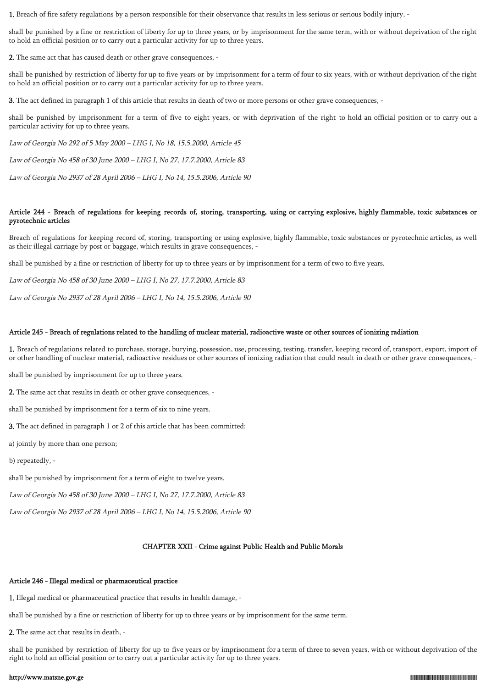1. Breach of fire safety regulations by a person responsible for their observance that results in less serious or serious bodily injury, -

shall be punished by a fine or restriction of liberty for up to three years, or by imprisonment for the same term, with or without deprivation of the right to hold an official position or to carry out a particular activity for up to three years.

2. The same act that has caused death or other grave consequences, -

shall be punished by restriction of liberty for up to five years or by imprisonment for a term of four to six years, with or without deprivation of the right to hold an official position or to carry out a particular activity for up to three years.

3. The act defined in paragraph 1 of this article that results in death of two or more persons or other grave consequences, -

shall be punished by imprisonment for a term of five to eight years, or with deprivation of the right to hold an official position or to carry out a particular activity for up to three years.

Law of Georgia No 292 of 5 May 2000 – LHG I, No 18, 15.5.2000, Article 45

Law of Georgia No 458 of 30 June 2000 – LHG I, No 27, 17.7.2000, Article 83

Law of Georgia No 2937 of 28 April 2006 – LHG I, No 14, 15.5.2006, Article 90

#### Article 244 - Breach of regulations for keeping records of, storing, transporting, using or carrying explosive, highly flammable, toxic substances or pyrotechnic articles

Breach of regulations for keeping record of, storing, transporting or using explosive, highly flammable, toxic substances or pyrotechnic articles, as well as their illegal carriage by post or baggage, which results in grave consequences, -

shall be punished by a fine or restriction of liberty for up to three years or by imprisonment for a term of two to five years.

Law of Georgia No 458 of 30 June 2000 – LHG I, No 27, 17.7.2000, Article 83

Law of Georgia No 2937 of 28 April 2006 – LHG I, No 14, 15.5.2006, Article 90

#### Article 245 - Breach of regulations related to the handling of nuclear material, radioactive waste or other sources of ionizing radiation

1. Breach of regulations related to purchase, storage, burying, possession, use, processing, testing, transfer, keeping record of, transport, export, import of or other handling of nuclear material, radioactive residues or other sources of ionizing radiation that could result in death or other grave consequences, -

shall be punished by imprisonment for up to three years.

2. The same act that results in death or other grave consequences, -

shall be punished by imprisonment for a term of six to nine years.

3. The act defined in paragraph 1 or 2 of this article that has been committed:

a) jointly by more than one person;

b) repeatedly, -

shall be punished by imprisonment for a term of eight to twelve years.

Law of Georgia No 458 of 30 June 2000 – LHG I, No 27, 17.7.2000, Article 83

Law of Georgia No 2937 of 28 April 2006 – LHG I, No 14, 15.5.2006, Article 90

### CHAPTER XXII - Crime against Public Health and Public Morals

### Article 246 - Illegal medical or pharmaceutical practice

1. Illegal medical or pharmaceutical practice that results in health damage, -

shall be punished by a fine or restriction of liberty for up to three years or by imprisonment for the same term.

2. The same act that results in death, -

shall be punished by restriction of liberty for up to five years or by imprisonment for a term of three to seven years, with or without deprivation of the right to hold an official position or to carry out a particular activity for up to three years.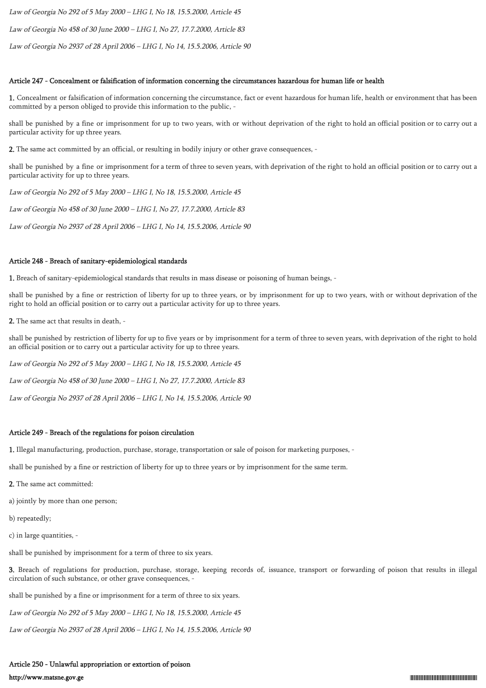Law of Georgia No 292 of 5 May 2000 – LHG I, No 18, 15.5.2000, Article 45

Law of Georgia No 458 of 30 June 2000 – LHG I, No 27, 17.7.2000, Article 83

Law of Georgia No 2937 of 28 April 2006 – LHG I, No 14, 15.5.2006, Article 90

### Article 247 - Concealment or falsification of information concerning the circumstances hazardous for human life or health

1. Concealment or falsification of information concerning the circumstance, fact or event hazardous for human life, health or environment that has been committed by a person obliged to provide this information to the public, -

shall be punished by a fine or imprisonment for up to two years, with or without deprivation of the right to hold an official position or to carry out a particular activity for up three years.

2. The same act committed by an official, or resulting in bodily injury or other grave consequences, -

shall be punished by a fine or imprisonment for a term of three to seven years, with deprivation of the right to hold an official position or to carry out a particular activity for up to three years.

Law of Georgia No 292 of 5 May 2000 – LHG I, No 18, 15.5.2000, Article 45

Law of Georgia No 458 of 30 June 2000 – LHG I, No 27, 17.7.2000, Article 83

Law of Georgia No 2937 of 28 April 2006 – LHG I, No 14, 15.5.2006, Article 90

# Article 248 - Breach of sanitary-epidemiological standards

1. Breach of sanitary-epidemiological standards that results in mass disease or poisoning of human beings, -

shall be punished by a fine or restriction of liberty for up to three years, or by imprisonment for up to two years, with or without deprivation of the right to hold an official position or to carry out a particular activity for up to three years.

2. The same act that results in death, -

shall be punished by restriction of liberty for up to five years or by imprisonment for a term of three to seven years, with deprivation of the right to hold an official position or to carry out a particular activity for up to three years.

Law of Georgia No 292 of 5 May 2000 – LHG I, No 18, 15.5.2000, Article 45

Law of Georgia No 458 of 30 June 2000 – LHG I, No 27, 17.7.2000, Article 83

Law of Georgia No 2937 of 28 April 2006 – LHG I, No 14, 15.5.2006, Article 90

# Article 249 - Breach of the regulations for poison circulation

1. Illegal manufacturing, production, purchase, storage, transportation or sale of poison for marketing purposes, -

shall be punished by a fine or restriction of liberty for up to three years or by imprisonment for the same term.

2. The same act committed:

a) jointly by more than one person;

b) repeatedly;

c) in large quantities, -

shall be punished by imprisonment for a term of three to six years.

3. Breach of regulations for production, purchase, storage, keeping records of, issuance, transport or forwarding of poison that results in illegal circulation of such substance, or other grave consequences, -

shall be punished by a fine or imprisonment for a term of three to six years.

Law of Georgia No 292 of 5 May 2000 – LHG I, No 18, 15.5.2000, Article 45

Law of Georgia No 2937 of 28 April 2006 – LHG I, No 14, 15.5.2006, Article 90

# Article 250 - Unlawful appropriation or extortion of poison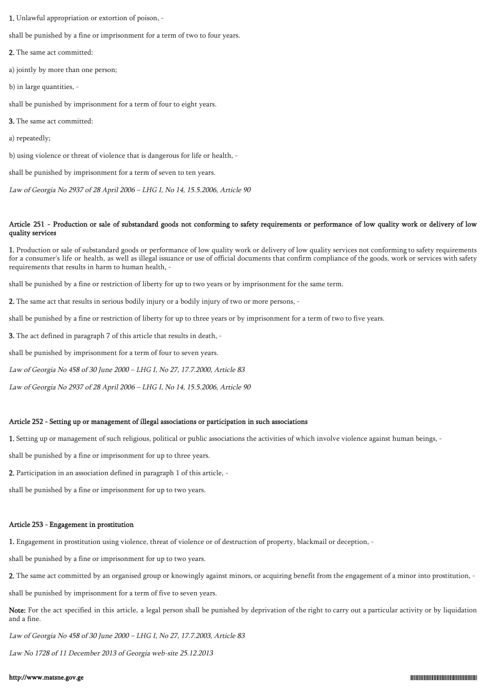1. Unlawful appropriation or extortion of poison, -

shall be punished by a fine or imprisonment for a term of two to four years.

2. The same act committed:

a) jointly by more than one person;

b) in large quantities, -

shall be punished by imprisonment for a term of four to eight years.

3. The same act committed:

a) repeatedly;

b) using violence or threat of violence that is dangerous for life or health, -

shall be punished by imprisonment for a term of seven to ten years.

Law of Georgia No 2937 of 28 April 2006 – LHG I, No 14, 15.5.2006, Article 90

### Article 251 - Production or sale of substandard goods not conforming to safety requirements or performance of low quality work or delivery of low quality services

1. Production or sale of substandard goods or performance of low quality work or delivery of low quality services not conforming to safety requirements for a consumer's life or health, as well as illegal issuance or use of official documents that confirm compliance of the goods, work or services with safety requirements that results in harm to human health, -

shall be punished by a fine or restriction of liberty for up to two years or by imprisonment for the same term.

2. The same act that results in serious bodily injury or a bodily injury of two or more persons, -

shall be punished by a fine or restriction of liberty for up to three years or by imprisonment for a term of two to five years.

3. The act defined in paragraph 7 of this article that results in death, -

shall be punished by imprisonment for a term of four to seven years.

Law of Georgia No 458 of 30 June 2000 – LHG I, No 27, 17.7.2000, Article 83

Law of Georgia No 2937 of 28 April 2006 – LHG I, No 14, 15.5.2006, Article 90

#### Article 252 - Setting up or management of illegal associations or participation in such associations

1. Setting up or management of such religious, political or public associations the activities of which involve violence against human beings, -

shall be punished by a fine or imprisonment for up to three years.

2. Participation in an association defined in paragraph 1 of this article, -

shall be punished by a fine or imprisonment for up to two years.

#### Article 253 - Engagement in prostitution

1. Engagement in prostitution using violence, threat of violence or of destruction of property, blackmail or deception, -

shall be punished by a fine or imprisonment for up to two years.

2. The same act committed by an organised group or knowingly against minors, or acquiring benefit from the engagement of a minor into prostitution, -

shall be punished by imprisonment for a term of five to seven years.

Note: For the act specified in this article, a legal person shall be punished by deprivation of the right to carry out a particular activity or by liquidation and a fine.

Law of Georgia No 458 of 30 June 2000 – LHG I, No 27, 17.7.2003, Article 83

Law No 1728 of 11 December 2013 of Georgia web-site 25.12.2013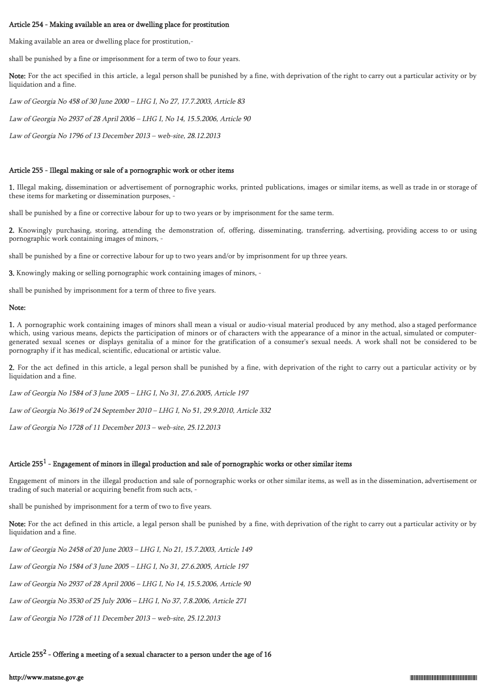### Article 254 - Making available an area or dwelling place for prostitution

Making available an area or dwelling place for prostitution,-

shall be punished by a fine or imprisonment for a term of two to four years.

Note: For the act specified in this article, a legal person shall be punished by a fine, with deprivation of the right to carry out a particular activity or by liquidation and a fine.

Law of Georgia No 458 of 30 June 2000 – LHG I, No 27, 17.7.2003, Article 83

Law of Georgia No 2937 of 28 April 2006 – LHG I, No 14, 15.5.2006, Article 90

Law of Georgia No 1796 of 13 December 2013 – web-site, 28.12.2013

#### Article 255 - Illegal making or sale of a pornographic work or other items

1. Illegal making, dissemination or advertisement of pornographic works, printed publications, images or similar items, as well as trade in or storage of these items for marketing or dissemination purposes, -

shall be punished by a fine or corrective labour for up to two years or by imprisonment for the same term.

2. Knowingly purchasing, storing, attending the demonstration of, offering, disseminating, transferring, advertising, providing access to or using pornographic work containing images of minors, -

shall be punished by a fine or corrective labour for up to two years and/or by imprisonment for up three years.

3. Knowingly making or selling pornographic work containing images of minors, -

shall be punished by imprisonment for a term of three to five years.

#### Note:

1. A pornographic work containing images of minors shall mean a visual or audio-visual material produced by any method, also a staged performance which, using various means, depicts the participation of minors or of characters with the appearance of a minor in the actual, simulated or computergenerated sexual scenes or displays genitalia of a minor for the gratification of a consumer's sexual needs. A work shall not be considered to be pornography if it has medical, scientific, educational or artistic value.

2. For the act defined in this article, a legal person shall be punished by a fine, with deprivation of the right to carry out a particular activity or by liquidation and a fine.

Law of Georgia No 1584 of 3 June 2005 – LHG I, No 31, 27.6.2005, Article 197

Law of Georgia No 3619 of 24 September 2010 – LHG I, No 51, 29.9.2010, Article 332

Law of Georgia No 1728 of 11 December 2013 – web-site, 25.12.2013

# Article 255 $^1$  - Engagement of minors in illegal production and sale of pornographic works or other similar items

Engagement of minors in the illegal production and sale of pornographic works or other similar items, as well as in the dissemination, advertisement or trading of such material or acquiring benefit from such acts, -

shall be punished by imprisonment for a term of two to five years.

Note: For the act defined in this article, a legal person shall be punished by a fine, with deprivation of the right to carry out a particular activity or by liquidation and a fine.

Law of Georgia No 2458 of 20 June 2003 – LHG I, No 21, 15.7.2003, Article 149

Law of Georgia No 1584 of 3 June 2005 – LHG I, No 31, 27.6.2005, Article 197

Law of Georgia No 2937 of 28 April 2006 – LHG I, No 14, 15.5.2006, Article 90

Law of Georgia No 3530 of 25 July 2006 – LHG I, No 37, 7.8.2006, Article 271

Law of Georgia No 1728 of 11 December 2013 – web-site, 25.12.2013

Article 255 $^2$  - Offering a meeting of a sexual character to a person under the age of 16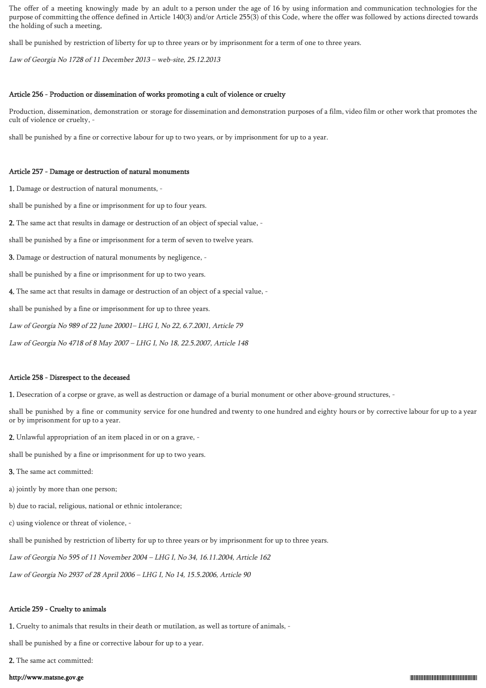The offer of a meeting knowingly made by an adult to a person under the age of 16 by using information and communication technologies for the purpose of committing the offence defined in Article 140(3) and/or Article 255(3) of this Code, where the offer was followed by actions directed towards the holding of such a meeting,

shall be punished by restriction of liberty for up to three years or by imprisonment for a term of one to three years.

Law of Georgia No 1728 of 11 December 2013 – web-site, 25.12.2013

### Article 256 - Production or dissemination of works promoting a cult of violence or cruelty

Production, dissemination, demonstration or storage for dissemination and demonstration purposes of a film, video film or other work that promotes the cult of violence or cruelty, -

shall be punished by a fine or corrective labour for up to two years, or by imprisonment for up to a year.

#### Article 257 - Damage or destruction of natural monuments

1. Damage or destruction of natural monuments, -

shall be punished by a fine or imprisonment for up to four years.

2. The same act that results in damage or destruction of an object of special value, -

shall be punished by a fine or imprisonment for a term of seven to twelve years.

3. Damage or destruction of natural monuments by negligence, -

shall be punished by a fine or imprisonment for up to two years.

4. The same act that results in damage or destruction of an object of a special value, -

shall be punished by a fine or imprisonment for up to three years.

Law of Georgia No 989 of 22 June 20001– LHG I, No 22, 6.7.2001, Article 79

Law of Georgia No 4718 of 8 May 2007 – LHG I, No 18, 22.5.2007, Article 148

#### Article 258 - Disrespect to the deceased

1. Desecration of a corpse or grave, as well as destruction or damage of a burial monument or other above-ground structures, -

shall be punished by a fine or community service for one hundred and twenty to one hundred and eighty hours or by corrective labour for up to a year or by imprisonment for up to a year.

2. Unlawful appropriation of an item placed in or on a grave, -

shall be punished by a fine or imprisonment for up to two years.

3. The same act committed:

a) jointly by more than one person;

b) due to racial, religious, national or ethnic intolerance;

c) using violence or threat of violence, -

shall be punished by restriction of liberty for up to three years or by imprisonment for up to three years.

Law of Georgia No 595 of 11 November 2004 – LHG I, No 34, 16.11.2004, Article 162

Law of Georgia No 2937 of 28 April 2006 – LHG I, No 14, 15.5.2006, Article 90

### Article 259 - Cruelty to animals

1. Cruelty to animals that results in their death or mutilation, as well as torture of animals, -

shall be punished by a fine or corrective labour for up to a year.

2. The same act committed: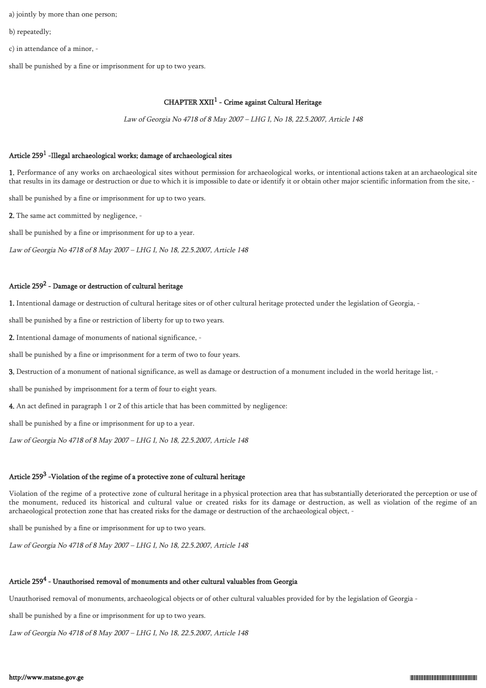a) jointly by more than one person;

b) repeatedly;

c) in attendance of a minor, -

shall be punished by a fine or imprisonment for up to two years.

### $CHAPTER XXII<sup>1</sup>$  - Crime against Cultural Heritage

Law of Georgia No 4718 of 8 May 2007 – LHG I, No 18, 22.5.2007, Article 148

# Article 259 $^1$  -Illegal archaeological works; damage of archaeological sites

1. Performance of any works on archaeological sites without permission for archaeological works, or intentional actions taken at an archaeological site that results in its damage or destruction or due to which it is impossible to date or identify it or obtain other major scientific information from the site, -

shall be punished by a fine or imprisonment for up to two years.

2. The same act committed by negligence, -

shall be punished by a fine or imprisonment for up to a year.

Law of Georgia No 4718 of 8 May 2007 – LHG I, No 18, 22.5.2007, Article 148

# Article 259 $^2$  - Damage or destruction of cultural heritage

1. Intentional damage or destruction of cultural heritage sites or of other cultural heritage protected under the legislation of Georgia, -

shall be punished by a fine or restriction of liberty for up to two years.

2. Intentional damage of monuments of national significance, -

shall be punished by a fine or imprisonment for a term of two to four years.

3. Destruction of a monument of national significance, as well as damage or destruction of a monument included in the world heritage list, -

shall be punished by imprisonment for a term of four to eight years.

4. An act defined in paragraph 1 or 2 of this article that has been committed by negligence:

shall be punished by a fine or imprisonment for up to a year.

Law of Georgia No 4718 of 8 May 2007 – LHG I, No 18, 22.5.2007, Article 148

# Article 259 $^3$  -Violation of the regime of a protective zone of cultural heritage

Violation of the regime of a protective zone of cultural heritage in a physical protection area that has substantially deteriorated the perception or use of the monument, reduced its historical and cultural value or created risks for its damage or destruction, as well as violation of the regime of an archaeological protection zone that has created risks for the damage or destruction of the archaeological object, -

shall be punished by a fine or imprisonment for up to two years.

Law of Georgia No 4718 of 8 May 2007 – LHG I, No 18, 22.5.2007, Article 148

# Article 259 $^4$  - Unauthorised removal of monuments and other cultural valuables from Georgia

Unauthorised removal of monuments, archaeological objects or of other cultural valuables provided for by the legislation of Georgia -

shall be punished by a fine or imprisonment for up to two years.

Law of Georgia No 4718 of 8 May 2007 – LHG I, No 18, 22.5.2007, Article 148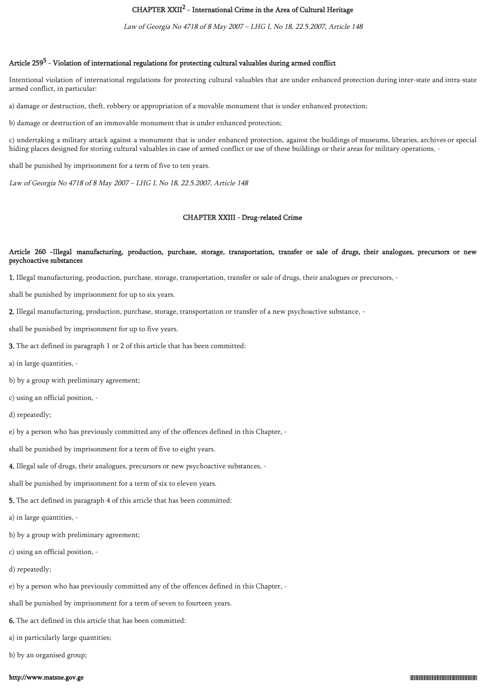# CHAPTER XXII<sup>2</sup> - International Crime in the Area of Cultural Heritage

Law of Georgia No 4718 of 8 May 2007 – LHG I, No 18, 22.5.2007, Article 148

### Article 259<sup>5</sup> - Violation of international regulations for protecting cultural valuables during armed conflict

Intentional violation of international regulations for protecting cultural valuables that are under enhanced protection during inter-state and intra-state armed conflict, in particular:

a) damage or destruction, theft, robbery or appropriation of a movable monument that is under enhanced protection;

b) damage or destruction of an immovable monument that is under enhanced protection;

c) undertaking a military attack against a monument that is under enhanced protection, against the buildings of museums, libraries, archives or special hiding places designed for storing cultural valuables in case of armed conflict or use of these buildings or their areas for military operations, -

shall be punished by imprisonment for a term of five to ten years.

Law of Georgia No 4718 of 8 May 2007 – LHG I, No 18, 22.5.2007, Article 148

#### CHAPTER XXIII - Drug-related Crime

### Article 260 -Illegal manufacturing, production, purchase, storage, transportation, transfer or sale of drugs, their analogues, precursors or new psychoactive substances

1. Illegal manufacturing, production, purchase, storage, transportation, transfer or sale of drugs, their analogues or precursors, -

shall be punished by imprisonment for up to six years.

2. Illegal manufacturing, production, purchase, storage, transportation or transfer of a new psychoactive substance, -

shall be punished by imprisonment for up to five years.

3. The act defined in paragraph 1 or 2 of this article that has been committed:

a) in large quantities, -

b) by a group with preliminary agreement;

- c) using an official position, -
- d) repeatedly;

e) by a person who has previously committed any of the offences defined in this Chapter, -

shall be punished by imprisonment for a term of five to eight years.

4. Illegal sale of drugs, their analogues, precursors or new psychoactive substances, -

shall be punished by imprisonment for a term of six to eleven years.

5. The act defined in paragraph 4 of this article that has been committed:

a) in large quantities, -

- b) by a group with preliminary agreement;
- c) using an official position, -

d) repeatedly;

e) by a person who has previously committed any of the offences defined in this Chapter, -

shall be punished by imprisonment for a term of seven to fourteen years.

6. The act defined in this article that has been committed:

a) in particularly large quantities;

b) by an organised group;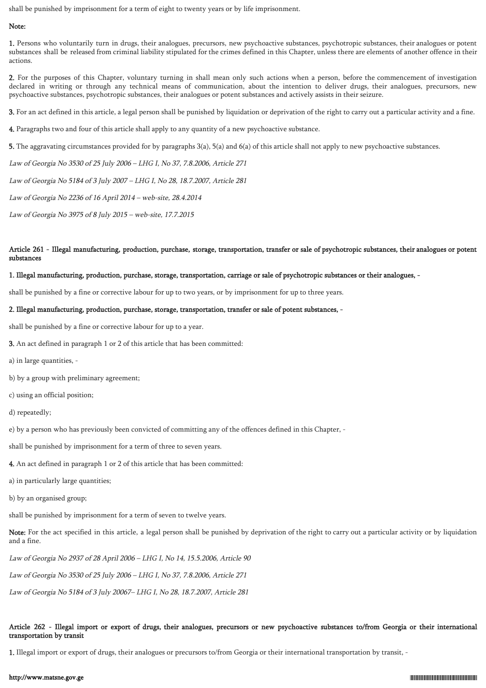shall be punished by imprisonment for a term of eight to twenty years or by life imprisonment.

### Note:

1. Persons who voluntarily turn in drugs, their analogues, precursors, new psychoactive substances, psychotropic substances, their analogues or potent substances shall be released from criminal liability stipulated for the crimes defined in this Chapter, unless there are elements of another offence in their actions.

2. For the purposes of this Chapter, voluntary turning in shall mean only such actions when a person, before the commencement of investigation declared in writing or through any technical means of communication, about the intention to deliver drugs, their analogues, precursors, new psychoactive substances, psychotropic substances, their analogues or potent substances and actively assists in their seizure.

3. For an act defined in this article, a legal person shall be punished by liquidation or deprivation of the right to carry out a particular activity and a fine.

4. Paragraphs two and four of this article shall apply to any quantity of a new psychoactive substance.

5. The aggravating circumstances provided for by paragraphs 3(a), 5(a) and 6(a) of this article shall not apply to new psychoactive substances.

Law of Georgia No 3530 of 25 July 2006 – LHG I, No 37, 7.8.2006, Article 271

Law of Georgia No 5184 of 3 July 2007 – LHG I, No 28, 18.7.2007, Article 281

Law of Georgia No 2236 of 16 April 2014 – web-site, 28.4.2014

Law of Georgia No 3975 of 8 July 2015 – web-site, 17.7.2015

### Article 261 - Illegal manufacturing, production, purchase, storage, transportation, transfer or sale of psychotropic substances, their analogues or potent substances

#### 1. Illegal manufacturing, production, purchase, storage, transportation, carriage or sale of psychotropic substances or their analogues, -

shall be punished by a fine or corrective labour for up to two years, or by imprisonment for up to three years.

### 2. Illegal manufacturing, production, purchase, storage, transportation, transfer or sale of potent substances, -

shall be punished by a fine or corrective labour for up to a year.

3. An act defined in paragraph 1 or 2 of this article that has been committed:

a) in large quantities, -

b) by a group with preliminary agreement;

c) using an official position;

d) repeatedly;

e) by a person who has previously been convicted of committing any of the offences defined in this Chapter, -

shall be punished by imprisonment for a term of three to seven years.

4. An act defined in paragraph 1 or 2 of this article that has been committed:

a) in particularly large quantities;

b) by an organised group;

shall be punished by imprisonment for a term of seven to twelve years.

Note: For the act specified in this article, a legal person shall be punished by deprivation of the right to carry out a particular activity or by liquidation and a fine.

Law of Georgia No 2937 of 28 April 2006 – LHG I, No 14, 15.5.2006, Article 90

Law of Georgia No 3530 of 25 July 2006 – LHG I, No 37, 7.8.2006, Article 271

Law of Georgia No 5184 of 3 July 20067– LHG I, No 28, 18.7.2007, Article 281

# Article 262 - Illegal import or export of drugs, their analogues, precursors or new psychoactive substances to/from Georgia or their international transportation by transit

1. Illegal import or export of drugs, their analogues or precursors to/from Georgia or their international transportation by transit, -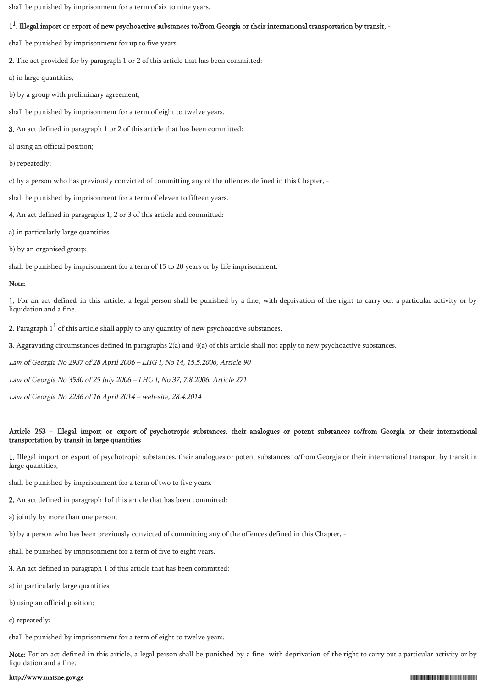shall be punished by imprisonment for a term of six to nine years.

# 1<sup>1</sup>. Illegal import or export of new psychoactive substances to/from Georgia or their international transportation by transit, -

shall be punished by imprisonment for up to five years.

2. The act provided for by paragraph 1 or 2 of this article that has been committed:

a) in large quantities, -

b) by a group with preliminary agreement;

shall be punished by imprisonment for a term of eight to twelve years.

3. An act defined in paragraph 1 or 2 of this article that has been committed:

a) using an official position;

b) repeatedly;

c) by a person who has previously convicted of committing any of the offences defined in this Chapter, -

shall be punished by imprisonment for a term of eleven to fifteen years.

4. An act defined in paragraphs 1, 2 or 3 of this article and committed:

a) in particularly large quantities;

b) by an organised group;

shall be punished by imprisonment for a term of 15 to 20 years or by life imprisonment.

### Note:

1. For an act defined in this article, a legal person shall be punished by a fine, with deprivation of the right to carry out a particular activity or by liquidation and a fine.

**2.** Paragraph  $1^1$  of this article shall apply to any quantity of new psychoactive substances.

3. Aggravating circumstances defined in paragraphs 2(a) and 4(a) of this article shall not apply to new psychoactive substances.

Law of Georgia No 2937 of 28 April 2006 – LHG I, No 14, 15.5.2006, Article 90

Law of Georgia No 3530 of 25 July 2006 – LHG I, No 37, 7.8.2006, Article 271

Law of Georgia No 2236 of 16 April 2014 – web-site, 28.4.2014

### Article 263 - Illegal import or export of psychotropic substances, their analogues or potent substances to/from Georgia or their international transportation by transit in large quantities

1. Illegal import or export of psychotropic substances, their analogues or potent substances to/from Georgia or their international transport by transit in large quantities, -

shall be punished by imprisonment for a term of two to five years.

2. An act defined in paragraph 1of this article that has been committed:

a) jointly by more than one person;

b) by a person who has been previously convicted of committing any of the offences defined in this Chapter, -

shall be punished by imprisonment for a term of five to eight years.

3. An act defined in paragraph 1 of this article that has been committed:

a) in particularly large quantities;

b) using an official position;

c) repeatedly;

shall be punished by imprisonment for a term of eight to twelve years.

Note: For an act defined in this article, a legal person shall be punished by a fine, with deprivation of the right to carry out a particular activity or by liquidation and a fine.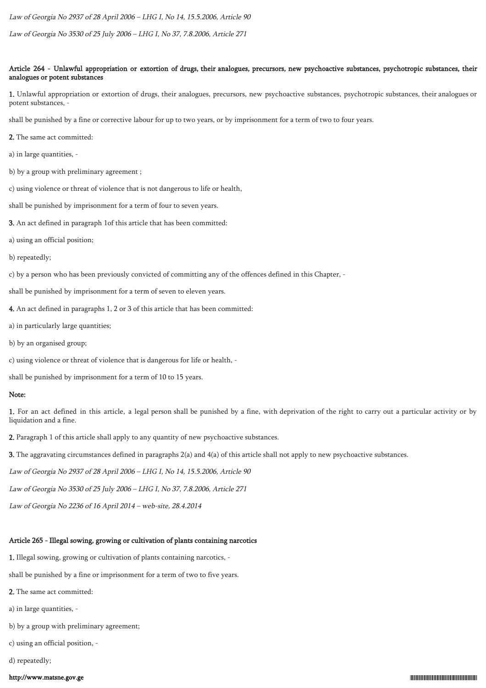Law of Georgia No 2937 of 28 April 2006 – LHG I, No 14, 15.5.2006, Article 90

Law of Georgia No 3530 of 25 July 2006 – LHG I, No 37, 7.8.2006, Article 271

### Article 264 - Unlawful appropriation or extortion of drugs, their analogues, precursors, new psychoactive substances, psychotropic substances, their analogues or potent substances

1. Unlawful appropriation or extortion of drugs, their analogues, precursors, new psychoactive substances, psychotropic substances, their analogues or potent substances, -

shall be punished by a fine or corrective labour for up to two years, or by imprisonment for a term of two to four years.

- 2. The same act committed:
- a) in large quantities, -
- b) by a group with preliminary agreement ;
- c) using violence or threat of violence that is not dangerous to life or health,
- shall be punished by imprisonment for a term of four to seven years.
- 3. An act defined in paragraph 1of this article that has been committed:
- a) using an official position;
- b) repeatedly;
- c) by a person who has been previously convicted of committing any of the offences defined in this Chapter, -
- shall be punished by imprisonment for a term of seven to eleven years.
- 4. An act defined in paragraphs 1, 2 or 3 of this article that has been committed:
- a) in particularly large quantities;
- b) by an organised group;
- c) using violence or threat of violence that is dangerous for life or health, -
- shall be punished by imprisonment for a term of 10 to 15 years.

### Note:

1. For an act defined in this article, a legal person shall be punished by a fine, with deprivation of the right to carry out a particular activity or by liquidation and a fine.

- 2. Paragraph 1 of this article shall apply to any quantity of new psychoactive substances.
- 3. The aggravating circumstances defined in paragraphs 2(a) and 4(a) of this article shall not apply to new psychoactive substances.
- Law of Georgia No 2937 of 28 April 2006 LHG I, No 14, 15.5.2006, Article 90
- Law of Georgia No 3530 of 25 July 2006 LHG I, No 37, 7.8.2006, Article 271
- Law of Georgia No 2236 of 16 April 2014 web-site, 28.4.2014

# Article 265 - Illegal sowing, growing or cultivation of plants containing narcotics

- 1. Illegal sowing, growing or cultivation of plants containing narcotics, -
- shall be punished by a fine or imprisonment for a term of two to five years.
- 2. The same act committed:
- a) in large quantities, -
- b) by a group with preliminary agreement;
- c) using an official position, -
- d) repeatedly;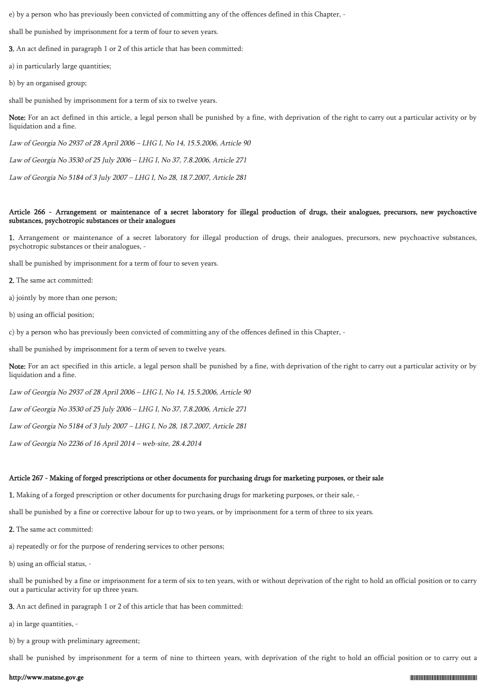e) by a person who has previously been convicted of committing any of the offences defined in this Chapter, -

shall be punished by imprisonment for a term of four to seven years.

3. An act defined in paragraph 1 or 2 of this article that has been committed:

a) in particularly large quantities;

b) by an organised group;

shall be punished by imprisonment for a term of six to twelve years.

Note: For an act defined in this article, a legal person shall be punished by a fine, with deprivation of the right to carry out a particular activity or by liquidation and a fine.

Law of Georgia No 2937 of 28 April 2006 – LHG I, No 14, 15.5.2006, Article 90

Law of Georgia No 3530 of 25 July 2006 – LHG I, No 37, 7.8.2006, Article 271

Law of Georgia No 5184 of 3 July 2007 – LHG I, No 28, 18.7.2007, Article 281

### Article 266 - Arrangement or maintenance of a secret laboratory for illegal production of drugs, their analogues, precursors, new psychoactive substances, psychotropic substances or their analogues

1. Arrangement or maintenance of a secret laboratory for illegal production of drugs, their analogues, precursors, new psychoactive substances, psychotropic substances or their analogues, -

shall be punished by imprisonment for a term of four to seven years.

2. The same act committed:

a) jointly by more than one person;

b) using an official position;

c) by a person who has previously been convicted of committing any of the offences defined in this Chapter, -

shall be punished by imprisonment for a term of seven to twelve years.

Note: For an act specified in this article, a legal person shall be punished by a fine, with deprivation of the right to carry out a particular activity or by liquidation and a fine.

Law of Georgia No 2937 of 28 April 2006 – LHG I, No 14, 15.5.2006, Article 90

Law of Georgia No 3530 of 25 July 2006 – LHG I, No 37, 7.8.2006, Article 271

Law of Georgia No 5184 of 3 July 2007 – LHG I, No 28, 18.7.2007, Article 281

Law of Georgia No 2236 of 16 April 2014 – web-site, 28.4.2014

### Article 267 - Making of forged prescriptions or other documents for purchasing drugs for marketing purposes, or their sale

1. Making of a forged prescription or other documents for purchasing drugs for marketing purposes, or their sale, -

shall be punished by a fine or corrective labour for up to two years, or by imprisonment for a term of three to six years.

2. The same act committed:

a) repeatedly or for the purpose of rendering services to other persons;

b) using an official status, -

shall be punished by a fine or imprisonment for a term of six to ten years, with or without deprivation of the right to hold an official position or to carry out a particular activity for up three years.

3. An act defined in paragraph 1 or 2 of this article that has been committed:

a) in large quantities, -

b) by a group with preliminary agreement;

shall be punished by imprisonment for a term of nine to thirteen years, with deprivation of the right to hold an official position or to carry out a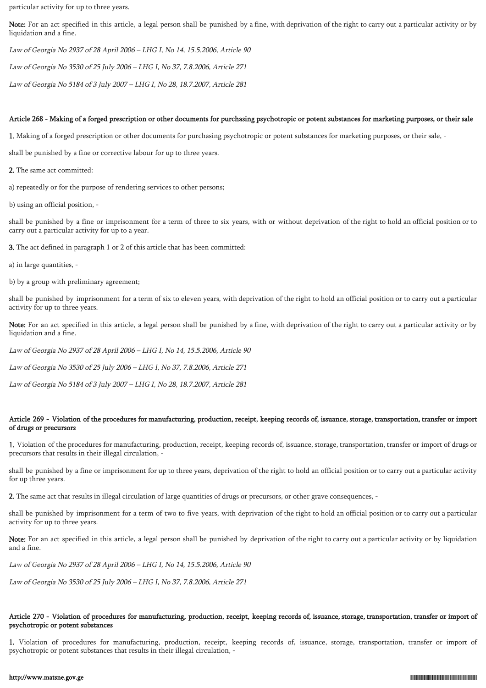particular activity for up to three years.

Note: For an act specified in this article, a legal person shall be punished by a fine, with deprivation of the right to carry out a particular activity or by liquidation and a fine.

Law of Georgia No 2937 of 28 April 2006 – LHG I, No 14, 15.5.2006, Article 90

Law of Georgia No 3530 of 25 July 2006 – LHG I, No 37, 7.8.2006, Article 271

Law of Georgia No 5184 of 3 July 2007 – LHG I, No 28, 18.7.2007, Article 281

#### Article 268 - Making of a forged prescription or other documents for purchasing psychotropic or potent substances for marketing purposes, or their sale

1. Making of a forged prescription or other documents for purchasing psychotropic or potent substances for marketing purposes, or their sale, -

shall be punished by a fine or corrective labour for up to three years.

2. The same act committed:

a) repeatedly or for the purpose of rendering services to other persons;

b) using an official position, -

shall be punished by a fine or imprisonment for a term of three to six years, with or without deprivation of the right to hold an official position or to carry out a particular activity for up to a year.

3. The act defined in paragraph 1 or 2 of this article that has been committed:

a) in large quantities, -

b) by a group with preliminary agreement;

shall be punished by imprisonment for a term of six to eleven years, with deprivation of the right to hold an official position or to carry out a particular activity for up to three years.

Note: For an act specified in this article, a legal person shall be punished by a fine, with deprivation of the right to carry out a particular activity or by liquidation and a fine.

Law of Georgia No 2937 of 28 April 2006 – LHG I, No 14, 15.5.2006, Article 90

Law of Georgia No 3530 of 25 July 2006 – LHG I, No 37, 7.8.2006, Article 271

Law of Georgia No 5184 of 3 July 2007 – LHG I, No 28, 18.7.2007, Article 281

#### Article 269 - Violation of the procedures for manufacturing, production, receipt, keeping records of, issuance, storage, transportation, transfer or import of drugs or precursors

1. Violation of the procedures for manufacturing, production, receipt, keeping records of, issuance, storage, transportation, transfer or import of drugs or precursors that results in their illegal circulation,

shall be punished by a fine or imprisonment for up to three years, deprivation of the right to hold an official position or to carry out a particular activity for up three years.

2. The same act that results in illegal circulation of large quantities of drugs or precursors, or other grave consequences, -

shall be punished by imprisonment for a term of two to five years, with deprivation of the right to hold an official position or to carry out a particular activity for up to three years.

Note: For an act specified in this article, a legal person shall be punished by deprivation of the right to carry out a particular activity or by liquidation and a fine.

Law of Georgia No 2937 of 28 April 2006 – LHG I, No 14, 15.5.2006, Article 90

Law of Georgia No 3530 of 25 July 2006 – LHG I, No 37, 7.8.2006, Article 271

### Article 270 - Violation of procedures for manufacturing, production, receipt, keeping records of, issuance, storage, transportation, transfer or import of psychotropic or potent substances

1. Violation of procedures for manufacturing, production, receipt, keeping records of, issuance, storage, transportation, transfer or import of psychotropic or potent substances that results in their illegal circulation, -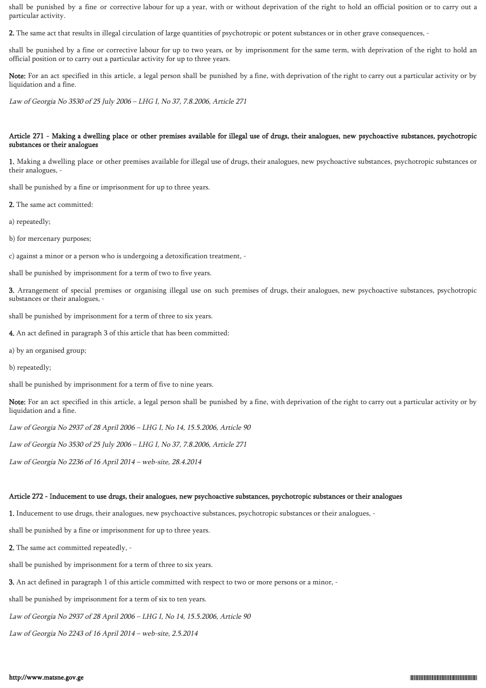shall be punished by a fine or corrective labour for up a year, with or without deprivation of the right to hold an official position or to carry out a particular activity.

2. The same act that results in illegal circulation of large quantities of psychotropic or potent substances or in other grave consequences, -

shall be punished by a fine or corrective labour for up to two years, or by imprisonment for the same term, with deprivation of the right to hold an official position or to carry out a particular activity for up to three years.

Note: For an act specified in this article, a legal person shall be punished by a fine, with deprivation of the right to carry out a particular activity or by liquidation and a fine.

Law of Georgia No 3530 of 25 July 2006 – LHG I, No 37, 7.8.2006, Article 271

### Article 271 - Making a dwelling place or other premises available for illegal use of drugs, their analogues, new psychoactive substances, psychotropic substances or their analogues

1. Making a dwelling place or other premises available for illegal use of drugs, their analogues, new psychoactive substances, psychotropic substances or their analogues, -

shall be punished by a fine or imprisonment for up to three years.

2. The same act committed:

a) repeatedly;

b) for mercenary purposes;

c) against a minor or a person who is undergoing a detoxification treatment, -

shall be punished by imprisonment for a term of two to five years.

3. Arrangement of special premises or organising illegal use on such premises of drugs, their analogues, new psychoactive substances, psychotropic substances or their analogues, -

shall be punished by imprisonment for a term of three to six years.

4. An act defined in paragraph 3 of this article that has been committed:

a) by an organised group;

b) repeatedly;

shall be punished by imprisonment for a term of five to nine years.

Note: For an act specified in this article, a legal person shall be punished by a fine, with deprivation of the right to carry out a particular activity or by liquidation and a fine.

Law of Georgia No 2937 of 28 April 2006 – LHG I, No 14, 15.5.2006, Article 90

Law of Georgia No 3530 of 25 July 2006 – LHG I, No 37, 7.8.2006, Article 271

Law of Georgia No 2236 of 16 April 2014 – web-site, 28.4.2014

#### Article 272 - Inducement to use drugs, their analogues, new psychoactive substances, psychotropic substances or their analogues

1. Inducement to use drugs, their analogues, new psychoactive substances, psychotropic substances or their analogues, -

shall be punished by a fine or imprisonment for up to three years.

2. The same act committed repeatedly, -

shall be punished by imprisonment for a term of three to six years.

3. An act defined in paragraph 1 of this article committed with respect to two or more persons or a minor, -

shall be punished by imprisonment for a term of six to ten years.

Law of Georgia No 2937 of 28 April 2006 – LHG I, No 14, 15.5.2006, Article 90

Law of Georgia No 2243 of 16 April 2014 – web-site, 2.5.2014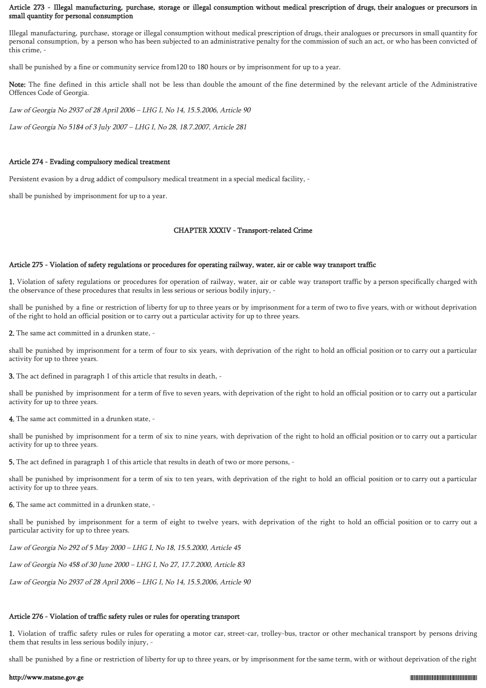### Article 273 - Illegal manufacturing, purchase, storage or illegal consumption without medical prescription of drugs, their analogues or precursors in small quantity for personal consumption

Illegal manufacturing, purchase, storage or illegal consumption without medical prescription of drugs, their analogues or precursors in small quantity for personal consumption, by a person who has been subjected to an administrative penalty for the commission of such an act, or who has been convicted of this crime, -

shall be punished by a fine or community service from120 to 180 hours or by imprisonment for up to a year.

Note: The fine defined in this article shall not be less than double the amount of the fine determined by the relevant article of the Administrative Offences Code of Georgia.

Law of Georgia No 2937 of 28 April 2006 – LHG I, No 14, 15.5.2006, Article 90

Law of Georgia No 5184 of 3 July 2007 – LHG I, No 28, 18.7.2007, Article 281

#### Article 274 - Evading compulsory medical treatment

Persistent evasion by a drug addict of compulsory medical treatment in a special medical facility, -

shall be punished by imprisonment for up to a year.

#### CHAPTER XXXIV - Transport-related Crime

#### Article 275 - Violation of safety regulations or procedures for operating railway, water, air or cable way transport traffic

1. Violation of safety regulations or procedures for operation of railway, water, air or cable way transport traffic by a person specifically charged with the observance of these procedures that results in less serious or serious bodily injury, -

shall be punished by a fine or restriction of liberty for up to three years or by imprisonment for a term of two to five years, with or without deprivation of the right to hold an official position or to carry out a particular activity for up to three years.

2. The same act committed in a drunken state, -

shall be punished by imprisonment for a term of four to six years, with deprivation of the right to hold an official position or to carry out a particular activity for up to three years.

3. The act defined in paragraph 1 of this article that results in death, -

shall be punished by imprisonment for a term of five to seven years, with deprivation of the right to hold an official position or to carry out a particular activity for up to three years.

4. The same act committed in a drunken state, -

shall be punished by imprisonment for a term of six to nine years, with deprivation of the right to hold an official position or to carry out a particular activity for up to three years.

5. The act defined in paragraph 1 of this article that results in death of two or more persons, -

shall be punished by imprisonment for a term of six to ten years, with deprivation of the right to hold an official position or to carry out a particular activity for up to three years.

6. The same act committed in a drunken state, -

shall be punished by imprisonment for a term of eight to twelve years, with deprivation of the right to hold an official position or to carry out a particular activity for up to three years.

Law of Georgia No 292 of 5 May 2000 – LHG I, No 18, 15.5.2000, Article 45

Law of Georgia No 458 of 30 June 2000 – LHG I, No 27, 17.7.2000, Article 83

Law of Georgia No 2937 of 28 April 2006 – LHG I, No 14, 15.5.2006, Article 90

#### Article 276 - Violation of traffic safety rules or rules for operating transport

1. Violation of traffic safety rules or rules for operating a motor car, street-car, trolley-bus, tractor or other mechanical transport by persons driving them that results in less serious bodily injury, -

shall be punished by a fine or restriction of liberty for up to three years, or by imprisonment for the same term, with or without deprivation of the right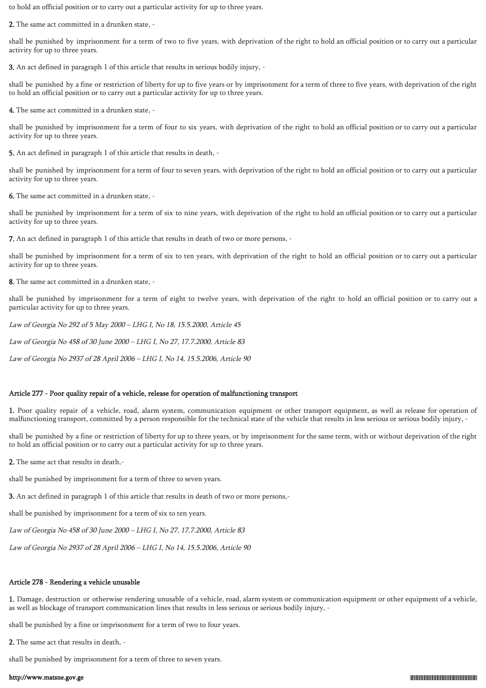to hold an official position or to carry out a particular activity for up to three years.

2. The same act committed in a drunken state, -

shall be punished by imprisonment for a term of two to five years, with deprivation of the right to hold an official position or to carry out a particular activity for up to three years.

3. An act defined in paragraph 1 of this article that results in serious bodily injury, -

shall be punished by a fine or restriction of liberty for up to five years or by imprisonment for a term of three to five years, with deprivation of the right to hold an official position or to carry out a particular activity for up to three years.

4. The same act committed in a drunken state, -

shall be punished by imprisonment for a term of four to six years, with deprivation of the right to hold an official position or to carry out a particular activity for up to three years.

5. An act defined in paragraph 1 of this article that results in death, -

shall be punished by imprisonment for a term of four to seven years, with deprivation of the right to hold an official position or to carry out a particular activity for up to three years.

6. The same act committed in a drunken state, -

shall be punished by imprisonment for a term of six to nine years, with deprivation of the right to hold an official position or to carry out a particular activity for up to three years.

7. An act defined in paragraph 1 of this article that results in death of two or more persons, -

shall be punished by imprisonment for a term of six to ten years, with deprivation of the right to hold an official position or to carry out a particular activity for up to three years.

8. The same act committed in a drunken state, -

shall be punished by imprisonment for a term of eight to twelve years, with deprivation of the right to hold an official position or to carry out a particular activity for up to three years.

Law of Georgia No 292 of 5 May 2000 – LHG I, No 18, 15.5.2000, Article 45

Law of Georgia No 458 of 30 June 2000 – LHG I, No 27, 17.7.2000, Article 83

Law of Georgia No 2937 of 28 April 2006 – LHG I, No 14, 15.5.2006, Article 90

### Article 277 - Poor quality repair of a vehicle, release for operation of malfunctioning transport

1. Poor quality repair of a vehicle, road, alarm system, communication equipment or other transport equipment, as well as release for operation of malfunctioning transport, committed by a person responsible for the technical state of the vehicle that results in less serious or serious bodily injury, -

shall be punished by a fine or restriction of liberty for up to three years, or by imprisonment for the same term, with or without deprivation of the right to hold an official position or to carry out a particular activity for up to three years.

2. The same act that results in death,-

shall be punished by imprisonment for a term of three to seven years.

3. An act defined in paragraph 1 of this article that results in death of two or more persons,-

shall be punished by imprisonment for a term of six to ten years.

Law of Georgia No 458 of 30 June 2000 – LHG I, No 27, 17.7.2000, Article 83

Law of Georgia No 2937 of 28 April 2006 – LHG I, No 14, 15.5.2006, Article 90

# Article 278 - Rendering a vehicle unusable

1. Damage, destruction or otherwise rendering unusable of a vehicle, road, alarm system or communication equipment or other equipment of a vehicle, as well as blockage of transport communication lines that results in less serious or serious bodily injury, -

shall be punished by a fine or imprisonment for a term of two to four years.

2. The same act that results in death, -

shall be punished by imprisonment for a term of three to seven years.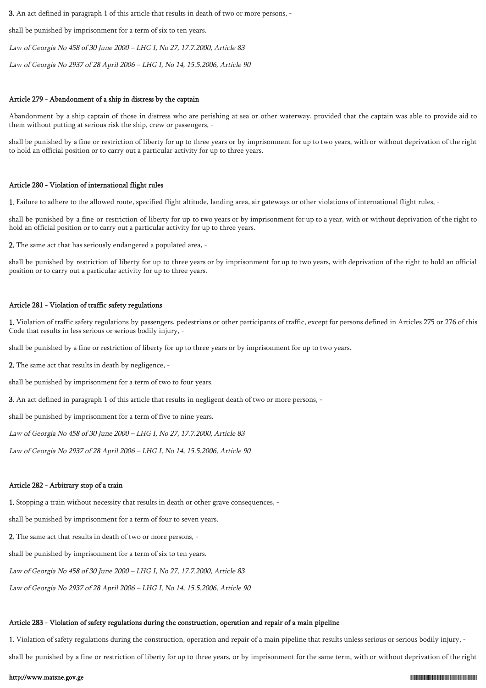3. An act defined in paragraph 1 of this article that results in death of two or more persons, -

shall be punished by imprisonment for a term of six to ten years.

Law of Georgia No 458 of 30 June 2000 – LHG I, No 27, 17.7.2000, Article 83

Law of Georgia No 2937 of 28 April 2006 – LHG I, No 14, 15.5.2006, Article 90

#### Article 279 - Abandonment of a ship in distress by the captain

Abandonment by a ship captain of those in distress who are perishing at sea or other waterway, provided that the captain was able to provide aid to them without putting at serious risk the ship, crew or passengers, -

shall be punished by a fine or restriction of liberty for up to three years or by imprisonment for up to two years, with or without deprivation of the right to hold an official position or to carry out a particular activity for up to three years.

### Article 280 - Violation of international flight rules

1. Failure to adhere to the allowed route, specified flight altitude, landing area, air gateways or other violations of international flight rules, -

shall be punished by a fine or restriction of liberty for up to two years or by imprisonment for up to a year, with or without deprivation of the right to hold an official position or to carry out a particular activity for up to three years.

2. The same act that has seriously endangered a populated area, -

shall be punished by restriction of liberty for up to three years or by imprisonment for up to two years, with deprivation of the right to hold an official position or to carry out a particular activity for up to three years.

#### Article 281 - Violation of traffic safety regulations

1. Violation of traffic safety regulations by passengers, pedestrians or other participants of traffic, except for persons defined in Articles 275 or 276 of this Code that results in less serious or serious bodily injury, -

shall be punished by a fine or restriction of liberty for up to three years or by imprisonment for up to two years.

2. The same act that results in death by negligence, -

shall be punished by imprisonment for a term of two to four years.

3. An act defined in paragraph 1 of this article that results in negligent death of two or more persons, -

shall be punished by imprisonment for a term of five to nine years.

Law of Georgia No 458 of 30 June 2000 – LHG I, No 27, 17.7.2000, Article 83

Law of Georgia No 2937 of 28 April 2006 – LHG I, No 14, 15.5.2006, Article 90

#### Article 282 - Arbitrary stop of a train

1. Stopping a train without necessity that results in death or other grave consequences, -

shall be punished by imprisonment for a term of four to seven years.

2. The same act that results in death of two or more persons, -

shall be punished by imprisonment for a term of six to ten years.

Law of Georgia No 458 of 30 June 2000 – LHG I, No 27, 17.7.2000, Article 83

Law of Georgia No 2937 of 28 April 2006 – LHG I, No 14, 15.5.2006, Article 90

#### Article 283 - Violation of safety regulations during the construction, operation and repair of a main pipeline

1. Violation of safety regulations during the construction, operation and repair of a main pipeline that results unless serious or serious bodily injury, -

shall be punished by a fine or restriction of liberty for up to three years, or by imprisonment for the same term, with or without deprivation of the right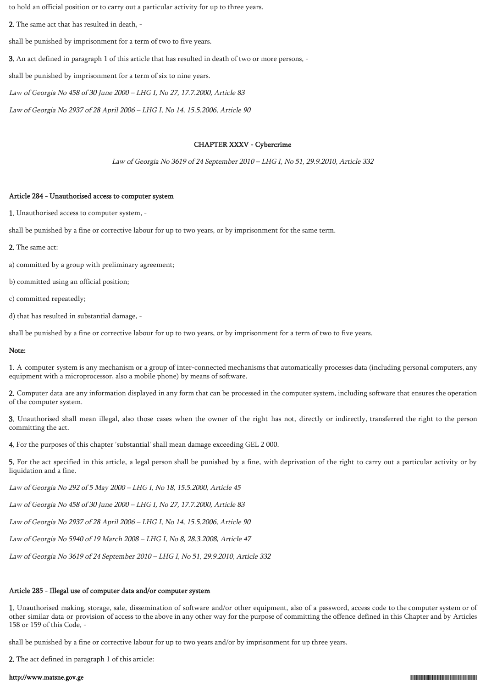to hold an official position or to carry out a particular activity for up to three years.

2. The same act that has resulted in death, -

shall be punished by imprisonment for a term of two to five years.

3. An act defined in paragraph 1 of this article that has resulted in death of two or more persons, -

shall be punished by imprisonment for a term of six to nine years.

Law of Georgia No 458 of 30 June 2000 – LHG I, No 27, 17.7.2000, Article 83

Law of Georgia No 2937 of 28 April 2006 – LHG I, No 14, 15.5.2006, Article 90

### CHAPTER XXXV - Cybercrime

Law of Georgia No 3619 of 24 September 2010 – LHG I, No 51, 29.9.2010, Article 332

### Article 284 - Unauthorised access to computer system

1. Unauthorised access to computer system, -

shall be punished by a fine or corrective labour for up to two years, or by imprisonment for the same term.

2. The same act:

a) committed by a group with preliminary agreement;

b) committed using an official position;

c) committed repeatedly;

d) that has resulted in substantial damage, -

shall be punished by a fine or corrective labour for up to two years, or by imprisonment for a term of two to five years.

### Note:

1. A computer system is any mechanism or a group of inter-connected mechanisms that automatically processes data (including personal computers, any equipment with a microprocessor, also a mobile phone) by means of software.

2. Computer data are any information displayed in any form that can be processed in the computer system, including software that ensures the operation of the computer system.

3. Unauthorised shall mean illegal, also those cases when the owner of the right has not, directly or indirectly, transferred the right to the person committing the act.

4. For the purposes of this chapter 'substantial' shall mean damage exceeding GEL 2 000.

5. For the act specified in this article, a legal person shall be punished by a fine, with deprivation of the right to carry out a particular activity or by liquidation and a fine.

Law of Georgia No 292 of 5 May 2000 – LHG I, No 18, 15.5.2000, Article 45

Law of Georgia No 458 of 30 June 2000 – LHG I, No 27, 17.7.2000, Article 83

Law of Georgia No 2937 of 28 April 2006 – LHG I, No 14, 15.5.2006, Article 90

Law of Georgia No 5940 of 19 March 2008 – LHG I, No 8, 28.3.2008, Article 47

Law of Georgia No 3619 of 24 September 2010 – LHG I, No 51, 29.9.2010, Article 332

# Article 285 - Illegal use of computer data and/or computer system

1. Unauthorised making, storage, sale, dissemination of software and/or other equipment, also of a password, access code to the computer system or of other similar data or provision of access to the above in any other way for the purpose of committing the offence defined in this Chapter and by Articles 158 or 159 of this Code, -

shall be punished by a fine or corrective labour for up to two years and/or by imprisonment for up three years.

2. The act defined in paragraph 1 of this article: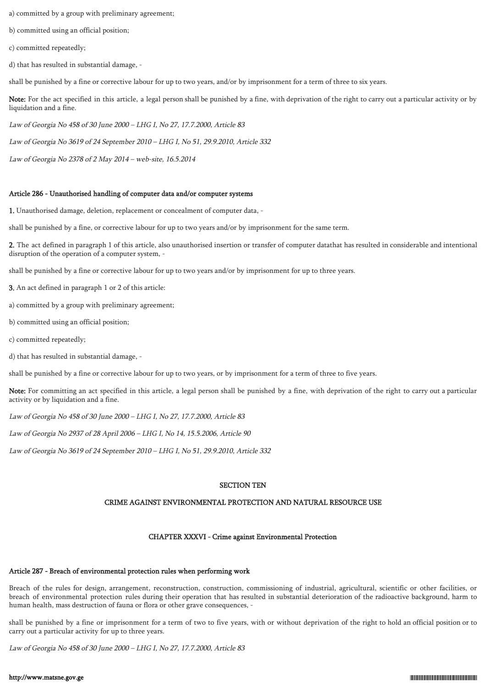a) committed by a group with preliminary agreement;

b) committed using an official position;

c) committed repeatedly;

d) that has resulted in substantial damage, -

shall be punished by a fine or corrective labour for up to two years, and/or by imprisonment for a term of three to six years.

Note: For the act specified in this article, a legal person shall be punished by a fine, with deprivation of the right to carry out a particular activity or by liquidation and a fine.

Law of Georgia No 458 of 30 June 2000 – LHG I, No 27, 17.7.2000, Article 83

Law of Georgia No 3619 of 24 September 2010 – LHG I, No 51, 29.9.2010, Article 332

Law of Georgia No 2378 of 2 May 2014 – web-site, 16.5.2014

#### Article 286 - Unauthorised handling of computer data and/or computer systems

1. Unauthorised damage, deletion, replacement or concealment of computer data, -

shall be punished by a fine, or corrective labour for up to two years and/or by imprisonment for the same term.

2. The act defined in paragraph 1 of this article, also unauthorised insertion or transfer of computer datathat has resulted in considerable and intentional disruption of the operation of a computer system, -

shall be punished by a fine or corrective labour for up to two years and/or by imprisonment for up to three years.

3. An act defined in paragraph 1 or 2 of this article:

a) committed by a group with preliminary agreement;

b) committed using an official position;

c) committed repeatedly;

d) that has resulted in substantial damage, -

shall be punished by a fine or corrective labour for up to two years, or by imprisonment for a term of three to five years.

Note: For committing an act specified in this article, a legal person shall be punished by a fine, with deprivation of the right to carry out a particular activity or by liquidation and a fine.

Law of Georgia No 458 of 30 June 2000 – LHG I, No 27, 17.7.2000, Article 83

Law of Georgia No 2937 of 28 April 2006 – LHG I, No 14, 15.5.2006, Article 90

Law of Georgia No 3619 of 24 September 2010 – LHG I, No 51, 29.9.2010, Article 332

#### SECTION TEN

#### CRIME AGAINST ENVIRONMENTAL PROTECTION AND NATURAL RESOURCE USE

#### CHAPTER XXXVI - Crime against Environmental Protection

#### Article 287 - Breach of environmental protection rules when performing work

Breach of the rules for design, arrangement, reconstruction, construction, commissioning of industrial, agricultural, scientific or other facilities, or breach of environmental protection rules during their operation that has resulted in substantial deterioration of the radioactive background, harm to human health, mass destruction of fauna or flora or other grave consequences, -

shall be punished by a fine or imprisonment for a term of two to five years, with or without deprivation of the right to hold an official position or to carry out a particular activity for up to three years.

Law of Georgia No 458 of 30 June 2000 – LHG I, No 27, 17.7.2000, Article 83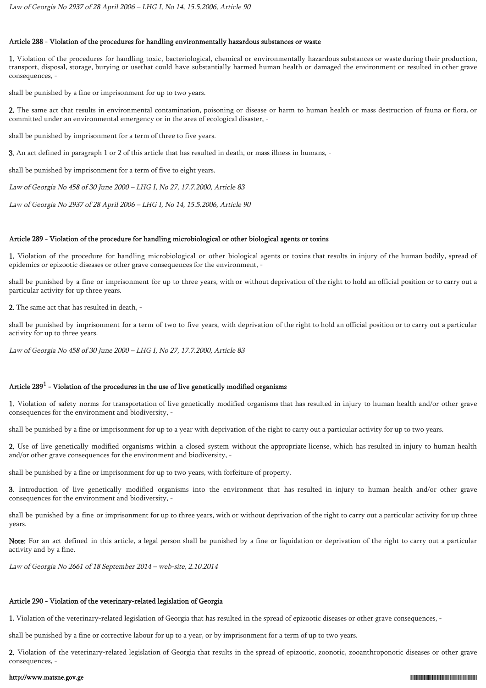### Article 288 - Violation of the procedures for handling environmentally hazardous substances or waste

1. Violation of the procedures for handling toxic, bacteriological, chemical or environmentally hazardous substances or waste during their production, transport, disposal, storage, burying or usethat could have substantially harmed human health or damaged the environment or resulted in other grave consequences, -

shall be punished by a fine or imprisonment for up to two years.

2. The same act that results in environmental contamination, poisoning or disease or harm to human health or mass destruction of fauna or flora, or committed under an environmental emergency or in the area of ecological disaster, -

shall be punished by imprisonment for a term of three to five years.

3. An act defined in paragraph 1 or 2 of this article that has resulted in death, or mass illness in humans, -

shall be punished by imprisonment for a term of five to eight years.

Law of Georgia No 458 of 30 June 2000 – LHG I, No 27, 17.7.2000, Article 83

Law of Georgia No 2937 of 28 April 2006 – LHG I, No 14, 15.5.2006, Article 90

#### Article 289 - Violation of the procedure for handling microbiological or other biological agents or toxins

1. Violation of the procedure for handling microbiological or other biological agents or toxins that results in injury of the human bodily, spread of epidemics or epizootic diseases or other grave consequences for the environment, -

shall be punished by a fine or imprisonment for up to three years, with or without deprivation of the right to hold an official position or to carry out a particular activity for up three years.

2. The same act that has resulted in death, -

shall be punished by imprisonment for a term of two to five years, with deprivation of the right to hold an official position or to carry out a particular activity for up to three years.

Law of Georgia No 458 of 30 June 2000 – LHG I, No 27, 17.7.2000, Article 83

# Article 289 $^{\rm 1}$  - Violation of the procedures in the use of live genetically modified organisms

1. Violation of safety norms for transportation of live genetically modified organisms that has resulted in injury to human health and/or other grave consequences for the environment and biodiversity, -

shall be punished by a fine or imprisonment for up to a year with deprivation of the right to carry out a particular activity for up to two years.

2. Use of live genetically modified organisms within a closed system without the appropriate license, which has resulted in injury to human health and/or other grave consequences for the environment and biodiversity, -

shall be punished by a fine or imprisonment for up to two years, with forfeiture of property.

3. Introduction of live genetically modified organisms into the environment that has resulted in injury to human health and/or other grave consequences for the environment and biodiversity, -

shall be punished by a fine or imprisonment for up to three years, with or without deprivation of the right to carry out a particular activity for up three years.

Note: For an act defined in this article, a legal person shall be punished by a fine or liquidation or deprivation of the right to carry out a particular activity and by a fine.

Law of Georgia No 2661 of 18 September 2014 – web-site, 2.10.2014

# Article 290 - Violation of the veterinary-related legislation of Georgia

1. Violation of the veterinary-related legislation of Georgia that has resulted in the spread of epizootic diseases or other grave consequences, -

shall be punished by a fine or corrective labour for up to a year, or by imprisonment for a term of up to two years.

2. Violation of the veterinary-related legislation of Georgia that results in the spread of epizootic, zoonotic, zooanthroponotic diseases or other grave consequences, -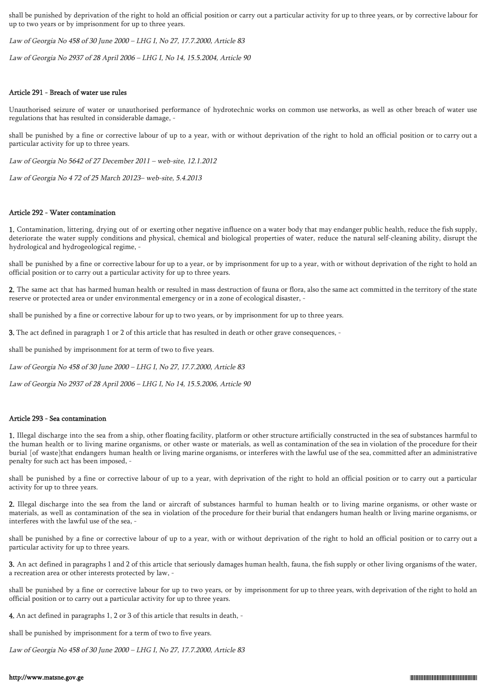shall be punished by deprivation of the right to hold an official position or carry out a particular activity for up to three years, or by corrective labour for up to two years or by imprisonment for up to three years.

Law of Georgia No 458 of 30 June 2000 – LHG I, No 27, 17.7.2000, Article 83

Law of Georgia No 2937 of 28 April 2006 – LHG I, No 14, 15.5.2004, Article 90

### Article 291 - Breach of water use rules

Unauthorised seizure of water or unauthorised performance of hydrotechnic works on common use networks, as well as other breach of water use regulations that has resulted in considerable damage, -

shall be punished by a fine or corrective labour of up to a year, with or without deprivation of the right to hold an official position or to carry out a particular activity for up to three years.

Law of Georgia No 5642 of 27 December 2011 – web-site, 12.1.2012

Law of Georgia No 4 72 of 25 March 20123– web-site, 5.4.2013

### Article 292 - Water contamination

1. Contamination, littering, drying out of or exerting other negative influence on a water body that may endanger public health, reduce the fish supply, deteriorate the water supply conditions and physical, chemical and biological properties of water, reduce the natural self-cleaning ability, disrupt the hydrological and hydrogeological regime, -

shall be punished by a fine or corrective labour for up to a year, or by imprisonment for up to a year, with or without deprivation of the right to hold an official position or to carry out a particular activity for up to three years.

2. The same act that has harmed human health or resulted in mass destruction of fauna or flora, also the same act committed in the territory of the state reserve or protected area or under environmental emergency or in a zone of ecological disaster, -

shall be punished by a fine or corrective labour for up to two years, or by imprisonment for up to three years.

3. The act defined in paragraph 1 or 2 of this article that has resulted in death or other grave consequences, -

shall be punished by imprisonment for at term of two to five years.

Law of Georgia No 458 of 30 June 2000 – LHG I, No 27, 17.7.2000, Article 83

Law of Georgia No 2937 of 28 April 2006 – LHG I, No 14, 15.5.2006, Article 90

## Article 293 - Sea contamination

1. Illegal discharge into the sea from a ship, other floating facility, platform or other structure artificially constructed in the sea of substances harmful to the human health or to living marine organisms, or other waste or materials, as well as contamination of the sea in violation of the procedure for their burial [of waste]that endangers human health or living marine organisms, or interferes with the lawful use of the sea, committed after an administrative penalty for such act has been imposed, -

shall be punished by a fine or corrective labour of up to a year, with deprivation of the right to hold an official position or to carry out a particular activity for up to three years.

2. Illegal discharge into the sea from the land or aircraft of substances harmful to human health or to living marine organisms, or other waste or materials, as well as contamination of the sea in violation of the procedure for their burial that endangers human health or living marine organisms, or interferes with the lawful use of the sea, -

shall be punished by a fine or corrective labour of up to a year, with or without deprivation of the right to hold an official position or to carry out a particular activity for up to three years.

3. An act defined in paragraphs 1 and 2 of this article that seriously damages human health, fauna, the fish supply or other living organisms of the water, a recreation area or other interests protected by law, -

shall be punished by a fine or corrective labour for up to two years, or by imprisonment for up to three years, with deprivation of the right to hold an official position or to carry out a particular activity for up to three years.

4. An act defined in paragraphs 1, 2 or 3 of this article that results in death, -

shall be punished by imprisonment for a term of two to five years.

Law of Georgia No 458 of 30 June 2000 – LHG I, No 27, 17.7.2000, Article 83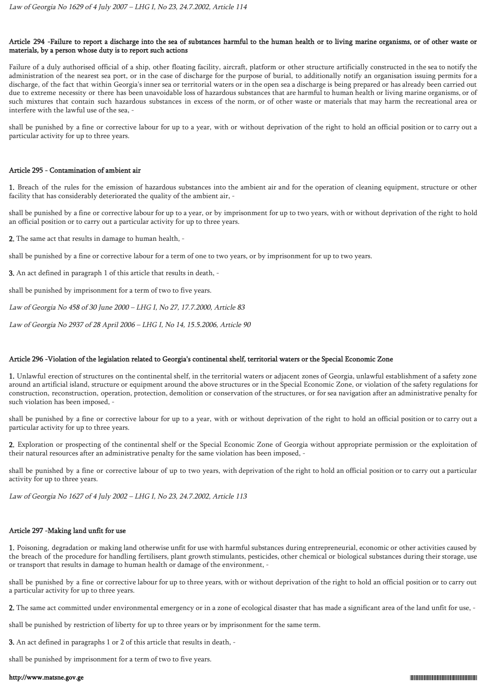## Article 294 -Failure to report a discharge into the sea of substances harmful to the human health or to living marine organisms, or of other waste or materials, by a person whose duty is to report such actions

Failure of a duly authorised official of a ship, other floating facility, aircraft, platform or other structure artificially constructed in the sea to notify the administration of the nearest sea port, or in the case of discharge for the purpose of burial, to additionally notify an organisation issuing permits for a discharge, of the fact that within Georgia's inner sea or territorial waters or in the open sea a discharge is being prepared or has already been carried out due to extreme necessity or there has been unavoidable loss of hazardous substances that are harmful to human health or living marine organisms, or of such mixtures that contain such hazardous substances in excess of the norm, or of other waste or materials that may harm the recreational area or interfere with the lawful use of the sea, -

shall be punished by a fine or corrective labour for up to a year, with or without deprivation of the right to hold an official position or to carry out a particular activity for up to three years.

### Article 295 - Contamination of ambient air

1. Breach of the rules for the emission of hazardous substances into the ambient air and for the operation of cleaning equipment, structure or other facility that has considerably deteriorated the quality of the ambient air, -

shall be punished by a fine or corrective labour for up to a year, or by imprisonment for up to two years, with or without deprivation of the right to hold an official position or to carry out a particular activity for up to three years.

2. The same act that results in damage to human health, -

shall be punished by a fine or corrective labour for a term of one to two years, or by imprisonment for up to two years.

3. An act defined in paragraph 1 of this article that results in death, -

shall be punished by imprisonment for a term of two to five years.

Law of Georgia No 458 of 30 June 2000 – LHG I, No 27, 17.7.2000, Article 83

Law of Georgia No 2937 of 28 April 2006 – LHG I, No 14, 15.5.2006, Article 90

## Article 296 -Violation of the legislation related to Georgia's continental shelf, territorial waters or the Special Economic Zone

1. Unlawful erection of structures on the continental shelf, in the territorial waters or adjacent zones of Georgia, unlawful establishment of a safety zone around an artificial island, structure or equipment around the above structures or in the Special Economic Zone, or violation of the safety regulations for construction, reconstruction, operation, protection, demolition or conservation of the structures, or for sea navigation after an administrative penalty for such violation has been imposed, -

shall be punished by a fine or corrective labour for up to a year, with or without deprivation of the right to hold an official position or to carry out a particular activity for up to three years.

2. Exploration or prospecting of the continental shelf or the Special Economic Zone of Georgia without appropriate permission or the exploitation of their natural resources after an administrative penalty for the same violation has been imposed, -

shall be punished by a fine or corrective labour of up to two years, with deprivation of the right to hold an official position or to carry out a particular activity for up to three years.

Law of Georgia No 1627 of 4 July 2002 – LHG I, No 23, 24.7.2002, Article 113

## Article 297 -Making land unfit for use

1. Poisoning, degradation or making land otherwise unfit for use with harmful substances during entrepreneurial, economic or other activities caused by the breach of the procedure for handling fertilisers, plant growth stimulants, pesticides, other chemical or biological substances during their storage, use or transport that results in damage to human health or damage of the environment, -

shall be punished by a fine or corrective labour for up to three years, with or without deprivation of the right to hold an official position or to carry out a particular activity for up to three years.

2. The same act committed under environmental emergency or in a zone of ecological disaster that has made a significant area of the land unfit for use, -

shall be punished by restriction of liberty for up to three years or by imprisonment for the same term.

3. An act defined in paragraphs 1 or 2 of this article that results in death, -

shall be punished by imprisonment for a term of two to five years.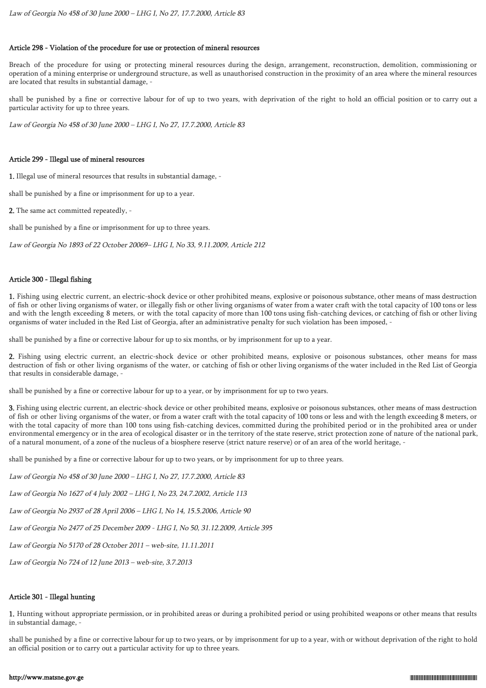### Article 298 - Violation of the procedure for use or protection of mineral resources

Breach of the procedure for using or protecting mineral resources during the design, arrangement, reconstruction, demolition, commissioning or operation of a mining enterprise or underground structure, as well as unauthorised construction in the proximity of an area where the mineral resources are located that results in substantial damage, -

shall be punished by a fine or corrective labour for of up to two years, with deprivation of the right to hold an official position or to carry out a particular activity for up to three years.

Law of Georgia No 458 of 30 June 2000 – LHG I, No 27, 17.7.2000, Article 83

#### Article 299 - Illegal use of mineral resources

1. Illegal use of mineral resources that results in substantial damage, -

shall be punished by a fine or imprisonment for up to a year.

2. The same act committed repeatedly, -

shall be punished by a fine or imprisonment for up to three years.

Law of Georgia No 1893 of 22 October 20069– LHG I, No 33, 9.11.2009, Article 212

## Article 300 - Illegal fishing

1. Fishing using electric current, an electric-shock device or other prohibited means, explosive or poisonous substance, other means of mass destruction of fish or other living organisms of water, or illegally fish or other living organisms of water from a water craft with the total capacity of 100 tons or less and with the length exceeding 8 meters, or with the total capacity of more than 100 tons using fish-catching devices, or catching of fish or other living organisms of water included in the Red List of Georgia, after an administrative penalty for such violation has been imposed, -

shall be punished by a fine or corrective labour for up to six months, or by imprisonment for up to a year.

2. Fishing using electric current, an electric-shock device or other prohibited means, explosive or poisonous substances, other means for mass destruction of fish or other living organisms of the water, or catching of fish or other living organisms of the water included in the Red List of Georgia that results in considerable damage, -

shall be punished by a fine or corrective labour for up to a year, or by imprisonment for up to two years.

3. Fishing using electric current, an electric-shock device or other prohibited means, explosive or poisonous substances, other means of mass destruction of fish or other living organisms of the water, or from a water craft with the total capacity of 100 tons or less and with the length exceeding 8 meters, or with the total capacity of more than 100 tons using fish-catching devices, committed during the prohibited period or in the prohibited area or under environmental emergency or in the area of ecological disaster or in the territory of the state reserve, strict protection zone of nature of the national park, of a natural monument, of a zone of the nucleus of a biosphere reserve (strict nature reserve) or of an area of the world heritage, -

shall be punished by a fine or corrective labour for up to two years, or by imprisonment for up to three years.

Law of Georgia No 458 of 30 June 2000 – LHG I, No 27, 17.7.2000, Article 83

Law of Georgia No 1627 of 4 July 2002 – LHG I, No 23, 24.7.2002, Article 113

Law of Georgia No 2937 of 28 April 2006 – LHG I, No 14, 15.5.2006, Article 90

Law of Georgia No 2477 of 25 December 2009 - LHG I, No 50, 31.12.2009, Article 395

Law of Georgia No 5170 of 28 October 2011 – web-site, 11.11.2011

Law of Georgia No 724 of 12 June 2013 – web-site, 3.7.2013

## Article 301 - Illegal hunting

1. Hunting without appropriate permission, or in prohibited areas or during a prohibited period or using prohibited weapons or other means that results in substantial damage, -

shall be punished by a fine or corrective labour for up to two years, or by imprisonment for up to a year, with or without deprivation of the right to hold an official position or to carry out a particular activity for up to three years.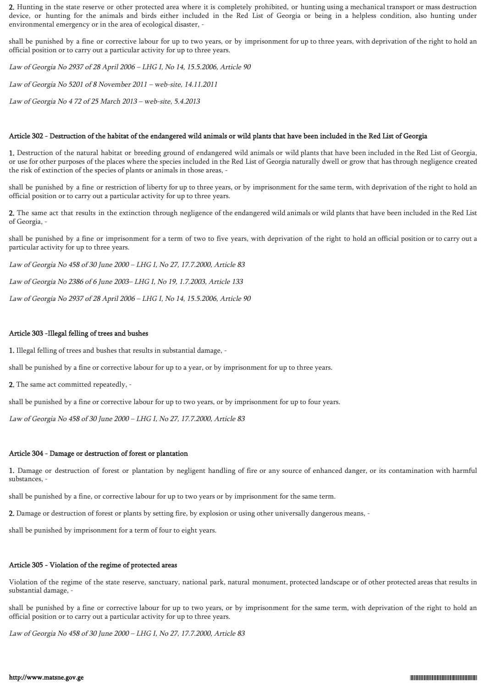2. Hunting in the state reserve or other protected area where it is completely prohibited, or hunting using a mechanical transport or mass destruction device, or hunting for the animals and birds either included in the Red List of Georgia or being in a helpless condition, also hunting under environmental emergency or in the area of ecological disaster, -

shall be punished by a fine or corrective labour for up to two years, or by imprisonment for up to three years, with deprivation of the right to hold an official position or to carry out a particular activity for up to three years.

Law of Georgia No 2937 of 28 April 2006 – LHG I, No 14, 15.5.2006, Article 90

Law of Georgia No 5201 of 8 November 2011 – web-site, 14.11.2011

Law of Georgia No 4 72 of 25 March 2013 – web-site, 5.4.2013

### Article 302 - Destruction of the habitat of the endangered wild animals or wild plants that have been included in the Red List of Georgia

1. Destruction of the natural habitat or breeding ground of endangered wild animals or wild plants that have been included in the Red List of Georgia, or use for other purposes of the places where the species included in the Red List of Georgia naturally dwell or grow that has through negligence created the risk of extinction of the species of plants or animals in those areas, -

shall be punished by a fine or restriction of liberty for up to three years, or by imprisonment for the same term, with deprivation of the right to hold an official position or to carry out a particular activity for up to three years.

2. The same act that results in the extinction through negligence of the endangered wild animals or wild plants that have been included in the Red List of Georgia, -

shall be punished by a fine or imprisonment for a term of two to five years, with deprivation of the right to hold an official position or to carry out a particular activity for up to three years.

Law of Georgia No 458 of 30 June 2000 – LHG I, No 27, 17.7.2000, Article 83

Law of Georgia No 2386 of 6 June 2003– LHG I, No 19, 1.7.2003, Article 133

Law of Georgia No 2937 of 28 April 2006 – LHG I, No 14, 15.5.2006, Article 90

## Article 303 -Illegal felling of trees and bushes

1. Illegal felling of trees and bushes that results in substantial damage, -

shall be punished by a fine or corrective labour for up to a year, or by imprisonment for up to three years.

2. The same act committed repeatedly, -

shall be punished by a fine or corrective labour for up to two years, or by imprisonment for up to four years.

Law of Georgia No 458 of 30 June 2000 – LHG I, No 27, 17.7.2000, Article 83

## Article 304 - Damage or destruction of forest or plantation

1. Damage or destruction of forest or plantation by negligent handling of fire or any source of enhanced danger, or its contamination with harmful substances, -

shall be punished by a fine, or corrective labour for up to two years or by imprisonment for the same term.

2. Damage or destruction of forest or plants by setting fire, by explosion or using other universally dangerous means, -

shall be punished by imprisonment for a term of four to eight years.

## Article 305 - Violation of the regime of protected areas

Violation of the regime of the state reserve, sanctuary, national park, natural monument, protected landscape or of other protected areas that results in substantial damage, -

shall be punished by a fine or corrective labour for up to two years, or by imprisonment for the same term, with deprivation of the right to hold an official position or to carry out a particular activity for up to three years.

Law of Georgia No 458 of 30 June 2000 – LHG I, No 27, 17.7.2000, Article 83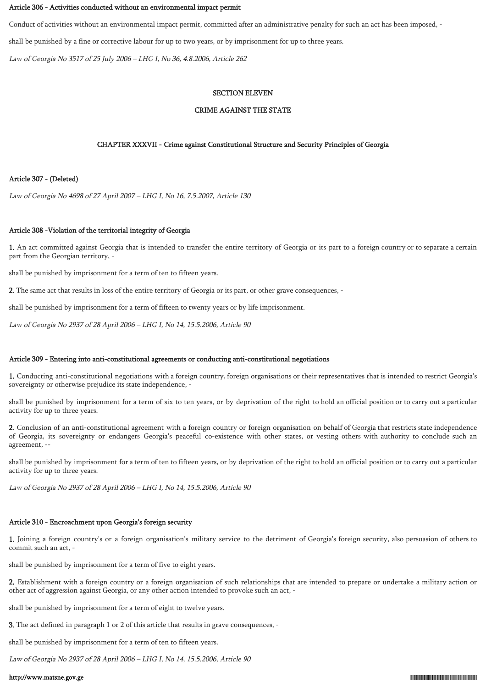#### Article 306 - Activities conducted without an environmental impact permit

Conduct of activities without an environmental impact permit, committed after an administrative penalty for such an act has been imposed, -

shall be punished by a fine or corrective labour for up to two years, or by imprisonment for up to three years.

Law of Georgia No 3517 of 25 July 2006 – LHG I, No 36, 4.8.2006, Article 262

#### SECTION ELEVEN

#### CRIME AGAINST THE STATE

### CHAPTER XXXVII - Crime against Constitutional Structure and Security Principles of Georgia

### Article 307 - (Deleted)

Law of Georgia No 4698 of 27 April 2007 – LHG I, No 16, 7.5.2007, Article 130

### Article 308 -Violation of the territorial integrity of Georgia

1. An act committed against Georgia that is intended to transfer the entire territory of Georgia or its part to a foreign country or to separate a certain part from the Georgian territory, -

shall be punished by imprisonment for a term of ten to fifteen years.

2. The same act that results in loss of the entire territory of Georgia or its part, or other grave consequences, -

shall be punished by imprisonment for a term of fifteen to twenty years or by life imprisonment.

Law of Georgia No 2937 of 28 April 2006 – LHG I, No 14, 15.5.2006, Article 90

#### Article 309 - Entering into anti-constitutional agreements or conducting anti-constitutional negotiations

1. Conducting anti-constitutional negotiations with a foreign country, foreign organisations or their representatives that is intended to restrict Georgia's sovereignty or otherwise prejudice its state independence, -

shall be punished by imprisonment for a term of six to ten years, or by deprivation of the right to hold an official position or to carry out a particular activity for up to three years.

2. Conclusion of an anti-constitutional agreement with a foreign country or foreign organisation on behalf of Georgia that restricts state independence of Georgia, its sovereignty or endangers Georgia's peaceful co-existence with other states, or vesting others with authority to conclude such an agreement, --

shall be punished by imprisonment for a term of ten to fifteen years, or by deprivation of the right to hold an official position or to carry out a particular activity for up to three years.

Law of Georgia No 2937 of 28 April 2006 – LHG I, No 14, 15.5.2006, Article 90

### Article 310 - Encroachment upon Georgia's foreign security

1. Joining a foreign country's or a foreign organisation's military service to the detriment of Georgia's foreign security, also persuasion of others to commit such an act, -

shall be punished by imprisonment for a term of five to eight years.

2. Establishment with a foreign country or a foreign organisation of such relationships that are intended to prepare or undertake a military action or other act of aggression against Georgia, or any other action intended to provoke such an act, -

shall be punished by imprisonment for a term of eight to twelve years.

3. The act defined in paragraph 1 or 2 of this article that results in grave consequences, -

shall be punished by imprisonment for a term of ten to fifteen years.

Law of Georgia No 2937 of 28 April 2006 – LHG I, No 14, 15.5.2006, Article 90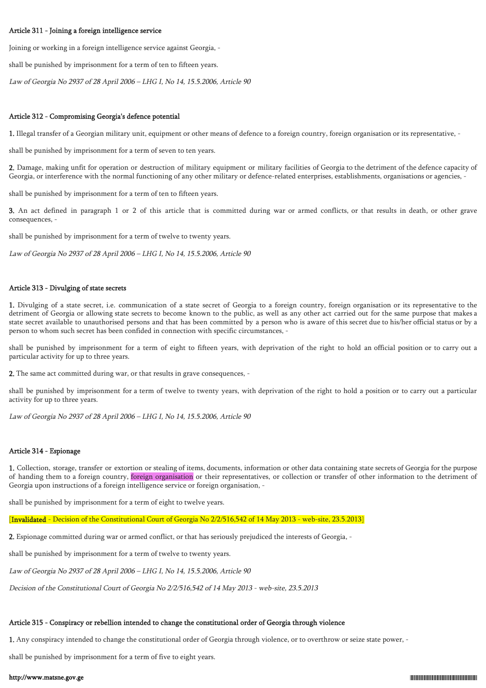### Article 311 - Joining a foreign intelligence service

Joining or working in a foreign intelligence service against Georgia, -

shall be punished by imprisonment for a term of ten to fifteen years.

Law of Georgia No 2937 of 28 April 2006 – LHG I, No 14, 15.5.2006, Article 90

### Article 312 - Compromising Georgia's defence potential

1. Illegal transfer of a Georgian military unit, equipment or other means of defence to a foreign country, foreign organisation or its representative, -

shall be punished by imprisonment for a term of seven to ten years.

2. Damage, making unfit for operation or destruction of military equipment or military facilities of Georgia to the detriment of the defence capacity of Georgia, or interference with the normal functioning of any other military or defence-related enterprises, establishments, organisations or agencies, -

shall be punished by imprisonment for a term of ten to fifteen years.

3. An act defined in paragraph 1 or 2 of this article that is committed during war or armed conflicts, or that results in death, or other grave consequences, -

shall be punished by imprisonment for a term of twelve to twenty years.

Law of Georgia No 2937 of 28 April 2006 – LHG I, No 14, 15.5.2006, Article 90

### Article 313 - Divulging of state secrets

1. Divulging of a state secret, i.e. communication of a state secret of Georgia to a foreign country, foreign organisation or its representative to the detriment of Georgia or allowing state secrets to become known to the public, as well as any other act carried out for the same purpose that makes a state secret available to unauthorised persons and that has been committed by a person who is aware of this secret due to his/her official status or by a person to whom such secret has been confided in connection with specific circumstances, -

shall be punished by imprisonment for a term of eight to fifteen years, with deprivation of the right to hold an official position or to carry out a particular activity for up to three years.

2. The same act committed during war, or that results in grave consequences, -

shall be punished by imprisonment for a term of twelve to twenty years, with deprivation of the right to hold a position or to carry out a particular activity for up to three years.

Law of Georgia No 2937 of 28 April 2006 – LHG I, No 14, 15.5.2006, Article 90

#### Article 314 - Espionage

1. Collection, storage, transfer or extortion or stealing of items, documents, information or other data containing state secrets of Georgia for the purpose of handing them to a foreign country, foreign organisation or their representatives, or collection or transfer of other information to the detriment of Georgia upon instructions of a foreign intelligence service or foreign organisation, -

shall be punished by imprisonment for a term of eight to twelve years.

[Invalidated - Decision of the Constitutional Court of Georgia No 2/2/516,542 of 14 May 2013 - web-site, 23.5.2013]

2. Espionage committed during war or armed conflict, or that has seriously prejudiced the interests of Georgia, -

shall be punished by imprisonment for a term of twelve to twenty years.

Law of Georgia No 2937 of 28 April 2006 – LHG I, No 14, 15.5.2006, Article 90

Decision of the Constitutional Court of Georgia No 2/2/516,542 of 14 May 2013 - web-site, 23.5.2013

## Article 315 - Conspiracy or rebellion intended to change the constitutional order of Georgia through violence

1. Any conspiracy intended to change the constitutional order of Georgia through violence, or to overthrow or seize state power, -

shall be punished by imprisonment for a term of five to eight years.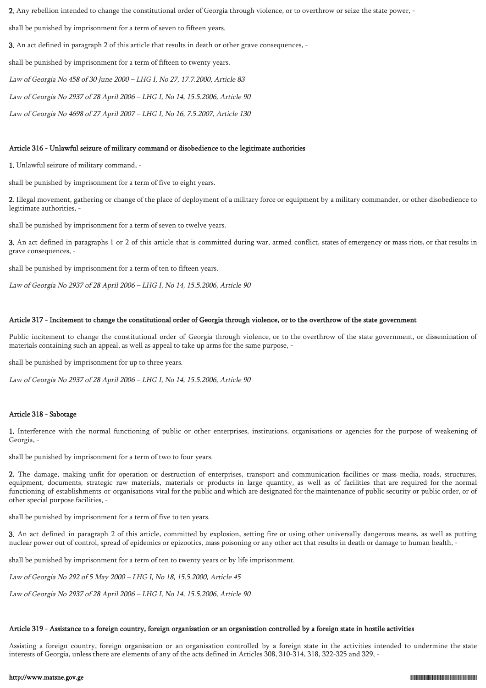2. Any rebellion intended to change the constitutional order of Georgia through violence, or to overthrow or seize the state power, -

shall be punished by imprisonment for a term of seven to fifteen years.

3. An act defined in paragraph 2 of this article that results in death or other grave consequences, -

shall be punished by imprisonment for a term of fifteen to twenty years.

Law of Georgia No 458 of 30 June 2000 – LHG I, No 27, 17.7.2000, Article 83

Law of Georgia No 2937 of 28 April 2006 – LHG I, No 14, 15.5.2006, Article 90

Law of Georgia No 4698 of 27 April 2007 – LHG I, No 16, 7.5.2007, Article 130

#### Article 316 - Unlawful seizure of military command or disobedience to the legitimate authorities

1. Unlawful seizure of military command, -

shall be punished by imprisonment for a term of five to eight years.

2. Illegal movement, gathering or change of the place of deployment of a military force or equipment by a military commander, or other disobedience to legitimate authorities, -

shall be punished by imprisonment for a term of seven to twelve years.

3. An act defined in paragraphs 1 or 2 of this article that is committed during war, armed conflict, states of emergency or mass riots, or that results in grave consequences, -

shall be punished by imprisonment for a term of ten to fifteen years.

Law of Georgia No 2937 of 28 April 2006 – LHG I, No 14, 15.5.2006, Article 90

### Article 317 - Incitement to change the constitutional order of Georgia through violence, or to the overthrow of the state government

Public incitement to change the constitutional order of Georgia through violence, or to the overthrow of the state government, or dissemination of materials containing such an appeal, as well as appeal to take up arms for the same purpose, -

shall be punished by imprisonment for up to three years.

Law of Georgia No 2937 of 28 April 2006 – LHG I, No 14, 15.5.2006, Article 90

## Article 318 - Sabotage

1. Interference with the normal functioning of public or other enterprises, institutions, organisations or agencies for the purpose of weakening of Georgia, -

shall be punished by imprisonment for a term of two to four years.

2. The damage, making unfit for operation or destruction of enterprises, transport and communication facilities or mass media, roads, structures, equipment, documents, strategic raw materials, materials or products in large quantity, as well as of facilities that are required for the normal functioning of establishments or organisations vital for the public and which are designated for the maintenance of public security or public order, or of other special purpose facilities, -

shall be punished by imprisonment for a term of five to ten years.

3. An act defined in paragraph 2 of this article, committed by explosion, setting fire or using other universally dangerous means, as well as putting nuclear power out of control, spread of epidemics or epizootics, mass poisoning or any other act that results in death or damage to human health, -

shall be punished by imprisonment for a term of ten to twenty years or by life imprisonment.

Law of Georgia No 292 of 5 May 2000 – LHG I, No 18, 15.5.2000, Article 45

Law of Georgia No 2937 of 28 April 2006 – LHG I, No 14, 15.5.2006, Article 90

### Article 319 - Assistance to a foreign country, foreign organisation or an organisation controlled by a foreign state in hostile activities

Assisting a foreign country, foreign organisation or an organisation controlled by a foreign state in the activities intended to undermine the state interests of Georgia, unless there are elements of any of the acts defined in Articles 308, 310-314, 318, 322-325 and 329, -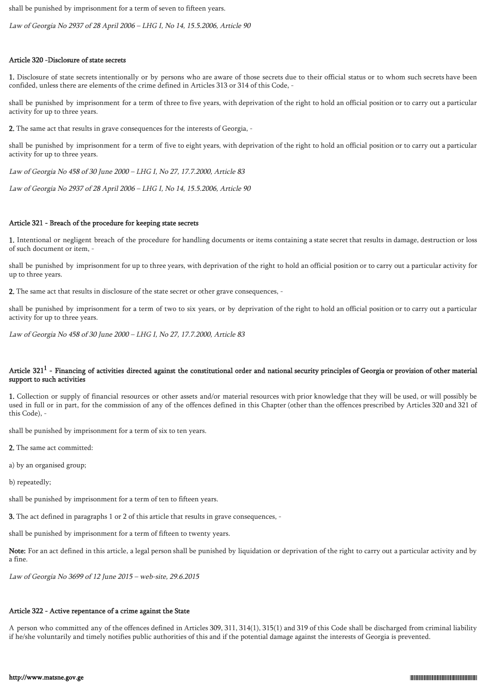shall be punished by imprisonment for a term of seven to fifteen years.

Law of Georgia No 2937 of 28 April 2006 – LHG I, No 14, 15.5.2006, Article 90

## Article 320 -Disclosure of state secrets

1. Disclosure of state secrets intentionally or by persons who are aware of those secrets due to their official status or to whom such secrets have been confided, unless there are elements of the crime defined in Articles 313 or 314 of this Code, -

shall be punished by imprisonment for a term of three to five years, with deprivation of the right to hold an official position or to carry out a particular activity for up to three years.

2. The same act that results in grave consequences for the interests of Georgia, -

shall be punished by imprisonment for a term of five to eight years, with deprivation of the right to hold an official position or to carry out a particular activity for up to three years.

Law of Georgia No 458 of 30 June 2000 – LHG I, No 27, 17.7.2000, Article 83

Law of Georgia No 2937 of 28 April 2006 – LHG I, No 14, 15.5.2006, Article 90

### Article 321 - Breach of the procedure for keeping state secrets

1. Intentional or negligent breach of the procedure for handling documents or items containing a state secret that results in damage, destruction or loss of such document or item, -

shall be punished by imprisonment for up to three years, with deprivation of the right to hold an official position or to carry out a particular activity for up to three years.

2. The same act that results in disclosure of the state secret or other grave consequences, -

shall be punished by imprisonment for a term of two to six years, or by deprivation of the right to hold an official position or to carry out a particular activity for up to three years.

Law of Georgia No 458 of 30 June 2000 – LHG I, No 27, 17.7.2000, Article 83

## Article 321 $^1$  - Financing of activities directed against the constitutional order and national security principles of Georgia or provision of other material support to such activities

1. Collection or supply of financial resources or other assets and/or material resources with prior knowledge that they will be used, or will possibly be used in full or in part, for the commission of any of the offences defined in this Chapter (other than the offences prescribed by Articles 320 and 321 of this Code), -

shall be punished by imprisonment for a term of six to ten years.

2. The same act committed:

a) by an organised group;

b) repeatedly;

shall be punished by imprisonment for a term of ten to fifteen years.

3. The act defined in paragraphs 1 or 2 of this article that results in grave consequences, -

shall be punished by imprisonment for a term of fifteen to twenty years.

Note: For an act defined in this article, a legal person shall be punished by liquidation or deprivation of the right to carry out a particular activity and by a fine.

Law of Georgia No 3699 of 12 June 2015 – web-site, 29.6.2015

## Article 322 - Active repentance of a crime against the State

A person who committed any of the offences defined in Articles 309, 311, 314(1), 315(1) and 319 of this Code shall be discharged from criminal liability if he/she voluntarily and timely notifies public authorities of this and if the potential damage against the interests of Georgia is prevented.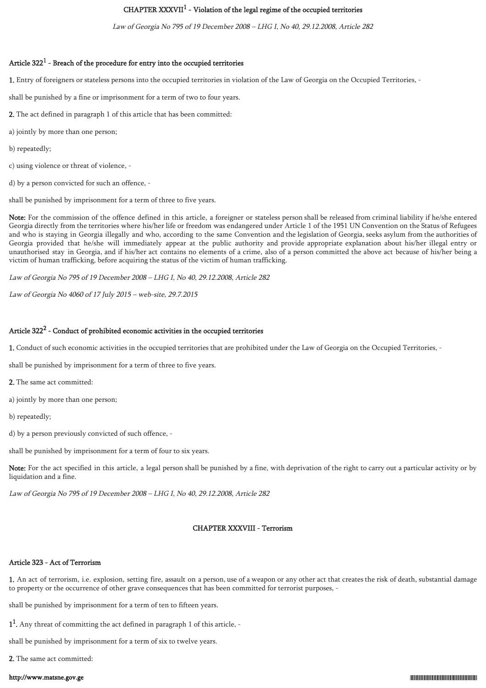# CHAPTER XXXVII<sup>1</sup> - Violation of the legal regime of the occupied territories

Law of Georgia No 795 of 19 December 2008 – LHG I, No 40, 29.12.2008, Article 282

## Article  $322^1$  - Breach of the procedure for entry into the occupied territories

1. Entry of foreigners or stateless persons into the occupied territories in violation of the Law of Georgia on the Occupied Territories, -

shall be punished by a fine or imprisonment for a term of two to four years.

2. The act defined in paragraph 1 of this article that has been committed:

a) jointly by more than one person;

b) repeatedly;

c) using violence or threat of violence, -

d) by a person convicted for such an offence, -

shall be punished by imprisonment for a term of three to five years.

Note: For the commission of the offence defined in this article, a foreigner or stateless person shall be released from criminal liability if he/she entered Georgia directly from the territories where his/her life or freedom was endangered under Article 1 of the 1951 UN Convention on the Status of Refugees and who is staying in Georgia illegally and who, according to the same Convention and the legislation of Georgia, seeks asylum from the authorities of Georgia provided that he/she will immediately appear at the public authority and provide appropriate explanation about his/her illegal entry or unauthorised stay in Georgia, and if his/her act contains no elements of a crime, also of a person committed the above act because of his/her being a victim of human trafficking, before acquiring the status of the victim of human trafficking.

Law of Georgia No 795 of 19 December 2008 – LHG I, No 40, 29.12.2008, Article 282

Law of Georgia No 4060 of 17 July 2015 – web-site, 29.7.2015

## Article  $322^2$  - Conduct of prohibited economic activities in the occupied territories

1. Conduct of such economic activities in the occupied territories that are prohibited under the Law of Georgia on the Occupied Territories, -

shall be punished by imprisonment for a term of three to five years.

2. The same act committed:

a) jointly by more than one person;

b) repeatedly;

d) by a person previously convicted of such offence, -

shall be punished by imprisonment for a term of four to six years.

Note: For the act specified in this article, a legal person shall be punished by a fine, with deprivation of the right to carry out a particular activity or by liquidation and a fine.

Law of Georgia No 795 of 19 December 2008 – LHG I, No 40, 29.12.2008, Article 282

## CHAPTER XXXVIII - Terrorism

## Article 323 - Act of Terrorism

1. An act of terrorism, i.e. explosion, setting fire, assault on a person, use of a weapon or any other act that creates the risk of death, substantial damage to property or the occurrence of other grave consequences that has been committed for terrorist purposes, -

shall be punished by imprisonment for a term of ten to fifteen years.

1<sup>1</sup>. Any threat of committing the act defined in paragraph 1 of this article, -

shall be punished by imprisonment for a term of six to twelve years.

2. The same act committed: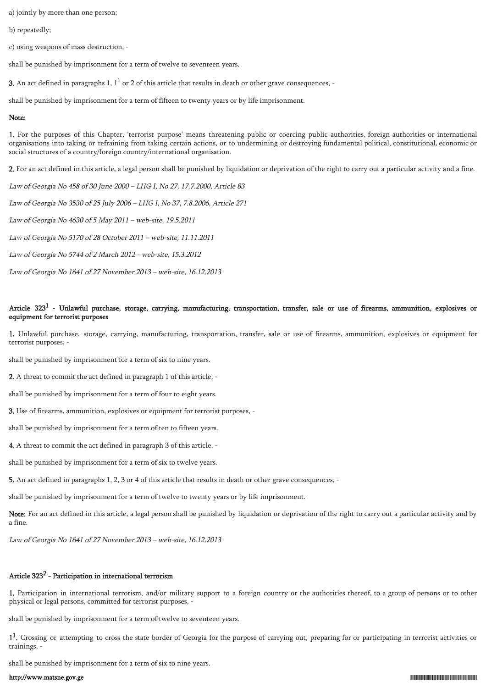a) jointly by more than one person;

b) repeatedly;

c) using weapons of mass destruction, -

shall be punished by imprisonment for a term of twelve to seventeen years.

**3.** An act defined in paragraphs 1,  $1^1$  or 2 of this article that results in death or other grave consequences, -

shall be punished by imprisonment for a term of fifteen to twenty years or by life imprisonment.

#### Note:

1. For the purposes of this Chapter, 'terrorist purpose' means threatening public or coercing public authorities, foreign authorities or international organisations into taking or refraining from taking certain actions, or to undermining or destroying fundamental political, constitutional, economic or social structures of a country/foreign country/international organisation.

2. For an act defined in this article, a legal person shall be punished by liquidation or deprivation of the right to carry out a particular activity and a fine.

Law of Georgia No 458 of 30 June 2000 – LHG I, No 27, 17.7.2000, Article 83

Law of Georgia No 3530 of 25 July 2006 – LHG I, No 37, 7.8.2006, Article 271

Law of Georgia No 4630 of 5 May 2011 – web-site, 19.5.2011

Law of Georgia No 5170 of 28 October 2011 – web-site, 11.11.2011

Law of Georgia No 5744 of 2 March 2012 - web-site, 15.3.2012

Law of Georgia No 1641 of 27 November 2013 – web-site, 16.12.2013

## Article  $323^1$  - Unlawful purchase, storage, carrying, manufacturing, transportation, transfer, sale or use of firearms, ammunition, explosives or equipment for terrorist purposes

1. Unlawful purchase, storage, carrying, manufacturing, transportation, transfer, sale or use of firearms, ammunition, explosives or equipment for terrorist purposes, -

shall be punished by imprisonment for a term of six to nine years.

2. A threat to commit the act defined in paragraph 1 of this article, -

shall be punished by imprisonment for a term of four to eight years.

3. Use of firearms, ammunition, explosives or equipment for terrorist purposes, -

shall be punished by imprisonment for a term of ten to fifteen years.

4. A threat to commit the act defined in paragraph 3 of this article, -

shall be punished by imprisonment for a term of six to twelve years.

5. An act defined in paragraphs 1, 2, 3 or 4 of this article that results in death or other grave consequences, -

shall be punished by imprisonment for a term of twelve to twenty years or by life imprisonment.

Note: For an act defined in this article, a legal person shall be punished by liquidation or deprivation of the right to carry out a particular activity and by a fine.

Law of Georgia No 1641 of 27 November 2013 – web-site, 16.12.2013

## Article 323 $^2$  - Participation in international terrorism

1. Participation in international terrorism, and/or military support to a foreign country or the authorities thereof, to a group of persons or to other physical or legal persons, committed for terrorist purposes, -

shall be punished by imprisonment for a term of twelve to seventeen years.

1<sup>1</sup>. Crossing or attempting to cross the state border of Georgia for the purpose of carrying out, preparing for or participating in terrorist activities or trainings, -

shall be punished by imprisonment for a term of six to nine years.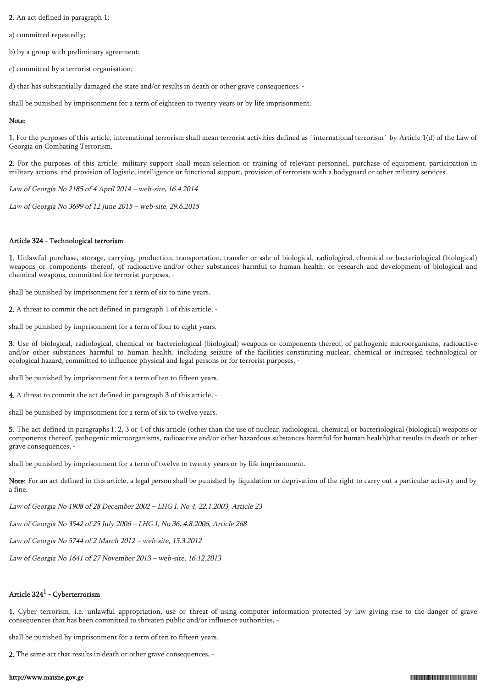2. An act defined in paragraph 1:

a) committed repeatedly;

b) by a group with preliminary agreement;

c) committed by a terrorist organisation;

d) that has substantially damaged the state and/or results in death or other grave consequences, -

shall be punished by imprisonment for a term of eighteen to twenty years or by life imprisonment.

### Note:

1. For the purposes of this article, international terrorism shall mean terrorist activities defined as `international terrorism` by Article 1(d) of the Law of Georgia on Combating Terrorism.

2. For the purposes of this article, military support shall mean selection or training of relevant personnel, purchase of equipment, participation in military actions, and provision of logistic, intelligence or functional support, provision of terrorists with a bodyguard or other military services.

Law of Georgia No 2185 of 4 April 2014 – web-site, 16.4.2014

Law of Georgia No 3699 of 12 June 2015 – web-site, 29.6.2015

## Article 324 - Technological terrorism

1. Unlawful purchase, storage, carrying, production, transportation, transfer or sale of biological, radiological, chemical or bacteriological (biological) weapons or components thereof, of radioactive and/or other substances harmful to human health, or research and development of biological and chemical weapons, committed for terrorist purposes, -

shall be punished by imprisonment for a term of six to nine years.

2. A threat to commit the act defined in paragraph 1 of this article, -

shall be punished by imprisonment for a term of four to eight years.

3. Use of biological, radiological, chemical or bacteriological (biological) weapons or components thereof, of pathogenic microorganisms, radioactive and/or other substances harmful to human health, including seizure of the facilities constituting nuclear, chemical or increased technological or ecological hazard, committed to influence physical and legal persons or for terrorist purposes, -

shall be punished by imprisonment for a term of ten to fifteen years.

4. A threat to commit the act defined in paragraph 3 of this article, -

shall be punished by imprisonment for a term of six to twelve years.

5. The act defined in paragraphs 1, 2, 3 or 4 of this article (other than the use of nuclear, radiological, chemical or bacteriological (biological) weapons or components thereof, pathogenic microorganisms, radioactive and/or other hazardous substances harmful for human health)that results in death or other grave consequences, -

shall be punished by imprisonment for a term of twelve to twenty years or by life imprisonment.

Note: For an act defined in this article, a legal person shall be punished by liquidation or deprivation of the right to carry out a particular activity and by a fine.

Law of Georgia No 1908 of 28 December 2002 – LHG I, No 4, 22.1.2003, Article 23

Law of Georgia No 3542 of 25 July 2006 – LHG I, No 36, 4.8.2006, Article 268

Law of Georgia No 5744 of 2 March 2012 – web-site, 15.3.2012

Law of Georgia No 1641 of 27 November 2013 – web-site, 16.12.2013

## Article 324 $^{\rm 1}$  - Cyberterrorism

1. Cyber terrorism, i.e. unlawful appropriation, use or threat of using computer information protected by law giving rise to the danger of grave consequences that has been committed to threaten public and/or influence authorities, -

shall be punished by imprisonment for a term of ten to fifteen years.

2. The same act that results in death or other grave consequences, -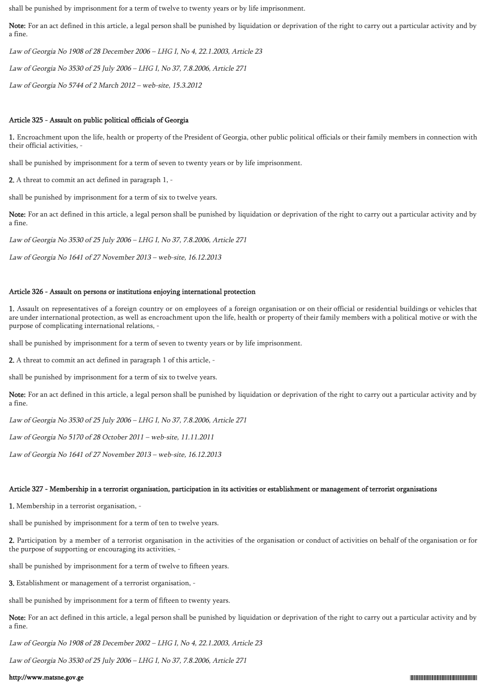shall be punished by imprisonment for a term of twelve to twenty years or by life imprisonment.

Note: For an act defined in this article, a legal person shall be punished by liquidation or deprivation of the right to carry out a particular activity and by a fine.

Law of Georgia No 1908 of 28 December 2006 – LHG I, No 4, 22.1.2003, Article 23

Law of Georgia No 3530 of 25 July 2006 – LHG I, No 37, 7.8.2006, Article 271

Law of Georgia No 5744 of 2 March 2012 – web-site, 15.3.2012

## Article 325 - Assault on public political officials of Georgia

1. Encroachment upon the life, health or property of the President of Georgia, other public political officials or their family members in connection with their official activities,

shall be punished by imprisonment for a term of seven to twenty years or by life imprisonment.

2. A threat to commit an act defined in paragraph 1, -

shall be punished by imprisonment for a term of six to twelve years.

Note: For an act defined in this article, a legal person shall be punished by liquidation or deprivation of the right to carry out a particular activity and by a fine.

Law of Georgia No 3530 of 25 July 2006 – LHG I, No 37, 7.8.2006, Article 271

Law of Georgia No 1641 of 27 November 2013 – web-site, 16.12.2013

### Article 326 - Assault on persons or institutions enjoying international protection

1. Assault on representatives of a foreign country or on employees of a foreign organisation or on their official or residential buildings or vehicles that are under international protection, as well as encroachment upon the life, health or property of their family members with a political motive or with the purpose of complicating international relations, -

shall be punished by imprisonment for a term of seven to twenty years or by life imprisonment.

2. A threat to commit an act defined in paragraph 1 of this article, -

shall be punished by imprisonment for a term of six to twelve years.

Note: For an act defined in this article, a legal person shall be punished by liquidation or deprivation of the right to carry out a particular activity and by a fine.

Law of Georgia No 3530 of 25 July 2006 – LHG I, No 37, 7.8.2006, Article 271

Law of Georgia No 5170 of 28 October 2011 – web-site, 11.11.2011

Law of Georgia No 1641 of 27 November 2013 – web-site, 16.12.2013

#### Article 327 - Membership in a terrorist organisation, participation in its activities or establishment or management of terrorist organisations

1. Membership in a terrorist organisation, -

shall be punished by imprisonment for a term of ten to twelve years.

2. Participation by a member of a terrorist organisation in the activities of the organisation or conduct of activities on behalf of the organisation or for the purpose of supporting or encouraging its activities, -

shall be punished by imprisonment for a term of twelve to fifteen years.

3. Establishment or management of a terrorist organisation, -

shall be punished by imprisonment for a term of fifteen to twenty years.

Note: For an act defined in this article, a legal person shall be punished by liquidation or deprivation of the right to carry out a particular activity and by a fine.

Law of Georgia No 1908 of 28 December 2002 – LHG I, No 4, 22.1.2003, Article 23

Law of Georgia No 3530 of 25 July 2006 – LHG I, No 37, 7.8.2006, Article 271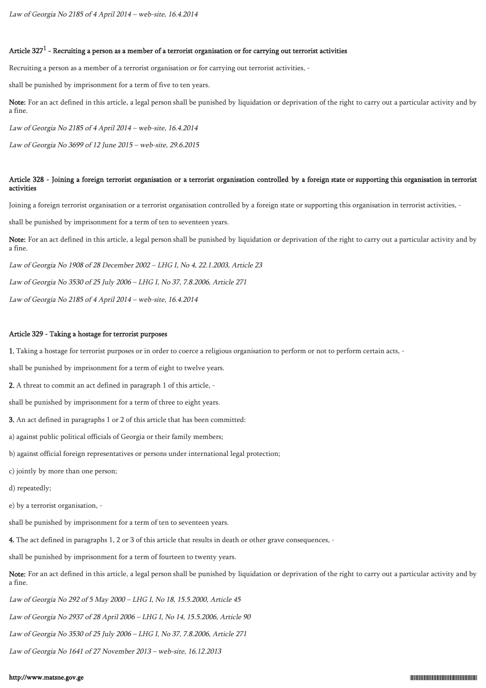# Article 327 $^1$  - Recruiting a person as a member of a terrorist organisation or for carrying out terrorist activities

Recruiting a person as a member of a terrorist organisation or for carrying out terrorist activities, -

shall be punished by imprisonment for a term of five to ten years.

Note: For an act defined in this article, a legal person shall be punished by liquidation or deprivation of the right to carry out a particular activity and by a fine.

Law of Georgia No 2185 of 4 April 2014 – web-site, 16.4.2014

Law of Georgia No 3699 of 12 June 2015 – web-site, 29.6.2015

## Article 328 - Joining a foreign terrorist organisation or a terrorist organisation controlled by a foreign state or supporting this organisation in terrorist activities

Joining a foreign terrorist organisation or a terrorist organisation controlled by a foreign state or supporting this organisation in terrorist activities, -

shall be punished by imprisonment for a term of ten to seventeen years.

Note: For an act defined in this article, a legal person shall be punished by liquidation or deprivation of the right to carry out a particular activity and by a fine.

Law of Georgia No 1908 of 28 December 2002 – LHG I, No 4, 22.1.2003, Article 23

Law of Georgia No 3530 of 25 July 2006 – LHG I, No 37, 7.8.2006, Article 271

Law of Georgia No 2185 of 4 April 2014 – web-site, 16.4.2014

## Article 329 - Taking a hostage for terrorist purposes

1. Taking a hostage for terrorist purposes or in order to coerce a religious organisation to perform or not to perform certain acts, -

shall be punished by imprisonment for a term of eight to twelve years.

2. A threat to commit an act defined in paragraph 1 of this article, -

shall be punished by imprisonment for a term of three to eight years.

3. An act defined in paragraphs 1 or 2 of this article that has been committed:

a) against public political officials of Georgia or their family members;

b) against official foreign representatives or persons under international legal protection;

c) jointly by more than one person;

d) repeatedly;

e) by a terrorist organisation, -

shall be punished by imprisonment for a term of ten to seventeen years.

4. The act defined in paragraphs 1, 2 or 3 of this article that results in death or other grave consequences, -

shall be punished by imprisonment for a term of fourteen to twenty years.

Note: For an act defined in this article, a legal person shall be punished by liquidation or deprivation of the right to carry out a particular activity and by a fine.

Law of Georgia No 292 of 5 May 2000 – LHG I, No 18, 15.5.2000, Article 45

Law of Georgia No 2937 of 28 April 2006 – LHG I, No 14, 15.5.2006, Article 90

Law of Georgia No 3530 of 25 July 2006 – LHG I, No 37, 7.8.2006, Article 271

Law of Georgia No 1641 of 27 November 2013 – web-site, 16.12.2013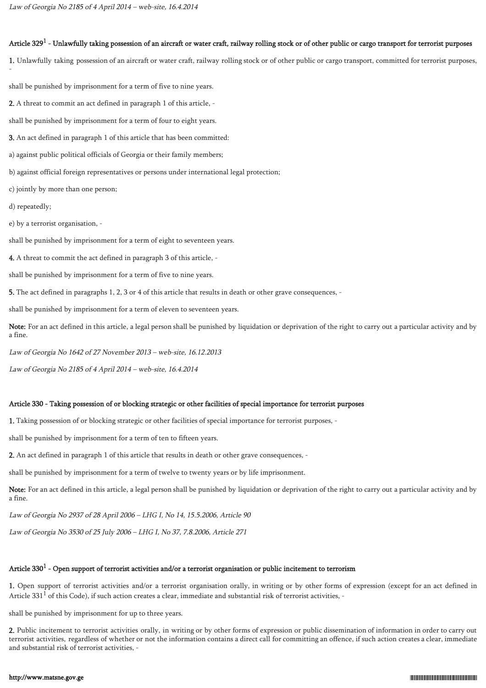## Article 329 $^1$  - Unlawfully taking possession of an aircraft or water craft, railway rolling stock or of other public or cargo transport for terrorist purposes

1. Unlawfully taking possession of an aircraft or water craft, railway rolling stock or of other public or cargo transport, committed for terrorist purposes,

shall be punished by imprisonment for a term of five to nine years.

2. A threat to commit an act defined in paragraph 1 of this article, -

shall be punished by imprisonment for a term of four to eight years.

3. An act defined in paragraph 1 of this article that has been committed:

a) against public political officials of Georgia or their family members;

b) against official foreign representatives or persons under international legal protection;

c) jointly by more than one person;

d) repeatedly;

-

e) by a terrorist organisation, -

shall be punished by imprisonment for a term of eight to seventeen years.

4. A threat to commit the act defined in paragraph 3 of this article, -

shall be punished by imprisonment for a term of five to nine years.

5. The act defined in paragraphs 1, 2, 3 or 4 of this article that results in death or other grave consequences, -

shall be punished by imprisonment for a term of eleven to seventeen years.

Note: For an act defined in this article, a legal person shall be punished by liquidation or deprivation of the right to carry out a particular activity and by a fine.

Law of Georgia No 1642 of 27 November 2013 – web-site, 16.12.2013

Law of Georgia No 2185 of 4 April 2014 – web-site, 16.4.2014

#### Article 330 - Taking possession of or blocking strategic or other facilities of special importance for terrorist purposes

1. Taking possession of or blocking strategic or other facilities of special importance for terrorist purposes, -

shall be punished by imprisonment for a term of ten to fifteen years.

2. An act defined in paragraph 1 of this article that results in death or other grave consequences, -

shall be punished by imprisonment for a term of twelve to twenty years or by life imprisonment.

Note: For an act defined in this article, a legal person shall be punished by liquidation or deprivation of the right to carry out a particular activity and by a fine.

Law of Georgia No 2937 of 28 April 2006 – LHG I, No 14, 15.5.2006, Article 90

Law of Georgia No 3530 of 25 July 2006 – LHG I, No 37, 7.8.2006, Article 271

## Article 330 $^1$  - Open support of terrorist activities and/or a terrorist organisation or public incitement to terrorism

1. Open support of terrorist activities and/or a terrorist organisation orally, in writing or by other forms of expression (except for an act defined in Article 331 $^1$  of this Code), if such action creates a clear, immediate and substantial risk of terrorist activities, -

shall be punished by imprisonment for up to three years.

2. Public incitement to terrorist activities orally, in writing or by other forms of expression or public dissemination of information in order to carry out terrorist activities, regardless of whether or not the information contains a direct call for committing an offence, if such action creates a clear, immediate and substantial risk of terrorist activities, -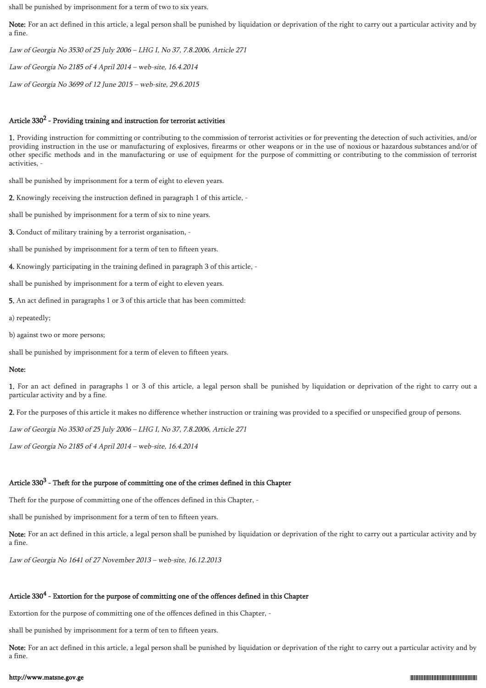shall be punished by imprisonment for a term of two to six years.

Note: For an act defined in this article, a legal person shall be punished by liquidation or deprivation of the right to carry out a particular activity and by a fine.

Law of Georgia No 3530 of 25 July 2006 – LHG I, No 37, 7.8.2006, Article 271

Law of Georgia No 2185 of 4 April 2014 – web-site, 16.4.2014

Law of Georgia No 3699 of 12 June 2015 – web-site, 29.6.2015

## Article  $330^2$  - Providing training and instruction for terrorist activities

1. Providing instruction for committing or contributing to the commission of terrorist activities or for preventing the detection of such activities, and/or providing instruction in the use or manufacturing of explosives, firearms or other weapons or in the use of noxious or hazardous substances and/or of other specific methods and in the manufacturing or use of equipment for the purpose of committing or contributing to the commission of terrorist activities, -

shall be punished by imprisonment for a term of eight to eleven years.

2. Knowingly receiving the instruction defined in paragraph 1 of this article, -

shall be punished by imprisonment for a term of six to nine years.

3. Conduct of military training by a terrorist organisation, -

shall be punished by imprisonment for a term of ten to fifteen years.

4. Knowingly participating in the training defined in paragraph 3 of this article, -

shall be punished by imprisonment for a term of eight to eleven years.

5. An act defined in paragraphs 1 or 3 of this article that has been committed:

a) repeatedly;

b) against two or more persons;

shall be punished by imprisonment for a term of eleven to fifteen years.

### Note:

1. For an act defined in paragraphs 1 or 3 of this article, a legal person shall be punished by liquidation or deprivation of the right to carry out a particular activity and by a fine.

2. For the purposes of this article it makes no difference whether instruction or training was provided to a specified or unspecified group of persons.

Law of Georgia No 3530 of 25 July 2006 – LHG I, No 37, 7.8.2006, Article 271

Law of Georgia No 2185 of 4 April 2014 – web-site, 16.4.2014

## Article 330 $^3$  - Theft for the purpose of committing one of the crimes defined in this Chapter

Theft for the purpose of committing one of the offences defined in this Chapter, -

shall be punished by imprisonment for a term of ten to fifteen years.

Note: For an act defined in this article, a legal person shall be punished by liquidation or deprivation of the right to carry out a particular activity and by a fine.

Law of Georgia No 1641 of 27 November 2013 – web-site, 16.12.2013

# Article 330 $^4$  - Extortion for the purpose of committing one of the offences defined in this Chapter

Extortion for the purpose of committing one of the offences defined in this Chapter, -

shall be punished by imprisonment for a term of ten to fifteen years.

Note: For an act defined in this article, a legal person shall be punished by liquidation or deprivation of the right to carry out a particular activity and by a fine.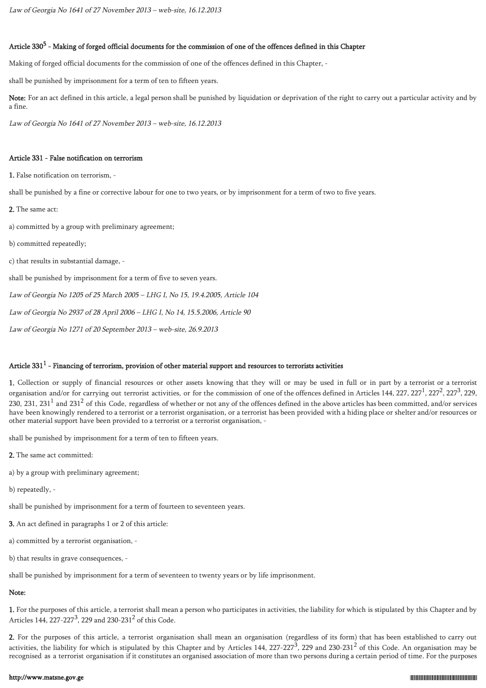## Article 330<sup>5</sup> - Making of forged official documents for the commission of one of the offences defined in this Chapter

Making of forged official documents for the commission of one of the offences defined in this Chapter, -

shall be punished by imprisonment for a term of ten to fifteen years.

Note: For an act defined in this article, a legal person shall be punished by liquidation or deprivation of the right to carry out a particular activity and by a fine.

Law of Georgia No 1641 of 27 November 2013 – web-site, 16.12.2013

## Article 331 - False notification on terrorism

1. False notification on terrorism, -

shall be punished by a fine or corrective labour for one to two years, or by imprisonment for a term of two to five years.

2. The same act:

a) committed by a group with preliminary agreement;

b) committed repeatedly;

c) that results in substantial damage, -

shall be punished by imprisonment for a term of five to seven years.

Law of Georgia No 1205 of 25 March 2005 – LHG I, No 15, 19.4.2005, Article 104

Law of Georgia No 2937 of 28 April 2006 – LHG I, No 14, 15.5.2006, Article 90

Law of Georgia No 1271 of 20 September 2013 – web-site, 26.9.2013

## Article 331 $^{\rm 1}$  - Financing of terrorism, provision of other material support and resources to terrorists activities

1. Collection or supply of financial resources or other assets knowing that they will or may be used in full or in part by a terrorist or a terrorist organisation and/or for carrying out terrorist activities, or for the commission of one of the offences defined in Articles 144, 227, 227<sup>1</sup>, 227<sup>2</sup>, 227<sup>3</sup>, 229, 230, 231, 231<sup>1</sup> and 231<sup>2</sup> of this Code, regardless of whether or not any of the offences defined in the above articles has been committed, and/or services have been knowingly rendered to a terrorist or a terrorist organisation, or a terrorist has been provided with a hiding place or shelter and/or resources or other material support have been provided to a terrorist or a terrorist organisation, -

shall be punished by imprisonment for a term of ten to fifteen years.

2. The same act committed:

a) by a group with preliminary agreement;

b) repeatedly, -

shall be punished by imprisonment for a term of fourteen to seventeen years.

3. An act defined in paragraphs 1 or 2 of this article:

a) committed by a terrorist organisation, -

b) that results in grave consequences, -

shall be punished by imprisonment for a term of seventeen to twenty years or by life imprisonment.

## Note:

1. For the purposes of this article, a terrorist shall mean a person who participates in activities, the liability for which is stipulated by this Chapter and by Articles 144, 227-227<sup>3</sup>, 229 and 230-231<sup>2</sup> of this Code.

2. For the purposes of this article, a terrorist organisation shall mean an organisation (regardless of its form) that has been established to carry out activities, the liability for which is stipulated by this Chapter and by Articles 144, 227-227<sup>3</sup>, 229 and 230-231<sup>2</sup> of this Code. An organisation may be recognised as a terrorist organisation if it constitutes an organised association of more than two persons during a certain period of time. For the purposes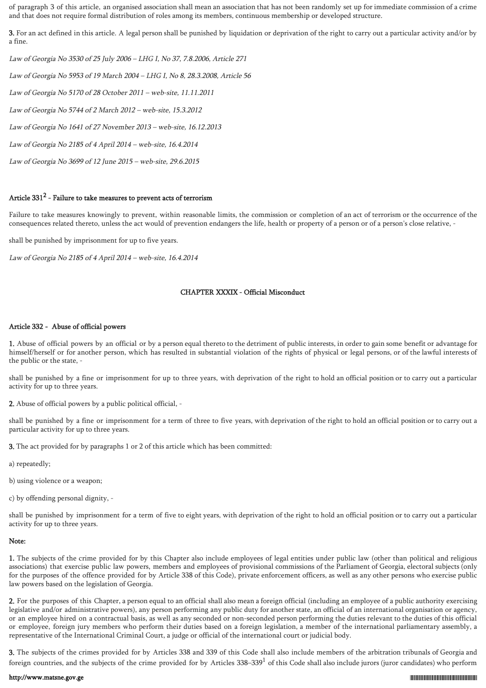of paragraph 3 of this article, an organised association shall mean an association that has not been randomly set up for immediate commission of a crime and that does not require formal distribution of roles among its members, continuous membership or developed structure.

3. For an act defined in this article. A legal person shall be punished by liquidation or deprivation of the right to carry out a particular activity and/or by a fine.

Law of Georgia No 3530 of 25 July 2006 – LHG I, No 37, 7.8.2006, Article 271

Law of Georgia No 5953 of 19 March 2004 – LHG I, No 8, 28.3.2008, Article 56

Law of Georgia No 5170 of 28 October 2011 – web-site, 11.11.2011

Law of Georgia No 5744 of 2 March 2012 – web-site, 15.3.2012

Law of Georgia No 1641 of 27 November 2013 – web-site, 16.12.2013

Law of Georgia No 2185 of 4 April 2014 – web-site, 16.4.2014

Law of Georgia No 3699 of 12 June 2015 – web-site, 29.6.2015

## Article 331 $^2$  - Failure to take measures to prevent acts of terrorism

Failure to take measures knowingly to prevent, within reasonable limits, the commission or completion of an act of terrorism or the occurrence of the consequences related thereto, unless the act would of prevention endangers the life, health or property of a person or of a person's close relative, -

shall be punished by imprisonment for up to five years.

Law of Georgia No 2185 of 4 April 2014 – web-site, 16.4.2014

## CHAPTER XXXIX - Official Misconduct

## Article 332 - Abuse of official powers

1. Abuse of official powers by an official or by a person equal thereto to the detriment of public interests, in order to gain some benefit or advantage for himself/herself or for another person, which has resulted in substantial violation of the rights of physical or legal persons, or of the lawful interests of the public or the state, -

shall be punished by a fine or imprisonment for up to three years, with deprivation of the right to hold an official position or to carry out a particular activity for up to three years.

2. Abuse of official powers by a public political official, -

shall be punished by a fine or imprisonment for a term of three to five years, with deprivation of the right to hold an official position or to carry out a particular activity for up to three years.

3. The act provided for by paragraphs 1 or 2 of this article which has been committed:

a) repeatedly;

b) using violence or a weapon;

c) by offending personal dignity, -

shall be punished by imprisonment for a term of five to eight years, with deprivation of the right to hold an official position or to carry out a particular activity for up to three years.

## Note:

1. The subjects of the crime provided for by this Chapter also include employees of legal entities under public law (other than political and religious associations) that exercise public law powers, members and employees of provisional commissions of the Parliament of Georgia, electoral subjects (only for the purposes of the offence provided for by Article 338 of this Code), private enforcement officers, as well as any other persons who exercise public law powers based on the legislation of Georgia.

2. For the purposes of this Chapter, a person equal to an official shall also mean a foreign official (including an employee of a public authority exercising legislative and/or administrative powers), any person performing any public duty for another state, an official of an international organisation or agency, or an employee hired on a contractual basis, as well as any seconded or non-seconded person performing the duties relevant to the duties of this official or employee, foreign jury members who perform their duties based on a foreign legislation, a member of the international parliamentary assembly, a representative of the International Criminal Court, a judge or official of the international court or judicial body.

3. The subjects of the crimes provided for by Articles 338 and 339 of this Code shall also include members of the arbitration tribunals of Georgia and foreign countries, and the subjects of the crime provided for by Articles  $338-339<sup>1</sup>$  of this Code shall also include jurors (juror candidates) who perform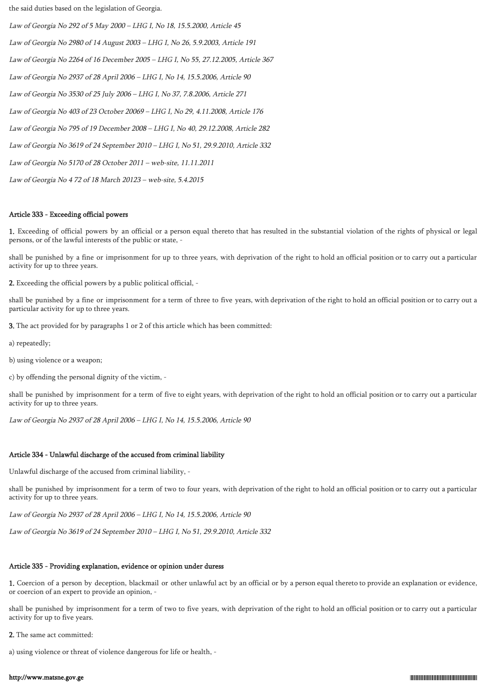the said duties based on the legislation of Georgia.

Law of Georgia No 292 of 5 May 2000 – LHG I, No 18, 15.5.2000, Article 45 Law of Georgia No 2980 of 14 August 2003 – LHG I, No 26, 5.9.2003, Article 191 Law of Georgia No 2264 of 16 December 2005 – LHG I, No 55, 27.12.2005, Article 367 Law of Georgia No 2937 of 28 April 2006 – LHG I, No 14, 15.5.2006, Article 90 Law of Georgia No 3530 of 25 July 2006 – LHG I, No 37, 7.8.2006, Article 271 Law of Georgia No 403 of 23 October 20069 – LHG I, No 29, 4.11.2008, Article 176 Law of Georgia No 795 of 19 December 2008 – LHG I, No 40, 29.12.2008, Article 282 Law of Georgia No 3619 of 24 September 2010 – LHG I, No 51, 29.9.2010, Article 332 Law of Georgia No 5170 of 28 October 2011 – web-site, 11.11.2011 Law of Georgia No 4 72 of 18 March 20123 – web-site, 5.4.2015

### Article 333 - Exceeding official powers

1. Exceeding of official powers by an official or a person equal thereto that has resulted in the substantial violation of the rights of physical or legal persons, or of the lawful interests of the public or state, -

shall be punished by a fine or imprisonment for up to three years, with deprivation of the right to hold an official position or to carry out a particular activity for up to three years.

2. Exceeding the official powers by a public political official, -

shall be punished by a fine or imprisonment for a term of three to five years, with deprivation of the right to hold an official position or to carry out a particular activity for up to three years.

3. The act provided for by paragraphs 1 or 2 of this article which has been committed:

a) repeatedly;

b) using violence or a weapon;

c) by offending the personal dignity of the victim, -

shall be punished by imprisonment for a term of five to eight years, with deprivation of the right to hold an official position or to carry out a particular activity for up to three years.

Law of Georgia No 2937 of 28 April 2006 – LHG I, No 14, 15.5.2006, Article 90

### Article 334 - Unlawful discharge of the accused from criminal liability

Unlawful discharge of the accused from criminal liability, -

shall be punished by imprisonment for a term of two to four years, with deprivation of the right to hold an official position or to carry out a particular activity for up to three years.

Law of Georgia No 2937 of 28 April 2006 – LHG I, No 14, 15.5.2006, Article 90

Law of Georgia No 3619 of 24 September 2010 – LHG I, No 51, 29.9.2010, Article 332

### Article 335 - Providing explanation, evidence or opinion under duress

1. Coercion of a person by deception, blackmail or other unlawful act by an official or by a person equal thereto to provide an explanation or evidence, or coercion of an expert to provide an opinion, -

shall be punished by imprisonment for a term of two to five years, with deprivation of the right to hold an official position or to carry out a particular activity for up to five years.

2. The same act committed:

a) using violence or threat of violence dangerous for life or health, -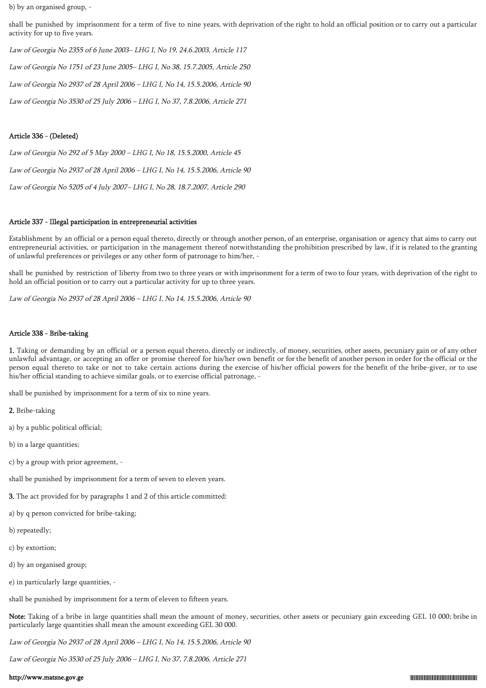b) by an organised group, -

shall be punished by imprisonment for a term of five to nine years, with deprivation of the right to hold an official position or to carry out a particular activity for up to five years.

Law of Georgia No 2355 of 6 June 2003– LHG I, No 19, 24.6.2003, Article 117

Law of Georgia No 1751 of 23 June 2005– LHG I, No 38, 15.7.2005, Article 250

Law of Georgia No 2937 of 28 April 2006 – LHG I, No 14, 15.5.2006, Article 90

Law of Georgia No 3530 of 25 July 2006 – LHG I, No 37, 7.8.2006, Article 271

### Article 336 - (Deleted)

Law of Georgia No 292 of 5 May 2000 – LHG I, No 18, 15.5.2000, Article 45 Law of Georgia No 2937 of 28 April 2006 – LHG I, No 14, 15.5.2006, Article 90 Law of Georgia No 5205 of 4 July 2007– LHG I, No 28, 18.7.2007, Article 290

### Article 337 - Illegal participation in entrepreneurial activities

Establishment by an official or a person equal thereto, directly or through another person, of an enterprise, organisation or agency that aims to carry out entrepreneurial activities, or participation in the management thereof notwithstanding the prohibition prescribed by law, if it is related to the granting of unlawful preferences or privileges or any other form of patronage to him/her, -

shall be punished by restriction of liberty from two to three years or with imprisonment for a term of two to four years, with deprivation of the right to hold an official position or to carry out a particular activity for up to three years.

Law of Georgia No 2937 of 28 April 2006 – LHG I, No 14, 15.5.2006, Article 90

### Article 338 - Bribe-taking

1. Taking or demanding by an official or a person equal thereto, directly or indirectly, of money, securities, other assets, pecuniary gain or of any other unlawful advantage, or accepting an offer or promise thereof for his/her own benefit or for the benefit of another person in order for the official or the person equal thereto to take or not to take certain actions during the exercise of his/her official powers for the benefit of the bribe-giver, or to use his/her official standing to achieve similar goals, or to exercise official patronage, -

shall be punished by imprisonment for a term of six to nine years.

2. Bribe-taking

- a) by a public political official;
- b) in a large quantities;
- c) by a group with prior agreement, -

shall be punished by imprisonment for a term of seven to eleven years.

- 3. The act provided for by paragraphs 1 and 2 of this article committed:
- a) by q person convicted for bribe-taking;
- b) repeatedly;
- c) by extortion;
- d) by an organised group;
- e) in particularly large quantities, -

shall be punished by imprisonment for a term of eleven to fifteen years.

Note: Taking of a bribe in large quantities shall mean the amount of money, securities, other assets or pecuniary gain exceeding GEL 10 000; bribe in particularly large quantities shall mean the amount exceeding GEL 30 000.

Law of Georgia No 2937 of 28 April 2006 – LHG I, No 14, 15.5.2006, Article 90

Law of Georgia No 3530 of 25 July 2006 – LHG I, No 37, 7.8.2006, Article 271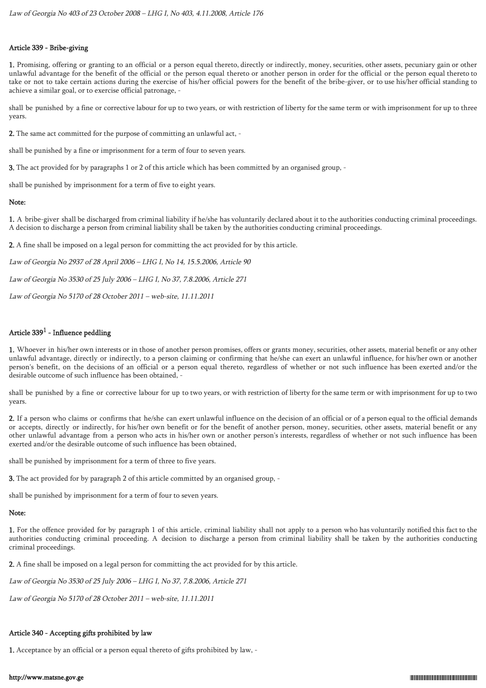## Article 339 - Bribe-giving

1. Promising, offering or granting to an official or a person equal thereto, directly or indirectly, money, securities, other assets, pecuniary gain or other unlawful advantage for the benefit of the official or the person equal thereto or another person in order for the official or the person equal thereto to take or not to take certain actions during the exercise of his/her official powers for the benefit of the bribe-giver, or to use his/her official standing to achieve a similar goal, or to exercise official patronage, -

shall be punished by a fine or corrective labour for up to two years, or with restriction of liberty for the same term or with imprisonment for up to three years.

2. The same act committed for the purpose of committing an unlawful act, -

shall be punished by a fine or imprisonment for a term of four to seven years.

3. The act provided for by paragraphs 1 or 2 of this article which has been committed by an organised group, -

shall be punished by imprisonment for a term of five to eight years.

## Note:

1. A bribe-giver shall be discharged from criminal liability if he/she has voluntarily declared about it to the authorities conducting criminal proceedings. A decision to discharge a person from criminal liability shall be taken by the authorities conducting criminal proceedings.

2. A fine shall be imposed on a legal person for committing the act provided for by this article.

Law of Georgia No 2937 of 28 April 2006 – LHG I, No 14, 15.5.2006, Article 90

Law of Georgia No 3530 of 25 July 2006 – LHG I, No 37, 7.8.2006, Article 271

Law of Georgia No 5170 of 28 October 2011 – web-site, 11.11.2011

## Article  $339^1$  - Influence peddling

1. Whoever in his/her own interests or in those of another person promises, offers or grants money, securities, other assets, material benefit or any other unlawful advantage, directly or indirectly, to a person claiming or confirming that he/she can exert an unlawful influence, for his/her own or another person's benefit, on the decisions of an official or a person equal thereto, regardless of whether or not such influence has been exerted and/or the desirable outcome of such influence has been obtained, -

shall be punished by a fine or corrective labour for up to two years, or with restriction of liberty for the same term or with imprisonment for up to two years.

2. If a person who claims or confirms that he/she can exert unlawful influence on the decision of an official or of a person equal to the official demands or accepts, directly or indirectly, for his/her own benefit or for the benefit of another person, money, securities, other assets, material benefit or any other unlawful advantage from a person who acts in his/her own or another person's interests, regardless of whether or not such influence has been exerted and/or the desirable outcome of such influence has been obtained,

shall be punished by imprisonment for a term of three to five years.

3. The act provided for by paragraph 2 of this article committed by an organised group, -

shall be punished by imprisonment for a term of four to seven years.

## Note:

1. For the offence provided for by paragraph 1 of this article, criminal liability shall not apply to a person who has voluntarily notified this fact to the authorities conducting criminal proceeding. A decision to discharge a person from criminal liability shall be taken by the authorities conducting criminal proceedings.

2. A fine shall be imposed on a legal person for committing the act provided for by this article.

Law of Georgia No 3530 of 25 July 2006 – LHG I, No 37, 7.8.2006, Article 271

Law of Georgia No 5170 of 28 October 2011 – web-site, 11.11.2011

## Article 340 - Accepting gifts prohibited by law

1. Acceptance by an official or a person equal thereto of gifts prohibited by law, -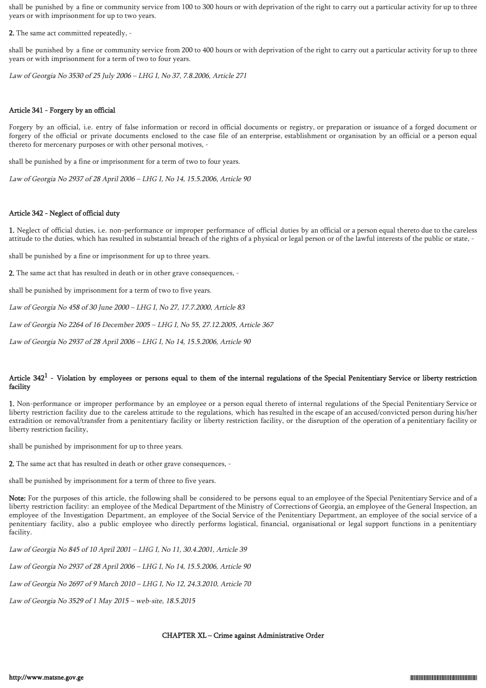shall be punished by a fine or community service from 100 to 300 hours or with deprivation of the right to carry out a particular activity for up to three years or with imprisonment for up to two years.

2. The same act committed repeatedly, -

shall be punished by a fine or community service from 200 to 400 hours or with deprivation of the right to carry out a particular activity for up to three years or with imprisonment for a term of two to four years.

Law of Georgia No 3530 of 25 July 2006 – LHG I, No 37, 7.8.2006, Article 271

## Article 341 - Forgery by an official

Forgery by an official, i.e. entry of false information or record in official documents or registry, or preparation or issuance of a forged document or forgery of the official or private documents enclosed to the case file of an enterprise, establishment or organisation by an official or a person equal thereto for mercenary purposes or with other personal motives, -

shall be punished by a fine or imprisonment for a term of two to four years.

Law of Georgia No 2937 of 28 April 2006 – LHG I, No 14, 15.5.2006, Article 90

## Article 342 - Neglect of official duty

1. Neglect of official duties, i.e. non-performance or improper performance of official duties by an official or a person equal thereto due to the careless attitude to the duties, which has resulted in substantial breach of the rights of a physical or legal person or of the lawful interests of the public or state, -

shall be punished by a fine or imprisonment for up to three years.

2. The same act that has resulted in death or in other grave consequences, -

shall be punished by imprisonment for a term of two to five years.

Law of Georgia No 458 of 30 June 2000 – LHG I, No 27, 17.7.2000, Article 83

Law of Georgia No 2264 of 16 December 2005 – LHG I, No 55, 27.12.2005, Article 367

Law of Georgia No 2937 of 28 April 2006 – LHG I, No 14, 15.5.2006, Article 90

## Article  $342^1$  - Violation by employees or persons equal to them of the internal regulations of the Special Penitentiary Service or liberty restriction facility

1. Non-performance or improper performance by an employee or a person equal thereto of internal regulations of the Special Penitentiary Service or liberty restriction facility due to the careless attitude to the regulations, which has resulted in the escape of an accused/convicted person during his/her extradition or removal/transfer from a penitentiary facility or liberty restriction facility, or the disruption of the operation of a penitentiary facility or liberty restriction facility,

shall be punished by imprisonment for up to three years.

2. The same act that has resulted in death or other grave consequences, -

shall be punished by imprisonment for a term of three to five years.

Note: For the purposes of this article, the following shall be considered to be persons equal to an employee of the Special Penitentiary Service and of a liberty restriction facility: an employee of the Medical Department of the Ministry of Corrections of Georgia, an employee of the General Inspection, an employee of the Investigation Department, an employee of the Social Service of the Penitentiary Department, an employee of the social service of a penitentiary facility, also a public employee who directly performs logistical, financial, organisational or legal support functions in a penitentiary facility.

Law of Georgia No 845 of 10 April 2001 – LHG I, No 11, 30.4.2001, Article 39

Law of Georgia No 2937 of 28 April 2006 – LHG I, No 14, 15.5.2006, Article 90

Law of Georgia No 2697 of 9 March 2010 – LHG I, No 12, 24.3.2010, Article 70

Law of Georgia No 3529 of 1 May 2015 – web-site, 18.5.2015

## CHAPTER XL – Crime against Administrative Order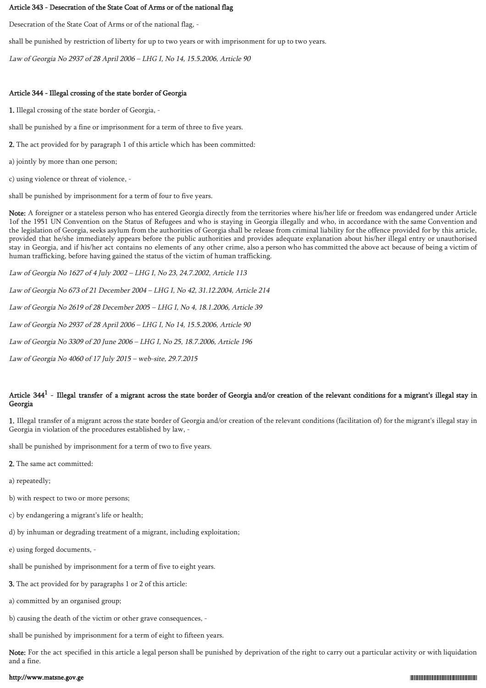#### Article 343 - Desecration of the State Coat of Arms or of the national flag

Desecration of the State Coat of Arms or of the national flag, -

shall be punished by restriction of liberty for up to two years or with imprisonment for up to two years.

Law of Georgia No 2937 of 28 April 2006 – LHG I, No 14, 15.5.2006, Article 90

## Article 344 - Illegal crossing of the state border of Georgia

1. Illegal crossing of the state border of Georgia, -

shall be punished by a fine or imprisonment for a term of three to five years.

2. The act provided for by paragraph 1 of this article which has been committed:

a) jointly by more than one person;

c) using violence or threat of violence, -

shall be punished by imprisonment for a term of four to five years.

Note: A foreigner or a stateless person who has entered Georgia directly from the territories where his/her life or freedom was endangered under Article 1of the 1951 UN Convention on the Status of Refugees and who is staying in Georgia illegally and who, in accordance with the same Convention and the legislation of Georgia, seeks asylum from the authorities of Georgia shall be release from criminal liability for the offence provided for by this article, provided that he/she immediately appears before the public authorities and provides adequate explanation about his/her illegal entry or unauthorised stay in Georgia, and if his/her act contains no elements of any other crime, also a person who has committed the above act because of being a victim of human trafficking, before having gained the status of the victim of human trafficking.

Law of Georgia No 1627 of 4 July 2002 – LHG I, No 23, 24.7.2002, Article 113

Law of Georgia No 673 of 21 December 2004 – LHG I, No 42, 31.12.2004, Article 214

Law of Georgia No 2619 of 28 December 2005 – LHG I, No 4, 18.1.2006, Article 39

Law of Georgia No 2937 of 28 April 2006 – LHG I, No 14, 15.5.2006, Article 90

Law of Georgia No 3309 of 20 June 2006 – LHG I, No 25, 18.7.2006, Article 196

Law of Georgia No 4060 of 17 July 2015 – web-site, 29.7.2015

## Article  $344^1$  - Illegal transfer of a migrant across the state border of Georgia and/or creation of the relevant conditions for a migrant's illegal stay in Georgia

1. Illegal transfer of a migrant across the state border of Georgia and/or creation of the relevant conditions (facilitation of) for the migrant's illegal stay in Georgia in violation of the procedures established by law, -

shall be punished by imprisonment for a term of two to five years.

- 2. The same act committed:
- a) repeatedly;
- b) with respect to two or more persons;
- c) by endangering a migrant's life or health;
- d) by inhuman or degrading treatment of a migrant, including exploitation;
- e) using forged documents, -
- shall be punished by imprisonment for a term of five to eight years.
- 3. The act provided for by paragraphs 1 or 2 of this article:
- a) committed by an organised group;
- b) causing the death of the victim or other grave consequences, -

shall be punished by imprisonment for a term of eight to fifteen years.

Note: For the act specified in this article a legal person shall be punished by deprivation of the right to carry out a particular activity or with liquidation and a fine.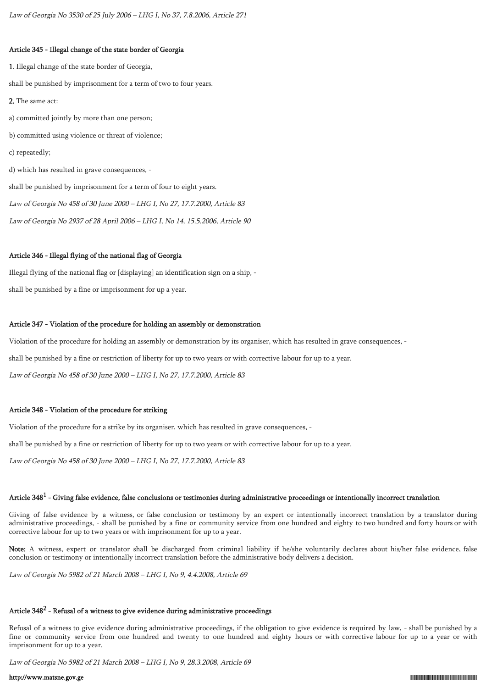## Article 345 - Illegal change of the state border of Georgia

1. Illegal change of the state border of Georgia, shall be punished by imprisonment for a term of two to four years. 2. The same act: a) committed jointly by more than one person; b) committed using violence or threat of violence; c) repeatedly; d) which has resulted in grave consequences, shall be punished by imprisonment for a term of four to eight years. Law of Georgia No 458 of 30 June 2000 – LHG I, No 27, 17.7.2000, Article 83 Law of Georgia No 2937 of 28 April 2006 – LHG I, No 14, 15.5.2006, Article 90

## Article 346 - Illegal flying of the national flag of Georgia

Illegal flying of the national flag or [displaying] an identification sign on a ship, shall be punished by a fine or imprisonment for up a year.

## Article 347 - Violation of the procedure for holding an assembly or demonstration

Violation of the procedure for holding an assembly or demonstration by its organiser, which has resulted in grave consequences, -

shall be punished by a fine or restriction of liberty for up to two years or with corrective labour for up to a year.

Law of Georgia No 458 of 30 June 2000 – LHG I, No 27, 17.7.2000, Article 83

## Article 348 - Violation of the procedure for striking

Violation of the procedure for a strike by its organiser, which has resulted in grave consequences, -

shall be punished by a fine or restriction of liberty for up to two years or with corrective labour for up to a year.

Law of Georgia No 458 of 30 June 2000 – LHG I, No 27, 17.7.2000, Article 83

# Article 348 $^{\rm 1}$  - Giving false evidence, false conclusions or testimonies during administrative proceedings or intentionally incorrect translation

Giving of false evidence by a witness, or false conclusion or testimony by an expert or intentionally incorrect translation by a translator during administrative proceedings, - shall be punished by a fine or community service from one hundred and eighty to two hundred and forty hours or with corrective labour for up to two years or with imprisonment for up to a year.

Note: A witness, expert or translator shall be discharged from criminal liability if he/she voluntarily declares about his/her false evidence, false conclusion or testimony or intentionally incorrect translation before the administrative body delivers a decision.

Law of Georgia No 5982 of 21 March 2008 – LHG I, No 9, 4.4.2008, Article 69

# Article 348 $\rm ^2$  - Refusal of a witness to give evidence during administrative proceedings

Refusal of a witness to give evidence during administrative proceedings, if the obligation to give evidence is required by law, - shall be punished by a fine or community service from one hundred and twenty to one hundred and eighty hours or with corrective labour for up to a year or with imprisonment for up to a year.

Law of Georgia No 5982 of 21 March 2008 – LHG I, No 9, 28.3.2008, Article 69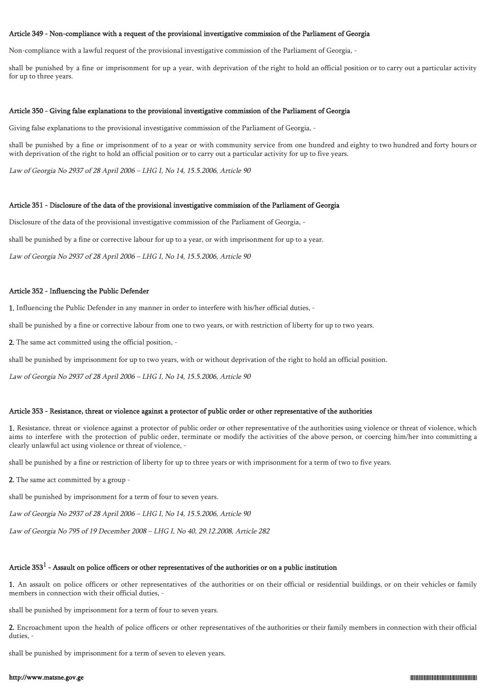#### Article 349 - Non-compliance with a request of the provisional investigative commission of the Parliament of Georgia

Non-compliance with a lawful request of the provisional investigative commission of the Parliament of Georgia, -

shall be punished by a fine or imprisonment for up a year, with deprivation of the right to hold an official position or to carry out a particular activity for up to three years.

### Article 350 - Giving false explanations to the provisional investigative commission of the Parliament of Georgia

Giving false explanations to the provisional investigative commission of the Parliament of Georgia, -

shall be punished by a fine or imprisonment of to a year or with community service from one hundred and eighty to two hundred and forty hours or with deprivation of the right to hold an official position or to carry out a particular activity for up to five years.

Law of Georgia No 2937 of 28 April 2006 – LHG I, No 14, 15.5.2006, Article 90

#### Article 351 - Disclosure of the data of the provisional investigative commission of the Parliament of Georgia

Disclosure of the data of the provisional investigative commission of the Parliament of Georgia, -

shall be punished by a fine or corrective labour for up to a year, or with imprisonment for up to a year.

Law of Georgia No 2937 of 28 April 2006 – LHG I, No 14, 15.5.2006, Article 90

### Article 352 - Influencing the Public Defender

1. Influencing the Public Defender in any manner in order to interfere with his/her official duties, -

shall be punished by a fine or corrective labour from one to two years, or with restriction of liberty for up to two years.

2. The same act committed using the official position, -

shall be punished by imprisonment for up to two years, with or without deprivation of the right to hold an official position.

Law of Georgia No 2937 of 28 April 2006 – LHG I, No 14, 15.5.2006, Article 90

### Article 353 - Resistance, threat or violence against a protector of public order or other representative of the authorities

1. Resistance, threat or violence against a protector of public order or other representative of the authorities using violence or threat of violence, which aims to interfere with the protection of public order, terminate or modify the activities of the above person, or coercing him/her into committing a clearly unlawful act using violence or threat of violence, -

shall be punished by a fine or restriction of liberty for up to three years or with imprisonment for a term of two to five years.

2. The same act committed by a group -

shall be punished by imprisonment for a term of four to seven years.

Law of Georgia No 2937 of 28 April 2006 – LHG I, No 14, 15.5.2006, Article 90

Law of Georgia No 795 of 19 December 2008 – LHG I, No 40, 29.12.2008, Article 282

## Article 353 $^1$  - Assault on police officers or other representatives of the authorities or on a public institution

1. An assault on police officers or other representatives of the authorities or on their official or residential buildings, or on their vehicles or family members in connection with their official duties, -

shall be punished by imprisonment for a term of four to seven years.

2. Encroachment upon the health of police officers or other representatives of the authorities or their family members in connection with their official duties, -

shall be punished by imprisonment for a term of seven to eleven years.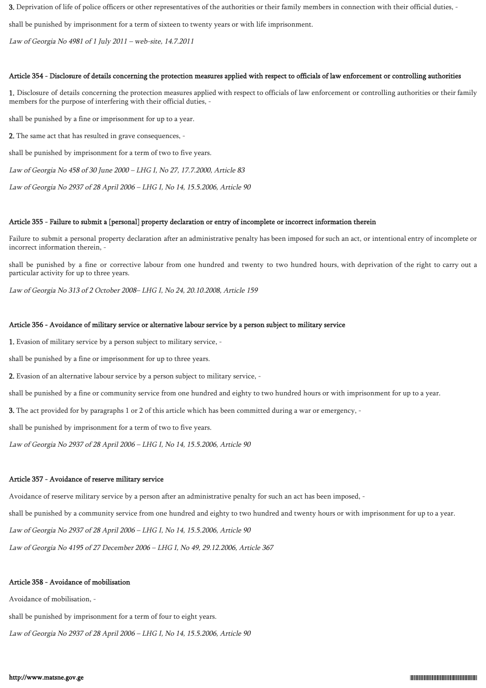3. Deprivation of life of police officers or other representatives of the authorities or their family members in connection with their official duties, -

shall be punished by imprisonment for a term of sixteen to twenty years or with life imprisonment.

Law of Georgia No 4981 of 1 July 2011 – web-site, 14.7.2011

## Article 354 - Disclosure of details concerning the protection measures applied with respect to officials of law enforcement or controlling authorities

1. Disclosure of details concerning the protection measures applied with respect to officials of law enforcement or controlling authorities or their family members for the purpose of interfering with their official duties, -

shall be punished by a fine or imprisonment for up to a year.

2. The same act that has resulted in grave consequences, -

shall be punished by imprisonment for a term of two to five years.

Law of Georgia No 458 of 30 June 2000 – LHG I, No 27, 17.7.2000, Article 83

Law of Georgia No 2937 of 28 April 2006 – LHG I, No 14, 15.5.2006, Article 90

### Article 355 - Failure to submit a [personal] property declaration or entry of incomplete or incorrect information therein

Failure to submit a personal property declaration after an administrative penalty has been imposed for such an act, or intentional entry of incomplete or incorrect information therein, -

shall be punished by a fine or corrective labour from one hundred and twenty to two hundred hours, with deprivation of the right to carry out a particular activity for up to three years.

Law of Georgia No 313 of 2 October 2008– LHG I, No 24, 20.10.2008, Article 159

#### Article 356 - Avoidance of military service or alternative labour service by a person subject to military service

1. Evasion of military service by a person subject to military service, -

shall be punished by a fine or imprisonment for up to three years.

2. Evasion of an alternative labour service by a person subject to military service, -

shall be punished by a fine or community service from one hundred and eighty to two hundred hours or with imprisonment for up to a year.

3. The act provided for by paragraphs 1 or 2 of this article which has been committed during a war or emergency, -

shall be punished by imprisonment for a term of two to five years.

Law of Georgia No 2937 of 28 April 2006 – LHG I, No 14, 15.5.2006, Article 90

## Article 357 - Avoidance of reserve military service

Avoidance of reserve military service by a person after an administrative penalty for such an act has been imposed, -

shall be punished by a community service from one hundred and eighty to two hundred and twenty hours or with imprisonment for up to a year.

Law of Georgia No 2937 of 28 April 2006 – LHG I, No 14, 15.5.2006, Article 90

Law of Georgia No 4195 of 27 December 2006 – LHG I, No 49, 29.12.2006, Article 367

## Article 358 - Avoidance of mobilisation

Avoidance of mobilisation, -

shall be punished by imprisonment for a term of four to eight years.

Law of Georgia No 2937 of 28 April 2006 – LHG I, No 14, 15.5.2006, Article 90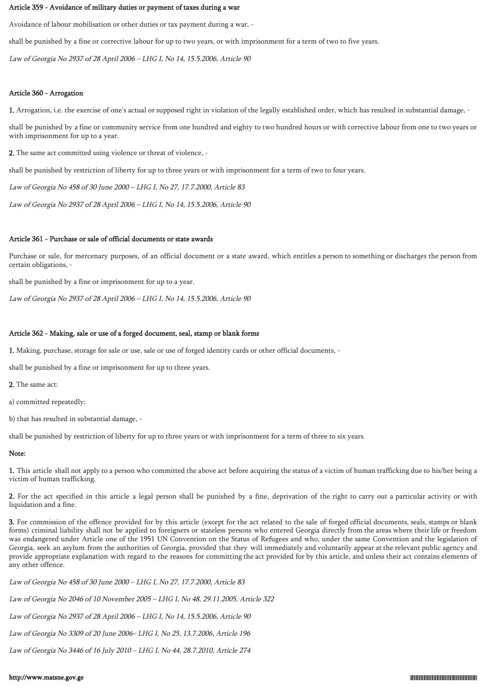#### Article 359 - Avoidance of military duties or payment of taxes during a war

Avoidance of labour mobilisation or other duties or tax payment during a war, -

shall be punished by a fine or corrective labour for up to two years, or with imprisonment for a term of two to five years.

Law of Georgia No 2937 of 28 April 2006 – LHG I, No 14, 15.5.2006, Article 90

## Article 360 - Arrogation

1. Arrogation, i.e. the exercise of one's actual or supposed right in violation of the legally established order, which has resulted in substantial damage, -

shall be punished by a fine or community service from one hundred and eighty to two hundred hours or with corrective labour from one to two years or with imprisonment for up to a year.

2. The same act committed using violence or threat of violence, -

shall be punished by restriction of liberty for up to three years or with imprisonment for a term of two to four years.

Law of Georgia No 458 of 30 June 2000 – LHG I, No 27, 17.7.2000, Article 83

Law of Georgia No 2937 of 28 April 2006 – LHG I, No 14, 15.5.2006, Article 90

## Article 361 - Purchase or sale of official documents or state awards

Purchase or sale, for mercenary purposes, of an official document or a state award, which entitles a person to something or discharges the person from certain obligations, -

shall be punished by a fine or imprisonment for up to a year.

Law of Georgia No 2937 of 28 April 2006 – LHG I, No 14, 15.5.2006, Article 90

## Article 362 - Making, sale or use of a forged document, seal, stamp or blank forms

1. Making, purchase, storage for sale or use, sale or use of forged identity cards or other official documents, -

shall be punished by a fine or imprisonment for up to three years.

2. The same act:

a) committed repeatedly;

b) that has resulted in substantial damage, -

shall be punished by restriction of liberty for up to three years or with imprisonment for a term of three to six years.

## Note:

1. This article shall not apply to a person who committed the above act before acquiring the status of a victim of human trafficking due to his/her being a victim of human trafficking.

2. For the act specified in this article a legal person shall be punished by a fine, deprivation of the right to carry out a particular activity or with liquidation and a fine.

3. For commission of the offence provided for by this article (except for the act related to the sale of forged official documents, seals, stamps or blank forms) criminal liability shall not be applied to foreigners or stateless persons who entered Georgia directly from the areas where their life or freedom was endangered under Article one of the 1951 UN Convention on the Status of Refugees and who, under the same Convention and the legislation of Georgia, seek an asylum from the authorities of Georgia, provided that they will immediately and voluntarily appear at the relevant public agency and provide appropriate explanation with regard to the reasons for committing the act provided for by this article, and unless their act contains elements of any other offence.

Law of Georgia No 458 of 30 June 2000 – LHG I, No 27, 17.7.2000, Article 83

Law of Georgia No 2046 of 10 November 2005 – LHG I, No 48, 29.11.2005, Article 322

Law of Georgia No 2937 of 28 April 2006 – LHG I, No 14, 15.5.2006, Article 90

Law of Georgia No 3309 of 20 June 2006– LHG I, No 25, 13.7.2006, Article 196

Law of Georgia No 3446 of 16 July 2010 – LHG I, No 44, 28.7.2010, Article 274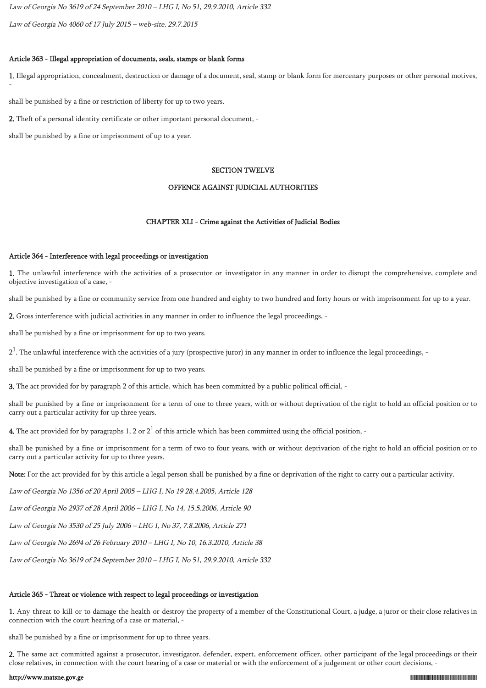Law of Georgia No 3619 of 24 September 2010 – LHG I, No 51, 29.9.2010, Article 332

Law of Georgia No 4060 of 17 July 2015 – web-site, 29.7.2015

#### Article 363 - Illegal appropriation of documents, seals, stamps or blank forms

1. Illegal appropriation, concealment, destruction or damage of a document, seal, stamp or blank form for mercenary purposes or other personal motives,

shall be punished by a fine or restriction of liberty for up to two years.

2. Theft of a personal identity certificate or other important personal document, -

shall be punished by a fine or imprisonment of up to a year.

-

#### SECTION TWELVE

### OFFENCE AGAINST JUDICIAL AUTHORITIES

#### CHAPTER XLI - Crime against the Activities of Judicial Bodies

### Article 364 - Interference with legal proceedings or investigation

1. The unlawful interference with the activities of a prosecutor or investigator in any manner in order to disrupt the comprehensive, complete and objective investigation of a case, -

shall be punished by a fine or community service from one hundred and eighty to two hundred and forty hours or with imprisonment for up to a year.

2. Gross interference with judicial activities in any manner in order to influence the legal proceedings, -

shall be punished by a fine or imprisonment for up to two years.

 $2^1$ . The unlawful interference with the activities of a jury (prospective juror) in any manner in order to influence the legal proceedings, -

shall be punished by a fine or imprisonment for up to two years.

3. The act provided for by paragraph 2 of this article, which has been committed by a public political official, -

shall be punished by a fine or imprisonment for a term of one to three years, with or without deprivation of the right to hold an official position or to carry out a particular activity for up three years.

**4.** The act provided for by paragraphs 1, 2 or  $2^1$  of this article which has been committed using the official position, -

shall be punished by a fine or imprisonment for a term of two to four years, with or without deprivation of the right to hold an official position or to carry out a particular activity for up to three years.

Note: For the act provided for by this article a legal person shall be punished by a fine or deprivation of the right to carry out a particular activity.

Law of Georgia No 1356 of 20 April 2005 – LHG I, No 19 28.4.2005, Article 128

Law of Georgia No 2937 of 28 April 2006 – LHG I, No 14, 15.5.2006, Article 90

Law of Georgia No 3530 of 25 July 2006 – LHG I, No 37, 7.8.2006, Article 271

Law of Georgia No 2694 of 26 February 2010 – LHG I, No 10, 16.3.2010, Article 38

Law of Georgia No 3619 of 24 September 2010 – LHG I, No 51, 29.9.2010, Article 332

## Article 365 - Threat or violence with respect to legal proceedings or investigation

1. Any threat to kill or to damage the health or destroy the property of a member of the Constitutional Court, a judge, a juror or their close relatives in connection with the court hearing of a case or material, -

shall be punished by a fine or imprisonment for up to three years.

2. The same act committed against a prosecutor, investigator, defender, expert, enforcement officer, other participant of the legal proceedings or their close relatives, in connection with the court hearing of a case or material or with the enforcement of a judgement or other court decisions, -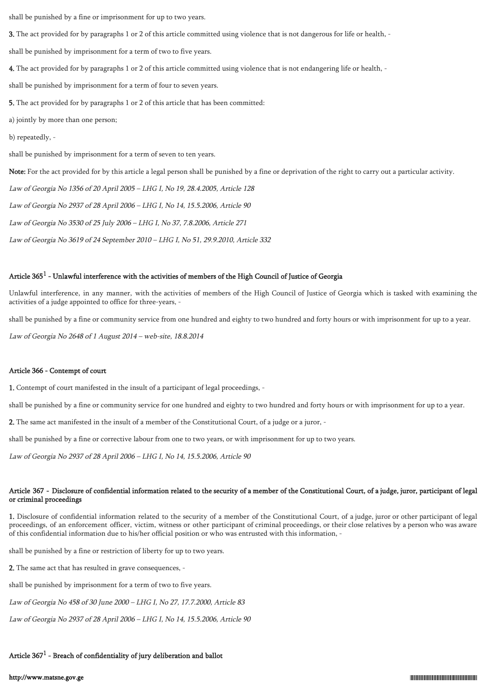shall be punished by a fine or imprisonment for up to two years.

3. The act provided for by paragraphs 1 or 2 of this article committed using violence that is not dangerous for life or health, -

shall be punished by imprisonment for a term of two to five years.

4. The act provided for by paragraphs 1 or 2 of this article committed using violence that is not endangering life or health, -

shall be punished by imprisonment for a term of four to seven years.

5. The act provided for by paragraphs 1 or 2 of this article that has been committed:

a) jointly by more than one person;

b) repeatedly, -

shall be punished by imprisonment for a term of seven to ten years.

Note: For the act provided for by this article a legal person shall be punished by a fine or deprivation of the right to carry out a particular activity.

Law of Georgia No 1356 of 20 April 2005 – LHG I, No 19, 28.4.2005, Article 128

Law of Georgia No 2937 of 28 April 2006 – LHG I, No 14, 15.5.2006, Article 90

Law of Georgia No 3530 of 25 July 2006 – LHG I, No 37, 7.8.2006, Article 271

Law of Georgia No 3619 of 24 September 2010 – LHG I, No 51, 29.9.2010, Article 332

## Article 365 $^{\rm 1}$  - Unlawful interference with the activities of members of the High Council of Justice of Georgia

Unlawful interference, in any manner, with the activities of members of the High Council of Justice of Georgia which is tasked with examining the activities of a judge appointed to office for three-years, -

shall be punished by a fine or community service from one hundred and eighty to two hundred and forty hours or with imprisonment for up to a year.

Law of Georgia No 2648 of 1 August 2014 – web-site, 18.8.2014

#### Article 366 - Contempt of court

1. Contempt of court manifested in the insult of a participant of legal proceedings, -

shall be punished by a fine or community service for one hundred and eighty to two hundred and forty hours or with imprisonment for up to a year.

2. The same act manifested in the insult of a member of the Constitutional Court, of a judge or a juror, -

shall be punished by a fine or corrective labour from one to two years, or with imprisonment for up to two years.

Law of Georgia No 2937 of 28 April 2006 – LHG I, No 14, 15.5.2006, Article 90

### Article 367 - Disclosure of confidential information related to the security of a member of the Constitutional Court, of a judge, juror, participant of legal or criminal proceedings

1. Disclosure of confidential information related to the security of a member of the Constitutional Court, of a judge, juror or other participant of legal proceedings, of an enforcement officer, victim, witness or other participant of criminal proceedings, or their close relatives by a person who was aware of this confidential information due to his/her official position or who was entrusted with this information, -

shall be punished by a fine or restriction of liberty for up to two years.

2. The same act that has resulted in grave consequences, -

shall be punished by imprisonment for a term of two to five years.

Law of Georgia No 458 of 30 June 2000 – LHG I, No 27, 17.7.2000, Article 83

Law of Georgia No 2937 of 28 April 2006 – LHG I, No 14, 15.5.2006, Article 90

# Article  $367^1$  - Breach of confidentiality of jury deliberation and ballot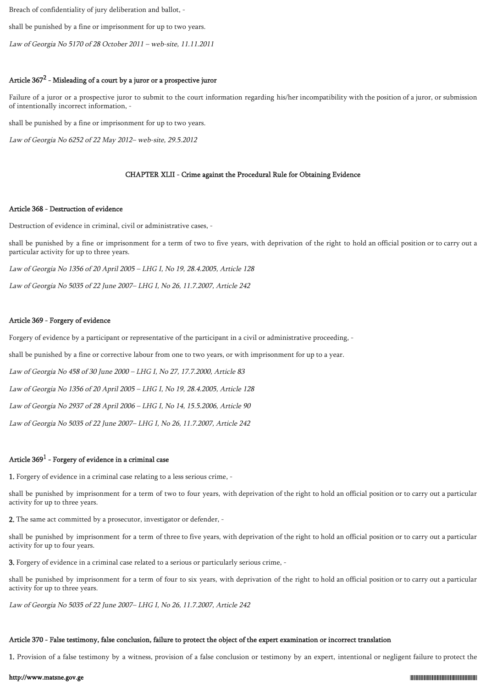Breach of confidentiality of jury deliberation and ballot, -

shall be punished by a fine or imprisonment for up to two years.

Law of Georgia No 5170 of 28 October 2011 – web-site, 11.11.2011

## Article  $367^2$  - Misleading of a court by a juror or a prospective juror

Failure of a juror or a prospective juror to submit to the court information regarding his/her incompatibility with the position of a juror, or submission of intentionally incorrect information, -

shall be punished by a fine or imprisonment for up to two years.

Law of Georgia No 6252 of 22 May 2012– web-site, 29.5.2012

## CHAPTER XLII - Crime against the Procedural Rule for Obtaining Evidence

### Article 368 - Destruction of evidence

Destruction of evidence in criminal, civil or administrative cases, -

shall be punished by a fine or imprisonment for a term of two to five years, with deprivation of the right to hold an official position or to carry out a particular activity for up to three years.

Law of Georgia No 1356 of 20 April 2005 – LHG I, No 19, 28.4.2005, Article 128

Law of Georgia No 5035 of 22 June 2007– LHG I, No 26, 11.7.2007, Article 242

#### Article 369 - Forgery of evidence

Forgery of evidence by a participant or representative of the participant in a civil or administrative proceeding, -

shall be punished by a fine or corrective labour from one to two years, or with imprisonment for up to a year.

Law of Georgia No 458 of 30 June 2000 – LHG I, No 27, 17.7.2000, Article 83

Law of Georgia No 1356 of 20 April 2005 – LHG I, No 19, 28.4.2005, Article 128

Law of Georgia No 2937 of 28 April 2006 – LHG I, No 14, 15.5.2006, Article 90

Law of Georgia No 5035 of 22 June 2007– LHG I, No 26, 11.7.2007, Article 242

## Article  $369^1$  - Forgery of evidence in a criminal case

1. Forgery of evidence in a criminal case relating to a less serious crime, -

shall be punished by imprisonment for a term of two to four years, with deprivation of the right to hold an official position or to carry out a particular activity for up to three years.

2. The same act committed by a prosecutor, investigator or defender, -

shall be punished by imprisonment for a term of three to five years, with deprivation of the right to hold an official position or to carry out a particular activity for up to four years.

3. Forgery of evidence in a criminal case related to a serious or particularly serious crime, -

shall be punished by imprisonment for a term of four to six years, with deprivation of the right to hold an official position or to carry out a particular activity for up to three years.

Law of Georgia No 5035 of 22 June 2007– LHG I, No 26, 11.7.2007, Article 242

### Article 370 - False testimony, false conclusion, failure to protect the object of the expert examination or incorrect translation

1. Provision of a false testimony by a witness, provision of a false conclusion or testimony by an expert, intentional or negligent failure to protect the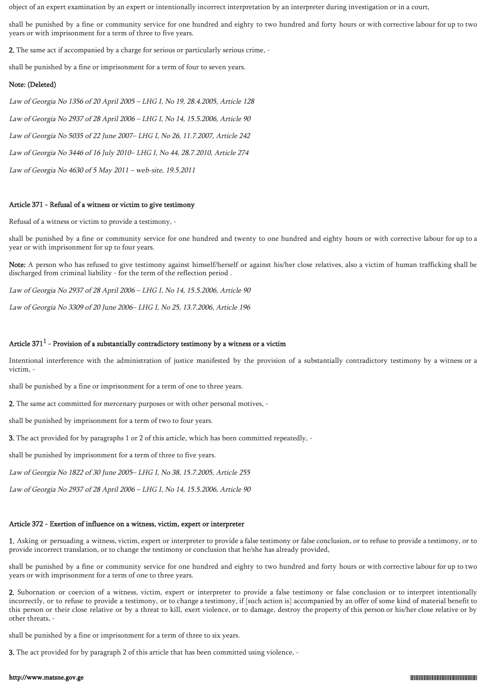object of an expert examination by an expert or intentionally incorrect interpretation by an interpreter during investigation or in a court,

shall be punished by a fine or community service for one hundred and eighty to two hundred and forty hours or with corrective labour for up to two years or with imprisonment for a term of three to five years.

2. The same act if accompanied by a charge for serious or particularly serious crime, -

shall be punished by a fine or imprisonment for a term of four to seven years.

### Note: (Deleted)

Law of Georgia No 1356 of 20 April 2005 – LHG I, No 19, 28.4.2005, Article 128 Law of Georgia No 2937 of 28 April 2006 – LHG I, No 14, 15.5.2006, Article 90 Law of Georgia No 5035 of 22 June 2007– LHG I, No 26, 11.7.2007, Article 242 Law of Georgia No 3446 of 16 July 2010– LHG I, No 44, 28.7.2010, Article 274 Law of Georgia No 4630 of 5 May 2011 – web-site, 19.5.2011

#### Article 371 - Refusal of a witness or victim to give testimony

Refusal of a witness or victim to provide a testimony, -

shall be punished by a fine or community service for one hundred and twenty to one hundred and eighty hours or with corrective labour for up to a year or with imprisonment for up to four years.

Note: A person who has refused to give testimony against himself/herself or against his/her close relatives, also a victim of human trafficking shall be discharged from criminal liability - for the term of the reflection period .

Law of Georgia No 2937 of 28 April 2006 – LHG I, No 14, 15.5.2006, Article 90

Law of Georgia No 3309 of 20 June 2006– LHG I, No 25, 13.7.2006, Article 196

## Article 371 $^1$  - Provision of a substantially contradictory testimony by a witness or a victim

Intentional interference with the administration of justice manifested by the provision of a substantially contradictory testimony by a witness or a victim, -

shall be punished by a fine or imprisonment for a term of one to three years.

2. The same act committed for mercenary purposes or with other personal motives, -

shall be punished by imprisonment for a term of two to four years.

3. The act provided for by paragraphs 1 or 2 of this article, which has been committed repeatedly, -

shall be punished by imprisonment for a term of three to five years.

Law of Georgia No 1822 of 30 June 2005– LHG I, No 38, 15.7.2005, Article 255

Law of Georgia No 2937 of 28 April 2006 – LHG I, No 14, 15.5.2006, Article 90

## Article 372 - Exertion of influence on a witness, victim, expert or interpreter

1. Asking or persuading a witness, victim, expert or interpreter to provide a false testimony or false conclusion, or to refuse to provide a testimony, or to provide incorrect translation, or to change the testimony or conclusion that he/she has already provided,

shall be punished by a fine or community service for one hundred and eighty to two hundred and forty hours or with corrective labour for up to two years or with imprisonment for a term of one to three years.

2. Subornation or coercion of a witness, victim, expert or interpreter to provide a false testimony or false conclusion or to interpret intentionally incorrectly, or to refuse to provide a testimony, or to change a testimony, if [such action is] accompanied by an offer of some kind of material benefit to this person or their close relative or by a threat to kill, exert violence, or to damage, destroy the property of this person or his/her close relative or by other threats, -

shall be punished by a fine or imprisonment for a term of three to six years.

3. The act provided for by paragraph 2 of this article that has been committed using violence, -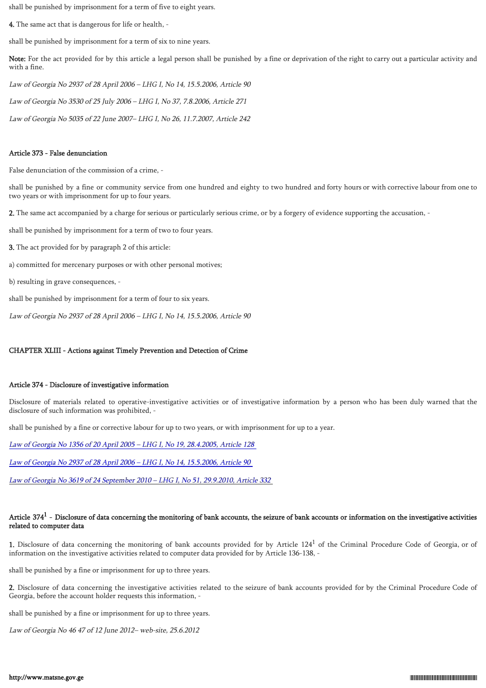shall be punished by imprisonment for a term of five to eight years.

4. The same act that is dangerous for life or health, -

shall be punished by imprisonment for a term of six to nine years.

Note: For the act provided for by this article a legal person shall be punished by a fine or deprivation of the right to carry out a particular activity and with a fine.

Law of Georgia No 2937 of 28 April 2006 – LHG I, No 14, 15.5.2006, Article 90

Law of Georgia No 3530 of 25 July 2006 – LHG I, No 37, 7.8.2006, Article 271

Law of Georgia No 5035 of 22 June 2007– LHG I, No 26, 11.7.2007, Article 242

### Article 373 - False denunciation

False denunciation of the commission of a crime, -

shall be punished by a fine or community service from one hundred and eighty to two hundred and forty hours or with corrective labour from one to two years or with imprisonment for up to four years.

2. The same act accompanied by a charge for serious or particularly serious crime, or by a forgery of evidence supporting the accusation, -

shall be punished by imprisonment for a term of two to four years.

- 3. The act provided for by paragraph 2 of this article:
- a) committed for mercenary purposes or with other personal motives;
- b) resulting in grave consequences, -

shall be punished by imprisonment for a term of four to six years.

Law of Georgia No 2937 of 28 April 2006 – LHG I, No 14, 15.5.2006, Article 90

## CHAPTER XLIII - Actions against Timely Prevention and Detection of Crime

## Article 374 - Disclosure of investigative information

Disclosure of materials related to operative-investigative activities or of investigative information by a person who has been duly warned that the disclosure of such information was prohibited, -

shall be punished by a fine or corrective labour for up to two years, or with imprisonment for up to a year.

[Law of Georgia No 1356 of 20 April 2005 – LHG I, No 19, 28.4.2005, Article 128](https://matsne.gov.ge/ka/document/view/29572)

[Law of Georgia No 2937 of 28 April 2006 – LHG I, No 14, 15.5.2006, Article 90](https://matsne.gov.ge/ka/document/view/952)

[Law of Georgia No 3619 of 24 September 2010 – LHG I, No 51, 29.9.2010, Article 332](https://matsne.gov.ge/ka/document/view/1027497)

## Article 374 $^{\rm 1}$  - Disclosure of data concerning the monitoring of bank accounts, the seizure of bank accounts or information on the investigative activities related to computer data

1. Disclosure of data concerning the monitoring of bank accounts provided for by Article  $124<sup>1</sup>$  of the Criminal Procedure Code of Georgia, or of information on the investigative activities related to computer data provided for by Article 136-138, -

shall be punished by a fine or imprisonment for up to three years.

2. Disclosure of data concerning the investigative activities related to the seizure of bank accounts provided for by the Criminal Procedure Code of Georgia, before the account holder requests this information, -

shall be punished by a fine or imprisonment for up to three years.

Law of Georgia No 46 47 of 12 June 2012– web-site, 25.6.2012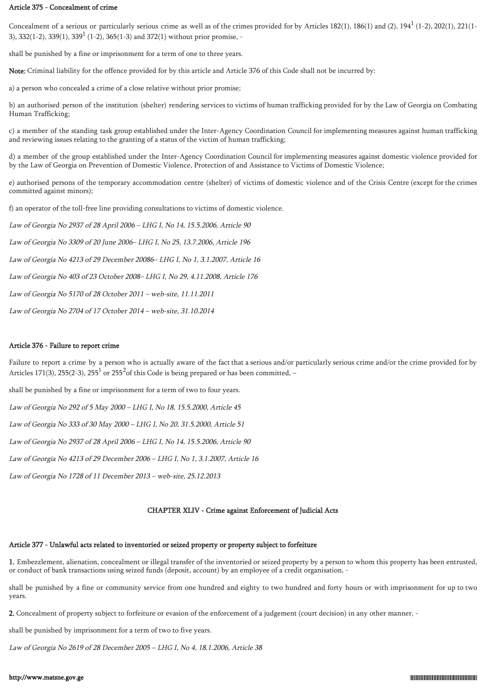### Article 375 - Concealment of crime

Concealment of a serious or particularly serious crime as well as of the crimes provided for by Articles 182(1), 186(1) and (2), 194 $^1$  (1-2), 202(1), 221(1-3),  $332(1-2)$ ,  $339(1)$ ,  $339<sup>1</sup>$  (1-2),  $365(1-3)$  and  $372(1)$  without prior promise, -

shall be punished by a fine or imprisonment for a term of one to three years.

Note: Criminal liability for the offence provided for by this article and Article 376 of this Code shall not be incurred by:

a) a person who concealed a crime of a close relative without prior promise;

b) an authorised person of the institution (shelter) rendering services to victims of human trafficking provided for by the Law of Georgia on Combating Human Trafficking;

c) a member of the standing task group established under the Inter-Agency Coordination Council for implementing measures against human trafficking and reviewing issues relating to the granting of a status of the victim of human trafficking;

d) a member of the group established under the Inter-Agency Coordination Council for implementing measures against domestic violence provided for by the Law of Georgia on Prevention of Domestic Violence, Protection of and Assistance to Victims of Domestic Violence;

e) authorised persons of the temporary accommodation centre (shelter) of victims of domestic violence and of the Crisis Centre (except for the crimes committed against minors);

f) an operator of the toll-free line providing consultations to victims of domestic violence.

Law of Georgia No 2937 of 28 April 2006 – LHG I, No 14, 15.5.2006, Article 90

Law of Georgia No 3309 of 20 June 2006– LHG I, No 25, 13.7.2006, Article 196

Law of Georgia No 4213 of 29 December 20086– LHG I, No 1, 3.1.2007, Article 16

Law of Georgia No 403 of 23 October 2008– LHG I, No 29, 4.11.2008, Article 176

Law of Georgia No 5170 of 28 October 2011 – web-site, 11.11.2011

Law of Georgia No 2704 of 17 October 2014 – web-site, 31.10.2014

## Article 376 - Failure to report crime

Failure to report a crime by a person who is actually aware of the fact that a serious and/or particularly serious crime and/or the crime provided for by Articles 171(3), 255(2-3), 255<sup>1</sup> or 255<sup>2</sup> of this Code is being prepared or has been committed, -

shall be punished by a fine or imprisonment for a term of two to four years.

Law of Georgia No 292 of 5 May 2000 – LHG I, No 18, 15.5.2000, Article 45

Law of Georgia No 333 of 30 May 2000 – LHG I, No 20, 31.5.2000, Article 51

Law of Georgia No 2937 of 28 April 2006 – LHG I, No 14, 15.5.2006, Article 90

Law of Georgia No 4213 of 29 December 2006 – LHG I, No 1, 3.1.2007, Article 16

Law of Georgia No 1728 of 11 December 2013 – web-site, 25.12.2013

## CHAPTER XLIV - Crime against Enforcement of Judicial Acts

## Article 377 - Unlawful acts related to inventoried or seized property or property subject to forfeiture

1. Embezzlement, alienation, concealment or illegal transfer of the inventoried or seized property by a person to whom this property has been entrusted, or conduct of bank transactions using seized funds (deposit, account) by an employee of a credit organisation, -

shall be punished by a fine or community service from one hundred and eighty to two hundred and forty hours or with imprisonment for up to two years.

2. Concealment of property subject to forfeiture or evasion of the enforcement of a judgement (court decision) in any other manner, -

shall be punished by imprisonment for a term of two to five years.

Law of Georgia No 2619 of 28 December 2005 – LHG I, No 4, 18.1.2006, Article 38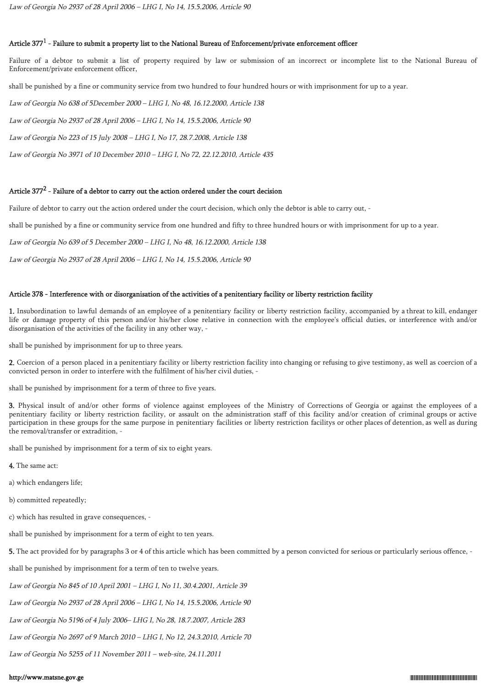## Article 377 $^1$  - Failure to submit a property list to the National Bureau of Enforcement/private enforcement officer

Failure of a debtor to submit a list of property required by law or submission of an incorrect or incomplete list to the National Bureau of Enforcement/private enforcement officer,

shall be punished by a fine or community service from two hundred to four hundred hours or with imprisonment for up to a year.

Law of Georgia No 638 of 5December 2000 – LHG I, No 48, 16.12.2000, Article 138

Law of Georgia No 2937 of 28 April 2006 – LHG I, No 14, 15.5.2006, Article 90

Law of Georgia No 223 of 15 July 2008 – LHG I, No 17, 28.7.2008, Article 138

Law of Georgia No 3971 of 10 December 2010 – LHG I, No 72, 22.12.2010, Article 435

## Article 377 $^2$  - Failure of a debtor to carry out the action ordered under the court decision

Failure of debtor to carry out the action ordered under the court decision, which only the debtor is able to carry out, -

shall be punished by a fine or community service from one hundred and fifty to three hundred hours or with imprisonment for up to a year.

Law of Georgia No 639 of 5 December 2000 – LHG I, No 48, 16.12.2000, Article 138

Law of Georgia No 2937 of 28 April 2006 – LHG I, No 14, 15.5.2006, Article 90

### Article 378 - Interference with or disorganisation of the activities of a penitentiary facility or liberty restriction facility

1. Insubordination to lawful demands of an employee of a penitentiary facility or liberty restriction facility, accompanied by a threat to kill, endanger life or damage property of this person and/or his/her close relative in connection with the employee's official duties, or interference with and/or disorganisation of the activities of the facility in any other way, -

shall be punished by imprisonment for up to three years.

2. Coercion of a person placed in a penitentiary facility or liberty restriction facility into changing or refusing to give testimony, as well as coercion of a convicted person in order to interfere with the fulfilment of his/her civil duties, -

shall be punished by imprisonment for a term of three to five years.

3. Physical insult of and/or other forms of violence against employees of the Ministry of Corrections of Georgia or against the employees of a penitentiary facility or liberty restriction facility, or assault on the administration staff of this facility and/or creation of criminal groups or active participation in these groups for the same purpose in penitentiary facilities or liberty restriction facilitys or other places of detention, as well as during the removal/transfer or extradition, -

shall be punished by imprisonment for a term of six to eight years.

- 4. The same act:
- a) which endangers life;
- b) committed repeatedly;
- c) which has resulted in grave consequences, -

shall be punished by imprisonment for a term of eight to ten years.

5. The act provided for by paragraphs 3 or 4 of this article which has been committed by a person convicted for serious or particularly serious offence, -

shall be punished by imprisonment for a term of ten to twelve years.

Law of Georgia No 845 of 10 April 2001 – LHG I, No 11, 30.4.2001, Article 39

Law of Georgia No 2937 of 28 April 2006 – LHG I, No 14, 15.5.2006, Article 90

Law of Georgia No 5196 of 4 July 2006– LHG I, No 28, 18.7.2007, Article 283

Law of Georgia No 2697 of 9 March 2010 – LHG I, No 12, 24.3.2010, Article 70

Law of Georgia No 5255 of 11 November 2011 – web-site, 24.11.2011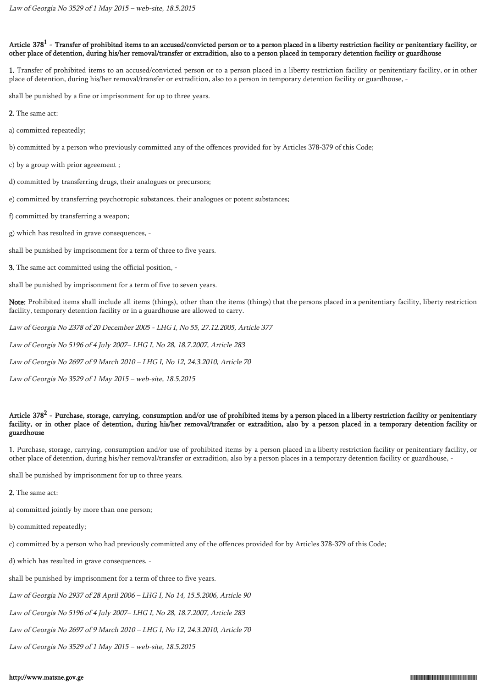## Article 378 $^{\rm l}$  - Transfer of prohibited items to an accused/convicted person or to a person placed in a liberty restriction facility or penitentiary facility, or other place of detention, during his/her removal/transfer or extradition, also to a person placed in temporary detention facility or guardhouse

1. Transfer of prohibited items to an accused/convicted person or to a person placed in a liberty restriction facility or penitentiary facility, or in other place of detention, during his/her removal/transfer or extradition, also to a person in temporary detention facility or guardhouse, -

shall be punished by a fine or imprisonment for up to three years.

- 2. The same act:
- a) committed repeatedly;
- b) committed by a person who previously committed any of the offences provided for by Articles 378-379 of this Code;
- c) by a group with prior agreement ;
- d) committed by transferring drugs, their analogues or precursors;
- e) committed by transferring psychotropic substances, their analogues or potent substances;
- f) committed by transferring a weapon;
- g) which has resulted in grave consequences, -

shall be punished by imprisonment for a term of three to five years.

3. The same act committed using the official position, -

shall be punished by imprisonment for a term of five to seven years.

Note: Prohibited items shall include all items (things), other than the items (things) that the persons placed in a penitentiary facility, liberty restriction facility, temporary detention facility or in a guardhouse are allowed to carry.

Law of Georgia No 2378 of 20 December 2005 - LHG I, No 55, 27.12.2005, Article 377

Law of Georgia No 5196 of 4 July 2007– LHG I, No 28, 18.7.2007, Article 283

Law of Georgia No 2697 of 9 March 2010 – LHG I, No 12, 24.3.2010, Article 70

Law of Georgia No 3529 of 1 May 2015 – web-site, 18.5.2015

## Article 378<sup>2</sup> - Purchase, storage, carrying, consumption and/or use of prohibited items by a person placed in a liberty restriction facility or penitentiary facility, or in other place of detention, during his/her removal/transfer or extradition, also by a person placed in a temporary detention facility or guardhouse

1. Purchase, storage, carrying, consumption and/or use of prohibited items by a person placed in a liberty restriction facility or penitentiary facility, or other place of detention, during his/her removal/transfer or extradition, also by a person places in a temporary detention facility or guardhouse, -

shall be punished by imprisonment for up to three years.

2. The same act:

- a) committed jointly by more than one person;
- b) committed repeatedly;

c) committed by a person who had previously committed any of the offences provided for by Articles 378-379 of this Code;

d) which has resulted in grave consequences, -

shall be punished by imprisonment for a term of three to five years.

Law of Georgia No 2937 of 28 April 2006 – LHG I, No 14, 15.5.2006, Article 90

Law of Georgia No 5196 of 4 July 2007– LHG I, No 28, 18.7.2007, Article 283

Law of Georgia No 2697 of 9 March 2010 – LHG I, No 12, 24.3.2010, Article 70

Law of Georgia No 3529 of 1 May 2015 – web-site, 18.5.2015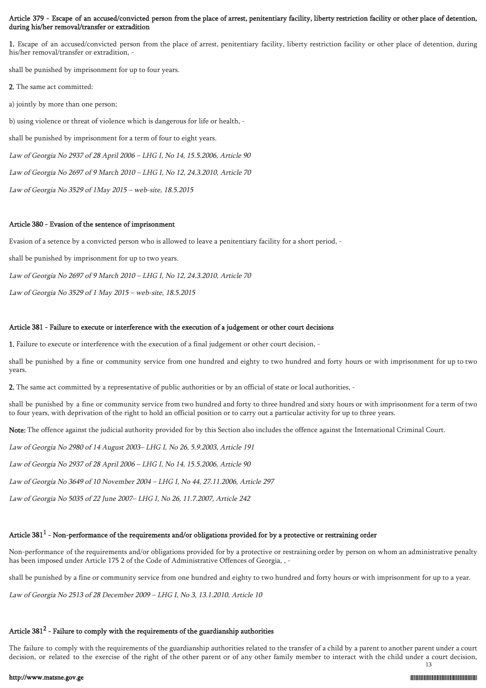## Article 379 - Escape of an accused/convicted person from the place of arrest, penitentiary facility, liberty restriction facility or other place of detention, during his/her removal/transfer or extradition

1. Escape of an accused/convicted person from the place of arrest, penitentiary facility, liberty restriction facility or other place of detention, during his/her removal/transfer or extradition, -

shall be punished by imprisonment for up to four years.

- 2. The same act committed:
- a) jointly by more than one person;

b) using violence or threat of violence which is dangerous for life or health, -

shall be punished by imprisonment for a term of four to eight years.

Law of Georgia No 2937 of 28 April 2006 – LHG I, No 14, 15.5.2006, Article 90

Law of Georgia No 2697 of 9 March 2010 – LHG I, No 12, 24.3.2010, Article 70

Law of Georgia No 3529 of 1May 2015 – web-site, 18.5.2015

### Article 380 - Evasion of the sentence of imprisonment

Evasion of a setence by a convicted person who is allowed to leave a penitentiary facility for a short period, -

shall be punished by imprisonment for up to two years.

Law of Georgia No 2697 of 9 March 2010 – LHG I, No 12, 24.3.2010, Article 70

Law of Georgia No 3529 of 1 May 2015 – web-site, 18.5.2015

### Article 381 - Failure to execute or interference with the execution of a judgement or other court decisions

1. Failure to execute or interference with the execution of a final judgement or other court decision, -

shall be punished by a fine or community service from one hundred and eighty to two hundred and forty hours or with imprisonment for up to two years.

2. The same act committed by a representative of public authorities or by an official of state or local authorities, -

shall be punished by a fine or community service from two hundred and forty to three hundred and sixty hours or with imprisonment for a term of two to four years, with deprivation of the right to hold an official position or to carry out a particular activity for up to three years.

Note: The offence against the judicial authority provided for by this Section also includes the offence against the International Criminal Court.

Law of Georgia No 2980 of 14 August 2003– LHG I, No 26, 5.9.2003, Article 191

Law of Georgia No 2937 of 28 April 2006 – LHG I, No 14, 15.5.2006, Article 90

Law of Georgia No 3649 of 10 November 2004 – LHG I, No 44, 27.11.2006, Article 297

Law of Georgia No 5035 of 22 June 2007– LHG I, No 26, 11.7.2007, Article 242

## Article 381 $^1$  - Non-performance of the requirements and/or obligations provided for by a protective or restraining order

Non-performance of the requirements and/or obligations provided for by a protective or restraining order by person on whom an administrative penalty has been imposed under Article 175 2 of the Code of Administrative Offences of Georgia, , -

shall be punished by a fine or community service from one hundred and eighty to two hundred and forty hours or with imprisonment for up to a year.

Law of Georgia No 2513 of 28 December 2009 – LHG I, No 3, 13.1.2010, Article 10

# Article 381 $^2$  - Failure to comply with the requirements of the guardianship authorities

The failure to comply with the requirements of the guardianship authorities related to the transfer of a child by a parent to another parent under a court decision, or related to the exercise of the right of the other parent or of any other family member to interact with the child under a court decision, 13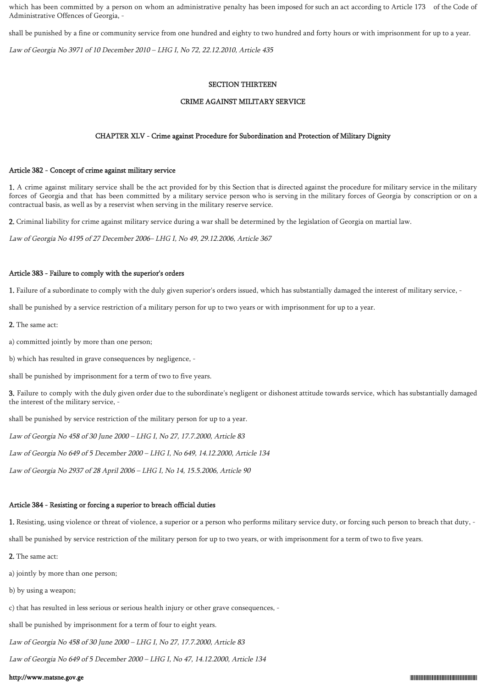which has been committed by a person on whom an administrative penalty has been imposed for such an act according to Article 173 of the Code of Administrative Offences of Georgia, -

shall be punished by a fine or community service from one hundred and eighty to two hundred and forty hours or with imprisonment for up to a year.

Law of Georgia No 3971 of 10 December 2010 – LHG I, No 72, 22.12.2010, Article 435

#### SECTION THIRTEEN

#### CRIME AGAINST MILITARY SERVICE

#### CHAPTER XLV - Crime against Procedure for Subordination and Protection of Military Dignity

### Article 382 - Concept of crime against military service

1. A crime against military service shall be the act provided for by this Section that is directed against the procedure for military service in the military forces of Georgia and that has been committed by a military service person who is serving in the military forces of Georgia by conscription or on a contractual basis, as well as by a reservist when serving in the military reserve service.

2. Criminal liability for crime against military service during a war shall be determined by the legislation of Georgia on martial law.

Law of Georgia No 4195 of 27 December 2006– LHG I, No 49, 29.12.2006, Article 367

### Article 383 - Failure to comply with the superior's orders

1. Failure of a subordinate to comply with the duly given superior's orders issued, which has substantially damaged the interest of military service, -

shall be punished by a service restriction of a military person for up to two years or with imprisonment for up to a year.

- 2. The same act:
- a) committed jointly by more than one person;
- b) which has resulted in grave consequences by negligence, -

shall be punished by imprisonment for a term of two to five years.

3. Failure to comply with the duly given order due to the subordinate's negligent or dishonest attitude towards service, which has substantially damaged the interest of the military service, -

shall be punished by service restriction of the military person for up to a year.

Law of Georgia No 458 of 30 June 2000 – LHG I, No 27, 17.7.2000, Article 83

Law of Georgia No 649 of 5 December 2000 – LHG I, No 649, 14.12.2000, Article 134

Law of Georgia No 2937 of 28 April 2006 – LHG I, No 14, 15.5.2006, Article 90

#### Article 384 - Resisting or forcing a superior to breach official duties

1. Resisting, using violence or threat of violence, a superior or a person who performs military service duty, or forcing such person to breach that duty, -

shall be punished by service restriction of the military person for up to two years, or with imprisonment for a term of two to five years.

- 2. The same act:
- a) jointly by more than one person;
- b) by using a weapon;
- c) that has resulted in less serious or serious health injury or other grave consequences, -

shall be punished by imprisonment for a term of four to eight years.

Law of Georgia No 458 of 30 June 2000 – LHG I, No 27, 17.7.2000, Article 83

Law of Georgia No 649 of 5 December 2000 – LHG I, No 47, 14.12.2000, Article 134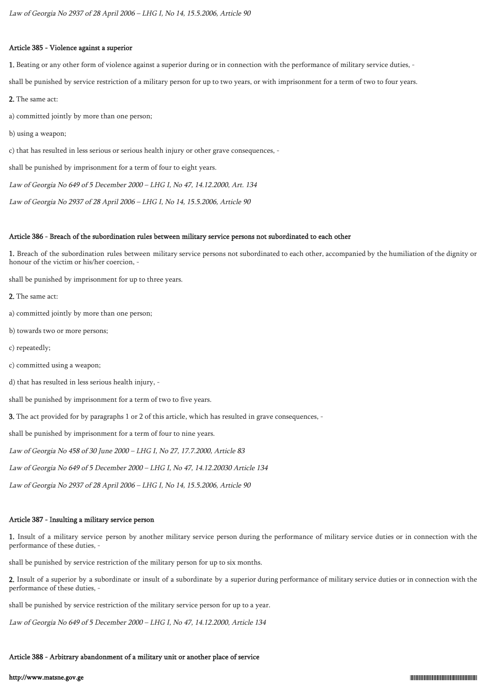# Article 385 - Violence against a superior

1. Beating or any other form of violence against a superior during or in connection with the performance of military service duties, -

shall be punished by service restriction of a military person for up to two years, or with imprisonment for a term of two to four years.

2. The same act:

a) committed jointly by more than one person;

b) using a weapon;

c) that has resulted in less serious or serious health injury or other grave consequences, -

shall be punished by imprisonment for a term of four to eight years.

Law of Georgia No 649 of 5 December 2000 – LHG I, No 47, 14.12.2000, Art. 134

Law of Georgia No 2937 of 28 April 2006 – LHG I, No 14, 15.5.2006, Article 90

# Article 386 - Breach of the subordination rules between military service persons not subordinated to each other

1. Breach of the subordination rules between military service persons not subordinated to each other, accompanied by the humiliation of the dignity or honour of the victim or his/her coercion, -

shall be punished by imprisonment for up to three years.

2. The same act:

- a) committed jointly by more than one person;
- b) towards two or more persons;
- c) repeatedly;
- c) committed using a weapon;
- d) that has resulted in less serious health injury, -

shall be punished by imprisonment for a term of two to five years.

3. The act provided for by paragraphs 1 or 2 of this article, which has resulted in grave consequences, -

shall be punished by imprisonment for a term of four to nine years.

Law of Georgia No 458 of 30 June 2000 – LHG I, No 27, 17.7.2000, Article 83

Law of Georgia No 649 of 5 December 2000 – LHG I, No 47, 14.12.20030 Article 134

Law of Georgia No 2937 of 28 April 2006 – LHG I, No 14, 15.5.2006, Article 90

### Article 387 - Insulting a military service person

1. Insult of a military service person by another military service person during the performance of military service duties or in connection with the performance of these duties, -

shall be punished by service restriction of the military person for up to six months.

2. Insult of a superior by a subordinate or insult of a subordinate by a superior during performance of military service duties or in connection with the performance of these duties, -

shall be punished by service restriction of the military service person for up to a year.

Law of Georgia No 649 of 5 December 2000 – LHG I, No 47, 14.12.2000, Article 134

# Article 388 - Arbitrary abandonment of a military unit or another place of service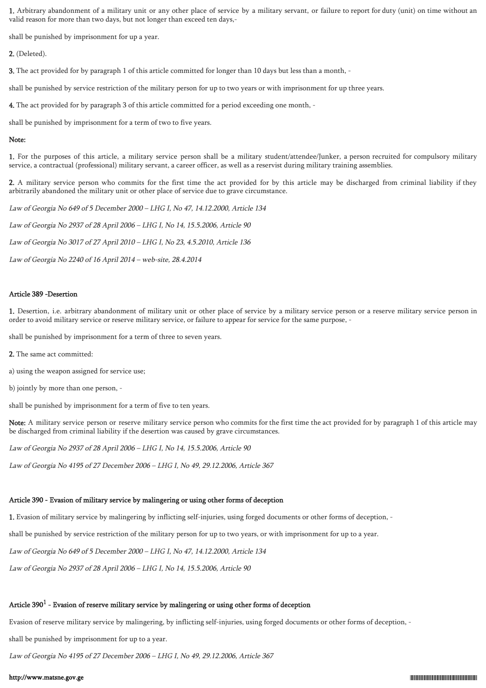1. Arbitrary abandonment of a military unit or any other place of service by a military servant, or failure to report for duty (unit) on time without an valid reason for more than two days, but not longer than exceed ten days,-

shall be punished by imprisonment for up a year.

2. (Deleted).

3. The act provided for by paragraph 1 of this article committed for longer than 10 days but less than a month, -

shall be punished by service restriction of the military person for up to two years or with imprisonment for up three years.

4. The act provided for by paragraph 3 of this article committed for a period exceeding one month, -

shall be punished by imprisonment for a term of two to five years.

# Note:

1. For the purposes of this article, a military service person shall be a military student/attendee/Junker, a person recruited for compulsory military service, a contractual (professional) military servant, a career officer, as well as a reservist during military training assemblies.

2. A military service person who commits for the first time the act provided for by this article may be discharged from criminal liability if they arbitrarily abandoned the military unit or other place of service due to grave circumstance.

Law of Georgia No 649 of 5 December 2000 – LHG I, No 47, 14.12.2000, Article 134

Law of Georgia No 2937 of 28 April 2006 – LHG I, No 14, 15.5.2006, Article 90

Law of Georgia No 3017 of 27 April 2010 – LHG I, No 23, 4.5.2010, Article 136

Law of Georgia No 2240 of 16 April 2014 – web-site, 28.4.2014

# Article 389 -Desertion

1. Desertion, i.e. arbitrary abandonment of military unit or other place of service by a military service person or a reserve military service person in order to avoid military service or reserve military service, or failure to appear for service for the same purpose, -

shall be punished by imprisonment for a term of three to seven years.

- 2. The same act committed:
- a) using the weapon assigned for service use;

b) jointly by more than one person, -

shall be punished by imprisonment for a term of five to ten years.

Note: A military service person or reserve military service person who commits for the first time the act provided for by paragraph 1 of this article may be discharged from criminal liability if the desertion was caused by grave circumstances.

Law of Georgia No 2937 of 28 April 2006 – LHG I, No 14, 15.5.2006, Article 90

Law of Georgia No 4195 of 27 December 2006 – LHG I, No 49, 29.12.2006, Article 367

# Article 390 - Evasion of military service by malingering or using other forms of deception

1. Evasion of military service by malingering by inflicting self-injuries, using forged documents or other forms of deception, -

shall be punished by service restriction of the military person for up to two years, or with imprisonment for up to a year.

Law of Georgia No 649 of 5 December 2000 – LHG I, No 47, 14.12.2000, Article 134

Law of Georgia No 2937 of 28 April 2006 – LHG I, No 14, 15.5.2006, Article 90

# Article 390 $^1$  - Evasion of reserve military service by malingering or using other forms of deception

Evasion of reserve military service by malingering, by inflicting self-injuries, using forged documents or other forms of deception, -

shall be punished by imprisonment for up to a year.

Law of Georgia No 4195 of 27 December 2006 – LHG I, No 49, 29.12.2006, Article 367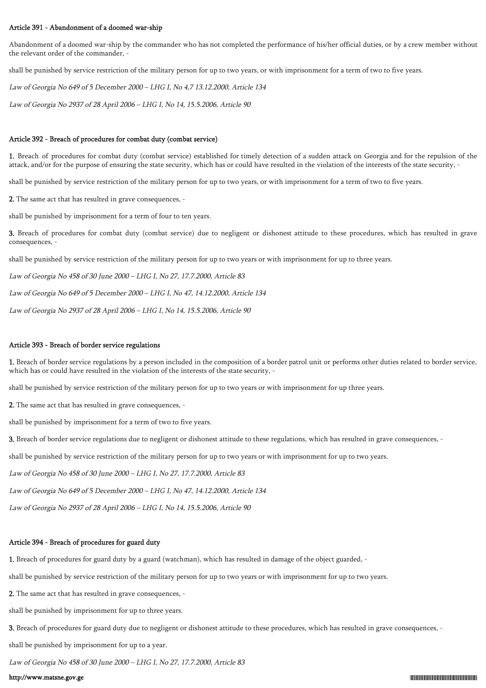# Article 391 - Abandonment of a doomed war-ship

Abandonment of a doomed war-ship by the commander who has not completed the performance of his/her official duties, or by a crew member without the relevant order of the commander, -

shall be punished by service restriction of the military person for up to two years, or with imprisonment for a term of two to five years.

Law of Georgia No 649 of 5 December 2000 – LHG I, No 4,7 13.12.2000, Article 134

Law of Georgia No 2937 of 28 April 2006 – LHG I, No 14, 15.5.2006, Article 90

#### Article 392 - Breach of procedures for combat duty (combat service)

1. Breach of procedures for combat duty (combat service) established for timely detection of a sudden attack on Georgia and for the repulsion of the attack, and/or for the purpose of ensuring the state security, which has or could have resulted in the violation of the interests of the state security, -

shall be punished by service restriction of the military person for up to two years, or with imprisonment for a term of two to five years.

2. The same act that has resulted in grave consequences, -

shall be punished by imprisonment for a term of four to ten years.

3. Breach of procedures for combat duty (combat service) due to negligent or dishonest attitude to these procedures, which has resulted in grave consequences, -

shall be punished by service restriction of the military person for up to two years or with imprisonment for up to three years.

Law of Georgia No 458 of 30 June 2000 – LHG I, No 27, 17.7.2000, Article 83

Law of Georgia No 649 of 5 December 2000 – LHG I, No 47, 14.12.2000, Article 134

Law of Georgia No 2937 of 28 April 2006 – LHG I, No 14, 15.5.2006, Article 90

#### Article 393 - Breach of border service regulations

1. Breach of border service regulations by a person included in the composition of a border patrol unit or performs other duties related to border service, which has or could have resulted in the violation of the interests of the state security, -

shall be punished by service restriction of the military person for up to two years or with imprisonment for up three years.

2. The same act that has resulted in grave consequences, -

shall be punished by imprisonment for a term of two to five years.

3. Breach of border service regulations due to negligent or dishonest attitude to these regulations, which has resulted in grave consequences, -

shall be punished by service restriction of the military person for up to two years or with imprisonment for up to two years.

Law of Georgia No 458 of 30 June 2000 – LHG I, No 27, 17.7.2000, Article 83

Law of Georgia No 649 of 5 December 2000 – LHG I, No 47, 14.12.2000, Article 134

Law of Georgia No 2937 of 28 April 2006 – LHG I, No 14, 15.5.2006, Article 90

# Article 394 - Breach of procedures for guard duty

1. Breach of procedures for guard duty by a guard (watchman), which has resulted in damage of the object guarded, -

shall be punished by service restriction of the military person for up to two years or with imprisonment for up to two years.

2. The same act that has resulted in grave consequences, -

shall be punished by imprisonment for up to three years.

3. Breach of procedures for guard duty due to negligent or dishonest attitude to these procedures, which has resulted in grave consequences, -

shall be punished by imprisonment for up to a year.

Law of Georgia No 458 of 30 June 2000 – LHG I, No 27, 17.7.2000, Article 83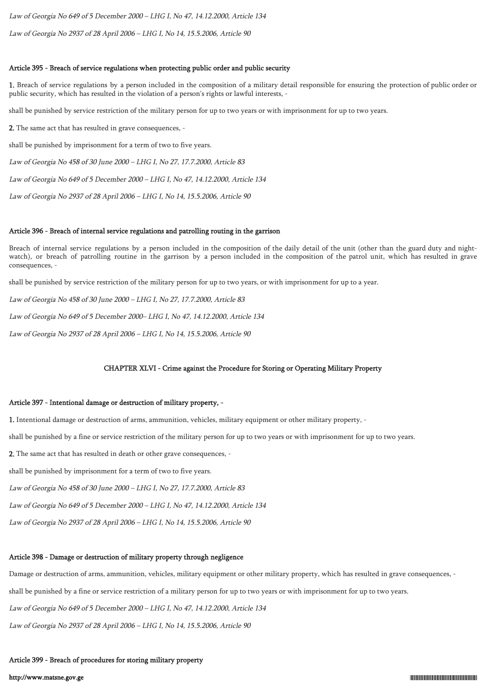Law of Georgia No 649 of 5 December 2000 – LHG I, No 47, 14.12.2000, Article 134

Law of Georgia No 2937 of 28 April 2006 – LHG I, No 14, 15.5.2006, Article 90

# Article 395 - Breach of service regulations when protecting public order and public security

1. Breach of service regulations by a person included in the composition of a military detail responsible for ensuring the protection of public order or public security, which has resulted in the violation of a person's rights or lawful interests, -

shall be punished by service restriction of the military person for up to two years or with imprisonment for up to two years.

2. The same act that has resulted in grave consequences, -

shall be punished by imprisonment for a term of two to five years.

Law of Georgia No 458 of 30 June 2000 – LHG I, No 27, 17.7.2000, Article 83

Law of Georgia No 649 of 5 December 2000 – LHG I, No 47, 14.12.2000, Article 134

Law of Georgia No 2937 of 28 April 2006 – LHG I, No 14, 15.5.2006, Article 90

# Article 396 - Breach of internal service regulations and patrolling routing in the garrison

Breach of internal service regulations by a person included in the composition of the daily detail of the unit (other than the guard duty and nightwatch), or breach of patrolling routine in the garrison by a person included in the composition of the patrol unit, which has resulted in grave consequences, -

shall be punished by service restriction of the military person for up to two years, or with imprisonment for up to a year.

Law of Georgia No 458 of 30 June 2000 – LHG I, No 27, 17.7.2000, Article 83

Law of Georgia No 649 of 5 December 2000– LHG I, No 47, 14.12.2000, Article 134

Law of Georgia No 2937 of 28 April 2006 – LHG I, No 14, 15.5.2006, Article 90

#### CHAPTER XLVI - Crime against the Procedure for Storing or Operating Military Property

#### Article 397 - Intentional damage or destruction of military property, -

1. Intentional damage or destruction of arms, ammunition, vehicles, military equipment or other military property, -

shall be punished by a fine or service restriction of the military person for up to two years or with imprisonment for up to two years.

2. The same act that has resulted in death or other grave consequences, -

shall be punished by imprisonment for a term of two to five years.

Law of Georgia No 458 of 30 June 2000 – LHG I, No 27, 17.7.2000, Article 83

Law of Georgia No 649 of 5 December 2000 – LHG I, No 47, 14.12.2000, Article 134

Law of Georgia No 2937 of 28 April 2006 – LHG I, No 14, 15.5.2006, Article 90

# Article 398 - Damage or destruction of military property through negligence

Damage or destruction of arms, ammunition, vehicles, military equipment or other military property, which has resulted in grave consequences, -

shall be punished by a fine or service restriction of a military person for up to two years or with imprisonment for up to two years.

Law of Georgia No 649 of 5 December 2000 – LHG I, No 47, 14.12.2000, Article 134

Law of Georgia No 2937 of 28 April 2006 – LHG I, No 14, 15.5.2006, Article 90

# Article 399 - Breach of procedures for storing military property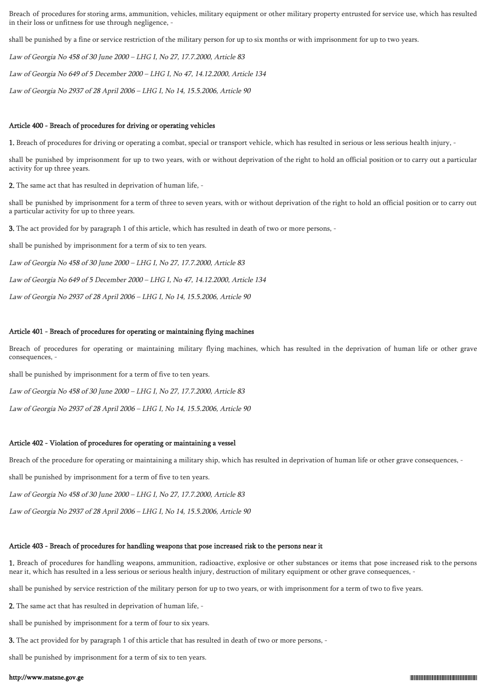Breach of procedures for storing arms, ammunition, vehicles, military equipment or other military property entrusted for service use, which has resulted in their loss or unfitness for use through negligence, -

shall be punished by a fine or service restriction of the military person for up to six months or with imprisonment for up to two years.

Law of Georgia No 458 of 30 June 2000 – LHG I, No 27, 17.7.2000, Article 83

Law of Georgia No 649 of 5 December 2000 – LHG I, No 47, 14.12.2000, Article 134

Law of Georgia No 2937 of 28 April 2006 – LHG I, No 14, 15.5.2006, Article 90

#### Article 400 - Breach of procedures for driving or operating vehicles

1. Breach of procedures for driving or operating a combat, special or transport vehicle, which has resulted in serious or less serious health injury, -

shall be punished by imprisonment for up to two years, with or without deprivation of the right to hold an official position or to carry out a particular activity for up three years.

2. The same act that has resulted in deprivation of human life, -

shall be punished by imprisonment for a term of three to seven years, with or without deprivation of the right to hold an official position or to carry out a particular activity for up to three years.

3. The act provided for by paragraph 1 of this article, which has resulted in death of two or more persons, -

shall be punished by imprisonment for a term of six to ten years.

Law of Georgia No 458 of 30 June 2000 – LHG I, No 27, 17.7.2000, Article 83

Law of Georgia No 649 of 5 December 2000 – LHG I, No 47, 14.12.2000, Article 134

Law of Georgia No 2937 of 28 April 2006 – LHG I, No 14, 15.5.2006, Article 90

#### Article 401 - Breach of procedures for operating or maintaining flying machines

Breach of procedures for operating or maintaining military flying machines, which has resulted in the deprivation of human life or other grave consequences, -

shall be punished by imprisonment for a term of five to ten years.

Law of Georgia No 458 of 30 June 2000 – LHG I, No 27, 17.7.2000, Article 83

Law of Georgia No 2937 of 28 April 2006 – LHG I, No 14, 15.5.2006, Article 90

# Article 402 - Violation of procedures for operating or maintaining a vessel

Breach of the procedure for operating or maintaining a military ship, which has resulted in deprivation of human life or other grave consequences, -

shall be punished by imprisonment for a term of five to ten years.

Law of Georgia No 458 of 30 June 2000 – LHG I, No 27, 17.7.2000, Article 83

Law of Georgia No 2937 of 28 April 2006 – LHG I, No 14, 15.5.2006, Article 90

## Article 403 - Breach of procedures for handling weapons that pose increased risk to the persons near it

1. Breach of procedures for handling weapons, ammunition, radioactive, explosive or other substances or items that pose increased risk to the persons near it, which has resulted in a less serious or serious health injury, destruction of military equipment or other grave consequences, -

shall be punished by service restriction of the military person for up to two years, or with imprisonment for a term of two to five years.

2. The same act that has resulted in deprivation of human life, -

shall be punished by imprisonment for a term of four to six years.

3. The act provided for by paragraph 1 of this article that has resulted in death of two or more persons, -

shall be punished by imprisonment for a term of six to ten years.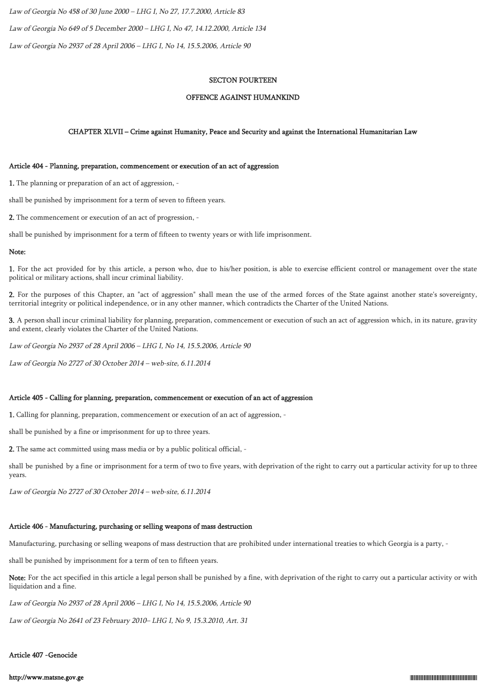Law of Georgia No 458 of 30 June 2000 – LHG I, No 27, 17.7.2000, Article 83 Law of Georgia No 649 of 5 December 2000 – LHG I, No 47, 14.12.2000, Article 134 Law of Georgia No 2937 of 28 April 2006 – LHG I, No 14, 15.5.2006, Article 90

## SECTON FOURTEEN

### OFFENCE AGAINST HUMANKIND

# CHAPTER XLVII – Crime against Humanity, Peace and Security and against the International Humanitarian Law

# Article 404 - Planning, preparation, commencement or execution of an act of aggression

1. The planning or preparation of an act of aggression, -

shall be punished by imprisonment for a term of seven to fifteen years.

2. The commencement or execution of an act of progression, -

shall be punished by imprisonment for a term of fifteen to twenty years or with life imprisonment.

#### Note:

1. For the act provided for by this article, a person who, due to his/her position, is able to exercise efficient control or management over the state political or military actions, shall incur criminal liability.

2. For the purposes of this Chapter, an "act of aggression" shall mean the use of the armed forces of the State against another state's sovereignty, territorial integrity or political independence, or in any other manner, which contradicts the Charter of the United Nations.

3. A person shall incur criminal liability for planning, preparation, commencement or execution of such an act of aggression which, in its nature, gravity and extent, clearly violates the Charter of the United Nations.

Law of Georgia No 2937 of 28 April 2006 – LHG I, No 14, 15.5.2006, Article 90

Law of Georgia No 2727 of 30 October 2014 – web-site, 6.11.2014

### Article 405 - Calling for planning, preparation, commencement or execution of an act of aggression

1. Calling for planning, preparation, commencement or execution of an act of aggression, -

shall be punished by a fine or imprisonment for up to three years.

2. The same act committed using mass media or by a public political official, -

shall be punished by a fine or imprisonment for a term of two to five years, with deprivation of the right to carry out a particular activity for up to three years.

Law of Georgia No 2727 of 30 October 2014 – web-site, 6.11.2014

# Article 406 - Manufacturing, purchasing or selling weapons of mass destruction

Manufacturing, purchasing or selling weapons of mass destruction that are prohibited under international treaties to which Georgia is a party, -

shall be punished by imprisonment for a term of ten to fifteen years.

Note: For the act specified in this article a legal person shall be punished by a fine, with deprivation of the right to carry out a particular activity or with liquidation and a fine.

Law of Georgia No 2937 of 28 April 2006 – LHG I, No 14, 15.5.2006, Article 90

Law of Georgia No 2641 of 23 February 2010– LHG I, No 9, 15.3.2010, Art. 31

# Article 407 -Genocide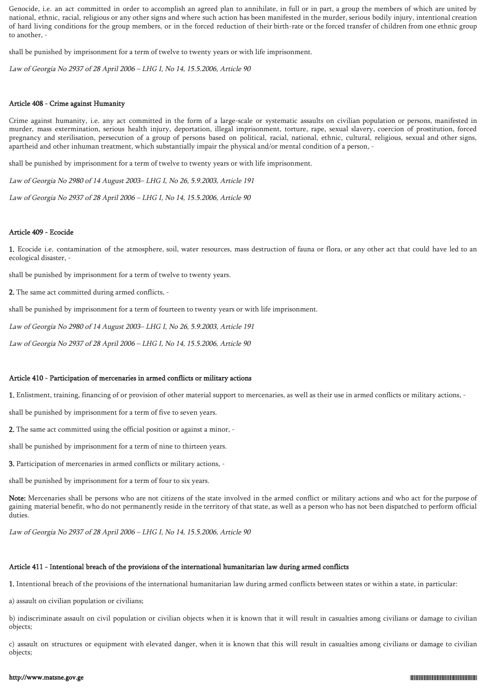Genocide, i.e. an act committed in order to accomplish an agreed plan to annihilate, in full or in part, a group the members of which are united by national, ethnic, racial, religious or any other signs and where such action has been manifested in the murder, serious bodily injury, intentional creation of hard living conditions for the group members, or in the forced reduction of their birth-rate or the forced transfer of children from one ethnic group to another, -

shall be punished by imprisonment for a term of twelve to twenty years or with life imprisonment.

Law of Georgia No 2937 of 28 April 2006 – LHG I, No 14, 15.5.2006, Article 90

## Article 408 - Crime against Humanity

Crime against humanity, i.e. any act committed in the form of a large-scale or systematic assaults on civilian population or persons, manifested in murder, mass extermination, serious health injury, deportation, illegal imprisonment, torture, rape, sexual slavery, coercion of prostitution, forced pregnancy and sterilisation, persecution of a group of persons based on political, racial, national, ethnic, cultural, religious, sexual and other signs, apartheid and other inhuman treatment, which substantially impair the physical and/or mental condition of a person, -

shall be punished by imprisonment for a term of twelve to twenty years or with life imprisonment.

Law of Georgia No 2980 of 14 August 2003– LHG I, No 26, 5.9.2003, Article 191

Law of Georgia No 2937 of 28 April 2006 – LHG I, No 14, 15.5.2006, Article 90

#### Article 409 - Ecocide

1. Ecocide i.e. contamination of the atmosphere, soil, water resources, mass destruction of fauna or flora, or any other act that could have led to an ecological disaster, -

shall be punished by imprisonment for a term of twelve to twenty years.

2. The same act committed during armed conflicts, -

shall be punished by imprisonment for a term of fourteen to twenty years or with life imprisonment.

Law of Georgia No 2980 of 14 August 2003– LHG I, No 26, 5.9.2003, Article 191

Law of Georgia No 2937 of 28 April 2006 – LHG I, No 14, 15.5.2006, Article 90

#### Article 410 - Participation of mercenaries in armed conflicts or military actions

1. Enlistment, training, financing of or provision of other material support to mercenaries, as well as their use in armed conflicts or military actions, -

shall be punished by imprisonment for a term of five to seven years.

2. The same act committed using the official position or against a minor, -

shall be punished by imprisonment for a term of nine to thirteen years.

3. Participation of mercenaries in armed conflicts or military actions, -

shall be punished by imprisonment for a term of four to six years.

Note: Mercenaries shall be persons who are not citizens of the state involved in the armed conflict or military actions and who act for the purpose of gaining material benefit, who do not permanently reside in the territory of that state, as well as a person who has not been dispatched to perform official duties.

Law of Georgia No 2937 of 28 April 2006 – LHG I, No 14, 15.5.2006, Article 90

# Article 411 - Intentional breach of the provisions of the international humanitarian law during armed conflicts

1. Intentional breach of the provisions of the international humanitarian law during armed conflicts between states or within a state, in particular:

a) assault on civilian population or civilians;

b) indiscriminate assault on civil population or civilian objects when it is known that it will result in casualties among civilians or damage to civilian objects;

c) assault on structures or equipment with elevated danger, when it is known that this will result in casualties among civilians or damage to civilian objects;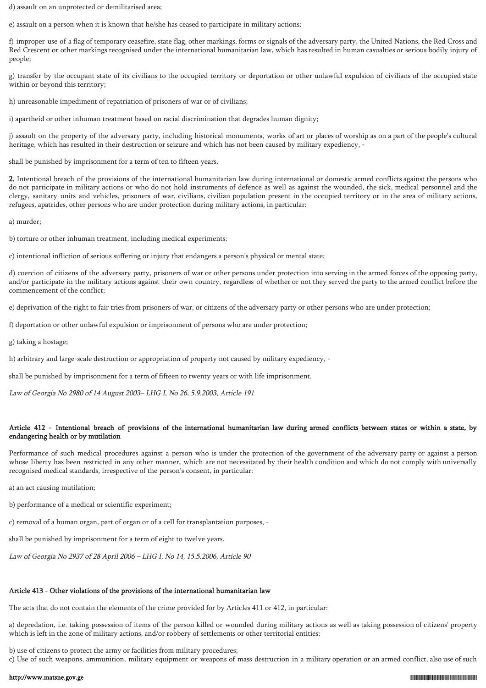d) assault on an unprotected or demilitarised area;

e) assault on a person when it is known that he/she has ceased to participate in military actions;

f) improper use of a flag of temporary ceasefire, state flag, other markings, forms or signals of the adversary party, the United Nations, the Red Cross and Red Crescent or other markings recognised under the international humanitarian law, which has resulted in human casualties or serious bodily injury of people;

g) transfer by the occupant state of its civilians to the occupied territory or deportation or other unlawful expulsion of civilians of the occupied state within or beyond this territory;

h) unreasonable impediment of repatriation of prisoners of war or of civilians;

i) apartheid or other inhuman treatment based on racial discrimination that degrades human dignity;

j) assault on the property of the adversary party, including historical monuments, works of art or places of worship as on a part of the people's cultural heritage, which has resulted in their destruction or seizure and which has not been caused by military expediency, -

shall be punished by imprisonment for a term of ten to fifteen years.

2. Intentional breach of the provisions of the international humanitarian law during international or domestic armed conflicts against the persons who do not participate in military actions or who do not hold instruments of defence as well as against the wounded, the sick, medical personnel and the clergy, sanitary units and vehicles, prisoners of war, civilians, civilian population present in the occupied territory or in the area of military actions, refugees, apatrides, other persons who are under protection during military actions, in particular:

a) murder;

b) torture or other inhuman treatment, including medical experiments;

c) intentional infliction of serious suffering or injury that endangers a person's physical or mental state;

d) coercion of citizens of the adversary party, prisoners of war or other persons under protection into serving in the armed forces of the opposing party, and/or participate in the military actions against their own country, regardless of whether or not they served the party to the armed conflict before the commencement of the conflict;

e) deprivation of the right to fair tries from prisoners of war, or citizens of the adversary party or other persons who are under protection;

f) deportation or other unlawful expulsion or imprisonment of persons who are under protection;

g) taking a hostage;

h) arbitrary and large-scale destruction or appropriation of property not caused by military expediency, -

shall be punished by imprisonment for a term of fifteen to twenty years or with life imprisonment.

Law of Georgia No 2980 of 14 August 2003– LHG I, No 26, 5.9.2003, Article 191

# Article 412 - Intentional breach of provisions of the international humanitarian law during armed conflicts between states or within a state, by endangering health or by mutilation

Performance of such medical procedures against a person who is under the protection of the government of the adversary party or against a person whose liberty has been restricted in any other manner, which are not necessitated by their health condition and which do not comply with universally recognised medical standards, irrespective of the person's consent, in particular:

a) an act causing mutilation;

b) performance of a medical or scientific experiment;

c) removal of a human organ, part of organ or of a cell for transplantation purposes, -

shall be punished by imprisonment for a term of eight to twelve years.

Law of Georgia No 2937 of 28 April 2006 – LHG I, No 14, 15.5.2006, Article 90

#### Article 413 - Other violations of the provisions of the international humanitarian law

The acts that do not contain the elements of the crime provided for by Articles 411 or 412, in particular:

a) depredation, i.e. taking possession of items of the person killed or wounded during military actions as well as taking possession of citizens' property which is left in the zone of military actions, and/or robbery of settlements or other territorial entities;

b) use of citizens to protect the army or facilities from military procedures;

c) Use of such weapons, ammunition, military equipment or weapons of mass destruction in a military operation or an armed conflict, also use of such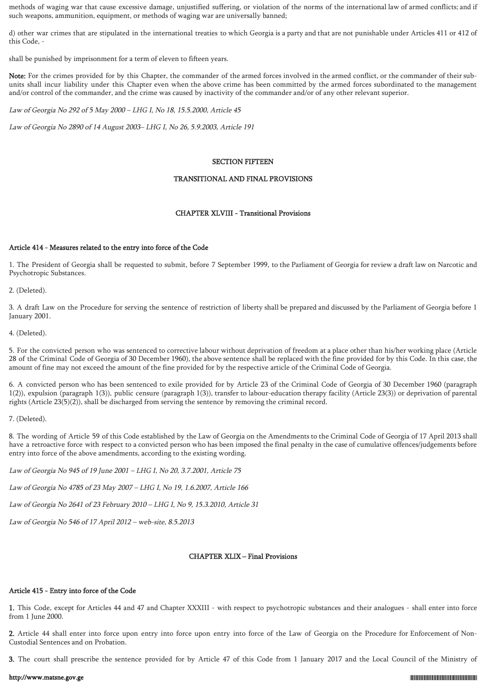methods of waging war that cause excessive damage, unjustified suffering, or violation of the norms of the international law of armed conflicts; and if such weapons, ammunition, equipment, or methods of waging war are universally banned;

d) other war crimes that are stipulated in the international treaties to which Georgia is a party and that are not punishable under Articles 411 or 412 of this Code, -

shall be punished by imprisonment for a term of eleven to fifteen years.

Note: For the crimes provided for by this Chapter, the commander of the armed forces involved in the armed conflict, or the commander of their subunits shall incur liability under this Chapter even when the above crime has been committed by the armed forces subordinated to the management and/or control of the commander, and the crime was caused by inactivity of the commander and/or of any other relevant superior.

Law of Georgia No 292 of 5 May 2000 – LHG I, No 18, 15.5.2000, Article 45

Law of Georgia No 2890 of 14 August 2003– LHG I, No 26, 5.9.2003, Article 191

# SECTION FIFTEEN

# TRANSITIONAL AND FINAL PROVISIONS

# CHAPTER XLVIII - Transitional Provisions

#### Article 414 - Measures related to the entry into force of the Code

1. The President of Georgia shall be requested to submit, before 7 September 1999, to the Parliament of Georgia for review a draft law on Narcotic and Psychotropic Substances.

2. (Deleted).

3. A draft Law on the Procedure for serving the sentence of restriction of liberty shall be prepared and discussed by the Parliament of Georgia before 1 January 2001.

4. (Deleted).

5. For the convicted person who was sentenced to corrective labour without deprivation of freedom at a place other than his/her working place (Article 28 of the Criminal Code of Georgia of 30 December 1960), the above sentence shall be replaced with the fine provided for by this Code. In this case, the amount of fine may not exceed the amount of the fine provided for by the respective article of the Criminal Code of Georgia.

6. A convicted person who has been sentenced to exile provided for by Article 23 of the Criminal Code of Georgia of 30 December 1960 (paragraph 1(2)), expulsion (paragraph 1(3)), public censure (paragraph 1(3)), transfer to labour-education therapy facility (Article 23(3)) or deprivation of parental rights (Article 23(5)(2)), shall be discharged from serving the sentence by removing the criminal record.

7. (Deleted).

8. The wording of Article 59 of this Code established by the Law of Georgia on the Amendments to the Criminal Code of Georgia of 17 April 2013 shall have a retroactive force with respect to a convicted person who has been imposed the final penalty in the case of cumulative offences/judgements before entry into force of the above amendments, according to the existing wording.

Law of Georgia No 945 of 19 June 2001 – LHG I, No 20, 3.7.2001, Article 75

Law of Georgia No 4785 of 23 May 2007 – LHG I, No 19, 1.6.2007, Article 166

Law of Georgia No 2641 of 23 February 2010 – LHG I, No 9, 15.3.2010, Article 31

Law of Georgia No 546 of 17 April 2012 – web-site, 8.5.2013

# CHAPTER XLIX – Final Provisions

#### Article 415 - Entry into force of the Code

1. This Code, except for Articles 44 and 47 and Chapter XXXIII - with respect to psychotropic substances and their analogues - shall enter into force from 1 June 2000.

2. Article 44 shall enter into force upon entry into force upon entry into force of the Law of Georgia on the Procedure for Enforcement of Non-Custodial Sentences and on Probation.

3. The court shall prescribe the sentence provided for by Article 47 of this Code from 1 January 2017 and the Local Council of the Ministry of